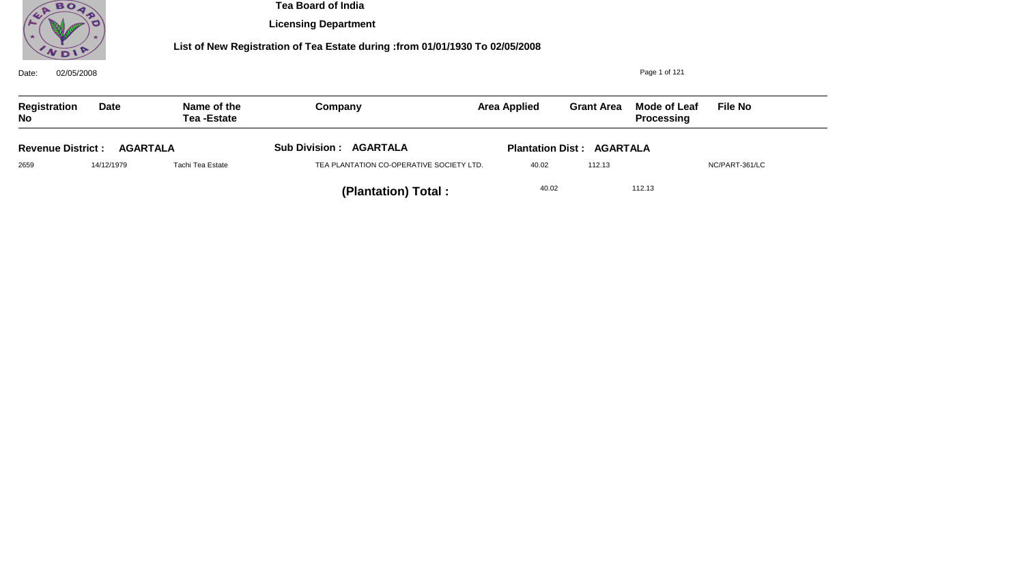

**Licensing Department**

| 02/05/2008<br>Date:                         |            |                                  |                                          |                                  | Page 1 of 121     |                                          |                |  |
|---------------------------------------------|------------|----------------------------------|------------------------------------------|----------------------------------|-------------------|------------------------------------------|----------------|--|
| Registration<br><b>No</b>                   | Date       | Name of the<br><b>Tea-Estate</b> | Company                                  | <b>Area Applied</b>              | <b>Grant Area</b> | <b>Mode of Leaf</b><br><b>Processing</b> | <b>File No</b> |  |
| <b>Revenue District:</b><br><b>AGARTALA</b> |            |                                  | <b>Sub Division : AGARTALA</b>           | <b>Plantation Dist: AGARTALA</b> |                   |                                          |                |  |
| 2659                                        | 14/12/1979 | Tachi Tea Estate                 | TEA PLANTATION CO-OPERATIVE SOCIETY LTD. | 40.02                            | 112.13            |                                          | NC/PART-361/LC |  |
|                                             |            |                                  | (Plantation) Total:                      | 40.02                            |                   | 112.13                                   |                |  |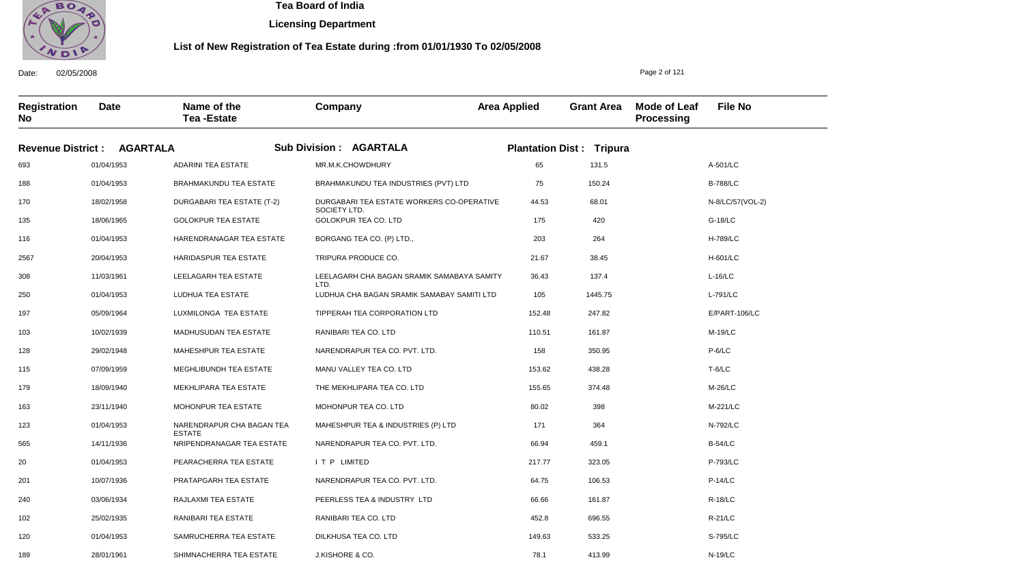

**Licensing Department**

#### **List of New Registration of Tea Estate during :from 01/01/1930 To 02/05/2008**

Date: 02/05/2008 **Registration No Date Name of the Tea -Estate Company Area Applied Grant Area Mode of Leaf Processing File No** Page 2 of 121 **Revenue District : AGARTALA Sub Division : AGARTALA Plantation Dist : Tripura** 693 188 170 135 116 2567 308 250 197 103 128 115 179 163 123 565 20 201 240 102 120 189 01/04/1953 01/04/1953 18/02/1958 18/06/1965 01/04/1953 20/04/1953 11/03/1961 01/04/1953 05/09/1964 10/02/1939 29/02/1948 07/09/1959 18/09/1940 23/11/1940 01/04/1953 14/11/1936 01/04/1953 10/07/1936 03/06/1934 25/02/1935 01/04/1953 28/01/1961 ADARINI TEA ESTATE BRAHMAKUNDU TEA ESTATE DURGABARI TEA ESTATE (T-2) GOLOKPUR TEA ESTATE HARENDRANAGAR TEA ESTATE HARIDASPUR TEA ESTATE LEELAGARH TEA ESTATE LUDHUA TEA ESTATE LUXMILONGA TEA ESTATE MADHUSUDAN TEA ESTATE MAHESHPUR TEA ESTATE MEGHLIBUNDH TEA ESTATE MEKHLIPARA TEA ESTATE MOHONPUR TEA ESTATE NARENDRAPUR CHA BAGAN TEA ESTATE NRIPENDRANAGAR TEA ESTATE PEARACHERRA TEA ESTATE PRATAPGARH TEA ESTATE RAJLAXMI TEA ESTATE RANIBARI TEA ESTATE SAMRUCHERRA TEA ESTATE SHIMNACHERRA TEA ESTATE MR.M.K.CHOWDHURY BRAHMAKUNDU TEA INDUSTRIES (PVT) LTD DURGABARI TEA ESTATE WORKERS CO-OPERATIVE SOCIETY LTD. GOLOKPUR TEA CO. LTD BORGANG TEA CO. (P) LTD., TRIPURA PRODUCE CO. LEELAGARH CHA BAGAN SRAMIK SAMABAYA SAMITY LTD. LUDHUA CHA BAGAN SRAMIK SAMABAY SAMITI LTD TIPPERAH TEA CORPORATION LTD RANIBARI TEA CO. LTD NARENDRAPUR TEA CO. PVT. LTD. MANU VALLEY TEA CO. LTD THE MEKHLIPARA TEA CO. LTD MOHONPUR TEA CO. LTD MAHESHPUR TEA & INDUSTRIES (P) LTD NARENDRAPUR TEA CO. PVT. LTD. I T P LIMITED NARENDRAPUR TEA CO. PVT. LTD. PEERLESS TEA & INDUSTRY LTD RANIBARI TEA CO. LTD DILKHUSA TEA CO. LTD J.KISHORE & CO. 65 75 44.53 175 203 21.67 36.43 105 152.48 110.51 158 153.62 155.65 80.02 171 66.94 217.77 64.75 66.66 452.8 149.63 78.1 A-501/LC B-788/LC N-8/LC/57(VOL-2) G-18/LC H-789/LC H-601/LC L-16/LC L-791/LC E/PART-106/LC M-19/LC P-6/LC T-6/LC M-26/LC M-221/LC N-792/LC B-54/LC P-793/LC P-14/LC R-18/LC R-21/LC S-795/LC N-19/LC 131.5 150.24 68.01 420 264 38.45 137.4 1445.75 247.82 161.87 350.95 438.28 374.48 398 364 459.1 323.05 106.53 161.87 696.55 533.25 413.99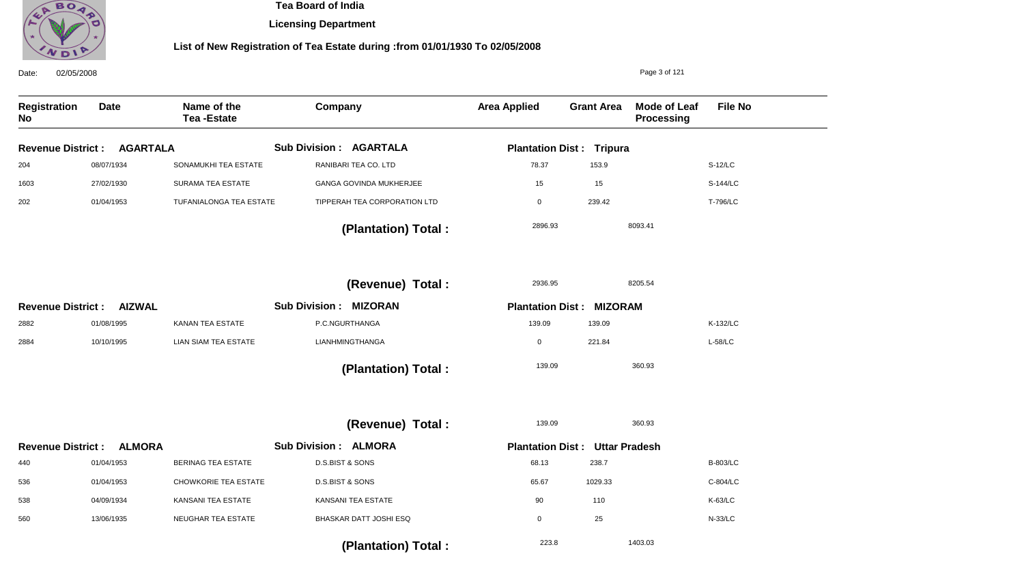

**Licensing Department**

| Date:<br>02/05/2008              |                 |                                  |                                |                                       |                   | Page 3 of 121                     |                 |
|----------------------------------|-----------------|----------------------------------|--------------------------------|---------------------------------------|-------------------|-----------------------------------|-----------------|
| <b>Registration</b><br><b>No</b> | <b>Date</b>     | Name of the<br><b>Tea-Estate</b> | Company                        | <b>Area Applied</b>                   | <b>Grant Area</b> | Mode of Leaf<br><b>Processing</b> | <b>File No</b>  |
| <b>Revenue District:</b>         | <b>AGARTALA</b> |                                  | <b>Sub Division: AGARTALA</b>  | <b>Plantation Dist: Tripura</b>       |                   |                                   |                 |
| 204                              | 08/07/1934      | SONAMUKHI TEA ESTATE             | RANIBARI TEA CO. LTD           | 78.37                                 | 153.9             |                                   | S-12/LC         |
| 1603                             | 27/02/1930      | <b>SURAMA TEA ESTATE</b>         | <b>GANGA GOVINDA MUKHERJEE</b> | 15                                    | 15                |                                   | S-144/LC        |
| 202                              | 01/04/1953      | TUFANIALONGA TEA ESTATE          | TIPPERAH TEA CORPORATION LTD   | $\mathsf 0$                           | 239.42            |                                   | T-796/LC        |
|                                  |                 |                                  | (Plantation) Total:            | 2896.93                               |                   | 8093.41                           |                 |
|                                  |                 |                                  | (Revenue) Total :              | 2936.95                               |                   | 8205.54                           |                 |
| <b>Revenue District:</b>         | <b>AIZWAL</b>   |                                  | <b>Sub Division: MIZORAN</b>   | <b>Plantation Dist:</b>               | <b>MIZORAM</b>    |                                   |                 |
| 2882                             | 01/08/1995      | KANAN TEA ESTATE                 | P.C.NGURTHANGA                 | 139.09                                | 139.09            |                                   | K-132/LC        |
| 2884                             | 10/10/1995      | <b>LIAN SIAM TEA ESTATE</b>      | LIANHMINGTHANGA                | $\pmb{0}$                             | 221.84            |                                   | $L-58/LC$       |
|                                  |                 |                                  | (Plantation) Total:            | 139.09                                |                   | 360.93                            |                 |
|                                  |                 |                                  | (Revenue) Total :              | 139.09                                |                   | 360.93                            |                 |
| <b>Revenue District:</b>         | <b>ALMORA</b>   |                                  | <b>Sub Division: ALMORA</b>    | <b>Plantation Dist: Uttar Pradesh</b> |                   |                                   |                 |
| 440                              | 01/04/1953      | BERINAG TEA ESTATE               | D.S.BIST & SONS                | 68.13                                 | 238.7             |                                   | <b>B-803/LC</b> |
| 536                              | 01/04/1953      | <b>CHOWKORIE TEA ESTATE</b>      | D.S.BIST & SONS                | 65.67                                 | 1029.33           |                                   | C-804/LC        |
| 538                              | 04/09/1934      | KANSANI TEA ESTATE               | <b>KANSANI TEA ESTATE</b>      | 90                                    | 110               |                                   | K-63/LC         |
| 560                              | 13/06/1935      | <b>NEUGHAR TEA ESTATE</b>        | BHASKAR DATT JOSHI ESQ         | $\mathbf 0$                           | 25                |                                   | N-33/LC         |
|                                  |                 |                                  | (Plantation) Total:            | 223.8                                 |                   | 1403.03                           |                 |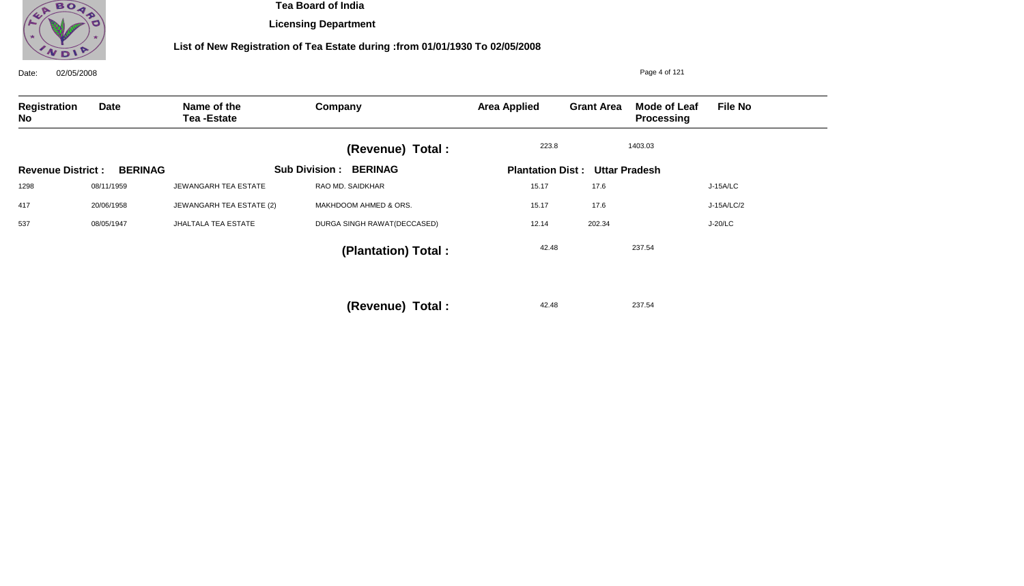

**Licensing Department**

| 02/05/2008<br>Date:      |                |                                  |                                        | Page 4 of 121       |                                       |                                   |                |  |
|--------------------------|----------------|----------------------------------|----------------------------------------|---------------------|---------------------------------------|-----------------------------------|----------------|--|
| Registration<br>No       | <b>Date</b>    | Name of the<br><b>Tea-Estate</b> | Company                                | <b>Area Applied</b> | <b>Grant Area</b>                     | Mode of Leaf<br><b>Processing</b> | <b>File No</b> |  |
|                          |                |                                  | (Revenue) Total :                      | 223.8               |                                       | 1403.03                           |                |  |
| <b>Revenue District:</b> | <b>BERINAG</b> |                                  | <b>Sub Division:</b><br><b>BERINAG</b> |                     | <b>Plantation Dist: Uttar Pradesh</b> |                                   |                |  |
| 1298                     | 08/11/1959     | JEWANGARH TEA ESTATE             | RAO MD. SAIDKHAR                       | 15.17               | 17.6                                  |                                   | J-15A/LC       |  |
| 417                      | 20/06/1958     | JEWANGARH TEA ESTATE (2)         | MAKHDOOM AHMED & ORS.                  | 15.17               | 17.6                                  |                                   | J-15A/LC/2     |  |
| 537                      | 08/05/1947     | <b>JHALTALA TEA ESTATE</b>       | DURGA SINGH RAWAT(DECCASED)            | 12.14               | 202.34                                |                                   | J-20/LC        |  |
|                          |                |                                  | (Plantation) Total:                    | 42.48               |                                       | 237.54                            |                |  |
|                          |                |                                  | (Revenue) Total :                      | 42.48               |                                       | 237.54                            |                |  |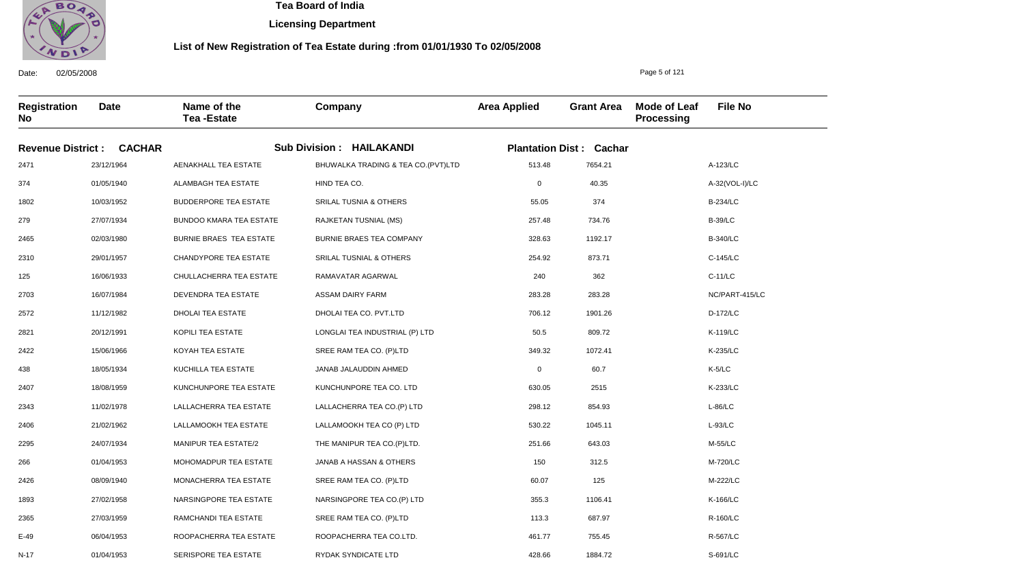

**Licensing Department**

#### **List of New Registration of Tea Estate during :from 01/01/1930 To 02/05/2008**

**Registration No Date Name of the Tea -Estate Company Area Applied Grant Area Mode of Leaf Processing File No** Page 5 of 121 **Revenue District : CACHAR Sub Division : HAILAKANDI Plantation Dist : Cachar** 2471 374 1802 279 2465 2310 125 2703 2572 2821 2422 438 2407 2343 2406 2295 266 2426 1893 2365 E-49 N-17 23/12/1964 01/05/1940 10/03/1952 27/07/1934 02/03/1980 29/01/1957 16/06/1933 16/07/1984 11/12/1982 20/12/1991 15/06/1966 18/05/1934 18/08/1959 11/02/1978 21/02/1962 24/07/1934 01/04/1953 08/09/1940 27/02/1958 27/03/1959 06/04/1953 01/04/1953 AENAKHALL TEA ESTATE ALAMBAGH TEA ESTATE BUDDERPORE TEA ESTATE BUNDOO KMARA TEA ESTATE BURNIE BRAES TEA ESTATE CHANDYPORE TEA ESTATE CHULLACHERRA TEA ESTATE DEVENDRA TEA ESTATE DHOLAI TEA ESTATE KOPILI TEA ESTATE KOYAH TEA ESTATE KUCHILLA TEA ESTATE KUNCHUNPORE TEA ESTATE LALLACHERRA TEA ESTATE LALLAMOOKH TEA ESTATE MANIPUR TEA ESTATE/2 MOHOMADPUR TEA ESTATE MONACHERRA TEA ESTATE NARSINGPORE TEA ESTATE RAMCHANDI TEA ESTATE ROOPACHERRA TEA ESTATE SERISPORE TEA ESTATE BHUWALKA TRADING & TEA CO.(PVT)LTD HIND TEA CO. SRILAL TUSNIA & OTHERS RAJKETAN TUSNIAL (MS) BURNIE BRAES TEA COMPANY SRILAL TUSNIAL & OTHERS RAMAVATAR AGARWAL ASSAM DAIRY FARM DHOLAI TEA CO. PVT.LTD LONGLAI TEA INDUSTRIAL (P) LTD SREE RAM TEA CO. (P)LTD JANAB JALAUDDIN AHMED KUNCHUNPORE TEA CO. LTD LALLACHERRA TEA CO.(P) LTD LALLAMOOKH TEA CO (P) LTD THE MANIPUR TEA CO.(P)LTD. JANAB A HASSAN & OTHERS SREE RAM TEA CO. (P)LTD NARSINGPORE TEA CO.(P) LTD SREE RAM TEA CO. (P)LTD ROOPACHERRA TEA CO.LTD. RYDAK SYNDICATE LTD 513.48 0 55.05 257.48 328.63 254.92 240 283.28 706.12 50.5 349.32 0 630.05 298.12 530.22 251.66 150 60.07 355.3 113.3 461.77 428.66 A-123/LC A-32(VOL-I)/LC B-234/LC B-39/LC B-340/LC C-145/LC C-11/LC NC/PART-415/LC D-172/LC K-119/LC K-235/LC K-5/LC K-233/LC L-86/LC L-93/LC M-55/LC M-720/LC M-222/LC K-166/LC R-160/LC R-567/LC S-691/LC 7654.21 40.35 374 734.76 1192.17 873.71 362 283.28 1901.26 809.72 1072.41 60.7 2515 854.93 1045.11 643.03 312.5 125 1106.41 687.97 755.45 1884.72

Date: 02/05/2008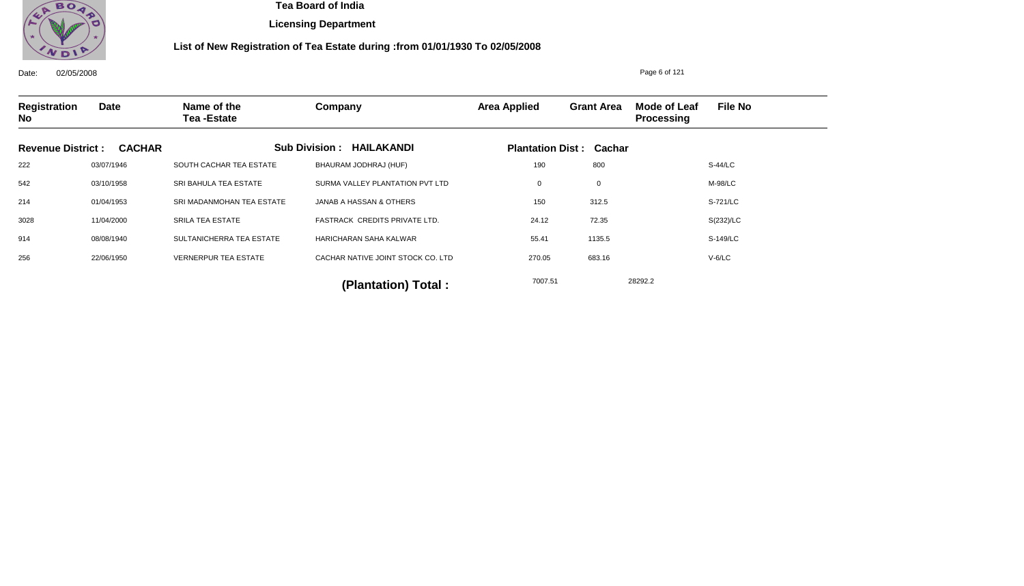

**Licensing Department**

### **List of New Registration of Tea Estate during :from 01/01/1930 To 02/05/2008**

Date: 02/05/2008 **Registration No Date Name of the Tea -Estate Company Area Applied Grant Area Mode of Leaf Processing File No** Page 6 of 121 **Revenue District : CACHAR Sub Division : HAILAKANDI Plantation Dist : Cachar** 222 542 214 3028 914 256 03/07/1946 03/10/1958 01/04/1953 11/04/2000 08/08/1940 22/06/1950 SOUTH CACHAR TEA ESTATE SRI BAHULA TEA ESTATE SRI MADANMOHAN TEA ESTATE SRILA TEA ESTATE SULTANICHERRA TEA ESTATE VERNERPUR TEA ESTATE BHAURAM JODHRAJ (HUF) SURMA VALLEY PLANTATION PVT LTD JANAB A HASSAN & OTHERS FASTRACK CREDITS PRIVATE LTD. HARICHARAN SAHA KALWAR CACHAR NATIVE JOINT STOCK CO. LTD 190 0 150 24.12 55.41 270.05 S-44/LC M-98/LC S-721/LC S(232)/LC S-149/LC V-6/LC 7007.51 28292.2 **(Plantation) Total :**  800 0 312.5 72.35 1135.5 683.16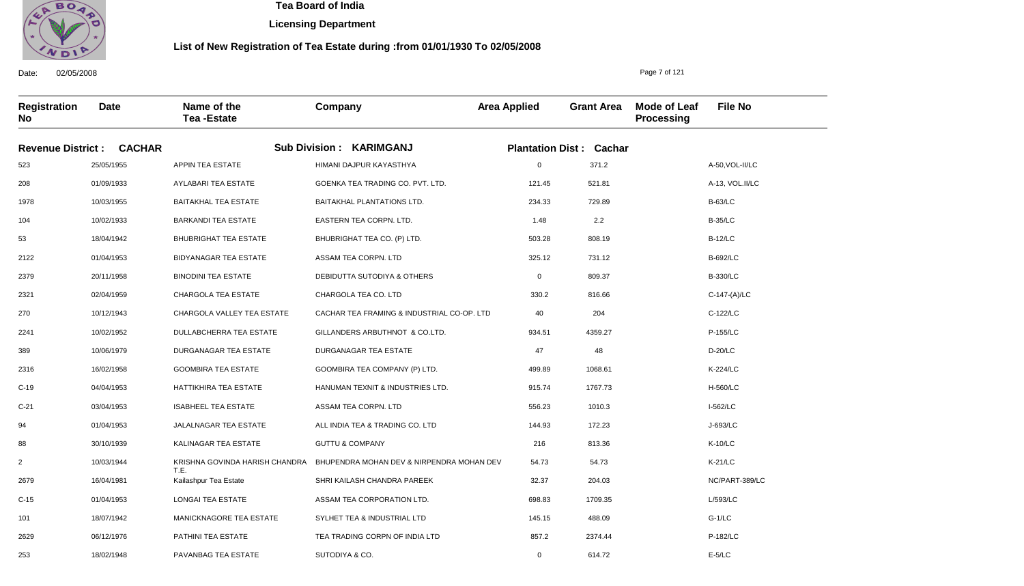

 **Tea Board of India** 

**Licensing Department**

#### **List of New Registration of Tea Estate during :from 01/01/1930 To 02/05/2008**

Date: 02/05/2008 **Registration No Date Name of the Tea -Estate**

> 06/12/1976 18/02/1948

PATHINI TEA ESTATE PAVANBAG TEA ESTATE

**Company Area Applied Grant Area Mode of Leaf Processing File No Revenue District : CACHAR Sub Division : KARIMGANJ Plantation Dist : Cachar** 25/05/1955 01/09/1933 10/03/1955 10/02/1933 18/04/1942 01/04/1953 20/11/1958 02/04/1959 10/12/1943 10/02/1952 10/06/1979 16/02/1958 04/04/1953 03/04/1953 01/04/1953 30/10/1939 10/03/1944 16/04/1981 01/04/1953 18/07/1942 APPIN TEA ESTATE AYLABARI TEA ESTATE BAITAKHAL TEA ESTATE BARKANDI TEA ESTATE BHUBRIGHAT TEA ESTATE BIDYANAGAR TEA ESTATE BINODINI TEA ESTATE CHARGOLA TEA ESTATE CHARGOLA VALLEY TEA ESTATE DULLABCHERRA TEA ESTATE DURGANAGAR TEA ESTATE GOOMBIRA TEA ESTATE HATTIKHIRA TEA ESTATE ISABHEEL TEA ESTATE JALALNAGAR TEA ESTATE KALINAGAR TEA ESTATE KRISHNA GOVINDA HARISH CHANDRA T.E. Kailashpur Tea Estate LONGAI TEA ESTATE MANICKNAGORE TEA ESTATE HIMANI DAJPUR KAYASTHYA GOENKA TEA TRADING CO. PVT. LTD. BAITAKHAL PLANTATIONS LTD. EASTERN TEA CORPN. LTD. BHUBRIGHAT TEA CO. (P) LTD. ASSAM TEA CORPN. LTD DEBIDUTTA SUTODIYA & OTHERS CHARGOLA TEA CO. LTD CACHAR TEA FRAMING & INDUSTRIAL CO-OP. LTD GILLANDERS ARBUTHNOT & CO.LTD. DURGANAGAR TEA ESTATE GOOMBIRA TEA COMPANY (P) LTD. HANUMAN TEXNIT & INDUSTRIES LTD. ASSAM TEA CORPN. LTD ALL INDIA TEA & TRADING CO. LTD GUTTU & COMPANY BHUPENDRA MOHAN DEV & NIRPENDRA MOHAN DEV SHRI KAILASH CHANDRA PAREEK ASSAM TEA CORPORATION LTD. SYLHET TEA & INDUSTRIAL LTD 0 121.45 234.33 1.48 503.28 325.12 0 330.2 40 934.51 47 499.89 915.74 556.23 144.93 216 54.73 32.37 698.83 145.15 A-50,VOL-II/LC A-13, VOL.II/LC B-63/LC B-35/LC B-12/LC B-692/LC B-330/LC C-147-(A)/LC C-122/LC P-155/LC D-20/LC K-224/LC H-560/LC I-562/LC J-693/LC K-10/LC K-21/LC NC/PART-389/LC L/593/LC G-1/LC 371.2 521.81 729.89 2.2 808.19 731.12 809.37 816.66 204 4359.27 48 1068.61 1767.73 1010.3 172.23 813.36 54.73 204.03 1709.35 488.09

> 857.2 0

2374.44 614.72

TEA TRADING CORPN OF INDIA LTD

SUTODIYA & CO.

Page 7 of 121

P-182/LC E-5/LC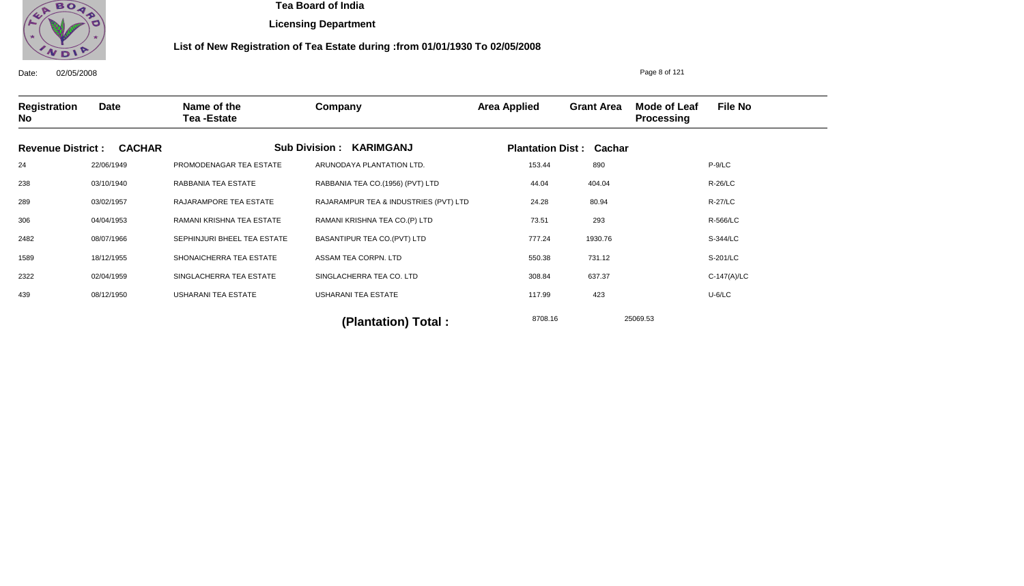

**Licensing Department**

### **List of New Registration of Tea Estate during :from 01/01/1930 To 02/05/2008**

Date: 02/05/2008 **Registration No Date Name of the Tea -Estate Company Area Applied Grant Area Mode of Leaf Processing File No** Page 8 of 121 **Revenue District : CACHAR Sub Division : KARIMGANJ Plantation Dist : Cachar** 24 238 289 306 2482 1589 2322 439 22/06/1949 03/10/1940 03/02/1957 04/04/1953 08/07/1966 18/12/1955 02/04/1959 08/12/1950 PROMODENAGAR TEA ESTATE RABBANIA TEA ESTATE RAJARAMPORE TEA ESTATE RAMANI KRISHNA TEA ESTATE SEPHINJURI BHEEL TEA ESTATE SHONAICHERRA TEA ESTATE SINGLACHERRA TEA ESTATE USHARANI TEA ESTATE ARUNODAYA PLANTATION LTD. RABBANIA TEA CO.(1956) (PVT) LTD RAJARAMPUR TEA & INDUSTRIES (PVT) LTD RAMANI KRISHNA TEA CO.(P) LTD BASANTIPUR TEA CO.(PVT) LTD ASSAM TEA CORPN. LTD SINGLACHERRA TEA CO. LTD USHARANI TEA ESTATE 153.44 44.04 24.28 73.51 777.24 550.38 308.84 117.99 P-9/LC R-26/LC R-27/LC R-566/LC S-344/LC S-201/LC C-147(A)/LC U-6/LC 8708.16 25069.53 **(Plantation) Total :**  890 404.04 80.94 293 1930.76 731.12 637.37 423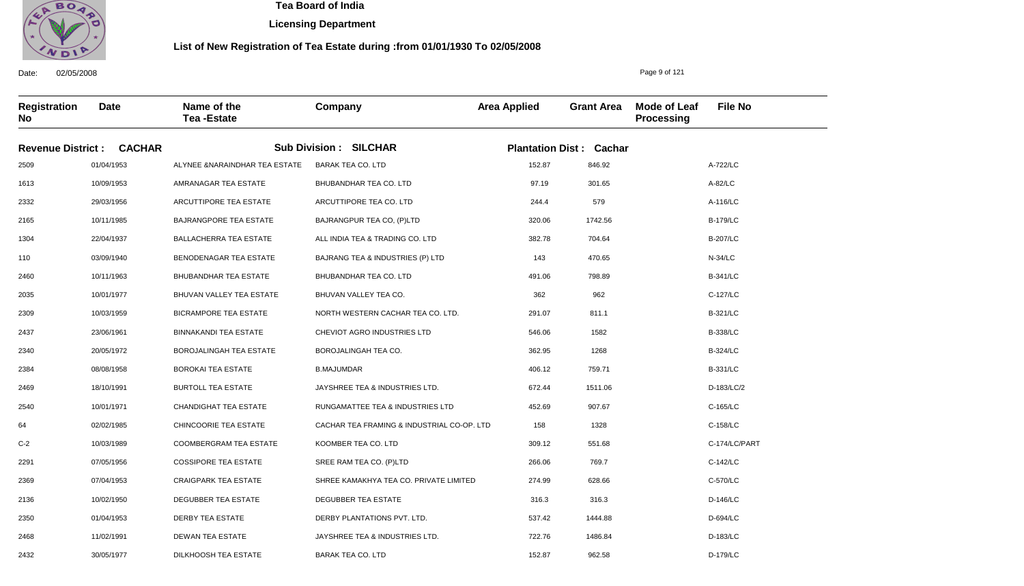

**Licensing Department**

#### **List of New Registration of Tea Estate during :from 01/01/1930 To 02/05/2008**

Date: 02/05/2008 **Registration No Date Name of the Tea -Estate Company Area Applied Grant Area Mode of Leaf Processing File No** Page 9 of 121 **Revenue District : CACHAR Sub Division : SILCHAR Plantation Dist : Cachar** 2509 1613 2332 2165 1304 110 2460 2035 2309 2437 2340 2384 2469 2540 64 C-2 2291 2369 2136 2350 2468 2432 01/04/1953 10/09/1953 29/03/1956 10/11/1985 22/04/1937 03/09/1940 10/11/1963 10/01/1977 10/03/1959 23/06/1961 20/05/1972 08/08/1958 18/10/1991 10/01/1971 02/02/1985 10/03/1989 07/05/1956 07/04/1953 10/02/1950 01/04/1953 11/02/1991 30/05/1977 ALYNEE &NARAINDHAR TEA ESTATE AMRANAGAR TEA ESTATE ARCUTTIPORE TEA ESTATE BAJRANGPORE TEA ESTATE BALLACHERRA TEA ESTATE BENODENAGAR TEA ESTATE BHUBANDHAR TEA ESTATE BHUVAN VALLEY TEA ESTATE BICRAMPORE TEA ESTATE BINNAKANDI TEA ESTATE BOROJALINGAH TEA ESTATE BOROKAI TEA ESTATE BURTOLL TEA ESTATE CHANDIGHAT TEA ESTATE CHINCOORIE TEA ESTATE COOMBERGRAM TEA ESTATE COSSIPORE TEA ESTATE CRAIGPARK TEA ESTATE DEGUBBER TEA ESTATE DERBY TEA ESTATE DEWAN TEA ESTATE DILKHOOSH TEA ESTATE BARAK TEA CO. LTD BHUBANDHAR TEA CO. LTD ARCUTTIPORE TEA CO. LTD BAJRANGPUR TEA CO, (P)LTD ALL INDIA TEA & TRADING CO. LTD BAJRANG TEA & INDUSTRIES (P) LTD BHUBANDHAR TEA CO. LTD BHUVAN VALLEY TEA CO. NORTH WESTERN CACHAR TEA CO. LTD. CHEVIOT AGRO INDUSTRIES LTD BOROJALINGAH TEA CO. B.MAJUMDAR JAYSHREE TEA & INDUSTRIES LTD. RUNGAMATTEE TEA & INDUSTRIES LTD CACHAR TEA FRAMING & INDUSTRIAL CO-OP. LTD KOOMBER TEA CO. LTD SREE RAM TEA CO. (P)LTD SHREE KAMAKHYA TEA CO. PRIVATE LIMITED DEGUBBER TEA ESTATE DERBY PLANTATIONS PVT. LTD. JAYSHREE TEA & INDUSTRIES LTD. BARAK TEA CO. LTD 152.87 97.19 244.4 320.06 382.78 143 491.06 362 291.07 546.06 362.95 406.12 672.44 452.69 158 309.12 266.06 274.99 316.3 537.42 722.76 152.87 A-722/LC A-82/LC A-116/LC B-179/LC B-207/LC N-34/LC B-341/LC C-127/LC B-321/LC B-338/LC B-324/LC B-331/LC D-183/LC/2 C-165/LC C-158/LC C-174/LC/PART C-142/LC C-570/LC D-146/LC D-694/LC D-183/LC D-179/LC 846.92 301.65 579 1742.56 704.64 470.65 798.89 962 811.1 1582 1268 759.71 1511.06 907.67 1328 551.68 769.7 628.66 316.3 1444.88 1486.84 962.58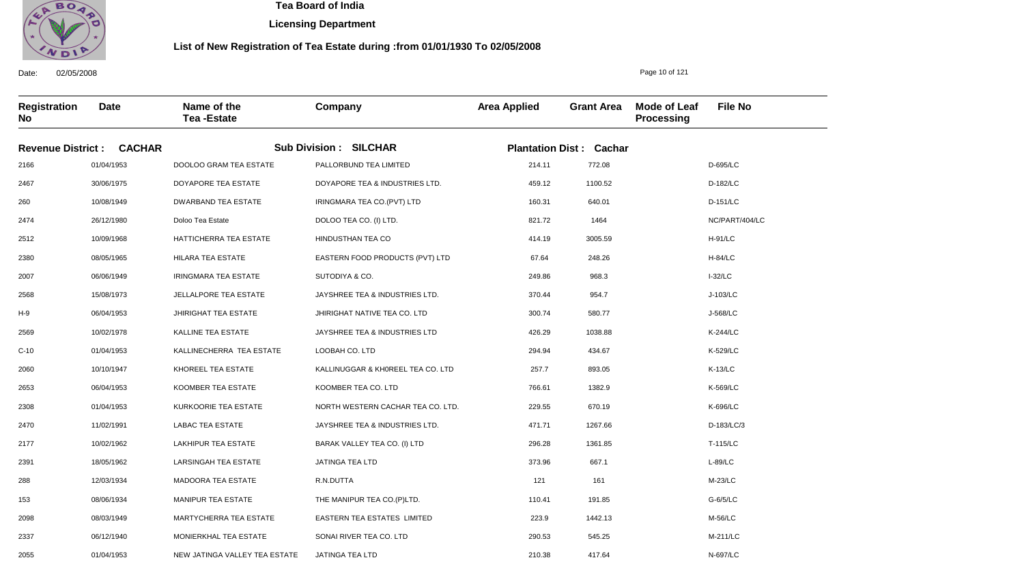

Date: 02/05/2008

2055

01/04/1953

NEW JATINGA VALLEY TEA ESTATE

 **Tea Board of India** 

**Licensing Department**

#### **List of New Registration of Tea Estate during :from 01/01/1930 To 02/05/2008**

**Registration No Date Name of the Tea -Estate Company Area Applied Grant Area Mode of Leaf Processing File No Revenue District : CACHAR Sub Division : SILCHAR Plantation Dist : Cachar** 2166 2467 260 2474 2512 2380 2007 2568 H-9 2569 C-10 2060 2653 2308 2470 2177 2391 288 153 2098 2337 01/04/1953 30/06/1975 10/08/1949 26/12/1980 10/09/1968 08/05/1965 06/06/1949 15/08/1973 06/04/1953 10/02/1978 01/04/1953 10/10/1947 06/04/1953 01/04/1953 11/02/1991 10/02/1962 18/05/1962 12/03/1934 08/06/1934 08/03/1949 06/12/1940 DOOLOO GRAM TEA ESTATE DOYAPORE TEA ESTATE DWARBAND TEA ESTATE Doloo Tea Estate HATTICHERRA TEA ESTATE HILARA TEA ESTATE IRINGMARA TEA ESTATE JELLALPORE TEA ESTATE JHIRIGHAT TEA ESTATE KALLINE TEA ESTATE KALLINECHERRA TEA ESTATE KHOREEL TEA ESTATE KOOMBER TEA ESTATE KURKOORIE TEA ESTATE LABAC TEA ESTATE LAKHIPUR TEA ESTATE LARSINGAH TEA ESTATE MADOORA TEA ESTATE MANIPUR TEA ESTATE MARTYCHERRA TEA ESTATE MONIERKHAL TEA ESTATE PALLORBUND TEA LIMITED DOYAPORE TEA & INDUSTRIES LTD. IRINGMARA TEA CO.(PVT) LTD DOLOO TEA CO. (I) LTD. HINDUSTHAN TEA CO EASTERN FOOD PRODUCTS (PVT) LTD SUTODIYA & CO. JAYSHREE TEA & INDUSTRIES LTD. JHIRIGHAT NATIVE TEA CO. LTD JAYSHREE TEA & INDUSTRIES LTD LOOBAH CO. LTD KALLINUGGAR & KH0REEL TEA CO. LTD KOOMBER TEA CO. LTD NORTH WESTERN CACHAR TEA CO. LTD. JAYSHREE TEA & INDUSTRIES LTD. BARAK VALLEY TEA CO. (I) LTD JATINGA TEA LTD R.N.DUTTA THE MANIPUR TEA CO.(P)LTD. EASTERN TEA ESTATES LIMITED SONAI RIVER TEA CO. LTD 214.11 459.12 160.31 821.72 414.19 67.64 249.86 370.44 300.74 426.29 294.94 257.7 766.61 229.55 471.71 296.28 373.96 121 110.41 223.9 290.53 210.38 D-695/LC D-182/LC D-151/LC NC/PART/404/LC H-91/LC H-84/LC I-32/LC J-103/LC J-568/LC K-244/LC K-529/LC K-13/LC K-569/LC K-696/LC D-183/LC/3 T-115/LC L-89/LC M-23/LC G-6/5/LC M-56/LC M-211/LC N-697/LC 772.08 1100.52 640.01 1464 3005.59 248.26 968.3 954.7 580.77 1038.88 434.67 893.05 1382.9 670.19 1267.66 1361.85 667.1 161 191.85 1442.13 545.25

JATINGA TEA LTD

Page 10 of 121

417.64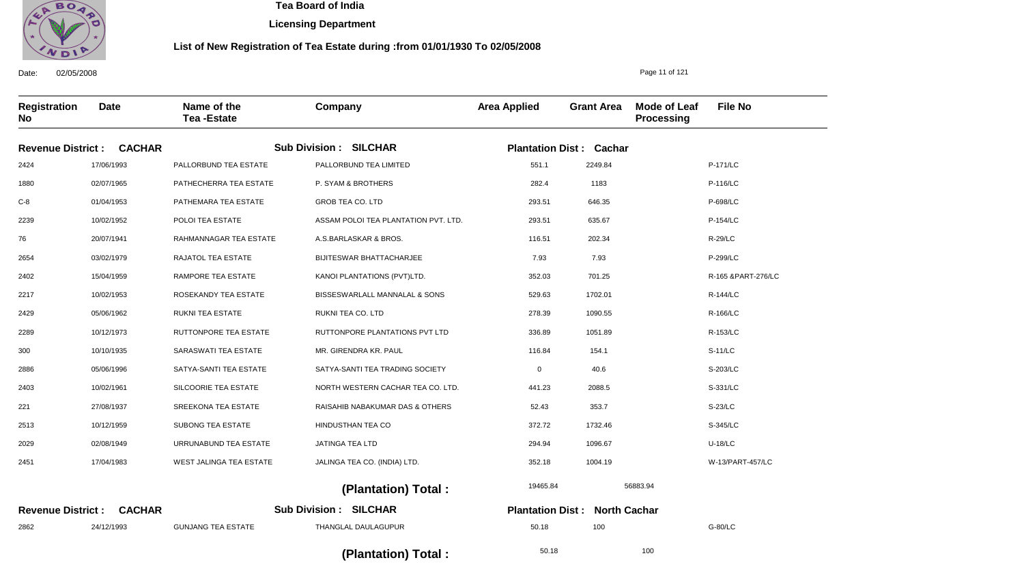

**Licensing Department**

#### **List of New Registration of Tea Estate during :from 01/01/1930 To 02/05/2008**

Date: 02/05/2008 **Registration No Date Name of the Tea -Estate Company Area Applied Grant Area Mode of Leaf Processing File No** Page 11 of 121 **CACHAR Revenue District : CACHAR Revenue District : SILCHAR Sub Division : SILCHAR Sub Division : Plantation Dist : Cachar North Cachar Plantation Dist :** 2424 1880 C-8 2239 76 2654 2402 2217 2429 2289 300 2886 2403 221 2513 2029 2451 2862 17/06/1993 02/07/1965 01/04/1953 10/02/1952 20/07/1941 03/02/1979 15/04/1959 10/02/1953 05/06/1962 10/12/1973 10/10/1935 05/06/1996 10/02/1961 27/08/1937 10/12/1959 02/08/1949 17/04/1983 24/12/1993 PALLORBUND TEA ESTATE PATHECHERRA TEA ESTATE PATHEMARA TEA ESTATE POLOI TEA ESTATE RAHMANNAGAR TEA ESTATE RAJATOL TEA ESTATE RAMPORE TEA ESTATE ROSEKANDY TEA ESTATE RUKNI TEA ESTATE RUTTONPORE TEA ESTATE SARASWATI TEA ESTATE SATYA-SANTI TEA ESTATE SILCOORIE TEA ESTATE SREEKONA TEA ESTATE SUBONG TEA ESTATE URRUNABUND TEA ESTATE WEST JALINGA TEA ESTATE GUNJANG TEA ESTATE PALLORBUND TEA LIMITED P. SYAM & BROTHERS GROB TEA CO. LTD ASSAM POLOI TEA PLANTATION PVT. LTD. A.S.BARLASKAR & BROS. BIJITESWAR BHATTACHARJEE KANOI PLANTATIONS (PVT)LTD. BISSESWARLALL MANNALAL & SONS RUKNI TEA CO. LTD RUTTONPORE PLANTATIONS PVT LTD MR. GIRENDRA KR. PAUL SATYA-SANTI TEA TRADING SOCIETY NORTH WESTERN CACHAR TEA CO. LTD. RAISAHIB NABAKUMAR DAS & OTHERS HINDUSTHAN TEA CO JATINGA TEA LTD JALINGA TEA CO. (INDIA) LTD. THANGLAL DAULAGUPUR 551.1 282.4 293.51 293.51 116.51 7.93 352.03 529.63 278.39 336.89 116.84 0 441.23 52.43 372.72 294.94 352.18 50.18 P-171/LC P-116/LC P-698/LC P-154/LC R-29/LC P-299/LC R-165 &PART-276/LC R-144/LC R-166/LC R-153/LC S-11/LC S-203/LC S-331/LC S-23/LC S-345/LC U-18/LC W-13/PART-457/LC G-80/LC 19465.84 50.18 56883.94 100  **(Plantation) Total :**  2249.84 1183 646.35 635.67 202.34 7.93 701.25 1702.01 1090.55 1051.89 154.1 40.6 2088.5 353.7 1732.46 1096.67 1004.19 100

 **(Plantation) Total :**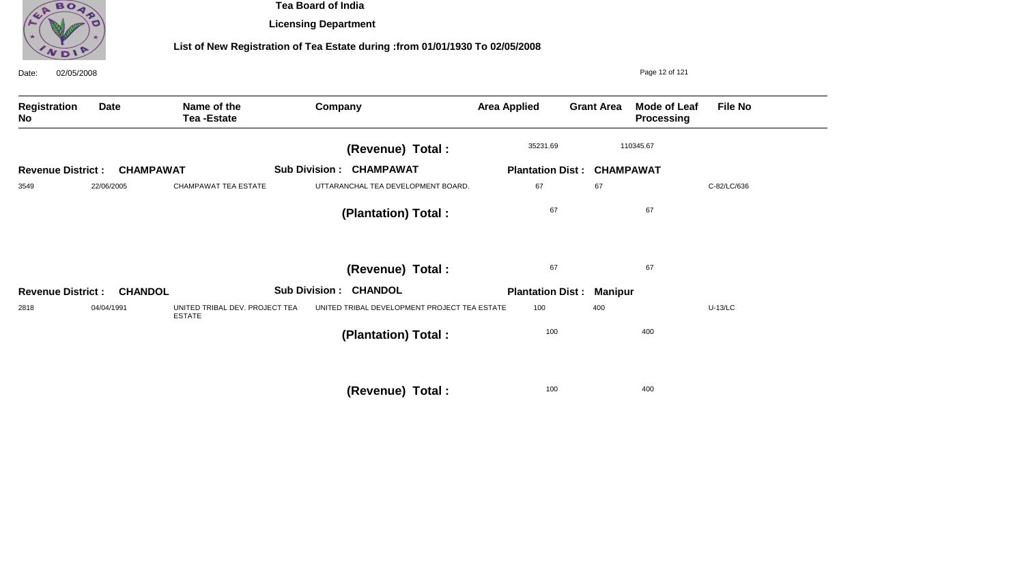

**Licensing Department**

| 02/05/2008<br>Date:      |                  |                                                 |                                 |                                              |                                   |                   | Page 12 of 121                           |                |
|--------------------------|------------------|-------------------------------------------------|---------------------------------|----------------------------------------------|-----------------------------------|-------------------|------------------------------------------|----------------|
| Registration<br>No       | <b>Date</b>      | Name of the<br><b>Tea-Estate</b>                | Company                         |                                              | <b>Area Applied</b>               | <b>Grant Area</b> | <b>Mode of Leaf</b><br><b>Processing</b> | <b>File No</b> |
|                          |                  |                                                 |                                 | (Revenue) Total :                            | 35231.69                          |                   | 110345.67                                |                |
| <b>Revenue District:</b> | <b>CHAMPAWAT</b> |                                                 | <b>Sub Division : CHAMPAWAT</b> |                                              | <b>Plantation Dist: CHAMPAWAT</b> |                   |                                          |                |
| 3549                     | 22/06/2005       | <b>CHAMPAWAT TEA ESTATE</b>                     |                                 | UTTARANCHAL TEA DEVELOPMENT BOARD.           | 67                                | 67                |                                          | C-82/LC/636    |
|                          |                  |                                                 |                                 | (Plantation) Total:                          | 67                                |                   | 67                                       |                |
|                          |                  |                                                 |                                 | (Revenue) Total :                            | 67                                |                   | 67                                       |                |
| <b>Revenue District:</b> | <b>CHANDOL</b>   |                                                 | <b>Sub Division : CHANDOL</b>   |                                              | <b>Plantation Dist:</b>           | <b>Manipur</b>    |                                          |                |
| 2818                     | 04/04/1991       | UNITED TRIBAL DEV. PROJECT TEA<br><b>ESTATE</b> |                                 | UNITED TRIBAL DEVELOPMENT PROJECT TEA ESTATE | 100                               | 400               |                                          | $U-13/LC$      |
|                          |                  |                                                 |                                 | (Plantation) Total:                          | 100                               |                   | 400                                      |                |
|                          |                  |                                                 |                                 | (Revenue) Total :                            | 100                               |                   | 400                                      |                |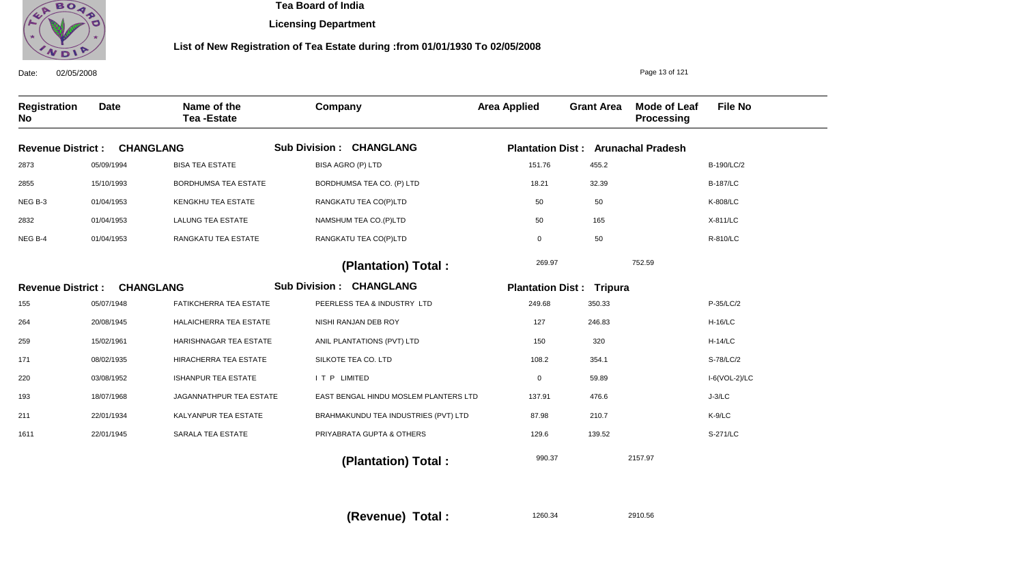

**Licensing Department**

#### **List of New Registration of Tea Estate during :from 01/01/1930 To 02/05/2008**

Date: 02/05/2008 **Registration No Date Name of the Tea -Estate Company Area Applied Grant Area Mode of Leaf Processing File No** Page 13 of 121 **CHANGLANG Revenue District : CHANGLANG Revenue District :** Sub Division : CHANGLANG Sub Division : CHANGLANG **Plantation Dist : Arunachal Pradesh Plantation Dist : Tripura** 2873 2855 NEG B-3 2832 NEG B-4 155 264 259 171 220 193 211 1611 05/09/1994 15/10/1993 01/04/1953 01/04/1953 01/04/1953 05/07/1948 20/08/1945 15/02/1961 08/02/1935 03/08/1952 18/07/1968 22/01/1934 22/01/1945 BISA TEA ESTATE BORDHUMSA TEA ESTATE KENGKHU TEA ESTATE LALUNG TEA ESTATE RANGKATU TEA ESTATE FATIKCHERRA TEA ESTATE HALAICHERRA TEA ESTATE HARISHNAGAR TEA ESTATE HIRACHERRA TEA ESTATE ISHANPUR TEA ESTATE JAGANNATHPUR TEA ESTATE KALYANPUR TEA ESTATE SARALA TEA ESTATE BISA AGRO (P) LTD BORDHUMSA TEA CO. (P) LTD RANGKATU TEA CO(P)LTD NAMSHUM TEA CO.(P)LTD RANGKATU TEA CO(P)LTD PEERLESS TEA & INDUSTRY LTD NISHI RANJAN DEB ROY ANIL PLANTATIONS (PVT) LTD SILKOTE TEA CO. LTD I T P LIMITED EAST BENGAL HINDU MOSLEM PLANTERS LTD BRAHMAKUNDU TEA INDUSTRIES (PVT) LTD PRIYABRATA GUPTA & OTHERS 151.76 18.21 50 50 0 249.68 127 150 108.2 0 137.91 87.98 129.6 B-190/LC/2 B-187/LC K-808/LC X-811/LC R-810/LC P-35/LC/2 H-16/LC H-14/LC S-78/LC/2 I-6(VOL-2)/LC J-3/LC K-9/LC S-271/LC 269.97 990.37 752.59 2157.97  **(Plantation) Total : (Plantation) Total :**  455.2 32.39 50 165 50 350.33 246.83 320 354.1 59.89 476.6 210.7 139.52

**(Revenue) Total :** 

1260.34 2910.56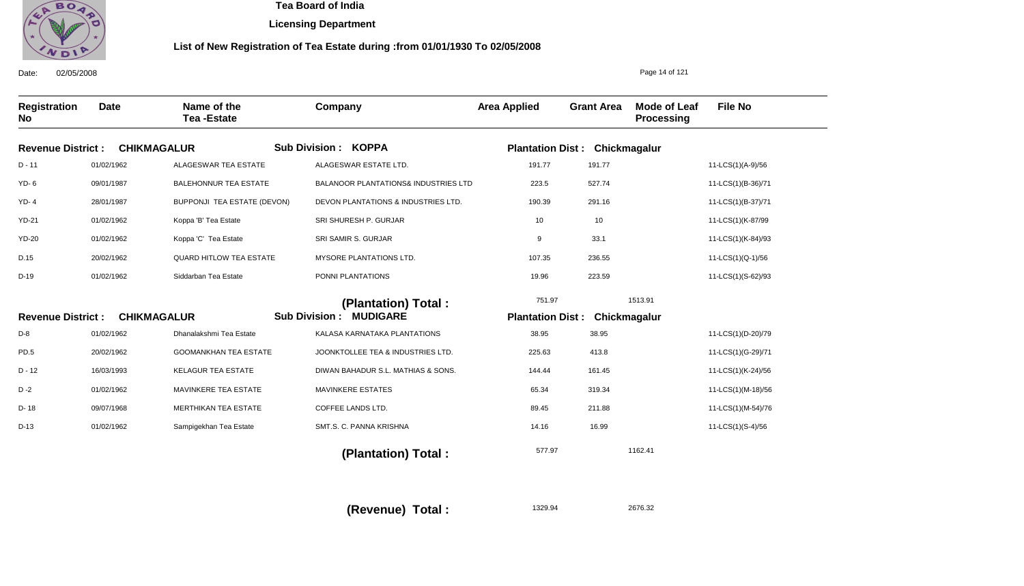

**Licensing Department**

### **List of New Registration of Tea Estate during :from 01/01/1930 To 02/05/2008**

Date: 02/05/2008 **Registration No Date Name of the Tea -Estate Company Area Applied Grant Area Mode of Leaf Processing File No** Page 14 of 121 **CHIKMAGALUR Revenue District : CHIKMAGALUR Revenue District :** Sub Division : KOPPA Sub Division : MUDIGARE **Plantation Dist : Chickmagalur Plantation Dist : Chickmagalur** D - 11 YD- 6 YD- 4 YD-21 YD-20 D.15 D-19 D-8 PD.5 D - 12 D -2 D- 18 D-13 01/02/1962 09/01/1987 28/01/1987 01/02/1962 01/02/1962 20/02/1962 01/02/1962 01/02/1962 20/02/1962 16/03/1993 01/02/1962 09/07/1968 01/02/1962 ALAGESWAR TEA ESTATE BALEHONNUR TEA ESTATE BUPPONJI TEA ESTATE (DEVON) Koppa 'B' Tea Estate Koppa 'C' Tea Estate QUARD HITLOW TEA ESTATE Siddarban Tea Estate Dhanalakshmi Tea Estate GOOMANKHAN TEA ESTATE KELAGUR TEA ESTATE MAVINKERE TEA ESTATE MERTHIKAN TEA ESTATE Sampigekhan Tea Estate ALAGESWAR ESTATE LTD. BALANOOR PLANTATIONS& INDUSTRIES LTD DEVON PLANTATIONS & INDUSTRIES LTD. SRI SHURESH P. GURJAR SRI SAMIR S. GURJAR MYSORE PLANTATIONS LTD. PONNI PLANTATIONS KALASA KARNATAKA PLANTATIONS JOONKTOLLEE TEA & INDUSTRIES LTD. DIWAN BAHADUR S.L. MATHIAS & SONS. MAVINKERE ESTATES COFFEE LANDS LTD. SMT.S. C. PANNA KRISHNA 191.77 223.5 190.39 10 9 107.35 19.96 38.95 225.63 144.44 65.34 89.45 14.16 11-LCS(1)(A-9)/56 11-LCS(1)(B-36)/71 11-LCS(1)(B-37)/71 11-LCS(1)(K-87/99 11-LCS(1)(K-84)/93 11-LCS(1)(Q-1)/56 11-LCS(1)(S-62)/93 11-LCS(1)(D-20)/79 11-LCS(1)(G-29)/71 11-LCS(1)(K-24)/56 11-LCS(1)(M-18)/56 11-LCS(1)(M-54)/76 11-LCS(1)(S-4)/56 751.97 577.97 1513.91 1162.41  **(Plantation) Total : (Plantation) Total :**  191.77 527.74 291.16 10 33.1 236.55 223.59 38.95 413.8 161.45 319.34 211.88 16.99

**(Revenue) Total :** 

1329.94 2676.32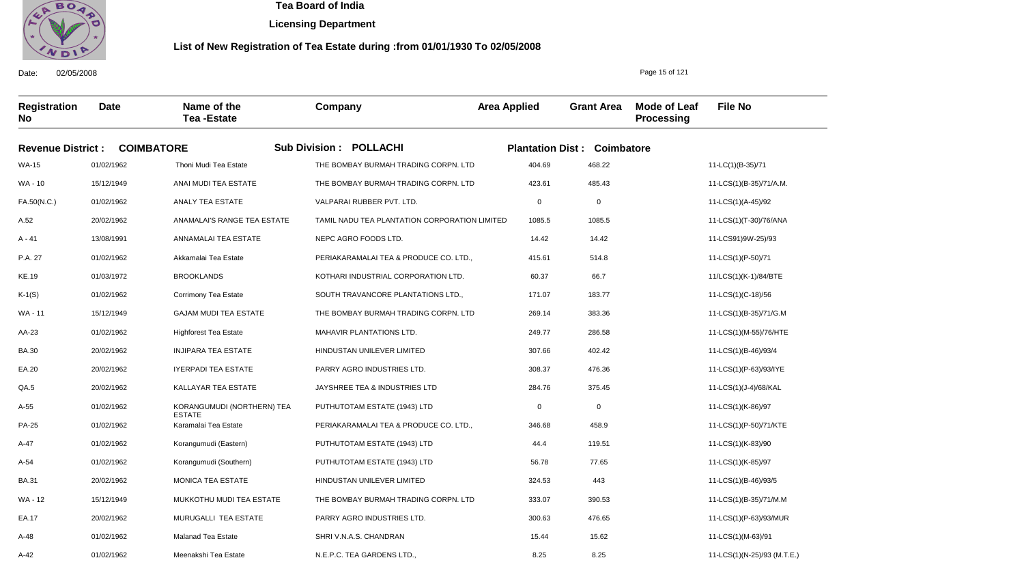

**Licensing Department**

#### **List of New Registration of Tea Estate during :from 01/01/1930 To 02/05/2008**

**Registration No Date Name of the Tea -Estate Company Area Applied Grant Area Mode of Leaf Processing File No Revenue District : COIMBATORE Sub Division : POLLACHI Plantation Dist : Coimbatore** WA-15 WA - 10 FA.50(N.C.) A.52 A - 41 P.A. 27 KE.19 K-1(S) WA - 11 AA-23 BA.30 EA.20 QA.5 A-55 PA-25 A-47 A-54 BA.31 WA - 12 EA.17 A-48 01/02/1962 15/12/1949 01/02/1962 20/02/1962 13/08/1991 01/02/1962 01/03/1972 01/02/1962 15/12/1949 01/02/1962 20/02/1962 20/02/1962 20/02/1962 01/02/1962 01/02/1962 01/02/1962 01/02/1962 20/02/1962 15/12/1949 20/02/1962 01/02/1962 Thoni Mudi Tea Estate ANAI MUDI TEA ESTATE ANALY TEA ESTATE ANAMALAI'S RANGE TEA ESTATE ANNAMALAI TEA ESTATE Akkamalai Tea Estate BROOKLANDS Corrimony Tea Estate GAJAM MUDI TEA ESTATE Highforest Tea Estate INJIPARA TEA ESTATE IYERPADI TEA ESTATE KALLAYAR TEA ESTATE KORANGUMUDI (NORTHERN) TEA ESTATE Karamalai Tea Estate Korangumudi (Eastern) Korangumudi (Southern) MONICA TEA ESTATE MUKKOTHU MUDI TEA ESTATE MURUGALLI TEA ESTATE Malanad Tea Estate THE BOMBAY BURMAH TRADING CORPN. LTD THE BOMBAY BURMAH TRADING CORPN. LTD VALPARAI RUBBER PVT. LTD. TAMIL NADU TEA PLANTATION CORPORATION LIMITED NEPC AGRO FOODS LTD. PERIAKARAMALAI TEA & PRODUCE CO. LTD., KOTHARI INDUSTRIAL CORPORATION LTD. SOUTH TRAVANCORE PLANTATIONS LTD., THE BOMBAY BURMAH TRADING CORPN. LTD MAHAVIR PLANTATIONS LTD. HINDUSTAN UNILEVER LIMITED PARRY AGRO INDUSTRIES LTD. JAYSHREE TEA & INDUSTRIES LTD PUTHUTOTAM ESTATE (1943) LTD PERIAKARAMALAI TEA & PRODUCE CO. LTD., PUTHUTOTAM ESTATE (1943) LTD PUTHUTOTAM ESTATE (1943) LTD HINDUSTAN UNILEVER LIMITED THE BOMBAY BURMAH TRADING CORPN. LTD PARRY AGRO INDUSTRIES LTD. SHRI V.N.A.S. CHANDRAN N.E.P.C. TEA GARDENS LTD., 404.69 423.61 0 1085.5 14.42 415.61 60.37 171.07 269.14 249.77 307.66 308.37 284.76 0 346.68 44.4 56.78 324.53 333.07 300.63 15.44 8.25 11-LC(1)(B-35)/71 11-LCS(1)(B-35)/71/A.M. 11-LCS(1)(A-45)/92 11-LCS(1)(T-30)/76/ANA 11-LCS91)9W-25)/93 11-LCS(1)(P-50)/71 11/LCS(1)(K-1)/84/BTE 11-LCS(1)(C-18)/56 11-LCS(1)(B-35)/71/G.M 11-LCS(1)(M-55)/76/HTE 11-LCS(1)(B-46)/93/4 11-LCS(1)(P-63)/93/IYE 11-LCS(1)(J-4)/68/KAL 11-LCS(1)(K-86)/97 11-LCS(1)(P-50)/71/KTE 11-LCS(1)(K-83)/90 11-LCS(1)(K-85)/97 11-LCS(1)(B-46)/93/5 11-LCS(1)(B-35)/71/M.M 11-LCS(1)(P-63)/93/MUR 11-LCS(1)(M-63)/91 468.22 485.43 0 1085.5 14.42 514.8 66.7 183.77 383.36 286.58 402.42 476.36 375.45 0 458.9 119.51 77.65 443 390.53 476.65 15.62 8.25

Date: 02/05/2008

A-42

01/02/1962

Meenakshi Tea Estate

Page 15 of 121

11-LCS(1)(N-25)/93 (M.T.E.)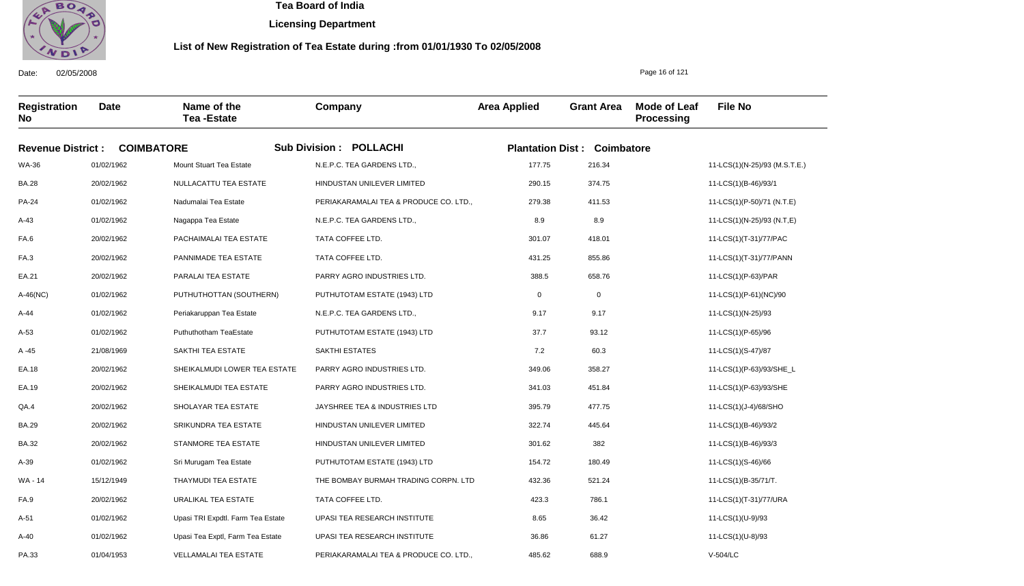

**Licensing Department**

#### **List of New Registration of Tea Estate during :from 01/01/1930 To 02/05/2008**

**Registration No Date Name of the Tea -Estate Company Area Applied Grant Area Mode of Leaf Processing File No Revenue District : COIMBATORE Sub Division : POLLACHI Plantation Dist : Coimbatore** WA-36 BA.28 PA-24 A-43 FA.6 FA.3 EA.21 A-46(NC) A-44 A-53 A -45 EA.18 EA.19 QA.4 BA.29 BA.32 A-39 WA - 14 FA.9 A-51 A-40 01/02/1962 20/02/1962 01/02/1962 01/02/1962 20/02/1962 20/02/1962 20/02/1962 01/02/1962 01/02/1962 01/02/1962 21/08/1969 20/02/1962 20/02/1962 20/02/1962 20/02/1962 20/02/1962 01/02/1962 15/12/1949 20/02/1962 01/02/1962 01/02/1962 Mount Stuart Tea Estate NULLACATTU TEA ESTATE Nadumalai Tea Estate Nagappa Tea Estate PACHAIMALAI TEA ESTATE PANNIMADE TEA ESTATE PARALAI TEA ESTATE PUTHUTHOTTAN (SOUTHERN) Periakaruppan Tea Estate Puthuthotham TeaEstate SAKTHI TEA ESTATE SHEIKALMUDI LOWER TEA ESTATE SHEIKALMUDI TEA ESTATE SHOLAYAR TEA ESTATE SRIKUNDRA TEA ESTATE STANMORE TEA ESTATE Sri Murugam Tea Estate THAYMUDI TEA ESTATE URALIKAL TEA ESTATE Upasi TRI Expdtl. Farm Tea Estate Upasi Tea Exptl, Farm Tea Estate N.E.P.C. TEA GARDENS LTD., HINDUSTAN UNILEVER LIMITED PERIAKARAMALAI TEA & PRODUCE CO. LTD., N.E.P.C. TEA GARDENS LTD., TATA COFFEE LTD. TATA COFFEE LTD. PARRY AGRO INDUSTRIES LTD. PUTHUTOTAM ESTATE (1943) LTD N.E.P.C. TEA GARDENS LTD., PUTHUTOTAM ESTATE (1943) LTD SAKTHI ESTATES PARRY AGRO INDUSTRIES LTD. PARRY AGRO INDUSTRIES LTD. JAYSHREE TEA & INDUSTRIES LTD HINDUSTAN UNILEVER LIMITED HINDUSTAN UNILEVER LIMITED PUTHUTOTAM ESTATE (1943) LTD THE BOMBAY BURMAH TRADING CORPN. LTD TATA COFFEE LTD. UPASI TEA RESEARCH INSTITUTE UPASI TEA RESEARCH INSTITUTE 177.75 290.15 279.38 8.9 301.07 431.25 388.5  $\mathbf{0}$ 9.17 37.7 7.2 349.06 341.03 395.79 322.74 301.62 154.72 432.36 423.3 8.65 36.86 11-LCS(1)(N-25)/93 (M.S.T.E.) 11-LCS(1)(B-46)/93/1 11-LCS(1)(P-50)/71 (N.T.E) 11-LCS(1)(N-25)/93 (N.T,E) 11-LCS(1)(T-31)/77/PAC 11-LCS(1)(T-31)/77/PANN 11-LCS(1)(P-63)/PAR 11-LCS(1)(P-61)(NC)/90 11-LCS(1)(N-25)/93 11-LCS(1)(P-65)/96 11-LCS(1)(S-47)/87 11-LCS(1)(P-63)/93/SHE\_L 11-LCS(1)(P-63)/93/SHE 11-LCS(1)(J-4)/68/SHO 11-LCS(1)(B-46)/93/2 11-LCS(1)(B-46)/93/3 11-LCS(1)(S-46)/66 11-LCS(1)(B-35/71/T. 11-LCS(1)(T-31)/77/URA 11-LCS(1)(U-9)/93 11-LCS(1)(U-8)/93 216.34 374.75 411.53 8.9 418.01 855.86 658.76 0 9.17 93.12 60.3 358.27 451.84 477.75 445.64 382 180.49 521.24 786.1 36.42 61.27

PERIAKARAMALAI TEA & PRODUCE CO. LTD.,

485.62

688.9

Date: 02/05/2008

PA.33

01/04/1953

VELLAMALAI TEA ESTATE

Page 16 of 121

V-504/LC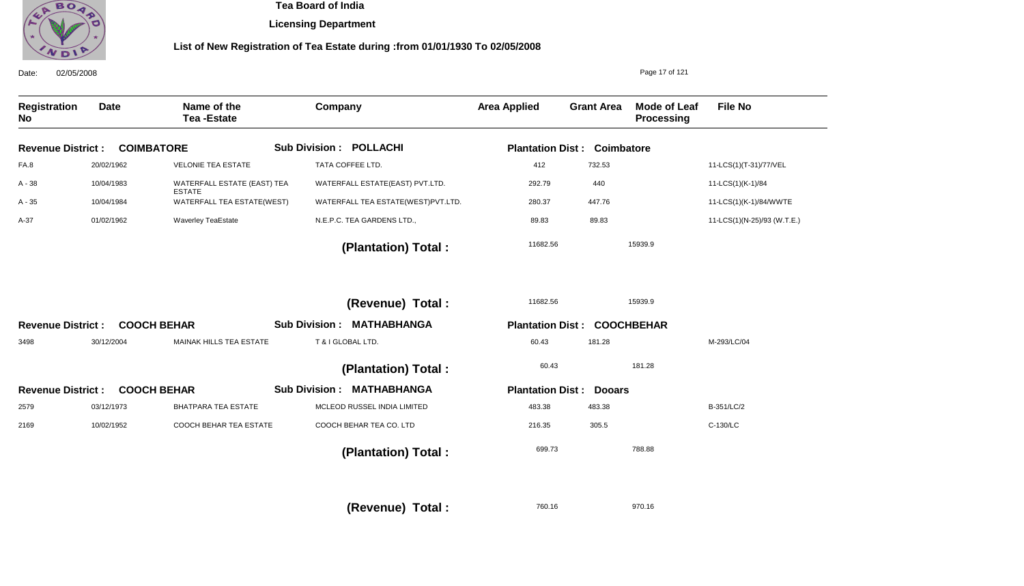

**Licensing Department**

## **List of New Registration of Tea Estate during :from 01/01/1930 To 02/05/2008**

| 02/05/2008<br>Date:       |             |                                              |                                            |                         |                   | Page 17 of 121                    |                             |
|---------------------------|-------------|----------------------------------------------|--------------------------------------------|-------------------------|-------------------|-----------------------------------|-----------------------------|
| <b>Registration</b><br>No | <b>Date</b> | Name of the<br><b>Tea-Estate</b>             | Company                                    | <b>Area Applied</b>     | <b>Grant Area</b> | <b>Mode of Leaf</b><br>Processing | <b>File No</b>              |
| <b>Revenue District:</b>  |             | <b>COIMBATORE</b>                            | <b>Sub Division : POLLACHI</b>             | <b>Plantation Dist:</b> | Coimbatore        |                                   |                             |
| FA.8                      | 20/02/1962  | <b>VELONIE TEA ESTATE</b>                    | TATA COFFEE LTD.                           | 412                     | 732.53            |                                   | 11-LCS(1)(T-31)/77/VEL      |
| A - 38                    | 10/04/1983  | WATERFALL ESTATE (EAST) TEA<br><b>ESTATE</b> | WATERFALL ESTATE(EAST) PVT.LTD.            | 292.79                  | 440               |                                   | 11-LCS(1)(K-1)/84           |
| A - 35                    | 10/04/1984  | WATERFALL TEA ESTATE(WEST)                   | WATERFALL TEA ESTATE(WEST)PVT.LTD.         | 280.37                  | 447.76            |                                   | 11-LCS(1)(K-1)/84/WWTE      |
| A-37                      | 01/02/1962  | <b>Waverley TeaEstate</b>                    | N.E.P.C. TEA GARDENS LTD.,                 | 89.83                   | 89.83             |                                   | 11-LCS(1)(N-25)/93 (W.T.E.) |
|                           |             |                                              | (Plantation) Total:                        | 11682.56                |                   | 15939.9                           |                             |
|                           |             |                                              | (Revenue) Total :                          | 11682.56                |                   | 15939.9                           |                             |
| <b>Revenue District:</b>  |             | <b>COOCH BEHAR</b>                           | <b>Sub Division:</b><br><b>MATHABHANGA</b> | <b>Plantation Dist:</b> |                   | <b>COOCHBEHAR</b>                 |                             |
| 3498                      | 30/12/2004  | MAINAK HILLS TEA ESTATE                      | T & I GLOBAL LTD.                          | 60.43                   | 181.28            |                                   | M-293/LC/04                 |
|                           |             |                                              | (Plantation) Total:                        | 60.43                   |                   | 181.28                            |                             |
| <b>Revenue District:</b>  |             | <b>COOCH BEHAR</b>                           | <b>Sub Division: MATHABHANGA</b>           | <b>Plantation Dist:</b> | <b>Dooars</b>     |                                   |                             |
| 2579                      | 03/12/1973  | <b>BHATPARA TEA ESTATE</b>                   | MCLEOD RUSSEL INDIA LIMITED                | 483.38                  | 483.38            |                                   | B-351/LC/2                  |
| 2169                      | 10/02/1952  | <b>COOCH BEHAR TEA ESTATE</b>                | COOCH BEHAR TEA CO. LTD                    | 216.35                  | 305.5             |                                   | C-130/LC                    |
|                           |             |                                              | (Plantation) Total:                        | 699.73                  |                   | 788.88                            |                             |
|                           |             |                                              |                                            |                         |                   |                                   |                             |

760.16 **(Revenue) Total :** 

970.16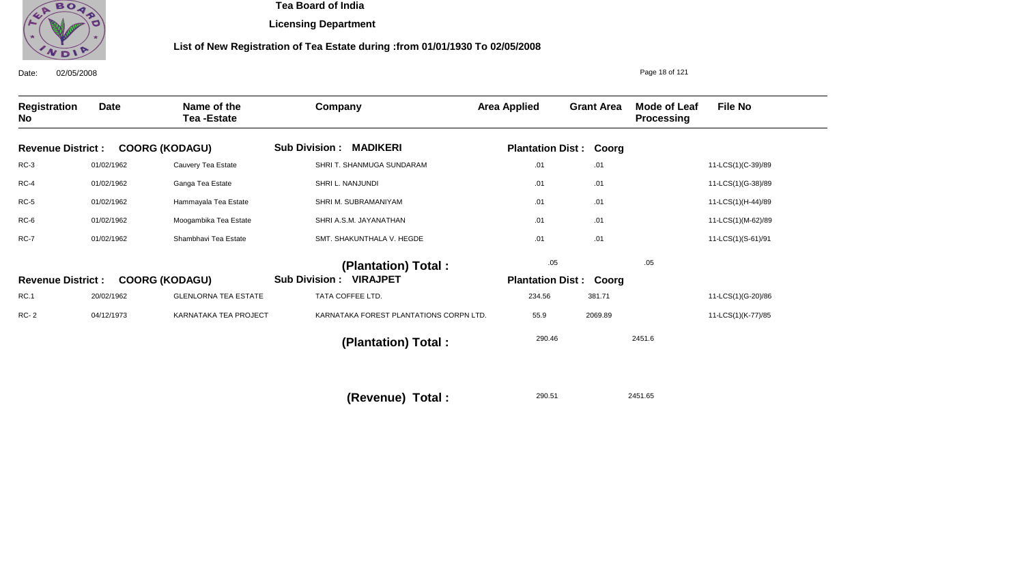

**Licensing Department**

## **List of New Registration of Tea Estate during :from 01/01/1930 To 02/05/2008**

| 02/05/2008<br>Date:      |             |                                  |                                         |                     |                               | Page 18 of 121                    |                    |
|--------------------------|-------------|----------------------------------|-----------------------------------------|---------------------|-------------------------------|-----------------------------------|--------------------|
| Registration<br>No       | <b>Date</b> | Name of the<br><b>Tea-Estate</b> | Company                                 | <b>Area Applied</b> | <b>Grant Area</b>             | Mode of Leaf<br><b>Processing</b> | <b>File No</b>     |
| <b>Revenue District:</b> |             | <b>COORG (KODAGU)</b>            | <b>MADIKERI</b><br><b>Sub Division:</b> |                     | <b>Plantation Dist: Coorg</b> |                                   |                    |
| $RC-3$                   | 01/02/1962  | Cauvery Tea Estate               | SHRI T. SHANMUGA SUNDARAM               | .01                 | .01                           |                                   | 11-LCS(1)(C-39)/89 |
| $RC-4$                   | 01/02/1962  | Ganga Tea Estate                 | SHRI L. NANJUNDI                        | .01                 | .01                           |                                   | 11-LCS(1)(G-38)/89 |
| $RC-5$                   | 01/02/1962  | Hammayala Tea Estate             | SHRI M. SUBRAMANIYAM                    | .01                 | .01                           |                                   | 11-LCS(1)(H-44)/89 |
| RC-6                     | 01/02/1962  | Moogambika Tea Estate            | SHRI A.S.M. JAYANATHAN                  | .01                 | .01                           |                                   | 11-LCS(1)(M-62)/89 |
| <b>RC-7</b>              | 01/02/1962  | Shambhavi Tea Estate             | SMT. SHAKUNTHALA V. HEGDE               | .01                 | .01                           |                                   | 11-LCS(1)(S-61)/91 |
|                          |             |                                  | (Plantation) Total:                     | .05                 |                               | .05                               |                    |
| <b>Revenue District:</b> |             | <b>COORG (KODAGU)</b>            | <b>VIRAJPET</b><br><b>Sub Division:</b> |                     | <b>Plantation Dist: Coorg</b> |                                   |                    |
| <b>RC.1</b>              | 20/02/1962  | <b>GLENLORNA TEA ESTATE</b>      | TATA COFFEE LTD.                        | 234.56              | 381.71                        |                                   | 11-LCS(1)(G-20)/86 |
| <b>RC-2</b>              | 04/12/1973  | KARNATAKA TEA PROJECT            | KARNATAKA FOREST PLANTATIONS CORPN LTD. | 55.9                | 2069.89                       |                                   | 11-LCS(1)(K-77)/85 |
|                          |             |                                  | (Plantation) Total:                     | 290.46              |                               | 2451.6                            |                    |
|                          |             |                                  |                                         |                     |                               |                                   |                    |
|                          |             |                                  |                                         |                     |                               |                                   |                    |

290.51 2451.65 **(Revenue) Total :**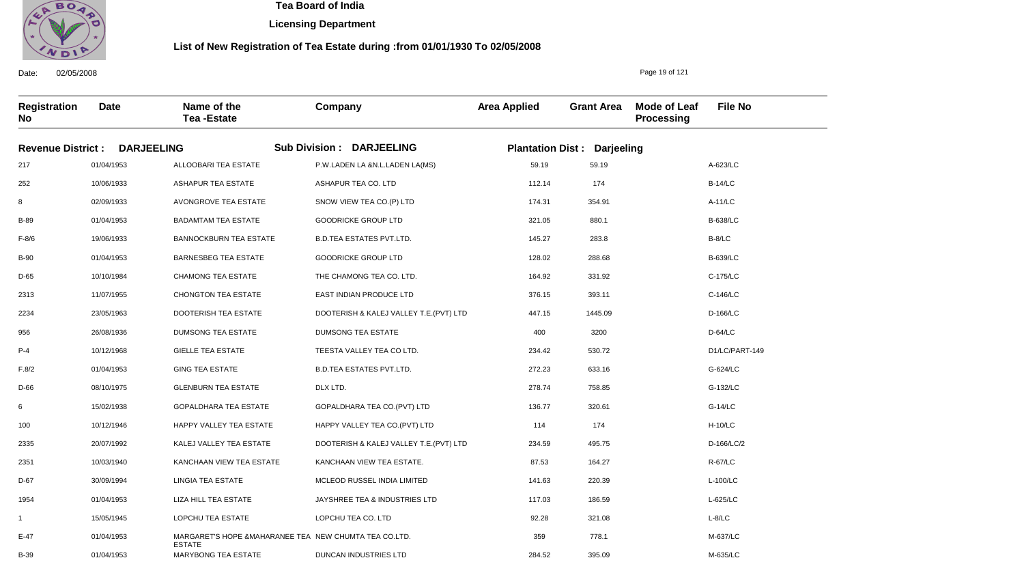

Date: 02/05/2008

B-39

01/04/1953

MARYBONG TEA ESTATE

 **Tea Board of India** 

**Licensing Department**

#### **List of New Registration of Tea Estate during :from 01/01/1930 To 02/05/2008**

Page 19 of 121

M-635/LC

**Registration No Date Name of the Tea -Estate Company Area Applied Grant Area Mode of Leaf Processing File No Revenue District : DARJEELING Sub Division : DARJEELING Plantation Dist : Darjeeling** 217 252 8 B-89 F-8/6 B-90 D-65 2313 2234 956 P-4 F.8/2 D-66 6 100 2335 2351 D-67 1954 1 E-47 01/04/1953 10/06/1933 02/09/1933 01/04/1953 19/06/1933 01/04/1953 10/10/1984 11/07/1955 23/05/1963 26/08/1936 10/12/1968 01/04/1953 08/10/1975 15/02/1938 10/12/1946 20/07/1992 10/03/1940 30/09/1994 01/04/1953 15/05/1945 01/04/1953 ALLOOBARI TEA ESTATE ASHAPUR TEA ESTATE AVONGROVE TEA ESTATE BADAMTAM TEA ESTATE BANNOCKBURN TEA ESTATE BARNESBEG TEA ESTATE CHAMONG TEA ESTATE CHONGTON TEA ESTATE DOOTERISH TEA ESTATE DUMSONG TEA ESTATE GIELLE TEA ESTATE GING TEA ESTATE GLENBURN TEA ESTATE GOPALDHARA TEA ESTATE HAPPY VALLEY TEA ESTATE KALEJ VALLEY TEA ESTATE KANCHAAN VIEW TEA ESTATE LINGIA TEA ESTATE LIZA HILL TEA ESTATE LOPCHU TEA ESTATE MARGARET'S HOPE &MAHARANEE TEA NEW CHUMTA TEA CO.LTD. ESTATE P.W.LADEN LA &N.L.LADEN LA(MS) ASHAPUR TEA CO. LTD SNOW VIEW TEA CO.(P) LTD GOODRICKE GROUP LTD B.D.TEA ESTATES PVT.LTD. GOODRICKE GROUP LTD THE CHAMONG TEA CO. LTD. EAST INDIAN PRODUCE LTD DOOTERISH & KALEJ VALLEY T.E.(PVT) LTD DUMSONG TEA ESTATE TEESTA VALLEY TEA CO LTD. B.D.TEA ESTATES PVT.LTD. DLX LTD. GOPALDHARA TEA CO.(PVT) LTD HAPPY VALLEY TEA CO.(PVT) LTD DOOTERISH & KALEJ VALLEY T.E.(PVT) LTD KANCHAAN VIEW TEA ESTATE. MCLEOD RUSSEL INDIA LIMITED JAYSHREE TEA & INDUSTRIES LTD LOPCHU TEA CO. LTD 59.19 112.14 174.31 321.05 145.27 128.02 164.92 376.15 447.15 400 234.42 272.23 278.74 136.77 114 234.59 87.53 141.63 117.03 92.28 359 A-623/LC B-14/LC A-11/LC B-638/LC B-8/LC B-639/LC C-175/LC C-146/LC D-166/LC D-64/LC D1/LC/PART-149 G-624/LC G-132/LC G-14/LC H-10/LC D-166/LC/2 R-67/LC L-100/LC L-625/LC L-8/LC M-637/LC 59.19 174 354.91 880.1 283.8 288.68 331.92 393.11 1445.09 3200 530.72 633.16 758.85 320.61 174 495.75 164.27 220.39 186.59 321.08 778.1

DUNCAN INDUSTRIES LTD

284.52

395.09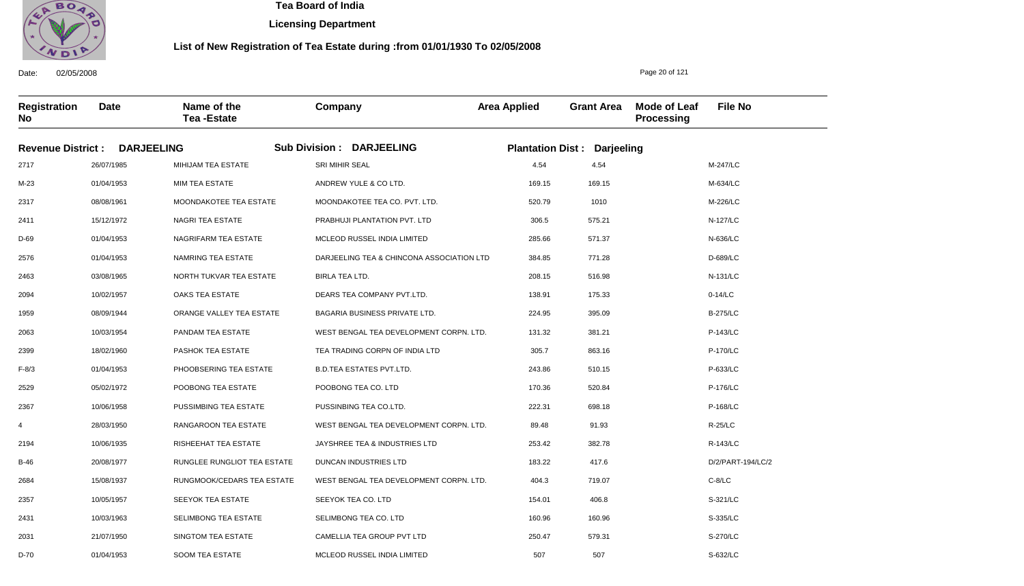

**Licensing Department**

#### **List of New Registration of Tea Estate during :from 01/01/1930 To 02/05/2008**

**Registration No Date Name of the Tea -Estate Company Area Applied Grant Area Mode of Leaf Processing File No Revenue District : DARJEELING Sub Division : DARJEELING Plantation Dist : Darjeeling** 2717 M-23 2317 2411 D-69 2576 2463 2094 1959 2063 2399 F-8/3 2529 2367 4 2194 B-46 2684 2357 2431 2031 D-70 26/07/1985 01/04/1953 08/08/1961 15/12/1972 01/04/1953 01/04/1953 03/08/1965 10/02/1957 08/09/1944 10/03/1954 18/02/1960 01/04/1953 05/02/1972 10/06/1958 28/03/1950 10/06/1935 20/08/1977 15/08/1937 10/05/1957 10/03/1963 21/07/1950 MIHIJAM TEA ESTATE MIM TEA ESTATE MOONDAKOTEE TEA ESTATE NAGRI TEA ESTATE NAGRIFARM TEA ESTATE NAMRING TEA ESTATE NORTH TUKVAR TEA ESTATE OAKS TEA ESTATE ORANGE VALLEY TEA ESTATE PANDAM TEA ESTATE PASHOK TEA ESTATE PHOOBSERING TEA ESTATE POOBONG TEA ESTATE PUSSIMBING TEA ESTATE RANGAROON TEA ESTATE RISHEEHAT TEA ESTATE RUNGLEE RUNGLIOT TEA ESTATE RUNGMOOK/CEDARS TEA ESTATE SEEYOK TEA ESTATE SELIMBONG TEA ESTATE SINGTOM TEA ESTATE SRI MIHIR SEAL ANDREW YULE & CO LTD. MOONDAKOTEE TEA CO. PVT. LTD. PRABHUJI PLANTATION PVT. LTD MCLEOD RUSSEL INDIA LIMITED DARJEELING TEA & CHINCONA ASSOCIATION LTD BIRLA TEA LTD. DEARS TEA COMPANY PVT.LTD. BAGARIA BUSINESS PRIVATE LTD. WEST BENGAL TEA DEVELOPMENT CORPN. LTD. TEA TRADING CORPN OF INDIA LTD B.D.TEA ESTATES PVT.LTD. POOBONG TEA CO. LTD PUSSINBING TEA CO.LTD. WEST BENGAL TEA DEVELOPMENT CORPN. LTD. JAYSHREE TEA & INDUSTRIES LTD DUNCAN INDUSTRIES LTD WEST BENGAL TEA DEVELOPMENT CORPN. LTD. SEEYOK TEA CO. LTD SELIMBONG TEA CO. LTD CAMELLIA TEA GROUP PVT LTD MCLEOD RUSSEL INDIA LIMITED 4.54 169.15 520.79 306.5 285.66 384.85 208.15 138.91 224.95 131.32 305.7 243.86 170.36 222.31 89.48 253.42 183.22 404.3 154.01 160.96 250.47 507 M-247/LC M-634/LC M-226/LC N-127/LC N-636/LC D-689/LC N-131/LC 0-14/LC B-275/LC P-143/LC P-170/LC P-633/LC P-176/LC P-168/LC R-25/LC R-143/LC D/2/PART-194/LC/2 C-8/LC S-321/LC S-335/LC S-270/LC S-632/LC 4.54 169.15 1010 575.21 571.37 771.28 516.98 175.33 395.09 381.21 863.16 510.15 520.84 698.18 91.93 382.78 417.6 719.07 406.8 160.96 579.31

Date: 02/05/2008

01/04/1953

SOOM TEA ESTATE

Page 20 of 121

507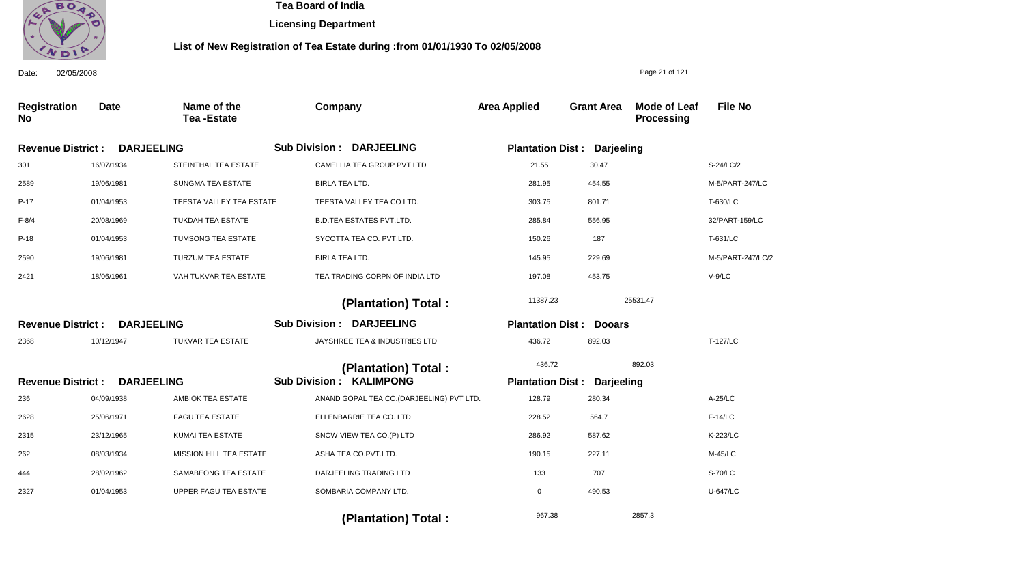

**Licensing Department**

#### **List of New Registration of Tea Estate during :from 01/01/1930 To 02/05/2008**

Date: 02/05/2008 **Registration No Date Name of the Tea -Estate Company Area Applied Grant Area Mode of Leaf Processing File No** Page 21 of 121 **DARJEELING DARJEELING DARJEELING Revenue District : Revenue District : Revenue District :** Sub Division : DARJEELING Sub Division : DARJEELING Sub Division : KALIMPONG **Plantation Dist : Darjeeling Plantation Dist : Dooars Plantation Dist : Darjeeling** 301 2589 P-17 F-8/4 P-18 2590 2421 2368 236 2628 2315 262 444 2327 16/07/1934 19/06/1981 01/04/1953 20/08/1969 01/04/1953 19/06/1981 18/06/1961 10/12/1947 04/09/1938 25/06/1971 23/12/1965 08/03/1934 28/02/1962 01/04/1953 STEINTHAL TEA ESTATE SUNGMA TEA ESTATE TEESTA VALLEY TEA ESTATE TUKDAH TEA ESTATE TUMSONG TEA ESTATE TURZUM TEA ESTATE VAH TUKVAR TEA ESTATE TUKVAR TEA ESTATE AMBIOK TEA ESTATE FAGU TEA ESTATE KUMAI TEA ESTATE MISSION HILL TEA ESTATE SAMABEONG TEA ESTATE UPPER FAGU TEA ESTATE CAMELLIA TEA GROUP PVT LTD BIRLA TEA LTD. TEESTA VALLEY TEA CO LTD. B.D.TEA ESTATES PVT.LTD. SYCOTTA TEA CO. PVT.LTD. BIRLA TEA LTD. TEA TRADING CORPN OF INDIA LTD JAYSHREE TEA & INDUSTRIES LTD ANAND GOPAL TEA CO.(DARJEELING) PVT LTD. ELLENBARRIE TEA CO. LTD SNOW VIEW TEA CO.(P) LTD ASHA TEA CO.PVT.LTD. DARJEELING TRADING LTD SOMBARIA COMPANY LTD. 21.55 281.95 303.75 285.84 150.26 145.95 197.08 436.72 128.79 228.52 286.92 190.15 133 0 S-24/LC/2 M-5/PART-247/LC T-630/LC 32/PART-159/LC T-631/LC M-5/PART-247/LC/2 V-9/LC T-127/LC A-25/LC F-14/LC K-223/LC M-45/LC S-70/LC U-647/LC 11387.23 436.72 967.38 25531.47 892.03 2857.3  **(Plantation) Total : (Plantation) Total :**  30.47 454.55 801.71 556.95 187 229.69 453.75 892.03 280.34 564.7 587.62 227.11 707 490.53

 **(Plantation) Total :**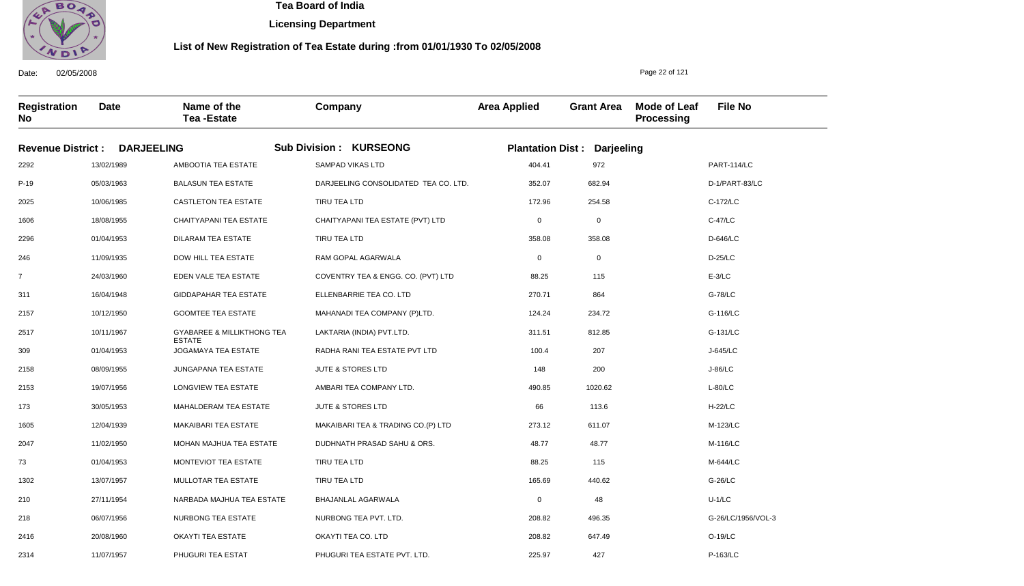

**Licensing Department**

#### **List of New Registration of Tea Estate during :from 01/01/1930 To 02/05/2008**

**Registration No Date Name of the Tea -Estate Company Area Applied Grant Area Mode of Leaf Processing File No Revenue District : DARJEELING Sub Division : KURSEONG Plantation Dist : Darjeeling** 2292 P-19 2025 1606 2296 246 7 311 2157 2517 309 2158 2153 173 1605 2047 73 1302 210 218 2416 13/02/1989 05/03/1963 10/06/1985 18/08/1955 01/04/1953 11/09/1935 24/03/1960 16/04/1948 10/12/1950 10/11/1967 01/04/1953 08/09/1955 19/07/1956 30/05/1953 12/04/1939 11/02/1950 01/04/1953 13/07/1957 27/11/1954 06/07/1956 20/08/1960 AMBOOTIA TEA ESTATE BALASUN TEA ESTATE CASTLETON TEA ESTATE CHAITYAPANI TEA ESTATE DILARAM TEA ESTATE DOW HILL TEA ESTATE EDEN VALE TEA ESTATE GIDDAPAHAR TEA ESTATE GOOMTEE TEA ESTATE GYABAREE & MILLIKTHONG TEA ESTATE JOGAMAYA TEA ESTATE JUNGAPANA TEA ESTATE LONGVIEW TEA ESTATE MAHALDERAM TEA ESTATE MAKAIBARI TEA ESTATE MOHAN MAJHUA TEA ESTATE MONTEVIOT TEA ESTATE MULLOTAR TEA ESTATE NARBADA MAJHUA TEA ESTATE NURBONG TEA ESTATE OKAYTI TEA ESTATE SAMPAD VIKAS LTD DARJEELING CONSOLIDATED TEA CO. LTD. TIRU TEA LTD CHAITYAPANI TEA ESTATE (PVT) LTD TIRU TEA LTD RAM GOPAL AGARWALA COVENTRY TEA & ENGG. CO. (PVT) LTD ELLENBARRIE TEA CO. LTD MAHANADI TEA COMPANY (P)LTD. LAKTARIA (INDIA) PVT.LTD. RADHA RANI TEA ESTATE PVT LTD JUTE & STORES LTD AMBARI TEA COMPANY LTD. JUTE & STORES LTD MAKAIBARI TEA & TRADING CO.(P) LTD DUDHNATH PRASAD SAHU & ORS. TIRU TEA LTD TIRU TEA LTD BHAJANLAL AGARWALA NURBONG TEA PVT. LTD. OKAYTI TEA CO. LTD 404.41 352.07 172.96 0 358.08 0 88.25 270.71 124.24 311.51 100.4 148 490.85 66 273.12 48.77 88.25 165.69 0 208.82 208.82 PART-114/LC D-1/PART-83/LC C-172/LC C-47/LC D-646/LC D-25/LC E-3/LC G-78/LC G-116/LC G-131/LC J-645/LC J-86/LC L-80/LC H-22/LC M-123/LC M-116/LC M-644/LC G-26/LC U-1/LC G-26/LC/1956/VOL-3 O-19/LC 972 682.94 254.58 0 358.08 0 115 864 234.72 812.85 207 200 1020.62 113.6 611.07 48.77 115 440.62 48 496.35 647.49

PHUGURI TEA ESTATE PVT. LTD.

225.97

427

Date: 02/05/2008

2314

11/07/1957

PHUGURI TEA ESTAT

Page 22 of 121

P-163/LC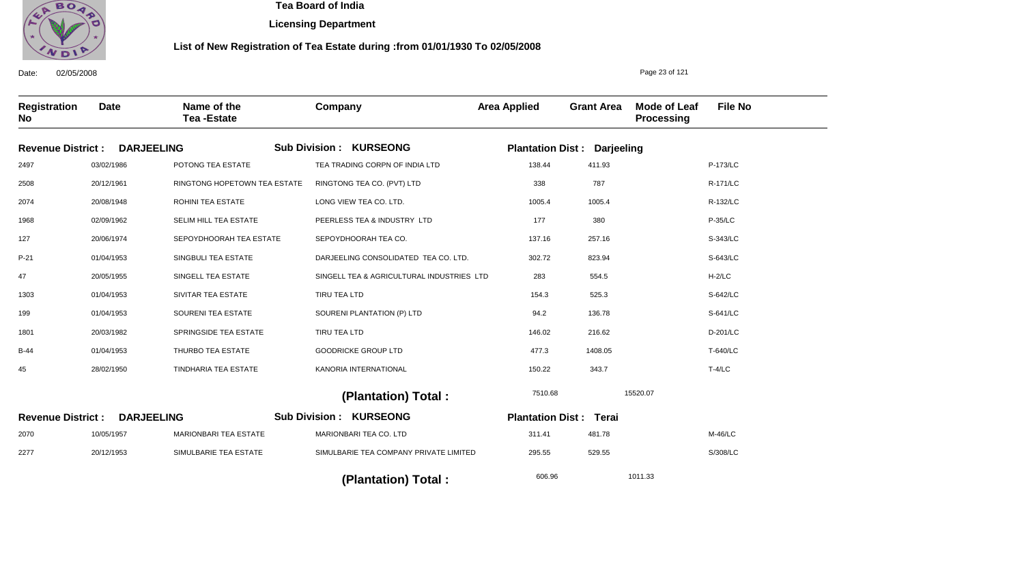

**Licensing Department**

#### **List of New Registration of Tea Estate during :from 01/01/1930 To 02/05/2008**

Date: 02/05/2008 **Registration No Date Name of the Tea -Estate Company Area Applied Grant Area Mode of Leaf Processing File No** Page 23 of 121 **DARJEELING Revenue District : DARJEELING Revenue District :** Sub Division : KURSEONG Sub Division : KURSEONG **Plantation Dist : Darjeeling Plantation Dist : Terai** 2497 2508 2074 1968 127 P-21 47 1303 199 1801 B-44 45 2070 2277 03/02/1986 20/12/1961 20/08/1948 02/09/1962 20/06/1974 01/04/1953 20/05/1955 01/04/1953 01/04/1953 20/03/1982 01/04/1953 28/02/1950 10/05/1957 20/12/1953 POTONG TEA ESTATE RINGTONG HOPETOWN TEA ESTATE ROHINI TEA ESTATE SELIM HILL TEA ESTATE SEPOYDHOORAH TEA ESTATE SINGBULI TEA ESTATE SINGELL TEA ESTATE SIVITAR TEA ESTATE SOURENI TEA ESTATE SPRINGSIDE TEA ESTATE THURBO TEA ESTATE TINDHARIA TEA ESTATE MARIONBARI TEA ESTATE SIMULBARIE TEA ESTATE TEA TRADING CORPN OF INDIA LTD RINGTONG TEA CO. (PVT) LTD LONG VIEW TEA CO. LTD. PEERLESS TEA & INDUSTRY LTD SEPOYDHOORAH TEA CO. DARJEELING CONSOLIDATED TEA CO. LTD. SINGELL TEA & AGRICULTURAL INDUSTRIES LTD TIRU TEA LTD SOURENI PLANTATION (P) LTD TIRU TEA LTD GOODRICKE GROUP LTD KANORIA INTERNATIONAL MARIONBARI TEA CO. LTD SIMULBARIE TEA COMPANY PRIVATE LIMITED 138.44 338 1005.4 177 137.16 302.72 283 154.3 94.2 146.02 477.3 150.22 311.41 295.55 P-173/LC R-171/LC R-132/LC P-35/LC S-343/LC S-643/LC H-2/LC S-642/LC S-641/LC D-201/LC T-640/LC T-4/LC M-46/LC S/308/LC 7510.68 606.96 15520.07 1011.33  **(Plantation) Total : (Plantation) Total :**  411.93 787 1005.4 380 257.16 823.94 554.5 525.3 136.78 216.62 1408.05 343.7 481.78 529.55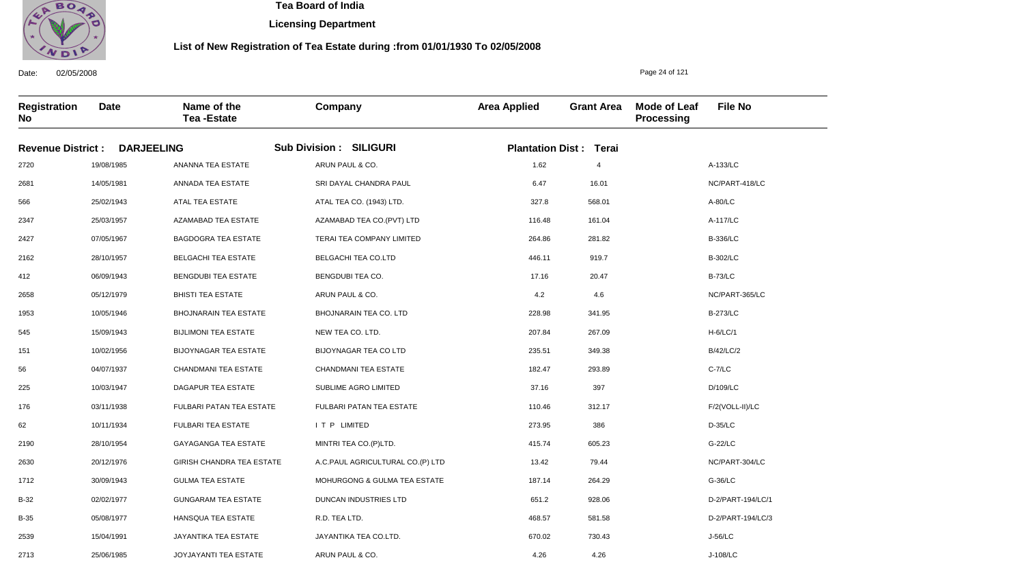

**Licensing Department**

### **List of New Registration of Tea Estate during :from 01/01/1930 To 02/05/2008**

**Registration No Date Name of the Tea -Estate Company Area Applied Grant Area Mode of Leaf Processing File No Revenue District : DARJEELING Sub Division : SILIGURI Plantation Dist : Terai** 2720 2681 566 2347 2427 2162 412 2658 1953 545 151 56 225 176 62 2190 2630 1712 B-32 B-35 2539 19/08/1985 14/05/1981 25/02/1943 25/03/1957 07/05/1967 28/10/1957 06/09/1943 05/12/1979 10/05/1946 15/09/1943 10/02/1956 04/07/1937 10/03/1947 03/11/1938 10/11/1934 28/10/1954 20/12/1976 30/09/1943 02/02/1977 05/08/1977 15/04/1991 ANANNA TEA ESTATE ANNADA TEA ESTATE ATAL TEA ESTATE AZAMABAD TEA ESTATE BAGDOGRA TEA ESTATE BELGACHI TEA ESTATE BENGDUBI TEA ESTATE BHISTI TEA ESTATE BHOJNARAIN TEA ESTATE BIJLIMONI TEA ESTATE BIJOYNAGAR TEA ESTATE CHANDMANI TEA ESTATE DAGAPUR TEA ESTATE FULBARI PATAN TEA ESTATE FULBARI TEA ESTATE GAYAGANGA TEA ESTATE GIRISH CHANDRA TEA ESTATE GULMA TEA ESTATE GUNGARAM TEA ESTATE HANSQUA TEA ESTATE JAYANTIKA TEA ESTATE ARUN PAUL & CO. SRI DAYAL CHANDRA PAUL ATAL TEA CO. (1943) LTD. AZAMABAD TEA CO.(PVT) LTD TERAI TEA COMPANY LIMITED BELGACHI TEA CO.LTD BENGDUBI TEA CO. ARUN PAUL & CO. BHOJNARAIN TEA CO. LTD NEW TEA CO. LTD. BIJOYNAGAR TEA CO LTD CHANDMANI TEA ESTATE SUBLIME AGRO LIMITED FULBARI PATAN TEA ESTATE I T P LIMITED MINTRI TEA CO.(P)LTD. A.C.PAUL AGRICULTURAL CO.(P) LTD MOHURGONG & GULMA TEA ESTATE DUNCAN INDUSTRIES LTD R.D. TEA LTD. JAYANTIKA TEA CO.LTD. 1.62 6.47 327.8 116.48 264.86 446.11 17.16 4.2 228.98 207.84 235.51 182.47 37.16 110.46 273.95 415.74 13.42 187.14 651.2 468.57 670.02 A-133/LC NC/PART-418/LC A-80/LC A-117/LC B-336/LC B-302/LC B-73/LC NC/PART-365/LC B-273/LC H-6/LC/1 B/42/LC/2 C-7/LC D/109/LC F/2(VOLL-II)/LC D-35/LC G-22/LC NC/PART-304/LC G-36/LC D-2/PART-194/LC/1 D-2/PART-194/LC/3 J-56/LC 4 16.01 568.01 161.04 281.82 919.7 20.47 4.6 341.95 267.09 349.38 293.89 397 312.17 386 605.23 79.44 264.29 928.06 581.58 730.43

4.26

4.26

ARUN PAUL & CO.

Date: 02/05/2008

2713

25/06/1985

JOYJAYANTI TEA ESTATE

Page 24 of 121

J-108/LC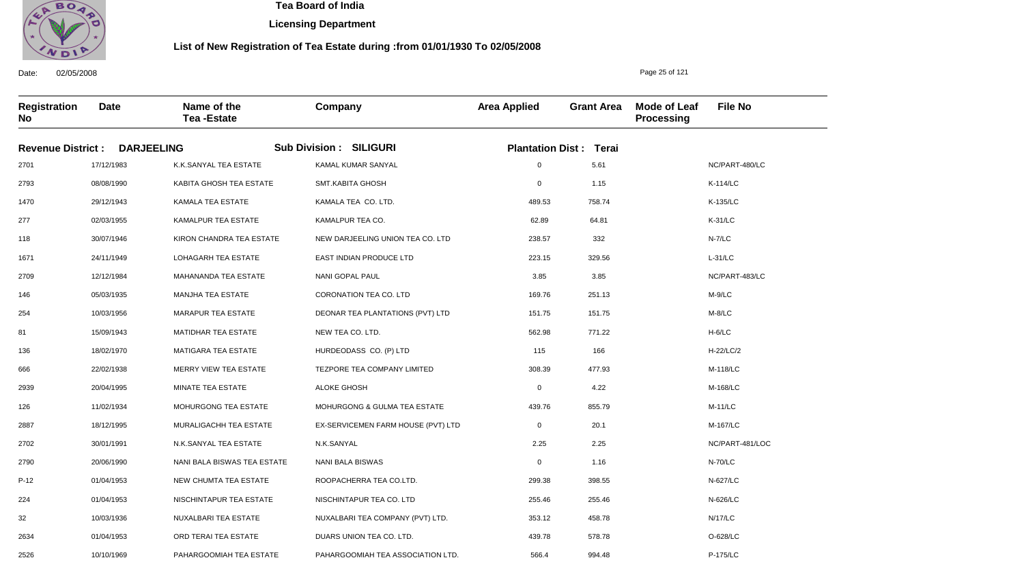

**Licensing Department**

#### **List of New Registration of Tea Estate during :from 01/01/1930 To 02/05/2008**

**Registration No Date Name of the Tea -Estate Company Area Applied Grant Area Mode of Leaf Processing File No Revenue District : DARJEELING Sub Division : SILIGURI Plantation Dist : Terai** 2701 2793 1470 277 118 1671 2709 146 254 81 136 666 2939 126 2887 2702 2790 P-12 224 32 2634 17/12/1983 08/08/1990 29/12/1943 02/03/1955 30/07/1946 24/11/1949 12/12/1984 05/03/1935 10/03/1956 15/09/1943 18/02/1970 22/02/1938 20/04/1995 11/02/1934 18/12/1995 30/01/1991 20/06/1990 01/04/1953 01/04/1953 10/03/1936 01/04/1953 K.K.SANYAL TEA ESTATE KABITA GHOSH TEA ESTATE KAMALA TEA ESTATE KAMALPUR TEA ESTATE KIRON CHANDRA TEA ESTATE LOHAGARH TEA ESTATE MAHANANDA TEA ESTATE MANJHA TEA ESTATE MARAPUR TEA ESTATE MATIDHAR TEA ESTATE MATIGARA TEA ESTATE MERRY VIEW TEA ESTATE MINATE TEA ESTATE MOHURGONG TEA ESTATE MURALIGACHH TEA ESTATE N.K.SANYAL TEA ESTATE NANI BALA BISWAS TEA ESTATE NEW CHUMTA TEA ESTATE NISCHINTAPUR TEA ESTATE NUXALBARI TEA ESTATE ORD TERAI TEA ESTATE KAMAL KUMAR SANYAL SMT.KABITA GHOSH KAMALA TEA CO. LTD. KAMALPUR TEA CO. NEW DARJEELING UNION TEA CO. LTD EAST INDIAN PRODUCE LTD NANI GOPAL PAUL CORONATION TEA CO. LTD DEONAR TEA PLANTATIONS (PVT) LTD NEW TEA CO. LTD. HURDEODASS CO. (P) LTD TEZPORE TEA COMPANY LIMITED ALOKE GHOSH MOHURGONG & GULMA TEA ESTATE EX-SERVICEMEN FARM HOUSE (PVT) LTD N.K.SANYAL NANI BALA BISWAS ROOPACHERRA TEA CO.LTD. NISCHINTAPUR TEA CO. LTD NUXALBARI TEA COMPANY (PVT) LTD. DUARS UNION TEA CO. LTD. 0 0 489.53 62.89 238.57 223.15 3.85 169.76 151.75 562.98 115 308.39 0 439.76 0 2.25 0 299.38 255.46 353.12 439.78 NC/PART-480/LC K-114/LC K-135/LC K-31/LC N-7/LC L-31/LC NC/PART-483/LC M-9/LC M-8/LC H-6/LC H-22/LC/2 M-118/LC M-168/LC M-11/LC M-167/LC NC/PART-481/LOC N-70/LC N-627/LC N-626/LC N/17/LC O-628/LC 5.61 1.15 758.74 64.81 332 329.56 3.85 251.13 151.75 771.22 166 477.93 4.22 855.79 20.1 2.25 1.16 398.55 255.46 458.78 578.78

PAHARGOOMIAH TEA ASSOCIATION LTD.

566.4

994.48

Date: 02/05/2008

2526

10/10/1969

PAHARGOOMIAH TEA ESTATE

Page 25 of 121

P-175/LC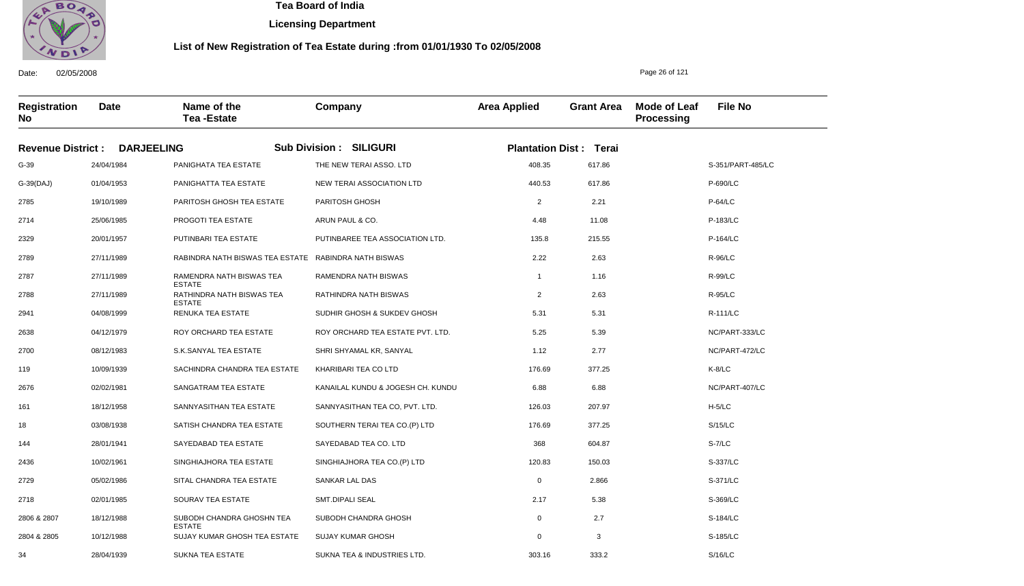

Date: 02/05/2008

34

28/04/1939

SUKNA TEA ESTATE

 **Tea Board of India** 

**Licensing Department**

#### **List of New Registration of Tea Estate during :from 01/01/1930 To 02/05/2008**

Page 26 of 121

S/16/LC

**Registration No Date Name of the Tea -Estate Company Area Applied Grant Area Mode of Leaf Processing File No Revenue District : DARJEELING Sub Division : SILIGURI Plantation Dist : Terai** G-39 G-39(DAJ) 2785 2714 2329 2789 2787 2788 2941 2638 2700 119 2676 161 18 144 2436 2729 2718 2806 & 2807 2804 & 2805 24/04/1984 01/04/1953 19/10/1989 25/06/1985 20/01/1957 27/11/1989 27/11/1989 27/11/1989 04/08/1999 04/12/1979 08/12/1983 10/09/1939 02/02/1981 18/12/1958 03/08/1938 28/01/1941 10/02/1961 05/02/1986 02/01/1985 18/12/1988 10/12/1988 PANIGHATA TEA ESTATE PANIGHATTA TEA ESTATE PARITOSH GHOSH TEA ESTATE PROGOTI TEA ESTATE PUTINBARI TEA ESTATE RABINDRA NATH BISWAS TEA ESTATE RABINDRA NATH BISWAS RAMENDRA NATH BISWAS TEA ESTATE RATHINDRA NATH BISWAS TEA ESTATE RENUKA TEA ESTATE ROY ORCHARD TEA ESTATE S.K.SANYAL TEA ESTATE SACHINDRA CHANDRA TEA ESTATE SANGATRAM TEA ESTATE SANNYASITHAN TEA ESTATE SATISH CHANDRA TEA ESTATE SAYEDABAD TEA ESTATE SINGHIAJHORA TEA ESTATE SITAL CHANDRA TEA ESTATE SOURAV TEA ESTATE SUBODH CHANDRA GHOSHN TEA ESTATE SUJAY KUMAR GHOSH TEA ESTATE THE NEW TERAI ASSO. LTD NEW TERAI ASSOCIATION LTD PARITOSH GHOSH ARUN PAUL & CO. PUTINBAREE TEA ASSOCIATION LTD. RAMENDRA NATH BISWAS RATHINDRA NATH BISWAS SUDHIR GHOSH & SUKDEV GHOSH ROY ORCHARD TEA ESTATE PVT. LTD. SHRI SHYAMAL KR, SANYAL KHARIBARI TEA CO LTD KANAILAL KUNDU & JOGESH CH. KUNDU SANNYASITHAN TEA CO, PVT. LTD. SOUTHERN TERAI TEA CO.(P) LTD SAYEDABAD TEA CO. LTD SINGHIAJHORA TEA CO.(P) LTD SANKAR LAL DAS SMT.DIPALI SEAL SUBODH CHANDRA GHOSH SUJAY KUMAR GHOSH 408.35 440.53 2 4.48 135.8 2.22 1 2 5.31 5.25 1.12 176.69 6.88 126.03 176.69 368 120.83 0 2.17 0 0 S-351/PART-485/LC P-690/LC P-64/LC P-183/LC P-164/LC R-96/LC R-99/LC R-95/LC R-111/LC NC/PART-333/LC NC/PART-472/LC K-8/LC NC/PART-407/LC H-5/LC S/15/LC S-7/LC S-337/LC S-371/LC S-369/LC S-184/LC S-185/LC 617.86 617.86 2.21 11.08 215.55 2.63 1.16 2.63 5.31 5.39 2.77 377.25 6.88 207.97 377.25 604.87 150.03 2.866 5.38 2.7 3

SUKNA TEA & INDUSTRIES LTD.

303.16

333.2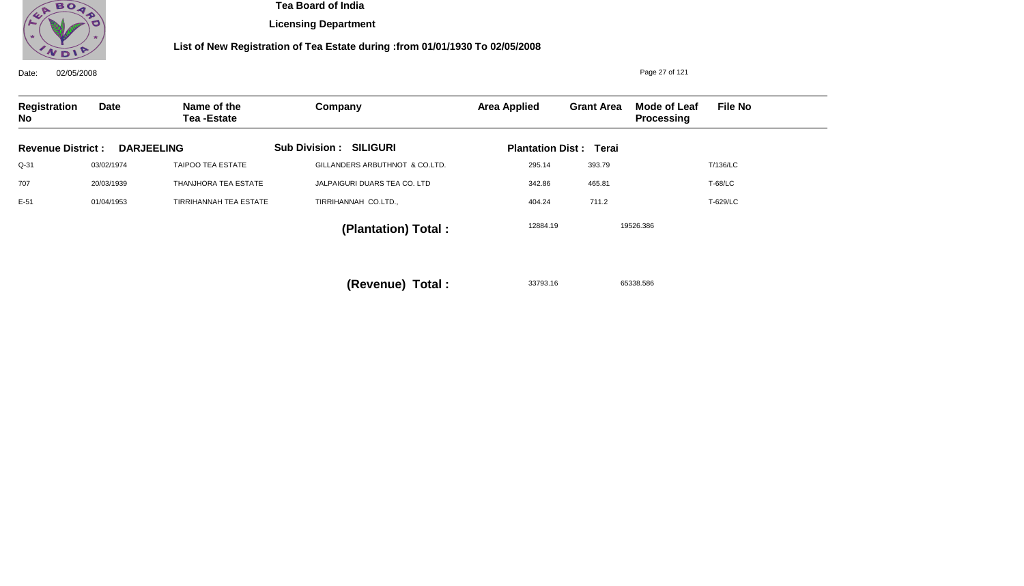

**Licensing Department**

## **List of New Registration of Tea Estate during :from 01/01/1930 To 02/05/2008**

| 02/05/2008<br>Date:      |            |                                  | Page 27 of 121                 |                     |                               |                            |                |
|--------------------------|------------|----------------------------------|--------------------------------|---------------------|-------------------------------|----------------------------|----------------|
| Registration<br>No       | Date       | Name of the<br><b>Tea-Estate</b> | Company                        | <b>Area Applied</b> | <b>Grant Area</b>             | Mode of Leaf<br>Processing | <b>File No</b> |
| <b>Revenue District:</b> |            | <b>DARJEELING</b>                | <b>Sub Division: SILIGURI</b>  |                     | <b>Plantation Dist: Terai</b> |                            |                |
| $Q-31$                   | 03/02/1974 | TAIPOO TEA ESTATE                | GILLANDERS ARBUTHNOT & CO.LTD. | 295.14              | 393.79                        |                            | T/136/LC       |
| 707                      | 20/03/1939 | THANJHORA TEA ESTATE             | JALPAIGURI DUARS TEA CO. LTD   | 342.86              | 465.81                        |                            | <b>T-68/LC</b> |
| $E-51$                   | 01/04/1953 | <b>TIRRIHANNAH TEA ESTATE</b>    | TIRRIHANNAH CO.LTD.,           | 404.24              | 711.2                         |                            | T-629/LC       |
|                          |            |                                  | (Plantation) Total:            | 12884.19            |                               | 19526.386                  |                |
|                          |            |                                  |                                |                     |                               |                            |                |

33793.16 65338.586 **(Revenue) Total :**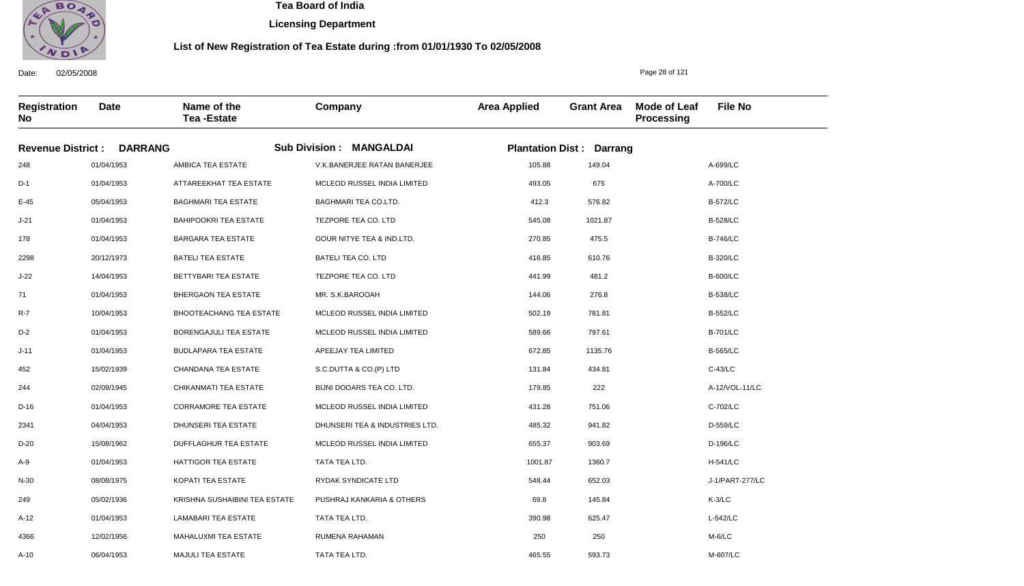

**Licensing Department**

### **List of New Registration of Tea Estate during :from 01/01/1930 To 02/05/2008**

**Registration No Date Name of the Tea -Estate Company Area Applied Grant Area Mode of Leaf Processing File No Revenue District : DARRANG Sub Division : MANGALDAI Plantation Dist : Darrang** 248 D-1 E-45 J-21 178 2298 J-22 71 R-7 D-2 J-11 452 244 D-16 2341 D-20 A-9 N-30 249 A-12 4366 01/04/1953 01/04/1953 05/04/1953 01/04/1953 01/04/1953 20/12/1973 14/04/1953 01/04/1953 10/04/1953 01/04/1953 01/04/1953 15/02/1939 02/09/1945 01/04/1953 04/04/1953 15/08/1962 01/04/1953 08/08/1975 05/02/1936 01/04/1953 12/02/1956 AMBICA TEA ESTATE ATTAREEKHAT TEA ESTATE BAGHMARI TEA ESTATE BAHIPOOKRI TEA ESTATE BARGARA TEA ESTATE BATELI TEA ESTATE BETTYBARI TEA ESTATE BHERGAON TEA ESTATE BHOOTEACHANG TEA ESTATE BORENGAJULI TEA ESTATE BUDLAPARA TEA ESTATE CHANDANA TEA ESTATE CHIKANMATI TEA ESTATE CORRAMORE TEA ESTATE DHUNSERI TEA ESTATE DUFFLAGHUR TEA ESTATE HATTIGOR TEA ESTATE KOPATI TEA ESTATE KRISHNA SUSHAIBINI TEA ESTATE LAMABARI TEA ESTATE MAHALUXMI TEA ESTATE V.K.BANERJEE RATAN BANERJEE MCLEOD RUSSEL INDIA LIMITED BAGHMARI TEA CO.LTD. TEZPORE TEA CO. LTD GOUR NITYE TEA & IND.LTD. BATELI TEA CO. LTD TEZPORE TEA CO. LTD MR. S.K.BAROOAH MCLEOD RUSSEL INDIA LIMITED MCLEOD RUSSEL INDIA LIMITED APEEJAY TEA LIMITED S.C.DUTTA & CO.(P) LTD BIJNI DOOARS TEA CO. LTD. MCLEOD RUSSEL INDIA LIMITED DHUNSERI TEA & INDUSTRIES LTD. MCLEOD RUSSEL INDIA LIMITED TATA TEA LTD. RYDAK SYNDICATE LTD PUSHRAJ KANKARIA & OTHERS TATA TEA LTD. RUMENA RAHAMAN 105.88 493.05 412.3 545.08 270.85 416.85 441.99 144.06 502.19 589.66 672.85 131.84 179.85 431.28 485.32 655.37 1001.87 548.44 69.8 390.98 250 A-699/LC A-700/LC B-572/LC B-528/LC B-746/LC B-320/LC B-600/LC B-538/LC B-552/LC B-701/LC B-565/LC C-43/LC A-12/VOL-11/LC C-702/LC D-559/LC D-196/LC H-541/LC J-1/PART-277/LC K-3/LC L-542/LC M-6/LC 149.04 675 576.82 1021.87 475.5 610.76 481.2 276.8 781.81 797.61 1135.76 434.81 222 751.06 941.82 903.69 1360.7 652.03 145.84 625.47 250

465.55

593.73

TATA TEA LTD.

Date: 02/05/2008

A-10

06/04/1953

MAJULI TEA ESTATE

Page 28 of 121

M-607/LC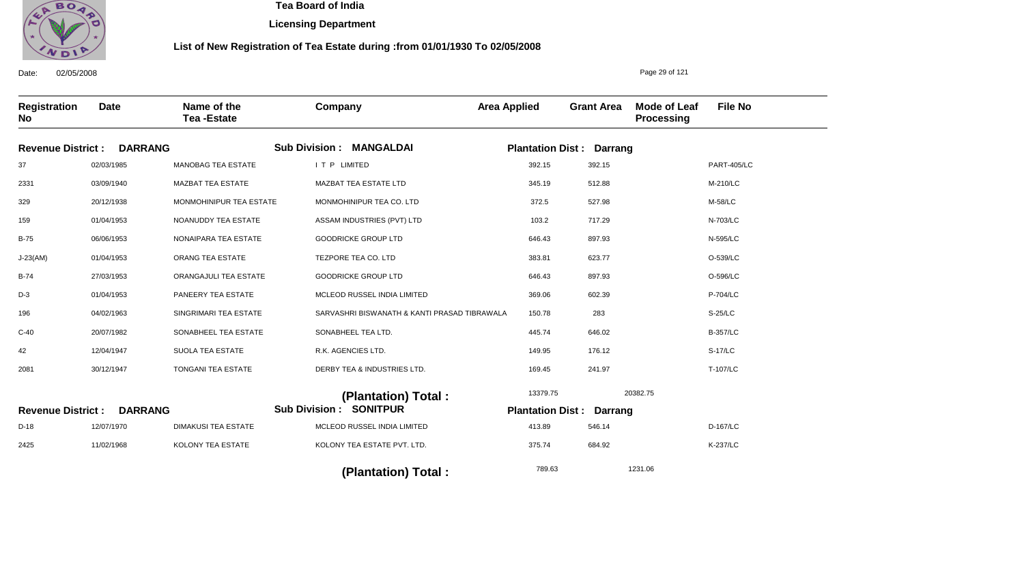

**Licensing Department**

#### **List of New Registration of Tea Estate during :from 01/01/1930 To 02/05/2008**

**Registration No Date Name of the Tea -Estate Company Area Applied Grant Area Mode of Leaf Processing File No** Page 29 of 121 **DARRANG Revenue District : DARRANG Revenue District : MANGALDAI Sub Division : Sub Division : SONITPUR Plantation Dist : Darrang Plantation Dist : Darrang** 37 2331 329 159 B-75 J-23(AM) B-74 D-3 196 C-40 42 2081 D-18 2425 02/03/1985 03/09/1940 20/12/1938 01/04/1953 06/06/1953 01/04/1953 27/03/1953 01/04/1953 04/02/1963 20/07/1982 12/04/1947 30/12/1947 12/07/1970 11/02/1968 MANOBAG TEA ESTATE MAZBAT TEA ESTATE MONMOHINIPUR TEA ESTATE NOANUDDY TEA ESTATE NONAIPARA TEA ESTATE ORANG TEA ESTATE ORANGAJULI TEA ESTATE PANEERY TEA ESTATE SINGRIMARI TEA ESTATE SONABHEEL TEA ESTATE SUOLA TEA ESTATE TONGANI TEA ESTATE DIMAKUSI TEA ESTATE KOLONY TEA ESTATE I T P LIMITED MAZBAT TEA ESTATE LTD MONMOHINIPUR TEA CO. LTD ASSAM INDUSTRIES (PVT) LTD GOODRICKE GROUP LTD TEZPORE TEA CO. LTD GOODRICKE GROUP LTD MCLEOD RUSSEL INDIA LIMITED SARVASHRI BISWANATH & KANTI PRASAD TIBRAWALA SONABHEEL TEA LTD. R.K. AGENCIES LTD. DERBY TEA & INDUSTRIES LTD. MCLEOD RUSSEL INDIA LIMITED KOLONY TEA ESTATE PVT. LTD. 392.15 345.19 372.5 103.2 646.43 383.81 646.43 369.06 150.78 445.74 149.95 169.45 413.89 375.74 PART-405/LC M-210/LC M-58/LC N-703/LC N-595/LC O-539/LC O-596/LC P-704/LC S-25/LC B-357/LC S-17/LC T-107/LC D-167/LC K-237/LC 13379.75 789.63 20382.75 1231.06  **(Plantation) Total : (Plantation) Total :**  392.15 512.88 527.98 717.29 897.93 623.77 897.93 602.39 283 646.02 176.12 241.97 546.14 684.92

Date: 02/05/2008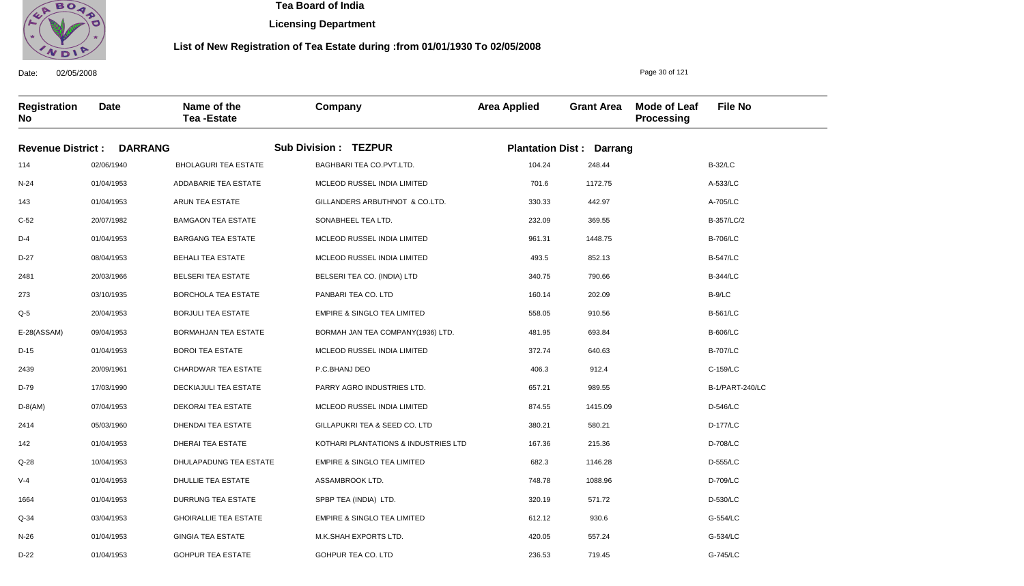

D-22

01/04/1953

GOHPUR TEA ESTATE

 **Tea Board of India** 

**Licensing Department**

#### **List of New Registration of Tea Estate during :from 01/01/1930 To 02/05/2008**

Date: 02/05/2008 **Registration No Date Name of the Tea -Estate Company Area Applied Grant Area Mode of Leaf Processing File No Revenue District : DARRANG Sub Division : TEZPUR Plantation Dist : Darrang** 114 N-24 143 C-52 D-4 D-27 2481 273 Q-5 E-28(ASSAM) D-15 2439 D-79 D-8(AM) 2414 142 Q-28 V-4 1664 Q-34 N-26 02/06/1940 01/04/1953 01/04/1953 20/07/1982 01/04/1953 08/04/1953 20/03/1966 03/10/1935 20/04/1953 09/04/1953 01/04/1953 20/09/1961 17/03/1990 07/04/1953 05/03/1960 01/04/1953 10/04/1953 01/04/1953 01/04/1953 03/04/1953 01/04/1953 BHOLAGURI TEA ESTATE ADDABARIE TEA ESTATE ARUN TEA ESTATE BAMGAON TEA ESTATE BARGANG TEA ESTATE BEHALI TEA ESTATE BELSERI TEA ESTATE BORCHOLA TEA ESTATE BORJULI TEA ESTATE BORMAHJAN TEA ESTATE BOROI TEA ESTATE CHARDWAR TEA ESTATE DECKIAJULI TEA ESTATE DEKORAI TEA ESTATE DHENDAI TEA ESTATE DHERAI TEA ESTATE DHULAPADUNG TEA ESTATE DHULLIE TEA ESTATE DURRUNG TEA ESTATE GHOIRALLIE TEA ESTATE GINGIA TEA ESTATE BAGHBARI TEA CO.PVT.LTD. MCLEOD RUSSEL INDIA LIMITED GILLANDERS ARBUTHNOT & CO.LTD. SONABHEEL TEA LTD. MCLEOD RUSSEL INDIA LIMITED MCLEOD RUSSEL INDIA LIMITED BELSERI TEA CO. (INDIA) LTD PANBARI TEA CO. LTD EMPIRE & SINGLO TEA LIMITED BORMAH JAN TEA COMPANY(1936) LTD. MCLEOD RUSSEL INDIA LIMITED P.C.BHANJ DEO PARRY AGRO INDUSTRIES LTD. MCLEOD RUSSEL INDIA LIMITED GILLAPUKRI TEA & SEED CO. LTD KOTHARI PLANTATIONS & INDUSTRIES LTD EMPIRE & SINGLO TEA LIMITED ASSAMBROOK LTD. SPBP TEA (INDIA) LTD. EMPIRE & SINGLO TEA LIMITED M.K.SHAH EXPORTS LTD. 104.24 701.6 330.33 232.09 961.31 493.5 340.75 160.14 558.05 481.95 372.74 406.3 657.21 874.55 380.21 167.36 682.3 748.78 320.19 612.12 420.05 B-32/LC A-533/LC A-705/LC B-357/LC/2 B-706/LC B-547/LC B-344/LC B-9/LC B-561/LC B-606/LC B-707/LC C-159/LC B-1/PART-240/LC D-546/LC D-177/LC D-708/LC D-555/LC D-709/LC D-530/LC G-554/LC G-534/LC 248.44 1172.75 442.97 369.55 1448.75 852.13 790.66 202.09 910.56 693.84 640.63 912.4 989.55 1415.09 580.21 215.36 1146.28 1088.96 571.72 930.6 557.24

236.53

719.45

GOHPUR TEA CO. LTD

Page 30 of 121

G-745/LC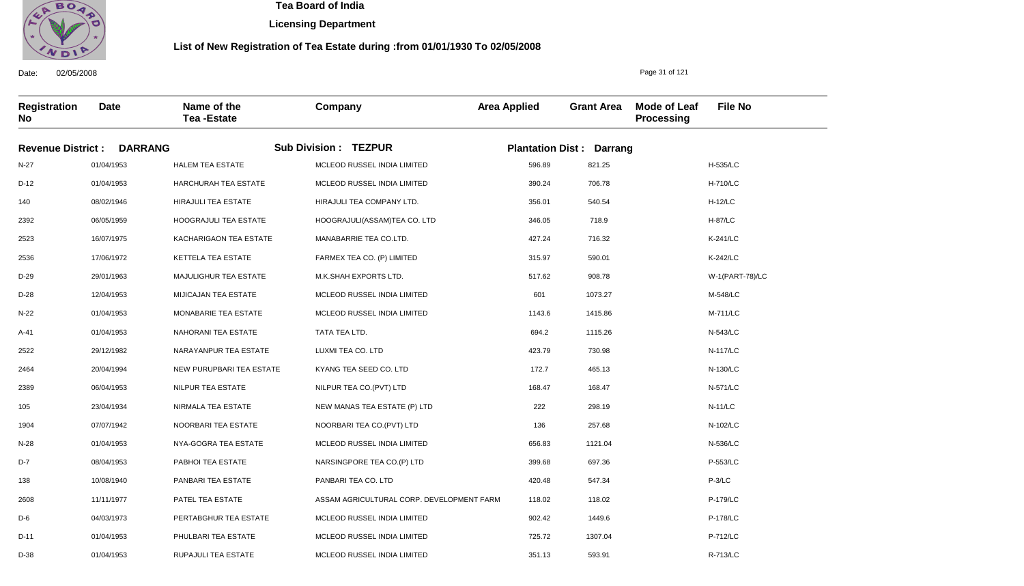

Date: 02/05/2008

01/04/1953

 **Tea Board of India** 

**Licensing Department**

#### **List of New Registration of Tea Estate during :from 01/01/1930 To 02/05/2008**

Page 31 of 121

593.91

**Registration No Date Name of the Tea -Estate Company Area Applied Grant Area Mode of Leaf Processing File No Revenue District : DARRANG Sub Division : TEZPUR Plantation Dist : Darrang** N-27 D-12 140 2392 2523 2536 D-29 D-28 N-22 A-41 2522 2464 2389 105 1904 N-28 D-7 138 2608 D-6 D-11 D-38 01/04/1953 01/04/1953 08/02/1946 06/05/1959 16/07/1975 17/06/1972 29/01/1963 12/04/1953 01/04/1953 01/04/1953 29/12/1982 20/04/1994 06/04/1953 23/04/1934 07/07/1942 01/04/1953 08/04/1953 10/08/1940 11/11/1977 04/03/1973 01/04/1953 HALEM TEA ESTATE HARCHURAH TEA ESTATE HIRAJULI TEA ESTATE HOOGRAJULI TEA ESTATE KACHARIGAON TEA ESTATE KETTELA TEA ESTATE MAJULIGHUR TEA ESTATE MIJICAJAN TEA ESTATE MONABARIE TEA ESTATE NAHORANI TEA ESTATE NARAYANPUR TEA ESTATE NEW PURUPBARI TEA ESTATE NILPUR TEA ESTATE NIRMALA TEA ESTATE NOORBARI TEA ESTATE NYA-GOGRA TEA ESTATE PABHOI TEA ESTATE PANBARI TEA ESTATE PATEL TEA ESTATE PERTABGHUR TEA ESTATE PHULBARI TEA ESTATE RUPAJULI TEA ESTATE MCLEOD RUSSEL INDIA LIMITED MCLEOD RUSSEL INDIA LIMITED HIRAJULI TEA COMPANY LTD. HOOGRAJULI(ASSAM)TEA CO. LTD MANABARRIE TEA CO.LTD. FARMEX TEA CO. (P) LIMITED M.K.SHAH EXPORTS LTD. MCLEOD RUSSEL INDIA LIMITED MCLEOD RUSSEL INDIA LIMITED TATA TEA LTD. LUXMI TEA CO. LTD KYANG TEA SEED CO. LTD NILPUR TEA CO.(PVT) LTD NEW MANAS TEA ESTATE (P) LTD NOORBARI TEA CO.(PVT) LTD MCLEOD RUSSEL INDIA LIMITED NARSINGPORE TEA CO.(P) LTD PANBARI TEA CO. LTD ASSAM AGRICULTURAL CORP. DEVELOPMENT FARM MCLEOD RUSSEL INDIA LIMITED MCLEOD RUSSEL INDIA LIMITED MCLEOD RUSSEL INDIA LIMITED 596.89 390.24 356.01 346.05 427.24 315.97 517.62 601 1143.6 694.2 423.79 172.7 168.47 222 136 656.83 399.68 420.48 118.02 902.42 725.72 351.13 H-535/LC H-710/LC H-12/LC H-87/LC K-241/LC K-242/LC W-1(PART-78)/LC M-548/LC M-711/LC N-543/LC N-117/LC N-130/LC N-571/LC N-11/LC N-102/LC N-536/LC P-553/LC P-3/LC P-179/LC P-178/LC P-712/LC R-713/LC 821.25 706.78 540.54 718.9 716.32 590.01 908.78 1073.27 1415.86 1115.26 730.98 465.13 168.47 298.19 257.68 1121.04 697.36 547.34 118.02 1449.6 1307.04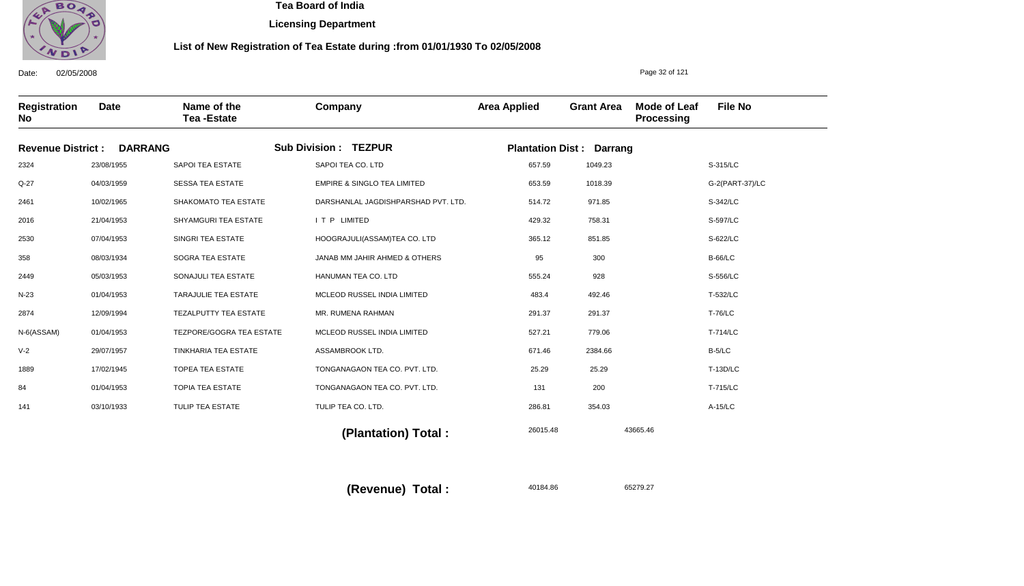

**Licensing Department**

#### **List of New Registration of Tea Estate during :from 01/01/1930 To 02/05/2008**

Date: 02/05/2008 **Registration No Date Name of the Tea -Estate Company Area Applied Grant Area Mode of Leaf Processing File No** Page 32 of 121 **Revenue District : DARRANG Sub Division : TEZPUR Plantation Dist : Darrang** 2324 Q-27 2461 2016 2530 358 2449 N-23 2874 N-6(ASSAM) V-2 1889 84 141 23/08/1955 04/03/1959 10/02/1965 21/04/1953 07/04/1953 08/03/1934 05/03/1953 01/04/1953 12/09/1994 01/04/1953 29/07/1957 17/02/1945 01/04/1953 03/10/1933 SAPOI TEA ESTATE SESSA TEA ESTATE SHAKOMATO TEA ESTATE SHYAMGURI TEA ESTATE SINGRI TEA ESTATE SOGRA TEA ESTATE SONAJULI TEA ESTATE TARAJULIE TEA ESTATE TEZALPUTTY TEA ESTATE TEZPORE/GOGRA TEA ESTATE TINKHARIA TEA ESTATE TOPEA TEA ESTATE TOPIA TEA ESTATE TULIP TEA ESTATE SAPOI TEA CO. LTD EMPIRE & SINGLO TEA LIMITED DARSHANLAL JAGDISHPARSHAD PVT. LTD. I T P LIMITED HOOGRAJULI(ASSAM)TEA CO. LTD JANAB MM JAHIR AHMED & OTHERS HANUMAN TEA CO. LTD MCLEOD RUSSEL INDIA LIMITED MR. RUMENA RAHMAN MCLEOD RUSSEL INDIA LIMITED ASSAMBROOK LTD. TONGANAGAON TEA CO. PVT. LTD. TONGANAGAON TEA CO. PVT. LTD. TULIP TEA CO. LTD. 657.59 653.59 514.72 429.32 365.12 95 555.24 483.4 291.37 527.21 671.46 25.29 131 286.81 S-315/LC G-2(PART-37)/LC S-342/LC S-597/LC S-622/LC B-66/LC S-556/LC T-532/LC T-76/LC T-714/LC B-5/LC T-13D/LC T-715/LC A-15/LC 26015.48 43665.46  **(Plantation) Total :**  1049.23 1018.39 971.85 758.31 851.85 300 928 492.46 291.37 779.06 2384.66 25.29 200 354.03

**(Revenue) Total :** 

40184.86 65279.27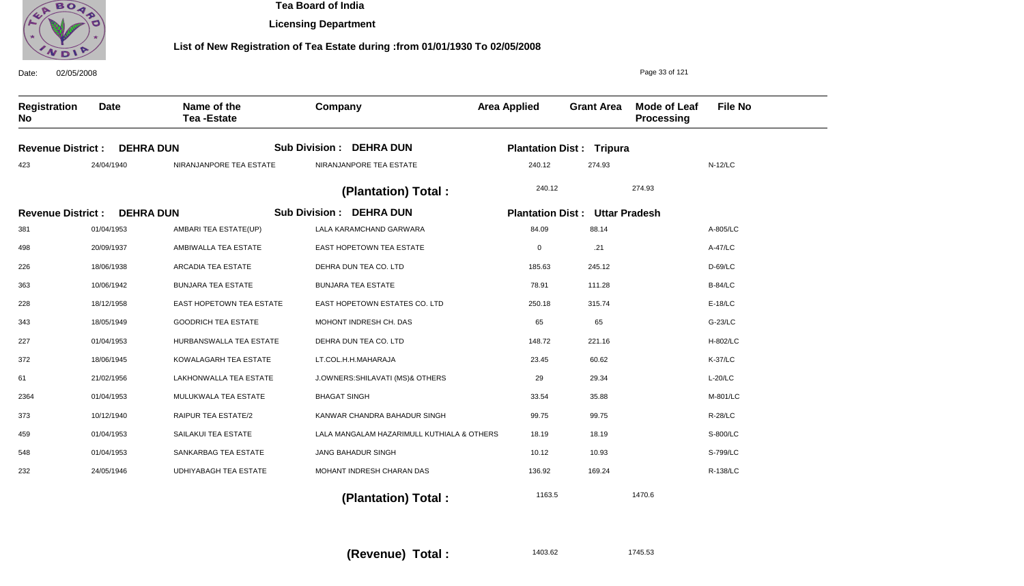

**Licensing Department**

| 02/05/2008<br>Date:       |                  |                                  |                                            | Page 33 of 121          |                                 |                                   |                |  |
|---------------------------|------------------|----------------------------------|--------------------------------------------|-------------------------|---------------------------------|-----------------------------------|----------------|--|
| <b>Registration</b><br>No | <b>Date</b>      | Name of the<br><b>Tea-Estate</b> | Company                                    | <b>Area Applied</b>     | <b>Grant Area</b>               | <b>Mode of Leaf</b><br>Processing | <b>File No</b> |  |
| <b>Revenue District:</b>  | <b>DEHRA DUN</b> |                                  | <b>Sub Division : DEHRA DUN</b>            |                         | <b>Plantation Dist: Tripura</b> |                                   |                |  |
| 423                       | 24/04/1940       | NIRANJANPORE TEA ESTATE          | NIRANJANPORE TEA ESTATE                    | 240.12                  | 274.93                          |                                   | $N-12/LC$      |  |
|                           |                  |                                  | (Plantation) Total:                        | 240.12                  |                                 | 274.93                            |                |  |
| <b>Revenue District:</b>  | <b>DEHRA DUN</b> |                                  | <b>Sub Division : DEHRA DUN</b>            | <b>Plantation Dist:</b> | <b>Uttar Pradesh</b>            |                                   |                |  |
| 381                       | 01/04/1953       | AMBARI TEA ESTATE(UP)            | LALA KARAMCHAND GARWARA                    | 84.09                   | 88.14                           |                                   | A-805/LC       |  |
| 498                       | 20/09/1937       | AMBIWALLA TEA ESTATE             | EAST HOPETOWN TEA ESTATE                   | $\mathbf 0$             | .21                             |                                   | A-47/LC        |  |
| 226                       | 18/06/1938       | ARCADIA TEA ESTATE               | DEHRA DUN TEA CO. LTD                      | 185.63                  | 245.12                          |                                   | $D-69/LC$      |  |
| 363                       | 10/06/1942       | <b>BUNJARA TEA ESTATE</b>        | <b>BUNJARA TEA ESTATE</b>                  | 78.91                   | 111.28                          |                                   | <b>B-84/LC</b> |  |
| 228                       | 18/12/1958       | EAST HOPETOWN TEA ESTATE         | EAST HOPETOWN ESTATES CO. LTD              | 250.18                  | 315.74                          |                                   | $E-18/LC$      |  |
| 343                       | 18/05/1949       | <b>GOODRICH TEA ESTATE</b>       | MOHONT INDRESH CH. DAS                     | 65                      | 65                              |                                   | G-23/LC        |  |
| 227                       | 01/04/1953       | HURBANSWALLA TEA ESTATE          | DEHRA DUN TEA CO. LTD                      | 148.72                  | 221.16                          |                                   | H-802/LC       |  |
| 372                       | 18/06/1945       | KOWALAGARH TEA ESTATE            | LT.COL.H.H.MAHARAJA                        | 23.45                   | 60.62                           |                                   | <b>K-37/LC</b> |  |
| 61                        | 21/02/1956       | LAKHONWALLA TEA ESTATE           | J.OWNERS: SHILAVATI (MS)& OTHERS           | 29                      | 29.34                           |                                   | $L-20/LC$      |  |
| 2364                      | 01/04/1953       | MULUKWALA TEA ESTATE             | <b>BHAGAT SINGH</b>                        | 33.54                   | 35.88                           |                                   | M-801/LC       |  |
| 373                       | 10/12/1940       | <b>RAIPUR TEA ESTATE/2</b>       | KANWAR CHANDRA BAHADUR SINGH               | 99.75                   | 99.75                           |                                   | <b>R-28/LC</b> |  |
| 459                       | 01/04/1953       | SAILAKUI TEA ESTATE              | LALA MANGALAM HAZARIMULL KUTHIALA & OTHERS | 18.19                   | 18.19                           |                                   | S-800/LC       |  |
| 548                       | 01/04/1953       | SANKARBAG TEA ESTATE             | <b>JANG BAHADUR SINGH</b>                  | 10.12                   | 10.93                           |                                   | S-799/LC       |  |
| 232                       | 24/05/1946       | <b>UDHIYABAGH TEA ESTATE</b>     | MOHANT INDRESH CHARAN DAS                  | 136.92                  | 169.24                          |                                   | R-138/LC       |  |
|                           |                  |                                  | (Plantation) Total:                        | 1163.5                  |                                 | 1470.6                            |                |  |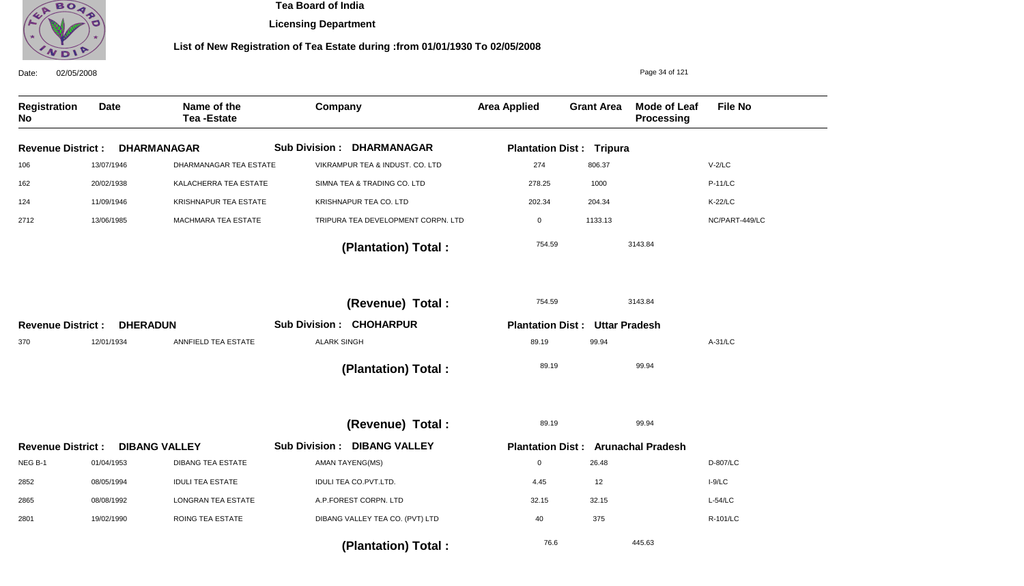

**Licensing Department**

| 02/05/2008<br>Date:              |                 |                                  |                                              |                     |                                       | Page 34 of 121                            |                |
|----------------------------------|-----------------|----------------------------------|----------------------------------------------|---------------------|---------------------------------------|-------------------------------------------|----------------|
| <b>Registration</b><br><b>No</b> | <b>Date</b>     | Name of the<br><b>Tea-Estate</b> | Company                                      | <b>Area Applied</b> | <b>Grant Area</b>                     | <b>Mode of Leaf</b><br>Processing         | <b>File No</b> |
| <b>Revenue District:</b>         |                 | <b>DHARMANAGAR</b>               | <b>Sub Division:</b><br><b>DHARMANAGAR</b>   |                     | <b>Plantation Dist: Tripura</b>       |                                           |                |
| 106                              | 13/07/1946      | <b>DHARMANAGAR TEA ESTATE</b>    | VIKRAMPUR TEA & INDUST. CO. LTD              | 274                 | 806.37                                |                                           | $V-2/LC$       |
| 162                              | 20/02/1938      | KALACHERRA TEA ESTATE            | SIMNA TEA & TRADING CO. LTD                  | 278.25              | 1000                                  |                                           | <b>P-11/LC</b> |
| 124                              | 11/09/1946      | KRISHNAPUR TEA ESTATE            | KRISHNAPUR TEA CO. LTD                       | 202.34              | 204.34                                |                                           | <b>K-22/LC</b> |
| 2712                             | 13/06/1985      | MACHMARA TEA ESTATE              | TRIPURA TEA DEVELOPMENT CORPN. LTD           | $\mathbf 0$         | 1133.13                               |                                           | NC/PART-449/LC |
|                                  |                 |                                  | (Plantation) Total:                          | 754.59              |                                       | 3143.84                                   |                |
|                                  |                 |                                  | (Revenue) Total :                            | 754.59              |                                       | 3143.84                                   |                |
| <b>Revenue District:</b>         | <b>DHERADUN</b> |                                  | <b>Sub Division: CHOHARPUR</b>               |                     | <b>Plantation Dist: Uttar Pradesh</b> |                                           |                |
| 370                              | 12/01/1934      | ANNFIELD TEA ESTATE              | <b>ALARK SINGH</b>                           | 89.19               | 99.94                                 |                                           | A-31/LC        |
|                                  |                 |                                  | (Plantation) Total:                          | 89.19               |                                       | 99.94                                     |                |
|                                  |                 |                                  | (Revenue) Total :                            | 89.19               |                                       | 99.94                                     |                |
| <b>Revenue District:</b>         |                 | <b>DIBANG VALLEY</b>             | <b>DIBANG VALLEY</b><br><b>Sub Division:</b> |                     |                                       | <b>Plantation Dist: Arunachal Pradesh</b> |                |
| NEG B-1                          | 01/04/1953      | <b>DIBANG TEA ESTATE</b>         | AMAN TAYENG(MS)                              | $\mathbf 0$         | 26.48                                 |                                           | D-807/LC       |
| 2852                             | 08/05/1994      | <b>IDULI TEA ESTATE</b>          | IDULI TEA CO.PVT.LTD.                        | 4.45                | 12                                    |                                           | $I-9/LC$       |
| 2865                             | 08/08/1992      | <b>LONGRAN TEA ESTATE</b>        | A.P.FOREST CORPN. LTD                        | 32.15               | 32.15                                 |                                           | $L-54/LC$      |
| 2801                             | 19/02/1990      | ROING TEA ESTATE                 | DIBANG VALLEY TEA CO. (PVT) LTD              | 40                  | 375                                   |                                           | R-101/LC       |
|                                  |                 |                                  | (Plantation) Total:                          | 76.6                |                                       | 445.63                                    |                |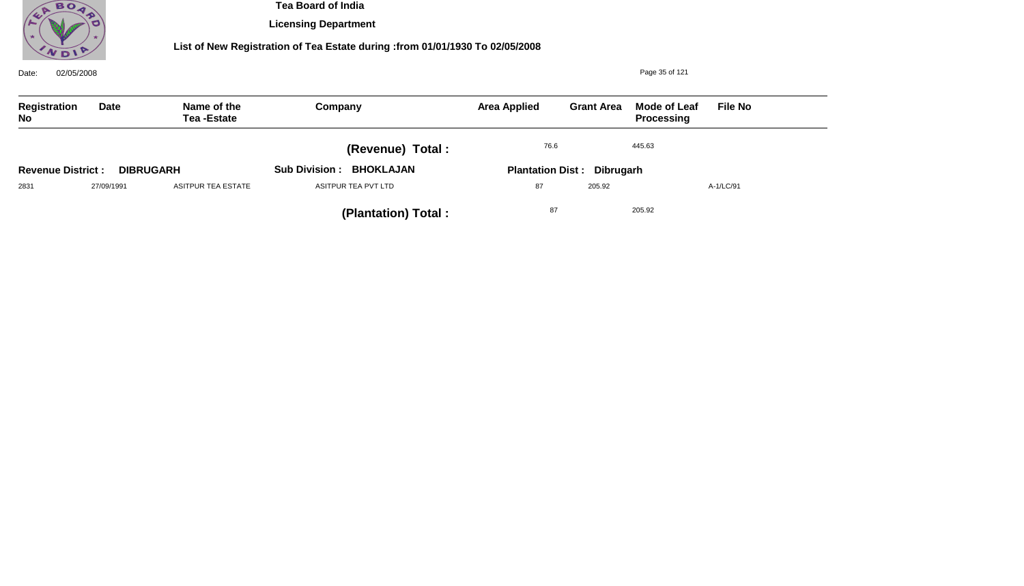

**Licensing Department**

| 02/05/2008<br>Date:       |                  |                           |                                          | Page 35 of 121                    |                   |                                   |                |  |
|---------------------------|------------------|---------------------------|------------------------------------------|-----------------------------------|-------------------|-----------------------------------|----------------|--|
| Registration<br><b>No</b> | Date             | Name of the<br>Tea-Estate | Company                                  | <b>Area Applied</b>               | <b>Grant Area</b> | <b>Mode of Leaf</b><br>Processing | <b>File No</b> |  |
|                           |                  |                           | (Revenue) Total:                         | 76.6<br>445.63                    |                   |                                   |                |  |
| <b>Revenue District:</b>  | <b>DIBRUGARH</b> |                           | <b>BHOKLAJAN</b><br><b>Sub Division:</b> | <b>Plantation Dist: Dibrugarh</b> |                   |                                   |                |  |
| 2831                      | 27/09/1991       | ASITPUR TEA ESTATE        | ASITPUR TEA PVT LTD                      | 87                                | 205.92            |                                   | A-1/LC/91      |  |
|                           |                  |                           | (Plantation) Total:                      | 87                                |                   | 205.92                            |                |  |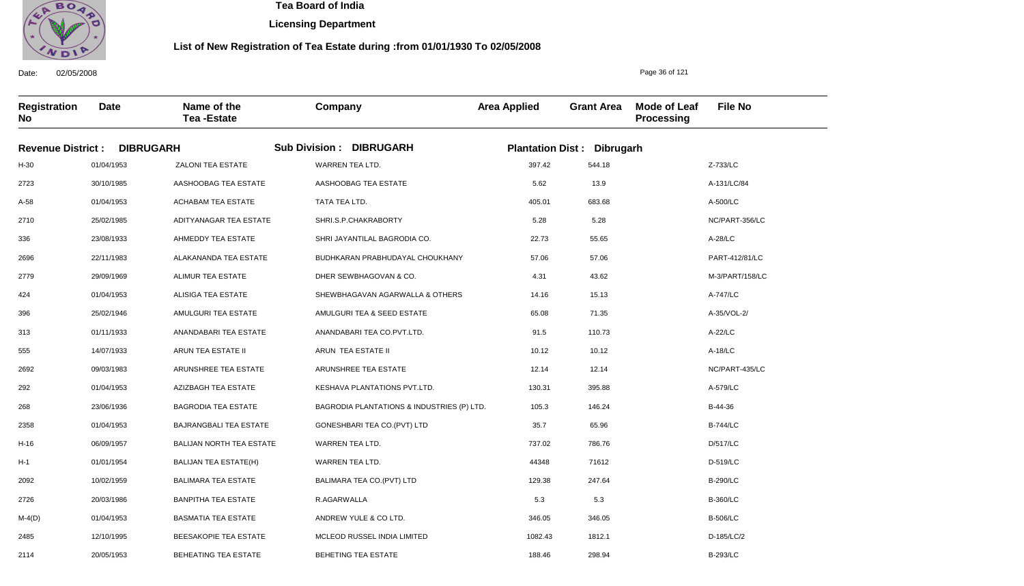

Date: 02/05/2008

2114

20/05/1953

BEHEATING TEA ESTATE

 **Tea Board of India** 

**Licensing Department**

#### **List of New Registration of Tea Estate during :from 01/01/1930 To 02/05/2008**

Page 36 of 121

B-293/LC

**Registration No Date Name of the Tea -Estate Company Area Applied Grant Area Mode of Leaf Processing File No Revenue District : DIBRUGARH Sub Division : DIBRUGARH Plantation Dist : Dibrugarh** H-30 2723 A-58 2710 336 2696 2779 424 396 313 555 2692 292 268 2358 H-16 H-1 2092 2726 M-4(D) 2485 01/04/1953 30/10/1985 01/04/1953 25/02/1985 23/08/1933 22/11/1983 29/09/1969 01/04/1953 25/02/1946 01/11/1933 14/07/1933 09/03/1983 01/04/1953 23/06/1936 01/04/1953 06/09/1957 01/01/1954 10/02/1959 20/03/1986 01/04/1953 12/10/1995 ZALONI TEA ESTATE AASHOOBAG TEA ESTATE ACHABAM TEA ESTATE ADITYANAGAR TEA ESTATE AHMEDDY TEA ESTATE ALAKANANDA TEA ESTATE ALIMUR TEA ESTATE ALISIGA TEA ESTATE AMULGURI TEA ESTATE ANANDABARI TEA ESTATE ARUN TEA ESTATE II ARUNSHREE TEA ESTATE AZIZBAGH TEA ESTATE BAGRODIA TEA ESTATE BAJRANGBALI TEA ESTATE BALIJAN NORTH TEA ESTATE BALIJAN TEA ESTATE(H) BALIMARA TEA ESTATE BANPITHA TEA ESTATE BASMATIA TEA ESTATE BEESAKOPIE TEA ESTATE WARREN TEA LTD. AASHOOBAG TEA ESTATE TATA TEA LTD. SHRI.S.P.CHAKRABORTY SHRI JAYANTILAL BAGRODIA CO. BUDHKARAN PRABHUDAYAL CHOUKHANY DHER SEWBHAGOVAN & CO. SHEWBHAGAVAN AGARWALLA & OTHERS AMULGURI TEA & SEED ESTATE ANANDABARI TEA CO.PVT.LTD. ARUN TEA ESTATE II ARUNSHREE TEA ESTATE KESHAVA PLANTATIONS PVT.LTD. BAGRODIA PLANTATIONS & INDUSTRIES (P) LTD. GONESHBARI TEA CO.(PVT) LTD WARREN TEA LTD. WARREN TEA LTD. BALIMARA TEA CO.(PVT) LTD R.AGARWALLA ANDREW YULE & CO LTD. MCLEOD RUSSEL INDIA LIMITED 397.42 5.62 405.01 5.28 22.73 57.06 4.31 14.16 65.08 91.5 10.12 12.14 130.31 105.3 35.7 737.02 44348 129.38 5.3 346.05 1082.43 Z-733/LC A-131/LC/84 A-500/LC NC/PART-356/LC A-28/LC PART-412/81/LC M-3/PART/158/LC A-747/LC A-35/VOL-2/ A-22/LC A-18/LC NC/PART-435/LC A-579/LC B-44-36 B-744/LC D/517/LC D-519/LC B-290/LC B-360/LC B-506/LC D-185/LC/2 544.18 13.9 683.68 5.28 55.65 57.06 43.62 15.13 71.35 110.73 10.12 12.14 395.88 146.24 65.96 786.76 71612 247.64 5.3 346.05 1812.1

BEHETING TEA ESTATE

188.46

298.94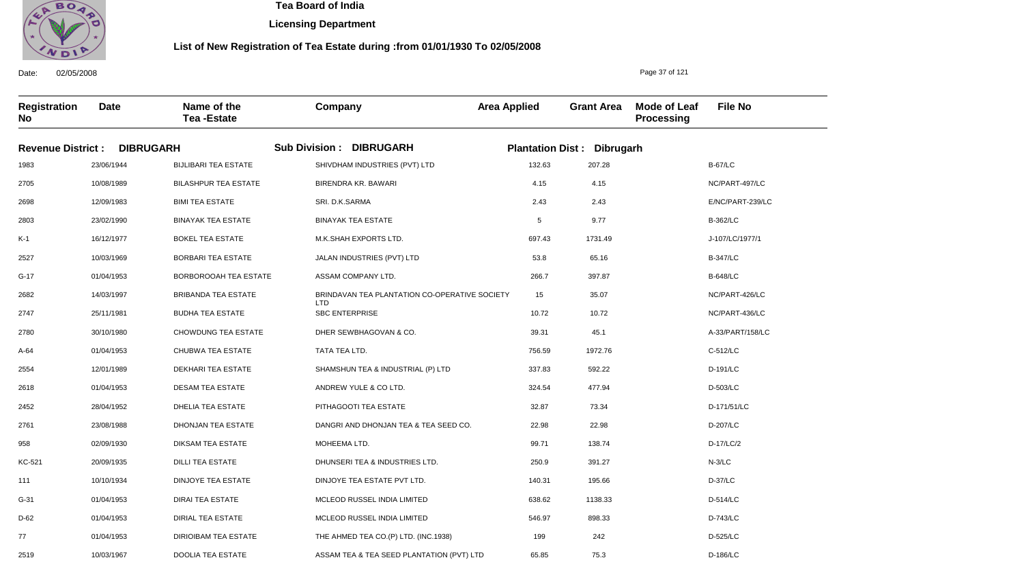

**Licensing Department**

#### **List of New Registration of Tea Estate during :from 01/01/1930 To 02/05/2008**

**Registration No Date Name of the Tea -Estate Company Area Applied Grant Area Mode of Leaf Processing File No Revenue District : DIBRUGARH Sub Division : DIBRUGARH Plantation Dist : Dibrugarh** 1983 2705 2698 2803 K-1 2527 G-17 2682 2747 2780 A-64 2554 2618 2452 2761 958 KC-521 111 G-31 D-62 77 23/06/1944 10/08/1989 12/09/1983 23/02/1990 16/12/1977 10/03/1969 01/04/1953 14/03/1997 25/11/1981 30/10/1980 01/04/1953 12/01/1989 01/04/1953 28/04/1952 23/08/1988 02/09/1930 20/09/1935 10/10/1934 01/04/1953 01/04/1953 01/04/1953 BIJLIBARI TEA ESTATE BILASHPUR TEA ESTATE BIMI TEA ESTATE BINAYAK TEA ESTATE BOKEL TEA ESTATE BORBARI TEA ESTATE BORBOROOAH TEA ESTATE BRIBANDA TEA ESTATE BUDHA TEA ESTATE CHOWDUNG TEA ESTATE CHUBWA TEA ESTATE DEKHARI TEA ESTATE DESAM TEA ESTATE DHELIA TEA ESTATE DHONJAN TEA ESTATE DIKSAM TEA ESTATE DILLI TEA ESTATE DINJOYE TEA ESTATE DIRAI TEA ESTATE DIRIAL TEA ESTATE DIRIOIBAM TEA ESTATE SHIVDHAM INDUSTRIES (PVT) LTD BIRENDRA KR. BAWARI SRI. D.K.SARMA BINAYAK TEA ESTATE M.K.SHAH EXPORTS LTD. JALAN INDUSTRIES (PVT) LTD ASSAM COMPANY LTD. BRINDAVAN TEA PLANTATION CO-OPERATIVE SOCIETY LTD SBC ENTERPRISE DHER SEWBHAGOVAN & CO. TATA TEA LTD. SHAMSHUN TEA & INDUSTRIAL (P) LTD ANDREW YULE & CO LTD. PITHAGOOTI TEA ESTATE DANGRI AND DHONJAN TEA & TEA SEED CO. MOHEEMA LTD. DHUNSERI TEA & INDUSTRIES LTD. DINJOYE TEA ESTATE PVT LTD. MCLEOD RUSSEL INDIA LIMITED MCLEOD RUSSEL INDIA LIMITED THE AHMED TEA CO.(P) LTD. (INC.1938) 132.63 4.15 2.43 5 697.43 53.8 266.7 15 10.72 39.31 756.59 337.83 324.54 32.87 22.98 99.71 250.9 140.31 638.62 546.97 199 B-67/LC NC/PART-497/LC E/NC/PART-239/LC B-362/LC J-107/LC/1977/1 B-347/LC B-648/LC NC/PART-426/LC NC/PART-436/LC A-33/PART/158/LC C-512/LC D-191/LC D-503/LC D-171/51/LC D-207/LC D-17/LC/2 N-3/LC D-37/LC D-514/LC D-743/LC D-525/LC 207.28 4.15 2.43 9.77 1731.49 65.16 397.87 35.07 10.72 45.1 1972.76 592.22 477.94 73.34 22.98 138.74 391.27 195.66 1138.33 898.33 242

ASSAM TEA & TEA SEED PLANTATION (PVT) LTD

65.85

75.3

Date: 02/05/2008

2519

10/03/1967

DOOLIA TEA ESTATE

Page 37 of 121

D-186/LC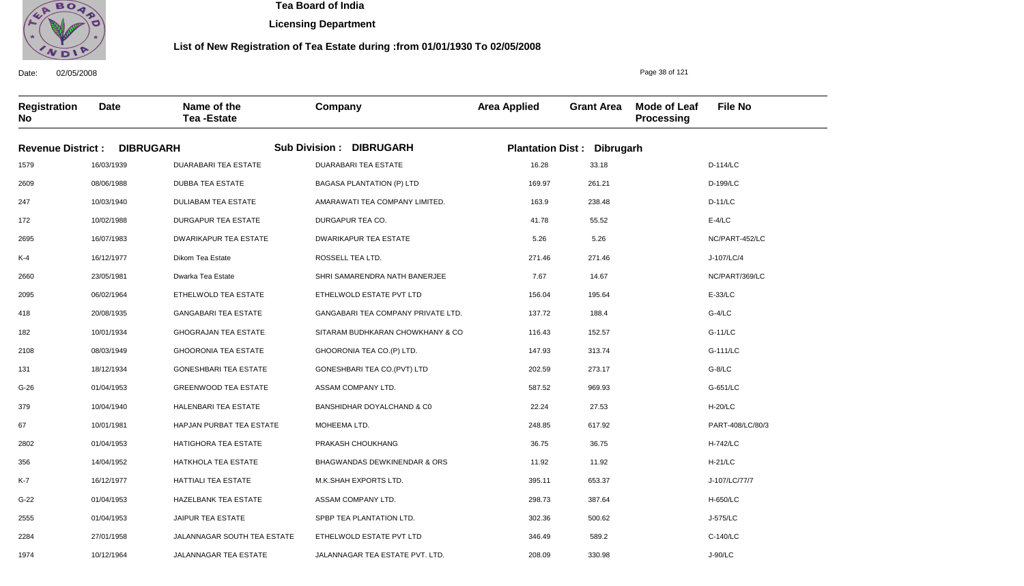

**Licensing Department**

#### **List of New Registration of Tea Estate during :from 01/01/1930 To 02/05/2008**

**Registration No Date Name of the Tea -Estate Company Area Applied Grant Area Mode of Leaf Processing File No Revenue District : DIBRUGARH Sub Division : DIBRUGARH Plantation Dist : Dibrugarh** 1579 2609 247 172 2695 K-4 2660 2095 418 182 2108 131 G-26 379 67 2802 356 K-7 G-22 2555 2284 16/03/1939 08/06/1988 10/03/1940 10/02/1988 16/07/1983 16/12/1977 23/05/1981 06/02/1964 20/08/1935 10/01/1934 08/03/1949 18/12/1934 01/04/1953 10/04/1940 10/01/1981 01/04/1953 14/04/1952 16/12/1977 01/04/1953 01/04/1953 27/01/1958 DUARABARI TEA ESTATE DUBBA TEA ESTATE DULIABAM TEA ESTATE DURGAPUR TEA ESTATE DWARIKAPUR TEA ESTATE Dikom Tea Estate Dwarka Tea Estate ETHELWOLD TEA ESTATE GANGABARI TEA ESTATE GHOGRAJAN TEA ESTATE GHOORONIA TEA ESTATE GONESHBARI TEA ESTATE GREENWOOD TEA ESTATE HALENBARI TEA ESTATE HAPJAN PURBAT TEA ESTATE HATIGHORA TEA ESTATE HATKHOLA TEA ESTATE HATTIALI TEA ESTATE HAZELBANK TEA ESTATE JAIPUR TEA ESTATE JALANNAGAR SOUTH TEA ESTATE DUARABARI TEA ESTATE BAGASA PLANTATION (P) LTD AMARAWATI TEA COMPANY LIMITED. DURGAPUR TEA CO. DWARIKAPUR TEA ESTATE ROSSELL TEA LTD. SHRI SAMARENDRA NATH BANERJEE ETHELWOLD ESTATE PVT LTD GANGABARI TEA COMPANY PRIVATE LTD. SITARAM BUDHKARAN CHOWKHANY & CO GHOORONIA TEA CO.(P) LTD. GONESHBARI TEA CO.(PVT) LTD ASSAM COMPANY LTD. BANSHIDHAR DOYALCHAND & C0 MOHEEMA LTD. PRAKASH CHOUKHANG BHAGWANDAS DEWKINENDAR & ORS M.K.SHAH EXPORTS LTD. ASSAM COMPANY LTD. SPBP TEA PLANTATION LTD. ETHELWOLD ESTATE PVT LTD 16.28 169.97 163.9 41.78 5.26 271.46 7.67 156.04 137.72 116.43 147.93 202.59 587.52 22.24 248.85 36.75 11.92 395.11 298.73 302.36 346.49 D-114/LC D-199/LC D-11/LC E-4/LC NC/PART-452/LC J-107/LC/4 NC/PART/369/LC E-33/LC G-4/LC G-11/LC G-111/LC G-8/LC G-651/LC H-20/LC PART-408/LC/80/3 H-742/LC H-21/LC J-107/LC/77/7 H-650/LC J-575/LC C-140/LC 33.18 261.21 238.48 55.52 5.26 271.46 14.67 195.64 188.4 152.57 313.74 273.17 969.93 27.53 617.92 36.75 11.92 653.37 387.64 500.62 589.2

JALANNAGAR TEA ESTATE PVT. LTD.

208.09

330.98

Date: 02/05/2008

1974

10/12/1964

JALANNAGAR TEA ESTATE

Page 38 of 121

J-90/LC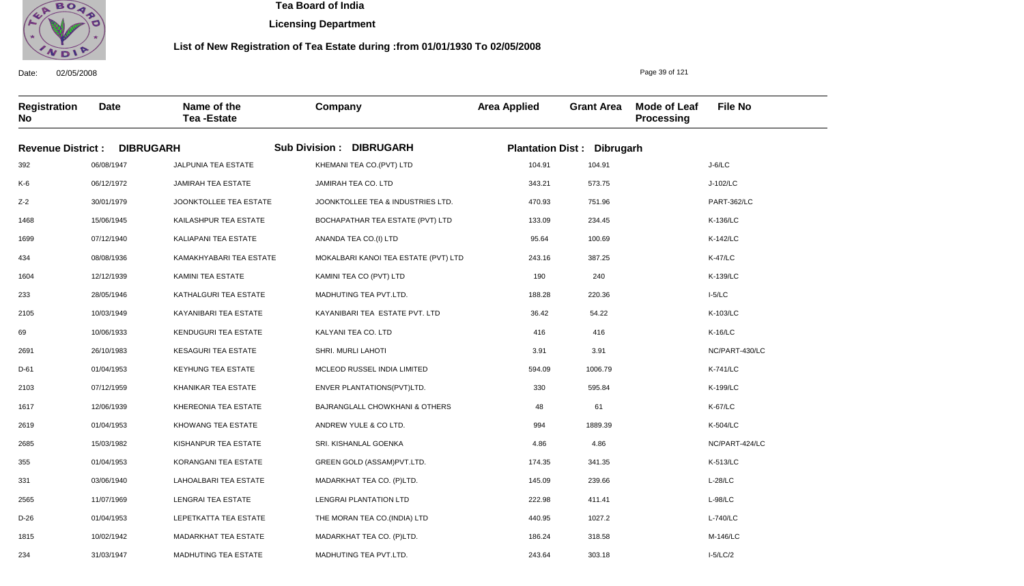

**Licensing Department**

#### **List of New Registration of Tea Estate during :from 01/01/1930 To 02/05/2008**

**Registration No Date Name of the Tea -Estate Company Area Applied Grant Area Mode of Leaf Processing File No Revenue District : DIBRUGARH Sub Division : DIBRUGARH Plantation Dist : Dibrugarh** 392 K-6 Z-2 1468 1699 434 1604 233 2105 69 2691 D-61 2103 1617 2619 2685 355 331 2565 D-26 1815 06/08/1947 06/12/1972 30/01/1979 15/06/1945 07/12/1940 08/08/1936 12/12/1939 28/05/1946 10/03/1949 10/06/1933 26/10/1983 01/04/1953 07/12/1959 12/06/1939 01/04/1953 15/03/1982 01/04/1953 03/06/1940 11/07/1969 01/04/1953 10/02/1942 JALPUNIA TEA ESTATE JAMIRAH TEA ESTATE JOONKTOLLEE TEA ESTATE KAILASHPUR TEA ESTATE KALIAPANI TEA ESTATE KAMAKHYABARI TEA ESTATE KAMINI TEA ESTATE KATHALGURI TEA ESTATE KAYANIBARI TEA ESTATE KENDUGURI TEA ESTATE KESAGURI TEA ESTATE KEYHUNG TEA ESTATE KHANIKAR TEA ESTATE KHEREONIA TEA ESTATE KHOWANG TEA ESTATE KISHANPUR TEA ESTATE KORANGANI TEA ESTATE LAHOALBARI TEA ESTATE LENGRAI TEA ESTATE LEPETKATTA TEA ESTATE MADARKHAT TEA ESTATE KHEMANI TEA CO.(PVT) LTD JAMIRAH TEA CO. LTD JOONKTOLLEE TEA & INDUSTRIES LTD. BOCHAPATHAR TEA ESTATE (PVT) LTD ANANDA TEA CO.(I) LTD MOKALBARI KANOI TEA ESTATE (PVT) LTD KAMINI TEA CO (PVT) LTD MADHUTING TEA PVT.LTD. KAYANIBARI TEA ESTATE PVT. LTD KALYANI TEA CO. LTD SHRI. MURLI LAHOTI MCLEOD RUSSEL INDIA LIMITED ENVER PLANTATIONS(PVT)LTD. BAJRANGLALL CHOWKHANI & OTHERS ANDREW YULE & CO LTD. SRI. KISHANLAL GOENKA GREEN GOLD (ASSAM)PVT.LTD. MADARKHAT TEA CO. (P)LTD. LENGRAI PLANTATION LTD THE MORAN TEA CO.(INDIA) LTD MADARKHAT TEA CO. (P)LTD. 104.91 343.21 470.93 133.09 95.64 243.16 190 188.28 36.42 416 3.91 594.09 330 48 994 4.86 174.35 145.09 222.98 440.95 186.24 J-6/LC J-102/LC PART-362/LC K-136/LC K-142/LC K-47/LC K-139/LC I-5/LC K-103/LC K-16/LC NC/PART-430/LC K-741/LC K-199/LC K-67/LC K-504/LC NC/PART-424/LC K-513/LC L-28/LC L-98/LC L-740/LC M-146/LC 104.91 573.75 751.96 234.45 100.69 387.25 240 220.36 54.22 416 3.91 1006.79 595.84 61 1889.39 4.86 341.35 239.66 411.41 1027.2 318.58

MADHUTING TEA PVT.LTD.

243.64

303.18

Date: 02/05/2008

234

31/03/1947

MADHUTING TEA ESTATE

Page 39 of 121

I-5/LC/2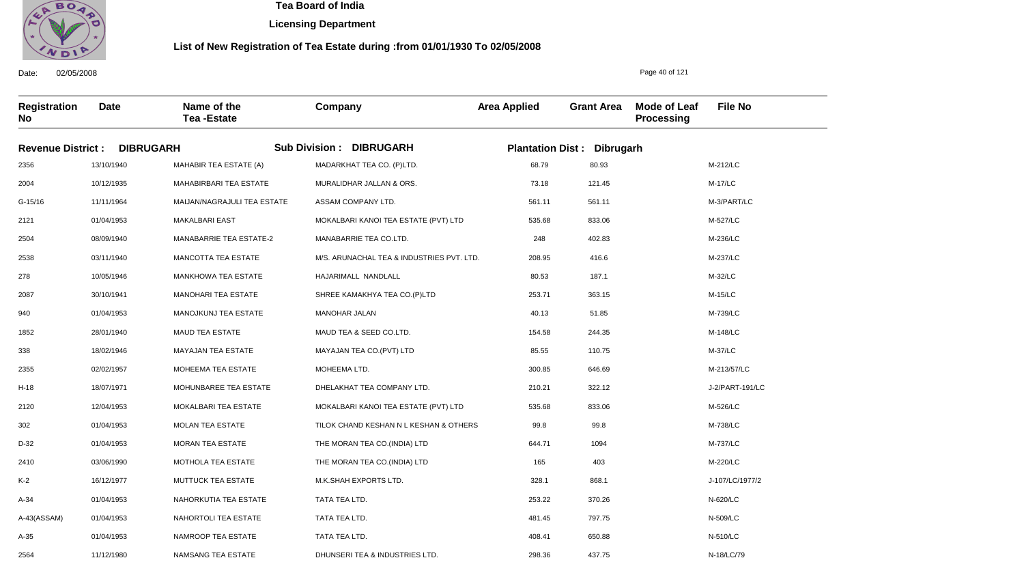

**Licensing Department**

#### **List of New Registration of Tea Estate during :from 01/01/1930 To 02/05/2008**

**Registration No Date Name of the Tea -Estate Company Area Applied Grant Area Mode of Leaf Processing File No Revenue District : DIBRUGARH Sub Division : DIBRUGARH Plantation Dist : Dibrugarh** 2356 2004 G-15/16 2121 2504 2538 278 2087 940 1852 338 2355 H-18 2120 302 D-32 2410 K-2 A-34 A-43(ASSAM) A-35 13/10/1940 10/12/1935 11/11/1964 01/04/1953 08/09/1940 03/11/1940 10/05/1946 30/10/1941 01/04/1953 28/01/1940 18/02/1946 02/02/1957 18/07/1971 12/04/1953 01/04/1953 01/04/1953 03/06/1990 16/12/1977 01/04/1953 01/04/1953 01/04/1953 MAHABIR TEA ESTATE (A) MAHABIRBARI TEA ESTATE MAIJAN/NAGRAJULI TEA ESTATE MAKALBARI EAST MANABARRIE TEA ESTATE-2 MANCOTTA TEA ESTATE MANKHOWA TEA ESTATE MANOHARI TEA ESTATE MANOJKUNJ TEA ESTATE MAUD TEA ESTATE MAYAJAN TEA ESTATE MOHEEMA TEA ESTATE MOHUNBAREE TEA ESTATE MOKALBARI TEA ESTATE MOLAN TEA ESTATE MORAN TEA ESTATE MOTHOLA TEA ESTATE MUTTUCK TEA ESTATE NAHORKUTIA TEA ESTATE NAHORTOLI TEA ESTATE NAMROOP TEA ESTATE MADARKHAT TEA CO. (P)LTD. MURALIDHAR JALLAN & ORS. ASSAM COMPANY LTD. MOKALBARI KANOI TEA ESTATE (PVT) LTD MANABARRIE TEA CO.LTD. M/S. ARUNACHAL TEA & INDUSTRIES PVT. LTD. HAJARIMALL NANDLALL SHREE KAMAKHYA TEA CO.(P)LTD MANOHAR JALAN MAUD TEA & SEED CO.LTD. MAYAJAN TEA CO.(PVT) LTD MOHEEMA LTD. DHELAKHAT TEA COMPANY LTD. MOKALBARI KANOI TEA ESTATE (PVT) LTD TILOK CHAND KESHAN N L KESHAN & OTHERS THE MORAN TEA CO.(INDIA) LTD THE MORAN TEA CO.(INDIA) LTD M.K.SHAH EXPORTS LTD. TATA TEA LTD. TATA TEA LTD. TATA TEA LTD. 68.79 73.18 561.11 535.68 248 208.95 80.53 253.71 40.13 154.58 85.55 300.85 210.21 535.68 99.8 644.71 165 328.1 253.22 481.45 408.41 M-212/LC M-17/LC M-3/PART/LC M-527/LC M-236/LC M-237/LC M-32/LC M-15/LC M-739/LC M-148/LC M-37/LC M-213/57/LC J-2/PART-191/LC M-526/LC M-738/LC M-737/LC M-220/LC J-107/LC/1977/2 N-620/LC N-509/LC N-510/LC 80.93 121.45 561.11 833.06 402.83 416.6 187.1 363.15 51.85 244.35 110.75 646.69 322.12 833.06 99.8 1094 403 868.1 370.26 797.75 650.88

DHUNSERI TEA & INDUSTRIES LTD.

298.36

437.75

Date: 02/05/2008

2564

11/12/1980

NAMSANG TEA ESTATE

Page 40 of 121

N-18/LC/79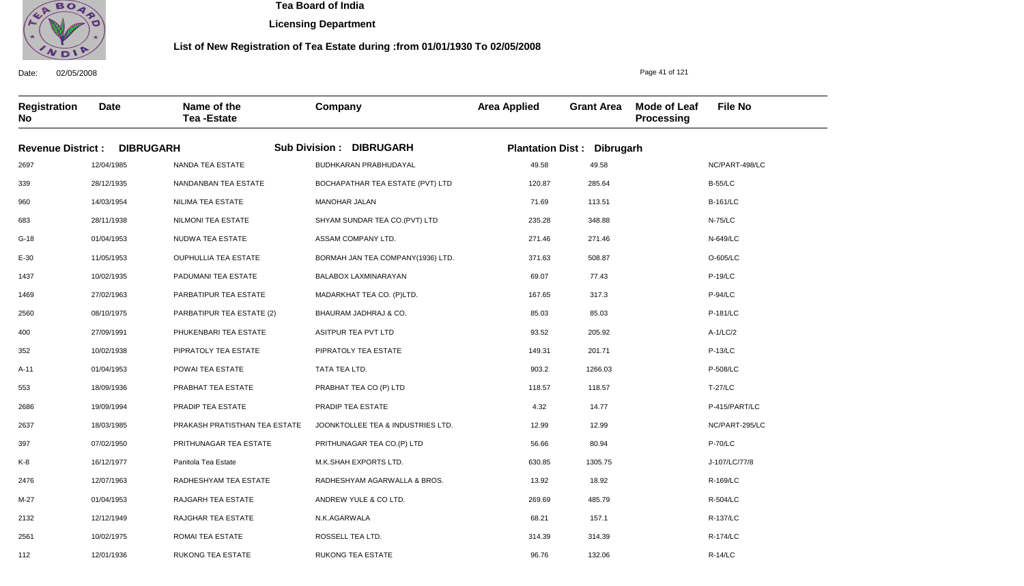

**Licensing Department**

#### **List of New Registration of Tea Estate during :from 01/01/1930 To 02/05/2008**

**Registration No Date Name of the Tea -Estate Company Area Applied Grant Area Mode of Leaf Processing File No Revenue District : DIBRUGARH Sub Division : DIBRUGARH Plantation Dist : Dibrugarh** 2697 339 960 683 G-18 E-30 1437 1469 2560 400 352 A-11 553 2686 2637 397 K-8 2476 M-27 2132 2561 12/04/1985 28/12/1935 14/03/1954 28/11/1938 01/04/1953 11/05/1953 10/02/1935 27/02/1963 08/10/1975 27/09/1991 10/02/1938 01/04/1953 18/09/1936 19/09/1994 18/03/1985 07/02/1950 16/12/1977 12/07/1963 01/04/1953 12/12/1949 10/02/1975 NANDA TEA ESTATE NANDANBAN TEA ESTATE NILIMA TEA ESTATE NILMONI TEA ESTATE NUDWA TEA ESTATE OUPHULLIA TEA ESTATE PADUMANI TEA ESTATE PARBATIPUR TEA ESTATE PARBATIPUR TEA ESTATE (2) PHUKENBARI TEA ESTATE PIPRATOLY TEA ESTATE POWAI TEA ESTATE PRABHAT TEA ESTATE PRADIP TEA ESTATE PRAKASH PRATISTHAN TEA ESTATE PRITHUNAGAR TEA ESTATE Panitola Tea Estate RADHESHYAM TEA ESTATE RAJGARH TEA ESTATE RAJGHAR TEA ESTATE ROMAI TEA ESTATE BUDHKARAN PRABHUDAYAL BOCHAPATHAR TEA ESTATE (PVT) LTD MANOHAR JALAN SHYAM SUNDAR TEA CO.(PVT) LTD ASSAM COMPANY LTD. BORMAH JAN TEA COMPANY(1936) LTD. BALABOX LAXMINARAYAN MADARKHAT TEA CO. (P)LTD. BHAURAM JADHRAJ & CO. ASITPUR TEA PVT LTD PIPRATOLY TEA ESTATE TATA TEA LTD. PRABHAT TEA CO (P) LTD PRADIP TEA ESTATE JOONKTOLLEE TEA & INDUSTRIES LTD. PRITHUNAGAR TEA CO.(P) LTD M.K.SHAH EXPORTS LTD. RADHESHYAM AGARWALLA & BROS. ANDREW YULE & CO LTD. N.K.AGARWALA ROSSELL TEA LTD. RUKONG TEA ESTATE 49.58 120.87 71.69 235.28 271.46 371.63 69.07 167.65 85.03 93.52 149.31 903.2 118.57 4.32 12.99 56.66 630.85 13.92 269.69 68.21 314.39 96.76 NC/PART-498/LC B-55/LC B-161/LC N-75/LC N-649/LC O-605/LC P-19/LC P-94/LC P-181/LC A-1/LC/2 P-13/LC P-508/LC T-27/LC P-415/PART/LC NC/PART-295/LC P-70/LC J-107/LC/77/8 R-169/LC R-504/LC R-137/LC R-174/LC R-14/LC 49.58 285.64 113.51 348.88 271.46 508.87 77.43 317.3 85.03 205.92 201.71 1266.03 118.57 14.77 12.99 80.94 1305.75 18.92 485.79 157.1 314.39 132.06

Date: 02/05/2008

112

12/01/1936

RUKONG TEA ESTATE

Page 41 of 121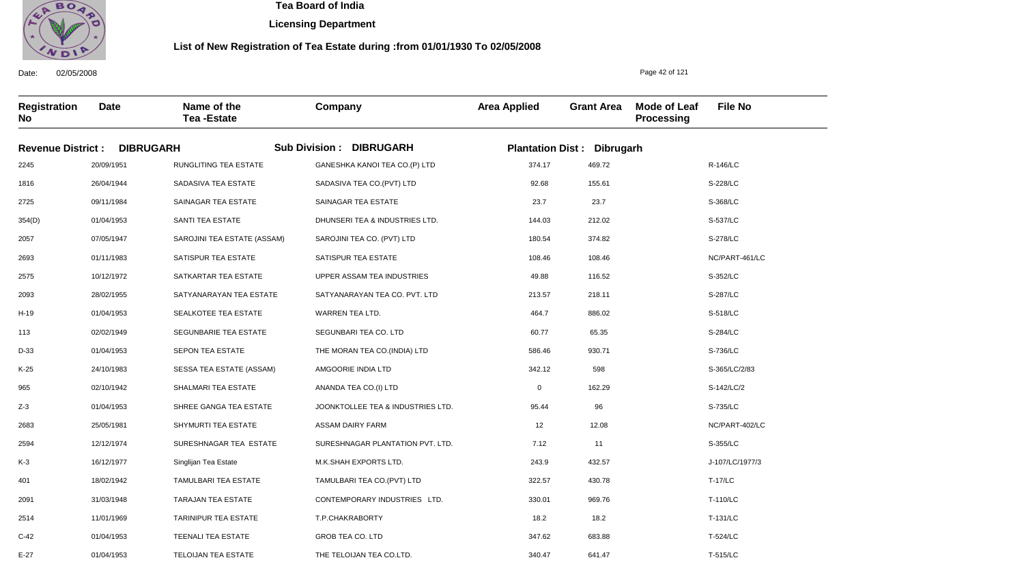

**Licensing Department**

#### **List of New Registration of Tea Estate during :from 01/01/1930 To 02/05/2008**

**Registration No Date Name of the Tea -Estate Company Area Applied Grant Area Mode of Leaf Processing File No Revenue District : DIBRUGARH Sub Division : DIBRUGARH Plantation Dist : Dibrugarh** 2245 1816 2725 354(D) 2057 2693 2575 2093 H-19 113 D-33 K-25 965 Z-3 2683 2594 K-3 401 2091 2514 C-42 20/09/1951 26/04/1944 09/11/1984 01/04/1953 07/05/1947 01/11/1983 10/12/1972 28/02/1955 01/04/1953 02/02/1949 01/04/1953 24/10/1983 02/10/1942 01/04/1953 25/05/1981 12/12/1974 16/12/1977 18/02/1942 31/03/1948 11/01/1969 01/04/1953 RUNGLITING TEA ESTATE SADASIVA TEA ESTATE SAINAGAR TEA ESTATE SANTI TEA ESTATE SAROJINI TEA ESTATE (ASSAM) SATISPUR TEA ESTATE SATKARTAR TEA ESTATE SATYANARAYAN TEA ESTATE SEALKOTEE TEA ESTATE SEGUNBARIE TEA ESTATE SEPON TEA ESTATE SESSA TEA ESTATE (ASSAM) SHALMARI TEA ESTATE SHREE GANGA TEA ESTATE SHYMURTI TEA ESTATE SURESHNAGAR TEA ESTATE Singlijan Tea Estate TAMULBARI TEA ESTATE TARAJAN TEA ESTATE TARINIPUR TEA ESTATE TEENALI TEA ESTATE GANESHKA KANOI TEA CO.(P) LTD SADASIVA TEA CO.(PVT) LTD SAINAGAR TEA ESTATE DHUNSERI TEA & INDUSTRIES LTD. SAROJINI TEA CO. (PVT) LTD SATISPUR TEA ESTATE UPPER ASSAM TEA INDUSTRIES SATYANARAYAN TEA CO. PVT. LTD WARREN TEA LTD. SEGUNBARI TEA CO. LTD THE MORAN TEA CO.(INDIA) LTD AMGOORIE INDIA LTD ANANDA TEA CO.(I) LTD JOONKTOLLEE TEA & INDUSTRIES LTD. ASSAM DAIRY FARM SURESHNAGAR PLANTATION PVT. LTD. M.K.SHAH EXPORTS LTD. TAMULBARI TEA CO.(PVT) LTD CONTEMPORARY INDUSTRIES LTD. T.P.CHAKRABORTY GROB TEA CO. LTD 374.17 92.68 23.7 144.03 180.54 108.46 49.88 213.57 464.7 60.77 586.46 342.12 0 95.44 12 7.12 243.9 322.57 330.01 18.2 347.62 R-146/LC S-228/LC S-368/LC S-537/LC S-278/LC NC/PART-461/LC S-352/LC S-287/LC S-518/LC S-284/LC S-736/LC S-365/LC/2/83 S-142/LC/2 S-735/LC NC/PART-402/LC S-355/LC J-107/LC/1977/3 T-17/LC T-110/LC T-131/LC T-524/LC 469.72 155.61 23.7 212.02 374.82 108.46 116.52 218.11 886.02 65.35 930.71 598 162.29 96 12.08 11 432.57 430.78 969.76 18.2 683.88

THE TELOIJAN TEA CO.LTD.

340.47

641.47

Date: 02/05/2008

E-27

01/04/1953

TELOIJAN TEA ESTATE

Page 42 of 121

T-515/LC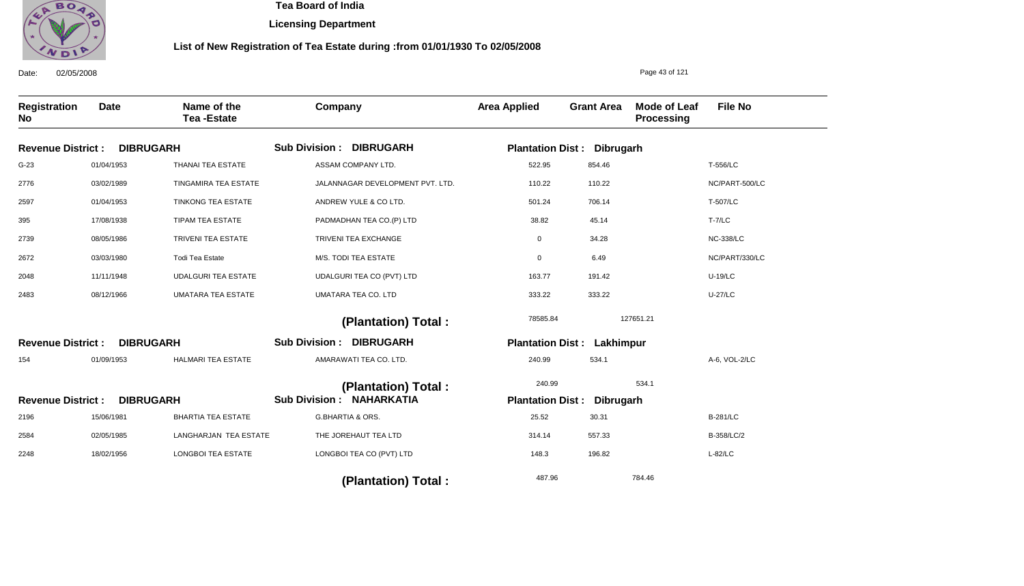

**Licensing Department**

#### **List of New Registration of Tea Estate during :from 01/01/1930 To 02/05/2008**

Date: 02/05/2008 **Registration No Date Name of the Tea -Estate Company Area Applied Grant Area Mode of Leaf Processing File No** Page 43 of 121 **DIBRUGARH DIBRUGARH DIBRUGARH Revenue District : Revenue District : Revenue District :** Sub Division : DIBRUGARH Sub Division : DIBRUGARH **NAHARKATIA Sub Division : Plantation Dist : Dibrugarh Plantation Dist : Lakhimpur Plantation Dist : Dibrugarh** G-23 2776 2597 395 2739 2672 2048 2483 154 2196 2584 2248 01/04/1953 03/02/1989 01/04/1953 17/08/1938 08/05/1986 03/03/1980 11/11/1948 08/12/1966 01/09/1953 15/06/1981 02/05/1985 18/02/1956 THANAI TEA ESTATE TINGAMIRA TEA ESTATE TINKONG TEA ESTATE TIPAM TEA ESTATE TRIVENI TEA ESTATE Todi Tea Estate UDALGURI TEA ESTATE UMATARA TEA ESTATE HALMARI TEA ESTATE BHARTIA TEA ESTATE LANGHARJAN TEA ESTATE LONGBOI TEA ESTATE ASSAM COMPANY LTD. JALANNAGAR DEVELOPMENT PVT. LTD. ANDREW YULE & CO LTD. PADMADHAN TEA CO.(P) LTD TRIVENI TEA EXCHANGE M/S. TODI TEA ESTATE UDALGURI TEA CO (PVT) LTD UMATARA TEA CO. LTD AMARAWATI TEA CO. LTD. G.BHARTIA & ORS. THE JOREHAUT TEA LTD LONGBOI TEA CO (PVT) LTD 522.95 110.22 501.24 38.82 0 0 163.77 333.22 240.99 25.52 314.14 148.3 T-556/LC NC/PART-500/LC T-507/LC T-7/LC NC-338/LC NC/PART/330/LC U-19/LC U-27/LC A-6, VOL-2/LC B-281/LC B-358/LC/2 L-82/LC 78585.84 240.99 487.96 127651.21 534.1 784.46  **(Plantation) Total : (Plantation) Total : (Plantation) Total :**  854.46 110.22 706.14 45.14 34.28 6.49 191.42 333.22 534.1 30.31 557.33 196.82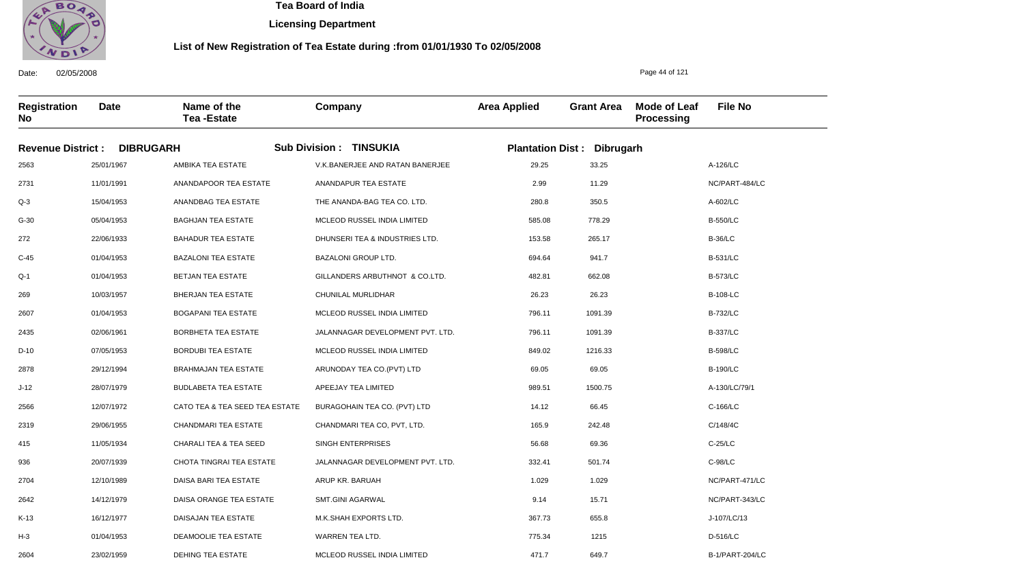

Date: 02/05/2008

2604

23/02/1959

DEHING TEA ESTATE

 **Tea Board of India** 

**Licensing Department**

#### **List of New Registration of Tea Estate during :from 01/01/1930 To 02/05/2008**

Page 44 of 121

B-1/PART-204/LC

**Registration No Date Name of the Tea -Estate Company Area Applied Grant Area Mode of Leaf Processing File No Revenue District : DIBRUGARH Sub Division : TINSUKIA Plantation Dist : Dibrugarh** 2563 2731 Q-3 G-30 272 C-45 Q-1 269 2607 2435 D-10 2878 J-12 2566 2319 415 936 2704 2642 K-13 H-3 25/01/1967 11/01/1991 15/04/1953 05/04/1953 22/06/1933 01/04/1953 01/04/1953 10/03/1957 01/04/1953 02/06/1961 07/05/1953 29/12/1994 28/07/1979 12/07/1972 29/06/1955 11/05/1934 20/07/1939 12/10/1989 14/12/1979 16/12/1977 01/04/1953 AMBIKA TEA ESTATE ANANDAPOOR TEA ESTATE ANANDBAG TEA ESTATE BAGHJAN TEA ESTATE BAHADUR TEA ESTATE BAZALONI TEA ESTATE BETJAN TEA ESTATE BHERJAN TEA ESTATE BOGAPANI TEA ESTATE BORBHETA TEA ESTATE BORDUBI TEA ESTATE BRAHMAJAN TEA ESTATE BUDLABETA TEA ESTATE CATO TEA & TEA SEED TEA ESTATE CHANDMARI TEA ESTATE CHARALI TEA & TEA SEED CHOTA TINGRAI TEA ESTATE DAISA BARI TEA ESTATE DAISA ORANGE TEA ESTATE DAISAJAN TEA ESTATE DEAMOOLIE TEA ESTATE V.K.BANERJEE AND RATAN BANERJEE ANANDAPUR TEA ESTATE THE ANANDA-BAG TEA CO. LTD. MCLEOD RUSSEL INDIA LIMITED DHUNSERI TEA & INDUSTRIES LTD. BAZALONI GROUP LTD. GILLANDERS ARBUTHNOT & CO.LTD. CHUNILAL MURLIDHAR MCLEOD RUSSEL INDIA LIMITED JALANNAGAR DEVELOPMENT PVT. LTD. MCLEOD RUSSEL INDIA LIMITED ARUNODAY TEA CO.(PVT) LTD APEEJAY TEA LIMITED BURAGOHAIN TEA CO. (PVT) LTD CHANDMARI TEA CO, PVT, LTD. SINGH ENTERPRISES JALANNAGAR DEVELOPMENT PVT. LTD. ARUP KR. BARUAH SMT.GINI AGARWAL M.K.SHAH EXPORTS LTD. WARREN TEA LTD. 29.25 2.99 280.8 585.08 153.58 694.64 482.81 26.23 796.11 796.11 849.02 69.05 989.51 14.12 165.9 56.68 332.41 1.029 9.14 367.73 775.34 A-126/LC NC/PART-484/LC A-602/LC B-550/LC B-36/LC B-531/LC B-573/LC B-108-LC B-732/LC B-337/LC B-598/LC B-190/LC A-130/LC/79/1 C-166/LC C/148/4C C-25/LC C-98/LC NC/PART-471/LC NC/PART-343/LC J-107/LC/13 D-516/LC 33.25 11.29 350.5 778.29 265.17 941.7 662.08 26.23 1091.39 1091.39 1216.33 69.05 1500.75 66.45 242.48 69.36 501.74 1.029 15.71 655.8 1215

MCLEOD RUSSEL INDIA LIMITED

471.7

649.7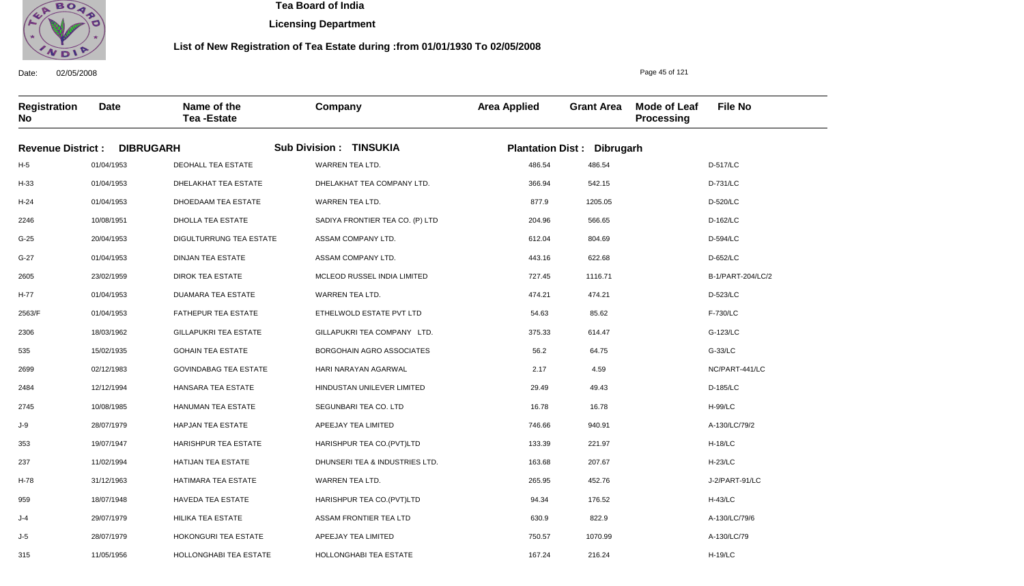

Date: 02/05/2008

315

11/05/1956

HOLLONGHABI TEA ESTATE

 **Tea Board of India** 

**Licensing Department**

#### **List of New Registration of Tea Estate during :from 01/01/1930 To 02/05/2008**

Page 45 of 121

H-19/LC

**Registration No Date Name of the Tea -Estate Company Area Applied Grant Area Mode of Leaf Processing File No Revenue District : DIBRUGARH Sub Division : TINSUKIA Plantation Dist : Dibrugarh** H-5 H-33 H-24 2246 G-25 G-27 2605 H-77 2563/F 2306 535 2699 2484 2745 J-9 353 237 H-78 959 J-4 J-5 01/04/1953 01/04/1953 01/04/1953 10/08/1951 20/04/1953 01/04/1953 23/02/1959 01/04/1953 01/04/1953 18/03/1962 15/02/1935 02/12/1983 12/12/1994 10/08/1985 28/07/1979 19/07/1947 11/02/1994 31/12/1963 18/07/1948 29/07/1979 28/07/1979 DEOHALL TEA ESTATE DHELAKHAT TEA ESTATE DHOEDAAM TEA ESTATE DHOLLA TEA ESTATE DIGULTURRUNG TEA ESTATE DINJAN TEA ESTATE DIROK TEA ESTATE DUAMARA TEA ESTATE FATHEPUR TEA ESTATE GILLAPUKRI TEA ESTATE GOHAIN TEA ESTATE GOVINDABAG TEA ESTATE HANSARA TEA ESTATE HANUMAN TEA ESTATE HAPJAN TEA ESTATE HARISHPUR TEA ESTATE HATIJAN TEA ESTATE HATIMARA TEA ESTATE HAVEDA TEA ESTATE HILIKA TEA ESTATE HOKONGURI TEA ESTATE WARREN TEA LTD. DHELAKHAT TEA COMPANY LTD. WARREN TEA LTD. SADIYA FRONTIER TEA CO. (P) LTD ASSAM COMPANY LTD. ASSAM COMPANY LTD. MCLEOD RUSSEL INDIA LIMITED WARREN TEA LTD. ETHELWOLD ESTATE PVT LTD GILLAPUKRI TEA COMPANY LTD. BORGOHAIN AGRO ASSOCIATES HARI NARAYAN AGARWAL HINDUSTAN UNILEVER LIMITED SEGUNBARI TEA CO. LTD APEEJAY TEA LIMITED HARISHPUR TEA CO.(PVT)LTD DHUNSERI TEA & INDUSTRIES LTD. WARREN TEA LTD. HARISHPUR TEA CO.(PVT)LTD ASSAM FRONTIER TEA LTD APEEJAY TEA LIMITED 486.54 366.94 877.9 204.96 612.04 443.16 727.45 474.21 54.63 375.33 56.2 2.17 29.49 16.78 746.66 133.39 163.68 265.95 94.34 630.9 750.57 D-517/LC D-731/LC D-520/LC D-162/LC D-594/LC D-652/LC B-1/PART-204/LC/2 D-523/LC F-730/LC G-123/LC G-33/LC NC/PART-441/LC D-185/LC H-99/LC A-130/LC/79/2 H-18/LC H-23/LC J-2/PART-91/LC H-43/LC A-130/LC/79/6 A-130/LC/79 486.54 542.15 1205.05 566.65 804.69 622.68 1116.71 474.21 85.62 614.47 64.75 4.59 49.43 16.78 940.91 221.97 207.67 452.76 176.52 822.9 1070.99

HOLLONGHABI TEA ESTATE

167.24

216.24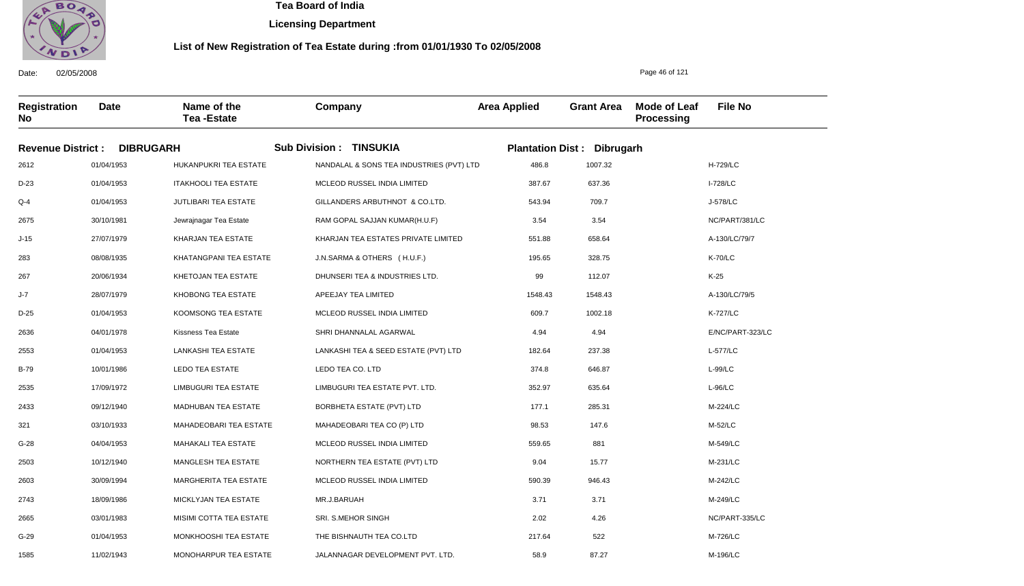

**Licensing Department**

#### **List of New Registration of Tea Estate during :from 01/01/1930 To 02/05/2008**

**Registration No Date Name of the Tea -Estate Company Area Applied Grant Area Mode of Leaf Processing File No Revenue District : DIBRUGARH Sub Division : TINSUKIA Plantation Dist : Dibrugarh** 2612 D-23  $O-4$ 2675 J-15 283 267 J-7 D-25 2636 2553 B-79 2535 2433 321 G-28 2503 2603 2743 2665 G-29 1585 01/04/1953 01/04/1953 01/04/1953 30/10/1981 27/07/1979 08/08/1935 20/06/1934 28/07/1979 01/04/1953 04/01/1978 01/04/1953 10/01/1986 17/09/1972 09/12/1940 03/10/1933 04/04/1953 10/12/1940 30/09/1994 18/09/1986 03/01/1983 01/04/1953 11/02/1943 HUKANPUKRI TEA ESTATE ITAKHOOLI TEA ESTATE JUTLIBARI TEA ESTATE Jewrajnagar Tea Estate KHARJAN TEA ESTATE KHATANGPANI TEA ESTATE KHETOJAN TEA ESTATE KHOBONG TEA ESTATE KOOMSONG TEA ESTATE Kissness Tea Estate LANKASHI TEA ESTATE LEDO TEA ESTATE LIMBUGURI TEA ESTATE MADHUBAN TEA ESTATE MAHADEOBARI TEA ESTATE MAHAKALI TEA ESTATE MANGLESH TEA ESTATE MARGHERITA TEA ESTATE MICKLYJAN TEA ESTATE MISIMI COTTA TEA ESTATE MONKHOOSHI TEA ESTATE MONOHARPUR TEA ESTATE NANDALAL & SONS TEA INDUSTRIES (PVT) LTD MCLEOD RUSSEL INDIA LIMITED GILLANDERS ARBUTHNOT & CO.LTD. RAM GOPAL SAJJAN KUMAR(H.U.F) KHARJAN TEA ESTATES PRIVATE LIMITED J.N.SARMA & OTHERS ( H.U.F.) DHUNSERI TEA & INDUSTRIES LTD. APEEJAY TEA LIMITED MCLEOD RUSSEL INDIA LIMITED SHRI DHANNALAL AGARWAL LANKASHI TEA & SEED ESTATE (PVT) LTD LEDO TEA CO. LTD LIMBUGURI TEA ESTATE PVT. LTD. BORBHETA ESTATE (PVT) LTD MAHADEOBARI TEA CO (P) LTD MCLEOD RUSSEL INDIA LIMITED NORTHERN TEA ESTATE (PVT) LTD MCLEOD RUSSEL INDIA LIMITED MR.J.BARUAH SRI. S.MEHOR SINGH THE BISHNAUTH TEA CO.LTD JALANNAGAR DEVELOPMENT PVT. LTD. 486.8 387.67 543.94 3.54 551.88 195.65 99 1548.43 609.7 4.94 182.64 374.8 352.97 177.1 98.53 559.65 9.04 590.39 3.71 2.02 217.64 58.9 H-729/LC I-728/LC J-578/LC NC/PART/381/LC A-130/LC/79/7 K-70/LC K-25 A-130/LC/79/5 K-727/LC E/NC/PART-323/LC L-577/LC L-99/LC L-96/LC M-224/LC M-52/LC M-549/LC M-231/LC M-242/LC M-249/LC NC/PART-335/LC M-726/LC M-196/LC 1007.32 637.36 709.7 3.54 658.64 328.75 112.07 1548.43 1002.18 4.94 237.38 646.87 635.64 285.31 147.6 881 15.77 946.43 3.71 4.26 522 87.27

Date: 02/05/2008

Page 46 of 121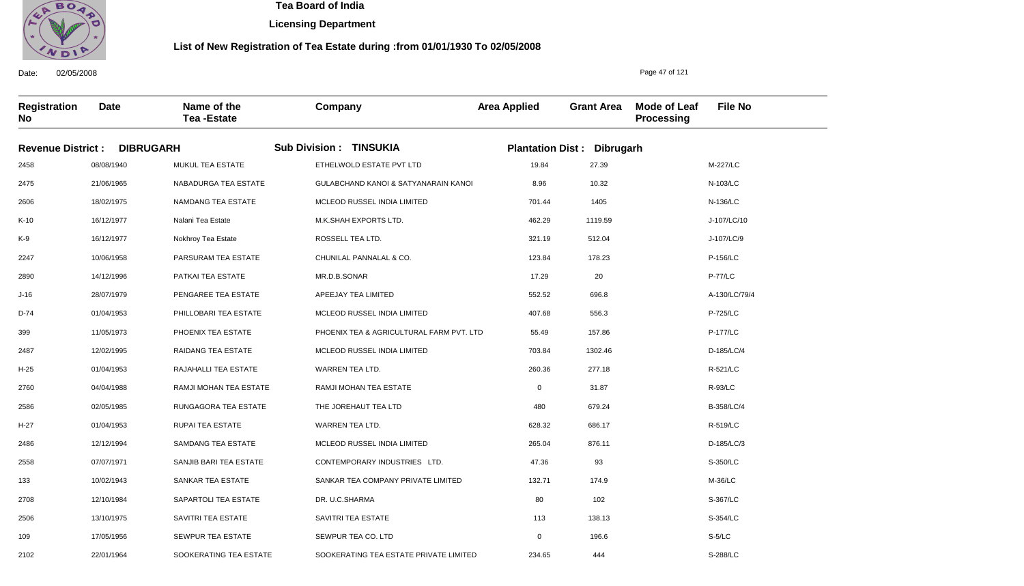

**Licensing Department**

#### **List of New Registration of Tea Estate during :from 01/01/1930 To 02/05/2008**

**Registration No Date Name of the Tea -Estate Company Area Applied Grant Area Mode of Leaf Processing File No Revenue District : DIBRUGARH Sub Division : TINSUKIA Plantation Dist : Dibrugarh** 2458 2475 2606 K-10 K-9 2247 2890 J-16 D-74 399 2487 H-25 2760 2586 H-27 2486 2558 133 2708 2506 109 08/08/1940 21/06/1965 18/02/1975 16/12/1977 16/12/1977 10/06/1958 14/12/1996 28/07/1979 01/04/1953 11/05/1973 12/02/1995 01/04/1953 04/04/1988 02/05/1985 01/04/1953 12/12/1994 07/07/1971 10/02/1943 12/10/1984 13/10/1975 17/05/1956 MUKUL TEA ESTATE NABADURGA TEA ESTATE NAMDANG TEA ESTATE Nalani Tea Estate Nokhroy Tea Estate PARSURAM TEA ESTATE PATKAI TEA ESTATE PENGAREE TEA ESTATE PHILLOBARI TEA ESTATE PHOENIX TEA ESTATE RAIDANG TEA ESTATE RAJAHALLI TEA ESTATE RAMJI MOHAN TEA ESTATE RUNGAGORA TEA ESTATE RUPAI TEA ESTATE SAMDANG TEA ESTATE SANJIB BARI TEA ESTATE SANKAR TEA ESTATE SAPARTOLI TEA ESTATE SAVITRI TEA ESTATE SEWPUR TEA ESTATE ETHELWOLD ESTATE PVT LTD GULABCHAND KANOI & SATYANARAIN KANOI MCLEOD RUSSEL INDIA LIMITED M.K.SHAH EXPORTS LTD. ROSSELL TEA LTD. CHUNILAL PANNALAL & CO. MR.D.B.SONAR APEEJAY TEA LIMITED MCLEOD RUSSEL INDIA LIMITED PHOENIX TEA & AGRICULTURAL FARM PVT. LTD MCLEOD RUSSEL INDIA LIMITED WARREN TEA LTD. RAMJI MOHAN TEA ESTATE THE JOREHAUT TEA LTD WARREN TEA LTD. MCLEOD RUSSEL INDIA LIMITED CONTEMPORARY INDUSTRIES LTD. SANKAR TEA COMPANY PRIVATE LIMITED DR. U.C.SHARMA SAVITRI TEA ESTATE SEWPUR TEA CO. LTD 19.84 8.96 701.44 462.29 321.19 123.84 17.29 552.52 407.68 55.49 703.84 260.36 0 480 628.32 265.04 47.36 132.71 80 113 0 M-227/LC N-103/LC N-136/LC J-107/LC/10 J-107/LC/9 P-156/LC P-77/LC A-130/LC/79/4 P-725/LC P-177/LC D-185/LC/4 R-521/LC R-93/LC B-358/LC/4 R-519/LC D-185/LC/3 S-350/LC M-36/LC S-367/LC S-354/LC S-5/LC 27.39 10.32 1405 1119.59 512.04 178.23 20 696.8 556.3 157.86 1302.46 277.18 31.87 679.24 686.17 876.11 93 174.9 102 138.13 196.6

SOOKERATING TEA ESTATE PRIVATE LIMITED

234.65

444

Date: 02/05/2008

2102

22/01/1964

SOOKERATING TEA ESTATE

Page 47 of 121

S-288/LC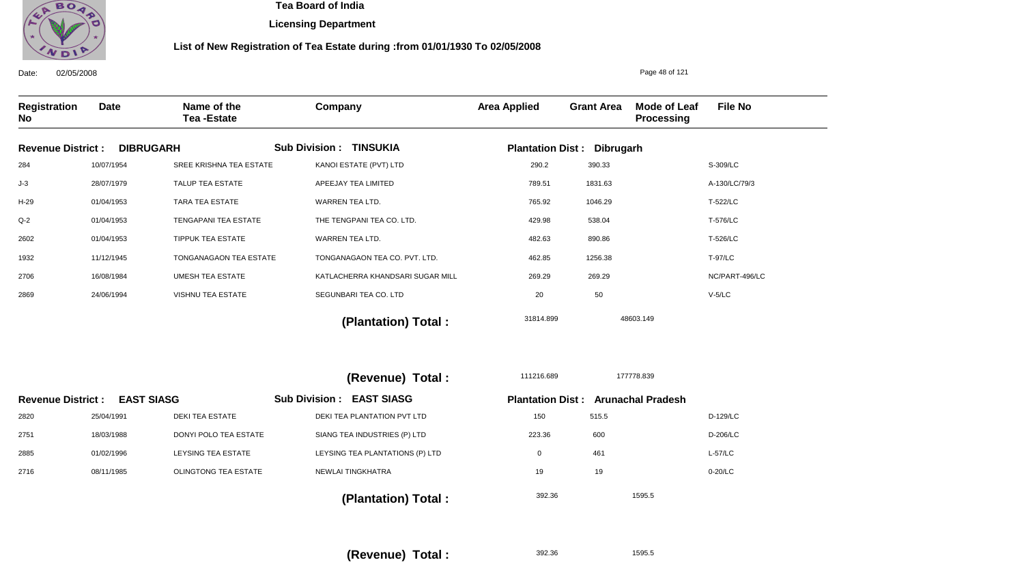

**Licensing Department**

### **List of New Registration of Tea Estate during :from 01/01/1930 To 02/05/2008**

| 02/05/2008<br>Date:                           |             |                                  |                                           |                     |                                           | Page 48 of 121                    |                |
|-----------------------------------------------|-------------|----------------------------------|-------------------------------------------|---------------------|-------------------------------------------|-----------------------------------|----------------|
| Registration<br>No                            | <b>Date</b> | Name of the<br><b>Tea-Estate</b> | Company                                   | <b>Area Applied</b> | <b>Grant Area</b>                         | Mode of Leaf<br><b>Processing</b> | <b>File No</b> |
| <b>Revenue District:</b>                      |             | <b>DIBRUGARH</b>                 | <b>Sub Division : TINSUKIA</b>            |                     | <b>Plantation Dist: Dibrugarh</b>         |                                   |                |
| 284                                           | 10/07/1954  | SREE KRISHNA TEA ESTATE          | KANOI ESTATE (PVT) LTD                    | 290.2               | 390.33                                    |                                   | S-309/LC       |
| $J-3$                                         | 28/07/1979  | TALUP TEA ESTATE                 | APEEJAY TEA LIMITED                       | 789.51              | 1831.63                                   |                                   | A-130/LC/79/3  |
| H-29                                          | 01/04/1953  | TARA TEA ESTATE                  | WARREN TEA LTD.                           | 765.92              | 1046.29                                   |                                   | T-522/LC       |
| $Q-2$                                         | 01/04/1953  | TENGAPANI TEA ESTATE             | THE TENGPANI TEA CO. LTD.                 | 429.98              | 538.04                                    |                                   | T-576/LC       |
| 2602                                          | 01/04/1953  | <b>TIPPUK TEA ESTATE</b>         | WARREN TEA LTD.                           | 482.63              | 890.86                                    |                                   | T-526/LC       |
| 1932                                          | 11/12/1945  | TONGANAGAON TEA ESTATE           | TONGANAGAON TEA CO. PVT. LTD.             | 462.85              | 1256.38                                   |                                   | <b>T-97/LC</b> |
| 2706                                          | 16/08/1984  | <b>UMESH TEA ESTATE</b>          | KATLACHERRA KHANDSARI SUGAR MILL          | 269.29              | 269.29                                    |                                   | NC/PART-496/LC |
| 2869                                          | 24/06/1994  | VISHNU TEA ESTATE                | SEGUNBARI TEA CO. LTD                     | 20                  | 50                                        |                                   | $V-5/LC$       |
|                                               |             |                                  | (Plantation) Total:                       | 31814.899           |                                           | 48603.149                         |                |
|                                               |             |                                  | (Revenue) Total :                         | 111216.689          |                                           | 177778.839                        |                |
| <b>EAST SIASG</b><br><b>Revenue District:</b> |             |                                  | <b>EAST SIASG</b><br><b>Sub Division:</b> |                     | <b>Plantation Dist: Arunachal Pradesh</b> |                                   |                |
| 2820                                          | 25/04/1991  | <b>DEKI TEA ESTATE</b>           | DEKI TEA PLANTATION PVT LTD               | 150                 | 515.5                                     |                                   | D-129/LC       |
| 2751                                          | 18/03/1988  | DONYI POLO TEA ESTATE            | SIANG TEA INDUSTRIES (P) LTD              | 223.36              | 600                                       |                                   | D-206/LC       |
| 2885                                          | 01/02/1996  | <b>LEYSING TEA ESTATE</b>        | LEYSING TEA PLANTATIONS (P) LTD           | $\mathbf 0$         | 461                                       |                                   | $L-57/LC$      |
| 2716                                          | 08/11/1985  | <b>OLINGTONG TEA ESTATE</b>      | NEWLAI TINGKHATRA                         | 19                  | 19                                        |                                   | 0-20/LC        |
|                                               |             |                                  | /Diantation) Total :                      | 392.36              |                                           | 1595.5                            |                |

 **(Plantation) Total :** 

**(Revenue) Total :** 

392.36

1595.5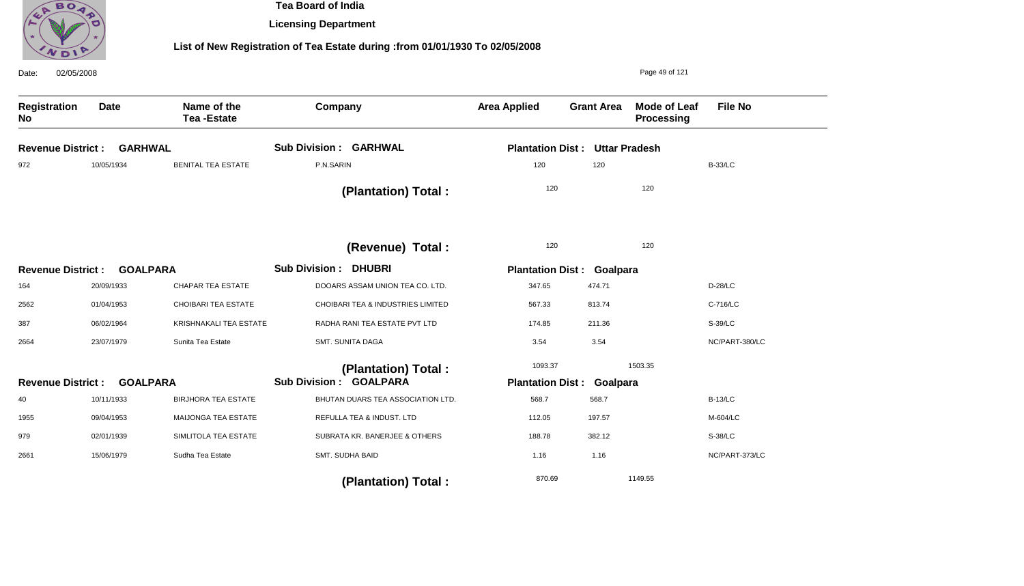

**Licensing Department**

## **List of New Registration of Tea Estate during :from 01/01/1930 To 02/05/2008**

| 02/05/2008<br>Date:                         |                 |                                  |                                   | Page 49 of 121                   |                      |                            |                |  |
|---------------------------------------------|-----------------|----------------------------------|-----------------------------------|----------------------------------|----------------------|----------------------------|----------------|--|
| <b>Registration</b><br>No                   | <b>Date</b>     | Name of the<br><b>Tea-Estate</b> | Company                           | <b>Area Applied</b>              | <b>Grant Area</b>    | Mode of Leaf<br>Processing | <b>File No</b> |  |
| <b>Revenue District:</b>                    | <b>GARHWAL</b>  |                                  | <b>Sub Division: GARHWAL</b>      | <b>Plantation Dist:</b>          | <b>Uttar Pradesh</b> |                            |                |  |
| 972                                         | 10/05/1934      | <b>BENITAL TEA ESTATE</b>        | P.N.SARIN                         | 120                              | 120                  |                            | <b>B-33/LC</b> |  |
|                                             |                 |                                  | (Plantation) Total:               | 120                              |                      | 120                        |                |  |
|                                             |                 |                                  | (Revenue) Total :                 | 120                              |                      | 120                        |                |  |
| <b>Revenue District:</b><br><b>GOALPARA</b> |                 |                                  | <b>Sub Division: DHUBRI</b>       | <b>Plantation Dist: Goalpara</b> |                      |                            |                |  |
| 164                                         | 20/09/1933      | <b>CHAPAR TEA ESTATE</b>         | DOOARS ASSAM UNION TEA CO. LTD.   | 347.65                           | 474.71               |                            | D-28/LC        |  |
| 2562                                        | 01/04/1953      | CHOIBARI TEA ESTATE              | CHOIBARI TEA & INDUSTRIES LIMITED | 567.33                           | 813.74               |                            | C-716/LC       |  |
| 387                                         | 06/02/1964      | KRISHNAKALI TEA ESTATE           | RADHA RANI TEA ESTATE PVT LTD     | 174.85                           | 211.36               |                            | S-39/LC        |  |
| 2664                                        | 23/07/1979      | Sunita Tea Estate                | SMT. SUNITA DAGA                  | 3.54                             | 3.54                 |                            | NC/PART-380/LC |  |
|                                             |                 |                                  | (Plantation) Total:               | 1093.37                          |                      | 1503.35                    |                |  |
| <b>Revenue District:</b>                    | <b>GOALPARA</b> |                                  | <b>Sub Division: GOALPARA</b>     | <b>Plantation Dist:</b>          | Goalpara             |                            |                |  |
| 40                                          | 10/11/1933      | <b>BIRJHORA TEA ESTATE</b>       | BHUTAN DUARS TEA ASSOCIATION LTD. | 568.7                            | 568.7                |                            | <b>B-13/LC</b> |  |
| 1955                                        | 09/04/1953      | MAIJONGA TEA ESTATE              | REFULLA TEA & INDUST. LTD         | 112.05                           | 197.57               |                            | M-604/LC       |  |
| 979                                         | 02/01/1939      | SIMLITOLA TEA ESTATE             | SUBRATA KR. BANERJEE & OTHERS     | 188.78                           | 382.12               |                            | S-38/LC        |  |
| 2661                                        | 15/06/1979      | Sudha Tea Estate                 | SMT. SUDHA BAID                   | 1.16                             | 1.16                 |                            | NC/PART-373/LC |  |
|                                             |                 |                                  | (Plantation) Total:               | 870.69                           |                      | 1149.55                    |                |  |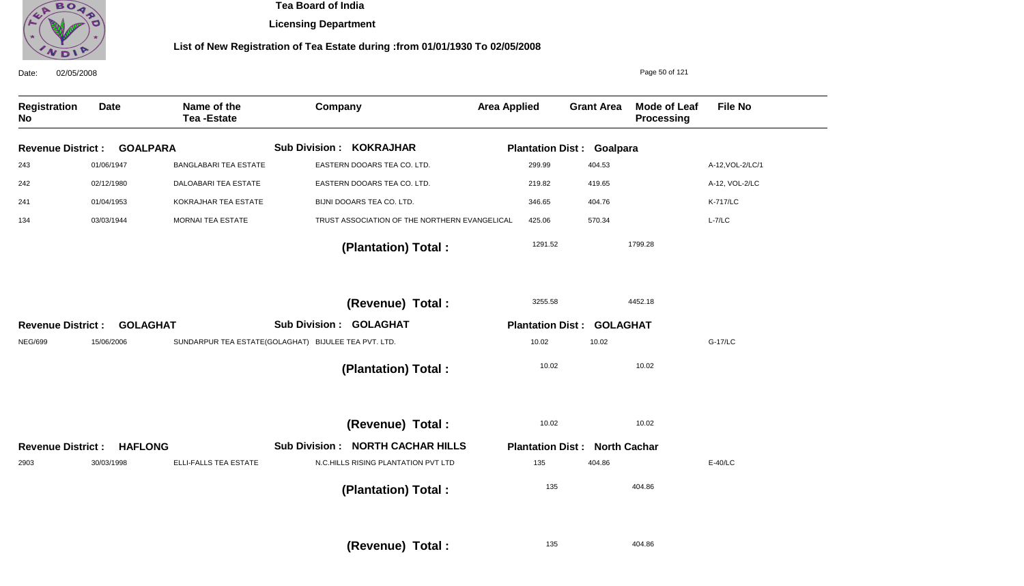

**Licensing Department**

## **List of New Registration of Tea Estate during :from 01/01/1930 To 02/05/2008**

| 02/05/2008<br>Date:       |                 |                                  |                                                      |                         |                                  | Page 50 of 121                    |                  |
|---------------------------|-----------------|----------------------------------|------------------------------------------------------|-------------------------|----------------------------------|-----------------------------------|------------------|
| <b>Registration</b><br>No | <b>Date</b>     | Name of the<br><b>Tea-Estate</b> | Company                                              | <b>Area Applied</b>     | <b>Grant Area</b>                | <b>Mode of Leaf</b><br>Processing | <b>File No</b>   |
| <b>Revenue District:</b>  | <b>GOALPARA</b> |                                  | <b>Sub Division : KOKRAJHAR</b>                      |                         | <b>Plantation Dist: Goalpara</b> |                                   |                  |
| 243                       | 01/06/1947      | <b>BANGLABARI TEA ESTATE</b>     | EASTERN DOOARS TEA CO. LTD.                          | 299.99                  | 404.53                           |                                   | A-12, VOL-2/LC/1 |
| 242                       | 02/12/1980      | DALOABARI TEA ESTATE             | EASTERN DOOARS TEA CO. LTD.                          | 219.82                  | 419.65                           |                                   | A-12, VOL-2/LC   |
| 241                       | 01/04/1953      | KOKRAJHAR TEA ESTATE             | BIJNI DOOARS TEA CO. LTD.                            | 346.65                  | 404.76                           |                                   | <b>K-717/LC</b>  |
| 134                       | 03/03/1944      | MORNAI TEA ESTATE                | TRUST ASSOCIATION OF THE NORTHERN EVANGELICAL        | 425.06                  | 570.34                           |                                   | $L - 7/LC$       |
|                           |                 |                                  | (Plantation) Total:                                  | 1291.52                 |                                  | 1799.28                           |                  |
|                           |                 |                                  | (Revenue) Total :                                    | 3255.58                 |                                  | 4452.18                           |                  |
| <b>Revenue District:</b>  | <b>GOLAGHAT</b> |                                  | <b>Sub Division: GOLAGHAT</b>                        |                         | <b>Plantation Dist: GOLAGHAT</b> |                                   |                  |
| <b>NEG/699</b>            | 15/06/2006      |                                  | SUNDARPUR TEA ESTATE(GOLAGHAT) BIJULEE TEA PVT. LTD. | 10.02                   | 10.02                            |                                   | G-17/LC          |
|                           |                 |                                  | (Plantation) Total:                                  | 10.02                   |                                  | 10.02                             |                  |
|                           |                 |                                  | (Revenue) Total :                                    | 10.02                   |                                  | 10.02                             |                  |
| <b>Revenue District:</b>  | <b>HAFLONG</b>  |                                  | <b>Sub Division : NORTH CACHAR HILLS</b>             | <b>Plantation Dist:</b> | <b>North Cachar</b>              |                                   |                  |
| 2903                      | 30/03/1998      | ELLI-FALLS TEA ESTATE            | N.C.HILLS RISING PLANTATION PVT LTD                  | 135                     | 404.86                           |                                   | E-40/LC          |
|                           |                 |                                  | (Plantation) Total:                                  | 135                     |                                  | 404.86                            |                  |
|                           |                 |                                  | $(Revenue)$ Total $\cdot$                            | 135                     |                                  | 404.86                            |                  |

**(Revenue) Total :**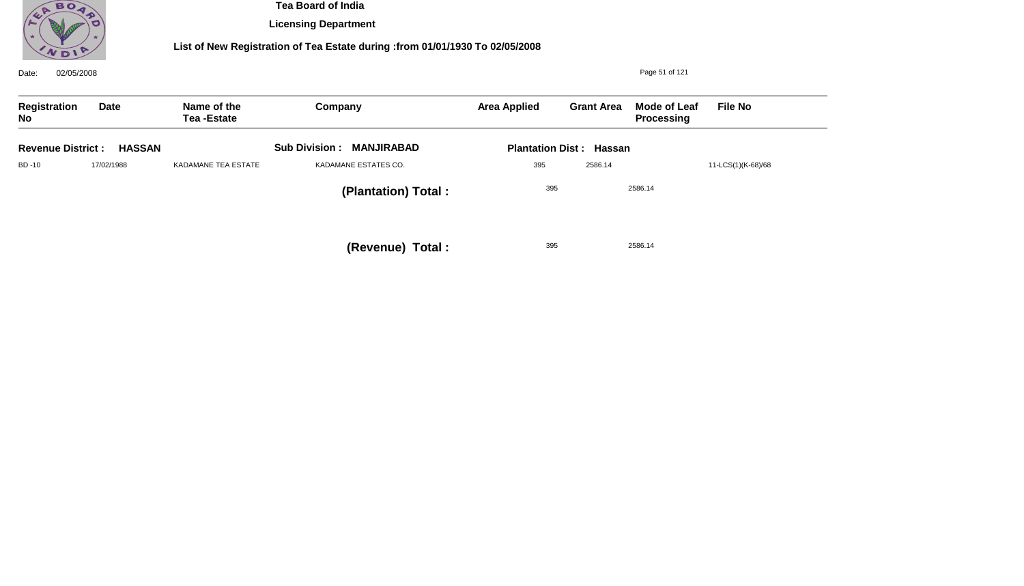

**Licensing Department**

## **List of New Registration of Tea Estate during :from 01/01/1930 To 02/05/2008**

| 02/05/2008<br>Date:      |               |                                  |                                           |                     |                                |                                   |                    |
|--------------------------|---------------|----------------------------------|-------------------------------------------|---------------------|--------------------------------|-----------------------------------|--------------------|
| Registration<br>No       | Date          | Name of the<br><b>Tea-Estate</b> | Company                                   | <b>Area Applied</b> | <b>Grant Area</b>              | <b>Mode of Leaf</b><br>Processing | <b>File No</b>     |
| <b>Revenue District:</b> | <b>HASSAN</b> |                                  | <b>Sub Division:</b><br><b>MANJIRABAD</b> |                     | <b>Plantation Dist: Hassan</b> |                                   |                    |
| BD -10                   | 17/02/1988    | KADAMANE TEA ESTATE              | KADAMANE ESTATES CO.                      | 395                 | 2586.14                        |                                   | 11-LCS(1)(K-68)/68 |
|                          |               |                                  | (Plantation) Total:                       | 395                 |                                | 2586.14                           |                    |
|                          |               |                                  | (Revenue) Total:                          | 395                 |                                | 2586.14                           |                    |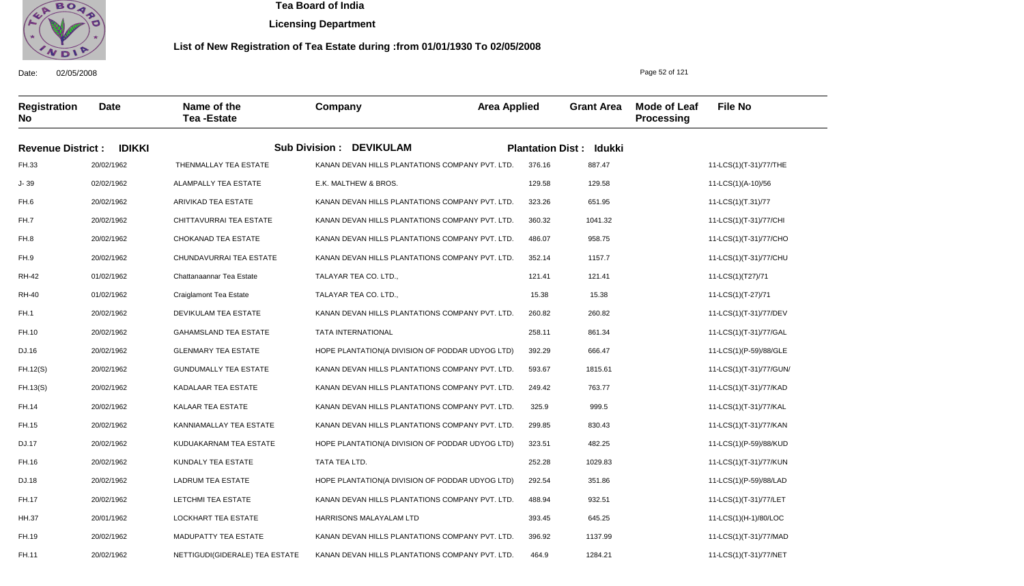

**Licensing Department**

#### **List of New Registration of Tea Estate during :from 01/01/1930 To 02/05/2008**

Date: 02/05/2008 **Registration No Date Name of the Tea -Estate Company Area Applied Grant Area Mode of Leaf Processing File No** Page 52 of 121 **Revenue District : IDIKKI Sub Division : DEVIKULAM Plantation Dist : Idukki** FH.33 J- 39 FH.6 FH.7 FH.8 FH.9 RH-42 RH-40 FH.1 FH.10 DJ.16 FH.12(S) FH.13(S) FH.14 FH.15 DJ.17 FH.16 DJ.18 FH.17 HH.37 FH.19 FH.11 20/02/1962 02/02/1962 20/02/1962 20/02/1962 20/02/1962 20/02/1962 01/02/1962 01/02/1962 20/02/1962 20/02/1962 20/02/1962 20/02/1962 20/02/1962 20/02/1962 20/02/1962 20/02/1962 20/02/1962 20/02/1962 20/02/1962 20/01/1962 20/02/1962 20/02/1962 THENMALLAY TEA ESTATE ALAMPALLY TEA ESTATE ARIVIKAD TEA ESTATE CHITTAVURRAI TEA ESTATE CHOKANAD TEA ESTATE CHUNDAVURRAI TEA ESTATE Chattanaannar Tea Estate Craiglamont Tea Estate DEVIKULAM TEA ESTATE GAHAMSLAND TEA ESTATE GLENMARY TEA ESTATE GUNDUMALLY TEA ESTATE KADALAAR TEA ESTATE KALAAR TEA ESTATE KANNIAMALLAY TEA ESTATE KUDUAKARNAM TEA ESTATE KUNDALY TEA ESTATE LADRUM TEA ESTATE LETCHMI TEA ESTATE LOCKHART TEA ESTATE MADUPATTY TEA ESTATE NETTIGUDI(GIDERALE) TEA ESTATE KANAN DEVAN HILLS PLANTATIONS COMPANY PVT. LTD. E.K. MALTHEW & BROS. KANAN DEVAN HILLS PLANTATIONS COMPANY PVT. LTD. KANAN DEVAN HILLS PLANTATIONS COMPANY PVT. LTD. KANAN DEVAN HILLS PLANTATIONS COMPANY PVT. LTD. KANAN DEVAN HILLS PLANTATIONS COMPANY PVT. LTD. TALAYAR TEA CO. LTD., TALAYAR TEA CO. LTD., KANAN DEVAN HILLS PLANTATIONS COMPANY PVT. LTD. TATA INTERNATIONAL HOPE PLANTATION(A DIVISION OF PODDAR UDYOG LTD) KANAN DEVAN HILLS PLANTATIONS COMPANY PVT. LTD. KANAN DEVAN HILLS PLANTATIONS COMPANY PVT. LTD. KANAN DEVAN HILLS PLANTATIONS COMPANY PVT. LTD. KANAN DEVAN HILLS PLANTATIONS COMPANY PVT. LTD. HOPE PLANTATION(A DIVISION OF PODDAR UDYOG LTD) TATA TEA LTD. HOPE PLANTATION(A DIVISION OF PODDAR UDYOG LTD) KANAN DEVAN HILLS PLANTATIONS COMPANY PVT. LTD. HARRISONS MALAYALAM LTD KANAN DEVAN HILLS PLANTATIONS COMPANY PVT. LTD. KANAN DEVAN HILLS PLANTATIONS COMPANY PVT. LTD. 376.16 129.58 323.26 360.32 486.07 352.14 121.41 15.38 260.82 258.11 392.29 593.67 249.42 325.9 299.85 323.51 252.28 292.54 488.94 393.45 396.92 464.9 11-LCS(1)(T-31)/77/THE 11-LCS(1)(A-10)/56 11-LCS(1)(T.31)/77 11-LCS(1)(T-31)/77/CHI 11-LCS(1)(T-31)/77/CHO 11-LCS(1)(T-31)/77/CHU 11-LCS(1)(T27)/71 11-LCS(1)(T-27)/71 11-LCS(1)(T-31)/77/DEV 11-LCS(1)(T-31)/77/GAL 11-LCS(1)(P-59)/88/GLE 11-LCS(1)(T-31)/77/GUN/ 11-LCS(1)(T-31)/77/KAD 11-LCS(1)(T-31)/77/KAL 11-LCS(1)(T-31)/77/KAN 11-LCS(1)(P-59)/88/KUD 11-LCS(1)(T-31)/77/KUN 11-LCS(1)(P-59)/88/LAD 11-LCS(1)(T-31)/77/LET 11-LCS(1)(H-1)/80/LOC 11-LCS(1)(T-31)/77/MAD 11-LCS(1)(T-31)/77/NET 887.47 129.58 651.95 1041.32 958.75 1157.7 121.41 15.38 260.82 861.34 666.47 1815.61 763.77 999.5 830.43 482.25 1029.83 351.86 932.51 645.25 1137.99 1284.21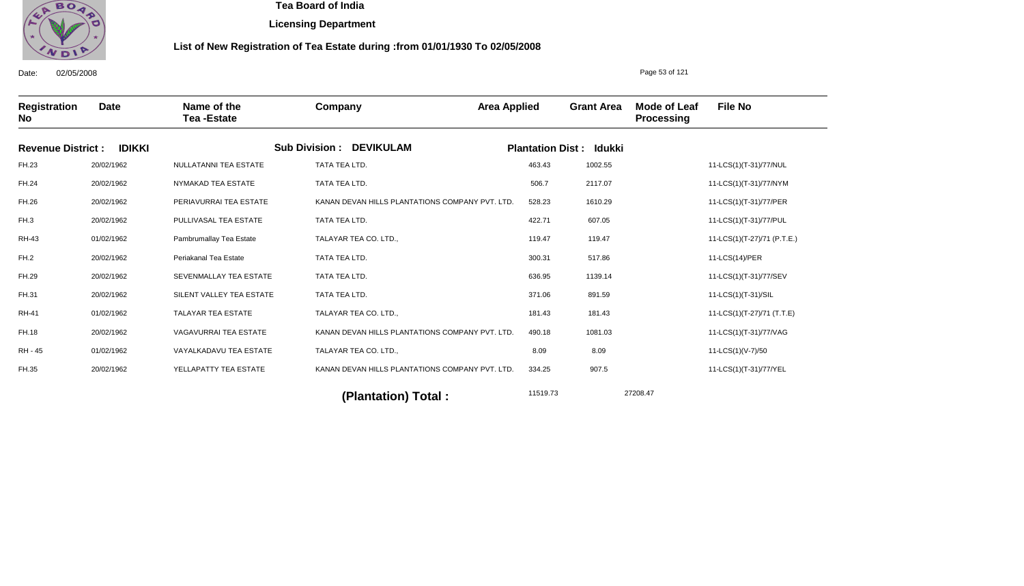

**Licensing Department**

#### **List of New Registration of Tea Estate during :from 01/01/1930 To 02/05/2008**

Date: 02/05/2008 **Registration No Date Name of the Tea -Estate Company Area Applied Grant Area Mode of Leaf Processing File No** Page 53 of 121 **Revenue District : IDIKKI Sub Division : DEVIKULAM Plantation Dist : Idukki** FH.23 FH.24 FH.26 FH.3 RH-43 FH.2 FH.29 FH.31 RH-41 FH.18 RH - 45 FH.35 20/02/1962 20/02/1962 20/02/1962 20/02/1962 01/02/1962 20/02/1962 20/02/1962 20/02/1962 01/02/1962 20/02/1962 01/02/1962 20/02/1962 NULLATANNI TEA ESTATE NYMAKAD TEA ESTATE PERIAVURRAI TEA ESTATE PULLIVASAL TEA ESTATE Pambrumallay Tea Estate Periakanal Tea Estate SEVENMALLAY TEA ESTATE SILENT VALLEY TEA ESTATE TALAYAR TEA ESTATE VAGAVURRAI TEA ESTATE VAYALKADAVU TEA ESTATE YELLAPATTY TEA ESTATE TATA TEA LTD. TATA TEA LTD. KANAN DEVAN HILLS PLANTATIONS COMPANY PVT. LTD. TATA TEA LTD. TALAYAR TEA CO. LTD., TATA TEA LTD. TATA TEA LTD. TATA TEA LTD. TALAYAR TEA CO. LTD., KANAN DEVAN HILLS PLANTATIONS COMPANY PVT. LTD. TALAYAR TEA CO. LTD., KANAN DEVAN HILLS PLANTATIONS COMPANY PVT. LTD. 463.43 506.7 528.23 422.71 119.47 300.31 636.95 371.06 181.43 490.18 8.09 334.25 11-LCS(1)(T-31)/77/NUL 11-LCS(1)(T-31)/77/NYM 11-LCS(1)(T-31)/77/PER 11-LCS(1)(T-31)/77/PUL 11-LCS(1)(T-27)/71 (P.T.E.) 11-LCS(14)/PER 11-LCS(1)(T-31)/77/SEV 11-LCS(1)(T-31)/SIL 11-LCS(1)(T-27)/71 (T.T.E) 11-LCS(1)(T-31)/77/VAG 11-LCS(1)(V-7)/50 11-LCS(1)(T-31)/77/YEL 11519.73 27208.47 **(Plantation) Total :**  1002.55 2117.07 1610.29 607.05 119.47 517.86 1139.14 891.59 181.43 1081.03 8.09 907.5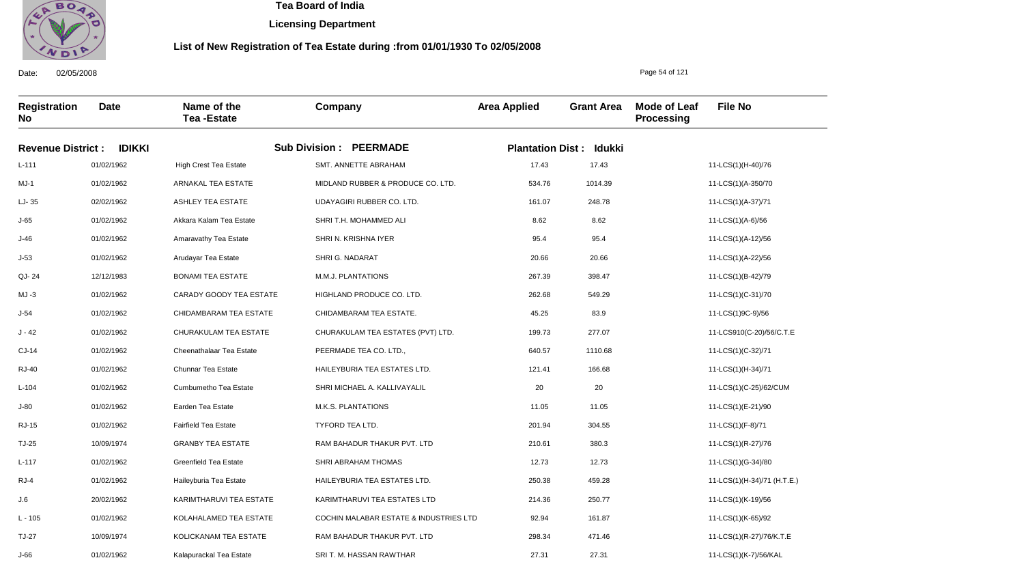

**Licensing Department**

#### **List of New Registration of Tea Estate during :from 01/01/1930 To 02/05/2008**

**Registration No Date Name of the Tea -Estate Company Area Applied Grant Area Mode of Leaf Processing File No Revenue District : IDIKKI Sub Division : PEERMADE Plantation Dist : Idukki** L-111 MJ-1 LJ- 35 J-65 J-46 J-53 QJ- 24 MJ -3 J-54 J - 42 CJ-14 RJ-40 L-104 J-80 RJ-15 TJ-25 L-117 RJ-4 J.6 L - 105 TJ-27 01/02/1962 01/02/1962 02/02/1962 01/02/1962 01/02/1962 01/02/1962 12/12/1983 01/02/1962 01/02/1962 01/02/1962 01/02/1962 01/02/1962 01/02/1962 01/02/1962 01/02/1962 10/09/1974 01/02/1962 01/02/1962 20/02/1962 01/02/1962 10/09/1974 High Crest Tea Estate ARNAKAL TEA ESTATE ASHLEY TEA ESTATE Akkara Kalam Tea Estate Amaravathy Tea Estate Arudayar Tea Estate BONAMI TEA ESTATE CARADY GOODY TEA ESTATE CHIDAMBARAM TEA ESTATE CHURAKULAM TEA ESTATE Cheenathalaar Tea Estate Chunnar Tea Estate Cumbumetho Tea Estate Earden Tea Estate Fairfield Tea Estate GRANBY TEA ESTATE Greenfield Tea Estate Haileyburia Tea Estate KARIMTHARUVI TEA ESTATE KOLAHALAMED TEA ESTATE KOLICKANAM TEA ESTATE SMT. ANNETTE ABRAHAM MIDLAND RUBBER & PRODUCE CO. LTD. UDAYAGIRI RUBBER CO. LTD. SHRI T.H. MOHAMMED ALI SHRI N. KRISHNA IYER SHRI G. NADARAT M.M.J. PLANTATIONS HIGHLAND PRODUCE CO. LTD. CHIDAMBARAM TEA ESTATE. CHURAKULAM TEA ESTATES (PVT) LTD. PEERMADE TEA CO. LTD., HAILEYBURIA TEA ESTATES LTD. SHRI MICHAEL A. KALLIVAYALIL M.K.S. PLANTATIONS TYFORD TEA LTD. RAM BAHADUR THAKUR PVT. LTD SHRI ABRAHAM THOMAS HAILEYBURIA TEA ESTATES LTD. KARIMTHARUVI TEA ESTATES LTD COCHIN MALABAR ESTATE & INDUSTRIES LTD RAM BAHADUR THAKUR PVT. LTD 17.43 534.76 161.07 8.62 95.4 20.66 267.39 262.68 45.25 199.73 640.57 121.41 20 11.05 201.94 210.61 12.73 250.38 214.36 92.94 298.34 11-LCS(1)(H-40)/76 11-LCS(1)(A-350/70 11-LCS(1)(A-37)/71 11-LCS(1)(A-6)/56 11-LCS(1)(A-12)/56 11-LCS(1)(A-22)/56 11-LCS(1)(B-42)/79 11-LCS(1)(C-31)/70 11-LCS(1)9C-9)/56 11-LCS910(C-20)/56/C.T.E 11-LCS(1)(C-32)/71 11-LCS(1)(H-34)/71 11-LCS(1)(C-25)/62/CUM 11-LCS(1)(E-21)/90 11-LCS(1)(F-8)/71 11-LCS(1)(R-27)/76 11-LCS(1)(G-34)/80 11-LCS(1)(H-34)/71 (H.T.E.) 11-LCS(1)(K-19)/56 11-LCS(1)(K-65)/92 11-LCS(1)(R-27)/76/K.T.E 17.43 1014.39 248.78 8.62 95.4 20.66 398.47 549.29 83.9 277.07 1110.68 166.68 20 11.05 304.55 380.3 12.73 459.28 250.77 161.87 471.46

SRI T. M. HASSAN RAWTHAR

27.31

27.31

Date: 02/05/2008

J-66

01/02/1962

Kalapurackal Tea Estate

Page 54 of 121

11-LCS(1)(K-7)/56/KAL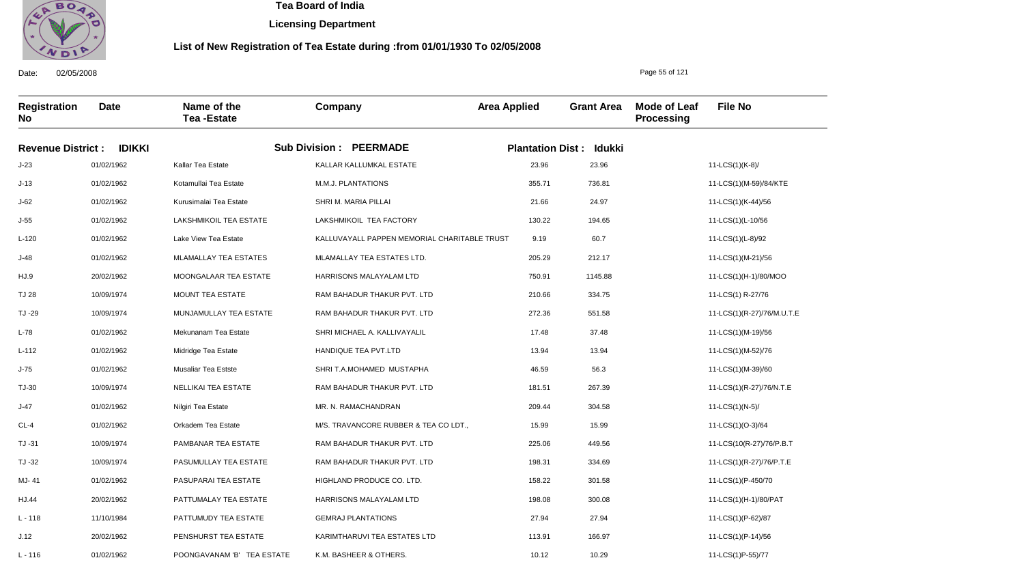

**Licensing Department**

#### **List of New Registration of Tea Estate during :from 01/01/1930 To 02/05/2008**

**Registration No Date Name of the Tea -Estate Company Area Applied Grant Area Mode of Leaf Processing File No Revenue District : IDIKKI Sub Division : PEERMADE Plantation Dist : Idukki** J-23 J-13 J-62 J-55 L-120 J-48 HJ.9 TJ 28 TJ -29 L-78 L-112 J-75 TJ-30 J-47 CL-4 TJ -31 TJ -32 MJ- 41 HJ.44 L - 118 J.12 01/02/1962 01/02/1962 01/02/1962 01/02/1962 01/02/1962 01/02/1962 20/02/1962 10/09/1974 10/09/1974 01/02/1962 01/02/1962 01/02/1962 10/09/1974 01/02/1962 01/02/1962 10/09/1974 10/09/1974 01/02/1962 20/02/1962 11/10/1984 20/02/1962 Kallar Tea Estate Kotamullai Tea Estate Kurusimalai Tea Estate LAKSHMIKOIL TEA ESTATE Lake View Tea Estate MLAMALLAY TEA ESTATES MOONGALAAR TEA ESTATE MOUNT TEA ESTATE MUNJAMULLAY TEA ESTATE Mekunanam Tea Estate Midridge Tea Estate Musaliar Tea Estste NELLIKAI TEA ESTATE Nilgiri Tea Estate Orkadem Tea Estate PAMBANAR TEA ESTATE PASUMULLAY TEA ESTATE PASUPARAI TEA ESTATE PATTUMALAY TEA ESTATE PATTUMUDY TEA ESTATE PENSHURST TEA ESTATE KALLAR KALLUMKAL ESTATE M.M.J. PLANTATIONS SHRI M. MARIA PILLAI LAKSHMIKOIL TEA FACTORY KALLUVAYALL PAPPEN MEMORIAL CHARITABLE TRUST MLAMALLAY TEA ESTATES LTD. HARRISONS MALAYALAM LTD RAM BAHADUR THAKUR PVT. LTD RAM BAHADUR THAKUR PVT. LTD SHRI MICHAEL A. KALLIVAYALIL HANDIQUE TEA PVT.LTD SHRI T.A.MOHAMED MUSTAPHA RAM BAHADUR THAKUR PVT. LTD MR. N. RAMACHANDRAN M/S. TRAVANCORE RUBBER & TEA CO LDT., RAM BAHADUR THAKUR PVT. LTD RAM BAHADUR THAKUR PVT. LTD HIGHLAND PRODUCE CO. LTD. HARRISONS MALAYALAM LTD GEMRAJ PLANTATIONS KARIMTHARUVI TEA ESTATES LTD 23.96 355.71 21.66 130.22 9.19 205.29 750.91 210.66 272.36 17.48 13.94 46.59 181.51 209.44 15.99 225.06 198.31 158.22 198.08 27.94 113.91 11-LCS(1)(K-8)/ 11-LCS(1)(M-59)/84/KTE 11-LCS(1)(K-44)/56 11-LCS(1)(L-10/56 11-LCS(1)(L-8)/92 11-LCS(1)(M-21)/56 11-LCS(1)(H-1)/80/MOO 11-LCS(1) R-27/76 11-LCS(1)(R-27)/76/M.U.T.E 11-LCS(1)(M-19)/56 11-LCS(1)(M-52)/76 11-LCS(1)(M-39)/60 11-LCS(1)(R-27)/76/N.T.E 11-LCS(1)(N-5)/ 11-LCS(1)(O-3)/64 11-LCS(10(R-27)/76/P.B.T 11-LCS(1)(R-27)/76/P.T.E 11-LCS(1)(P-450/70 11-LCS(1)(H-1)/80/PAT 11-LCS(1)(P-62)/87 11-LCS(1)(P-14)/56 23.96 736.81 24.97 194.65 60.7 212.17 1145.88 334.75 551.58 37.48 13.94 56.3 267.39 304.58 15.99 449.56 334.69 301.58 300.08 27.94 166.97

K.M. BASHEER & OTHERS.

10.12

10.29

Date: 02/05/2008

 $L - 116$ 

01/02/1962

POONGAVANAM 'B' TEA ESTATE

Page 55 of 121

11-LCS(1)P-55)/77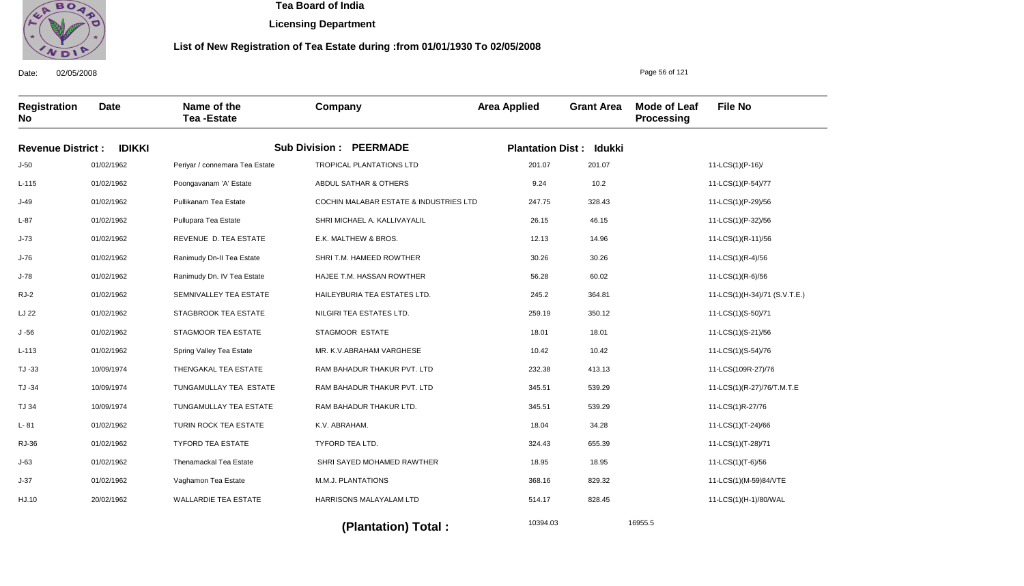

**Licensing Department**

#### **List of New Registration of Tea Estate during :from 01/01/1930 To 02/05/2008**

**Registration No Date Name of the Tea -Estate Company Area Applied Grant Area Mode of Leaf Processing File No Revenue District : IDIKKI Sub Division : PEERMADE Plantation Dist : Idukki** J-50 L-115 J-49 L-87 J-73 J-76 J-78 RJ-2 LJ 22 J -56 L-113 TJ -33 TJ -34 TJ 34 L- 81 RJ-36 J-63 J-37 HJ.10 01/02/1962 01/02/1962 01/02/1962 01/02/1962 01/02/1962 01/02/1962 01/02/1962 01/02/1962 01/02/1962 01/02/1962 01/02/1962 10/09/1974 10/09/1974 10/09/1974 01/02/1962 01/02/1962 01/02/1962 01/02/1962 20/02/1962 Periyar / connemara Tea Estate Poongavanam 'A' Estate Pullikanam Tea Estate Pullupara Tea Estate REVENUE D. TEA ESTATE Ranimudy Dn-II Tea Estate Ranimudy Dn. IV Tea Estate SEMNIVALLEY TEA ESTATE STAGBROOK TEA ESTATE STAGMOOR TEA ESTATE Spring Valley Tea Estate THENGAKAL TEA ESTATE TUNGAMULLAY TEA ESTATE TUNGAMULLAY TEA ESTATE TURIN ROCK TEA ESTATE TYFORD TEA ESTATE Thenamackal Tea Estate Vaghamon Tea Estate WALLARDIE TEA ESTATE TROPICAL PLANTATIONS LTD ABDUL SATHAR & OTHERS COCHIN MALABAR ESTATE & INDUSTRIES LTD SHRI MICHAEL A. KALLIVAYALIL E.K. MALTHEW & BROS. SHRI T.M. HAMEED ROWTHER HAJEE T.M. HASSAN ROWTHER HAILEYBURIA TEA ESTATES LTD. NILGIRI TEA ESTATES LTD. STAGMOOR ESTATE MR. K.V.ABRAHAM VARGHESE RAM BAHADUR THAKUR PVT. LTD RAM BAHADUR THAKUR PVT. LTD RAM BAHADUR THAKUR LTD. K.V. ABRAHAM. TYFORD TEA LTD. SHRI SAYED MOHAMED RAWTHER M.M.J. PLANTATIONS HARRISONS MALAYALAM LTD 201.07 9.24 247.75 26.15 12.13 30.26 56.28 245.2 259.19 18.01 10.42 232.38 345.51 345.51 18.04 324.43 18.95 368.16 514.17 11-LCS(1)(P-16)/ 11-LCS(1)(P-54)/77 11-LCS(1)(P-29)/56 11-LCS(1)(P-32)/56 11-LCS(1)(R-11)/56 11-LCS(1)(R-4)/56 11-LCS(1)(R-6)/56 11-LCS(1)(H-34)/71 (S.V.T.E.) 11-LCS(1)(S-50)/71 11-LCS(1)(S-21)/56 11-LCS(1)(S-54)/76 11-LCS(109R-27)/76 11-LCS(1)(R-27)/76/T.M.T.E 11-LCS(1)R-27/76 11-LCS(1)(T-24)/66 11-LCS(1)(T-28)/71 11-LCS(1)(T-6)/56 11-LCS(1)(M-59)84/VTE 11-LCS(1)(H-1)/80/WAL 201.07 10.2 328.43 46.15 14.96 30.26 60.02 364.81 350.12 18.01 10.42 413.13 539.29 539.29 34.28 655.39 18.95 829.32 828.45

10394.03 16955.5 **(Plantation) Total :** 

Date: 02/05/2008

Page 56 of 121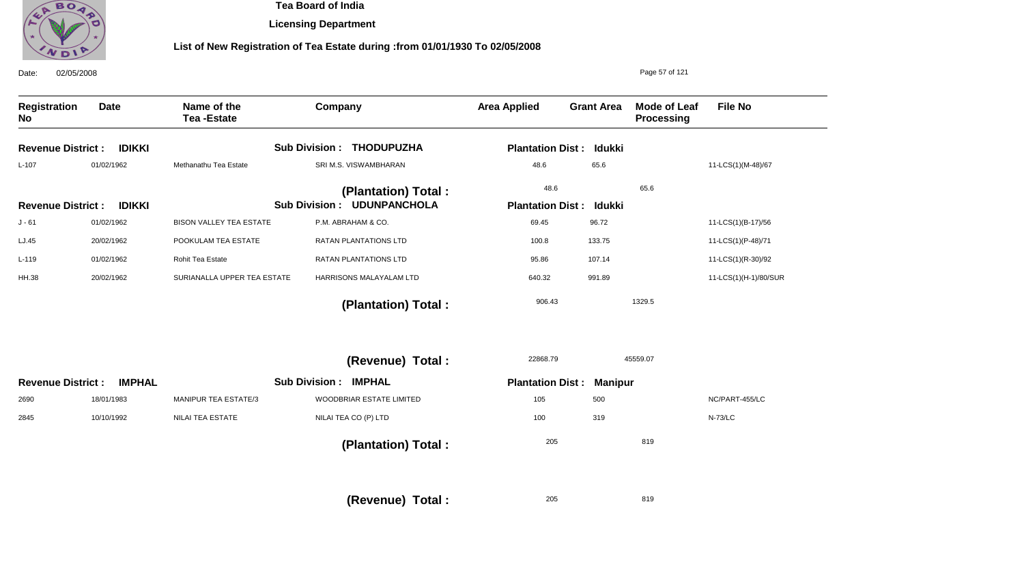

**Licensing Department**

# **List of New Registration of Tea Estate during :from 01/01/1930 To 02/05/2008**

| 02/05/2008<br>Date:       |               |                                  |                              |                                    |                                           |                                | Page 57 of 121                           |                       |
|---------------------------|---------------|----------------------------------|------------------------------|------------------------------------|-------------------------------------------|--------------------------------|------------------------------------------|-----------------------|
| <b>Registration</b><br>No | <b>Date</b>   | Name of the<br><b>Tea-Estate</b> | Company                      |                                    | <b>Area Applied</b>                       | <b>Grant Area</b>              | <b>Mode of Leaf</b><br><b>Processing</b> | <b>File No</b>        |
| <b>Revenue District:</b>  | <b>IDIKKI</b> |                                  |                              | Sub Division : THODUPUZHA          |                                           | <b>Plantation Dist: Idukki</b> |                                          |                       |
| $L-107$                   | 01/02/1962    | Methanathu Tea Estate            |                              | SRI M.S. VISWAMBHARAN              | 48.6                                      | 65.6                           |                                          | 11-LCS(1)(M-48)/67    |
|                           |               |                                  |                              | (Plantation) Total:                | 48.6                                      |                                | 65.6                                     |                       |
| <b>Revenue District:</b>  | <b>IDIKKI</b> |                                  |                              | <b>Sub Division : UDUNPANCHOLA</b> |                                           | <b>Plantation Dist: Idukki</b> |                                          |                       |
| $J - 61$                  | 01/02/1962    | <b>BISON VALLEY TEA ESTATE</b>   |                              | P.M. ABRAHAM & CO.                 | 69.45                                     | 96.72                          |                                          | 11-LCS(1)(B-17)/56    |
| LJ.45                     | 20/02/1962    | POOKULAM TEA ESTATE              |                              | <b>RATAN PLANTATIONS LTD</b>       | 100.8                                     | 133.75                         |                                          | 11-LCS(1)(P-48)/71    |
| $L-119$                   | 01/02/1962    | Rohit Tea Estate                 |                              | RATAN PLANTATIONS LTD              | 95.86                                     | 107.14                         |                                          | 11-LCS(1)(R-30)/92    |
| <b>HH.38</b>              | 20/02/1962    | SURIANALLA UPPER TEA ESTATE      |                              | HARRISONS MALAYALAM LTD            | 640.32                                    | 991.89                         |                                          | 11-LCS(1)(H-1)/80/SUR |
|                           |               |                                  |                              | (Plantation) Total:                | 906.43                                    |                                | 1329.5                                   |                       |
|                           |               |                                  |                              | (Revenue) Total :                  | 22868.79                                  |                                | 45559.07                                 |                       |
| <b>Revenue District:</b>  | <b>IMPHAL</b> |                                  | <b>Sub Division : IMPHAL</b> |                                    | <b>Plantation Dist:</b><br><b>Manipur</b> |                                |                                          |                       |
| 2690                      | 18/01/1983    | MANIPUR TEA ESTATE/3             |                              | WOODBRIAR ESTATE LIMITED           | 105                                       | 500                            |                                          | NC/PART-455/LC        |
| 2845                      | 10/10/1992    | <b>NILAI TEA ESTATE</b>          |                              | NILAI TEA CO (P) LTD               | 100                                       | 319                            |                                          | <b>N-73/LC</b>        |
|                           |               |                                  |                              | (Plantation) Total:                | 205                                       |                                | 819                                      |                       |
|                           |               |                                  |                              | (Revenue) Total :                  | 205                                       |                                | 819                                      |                       |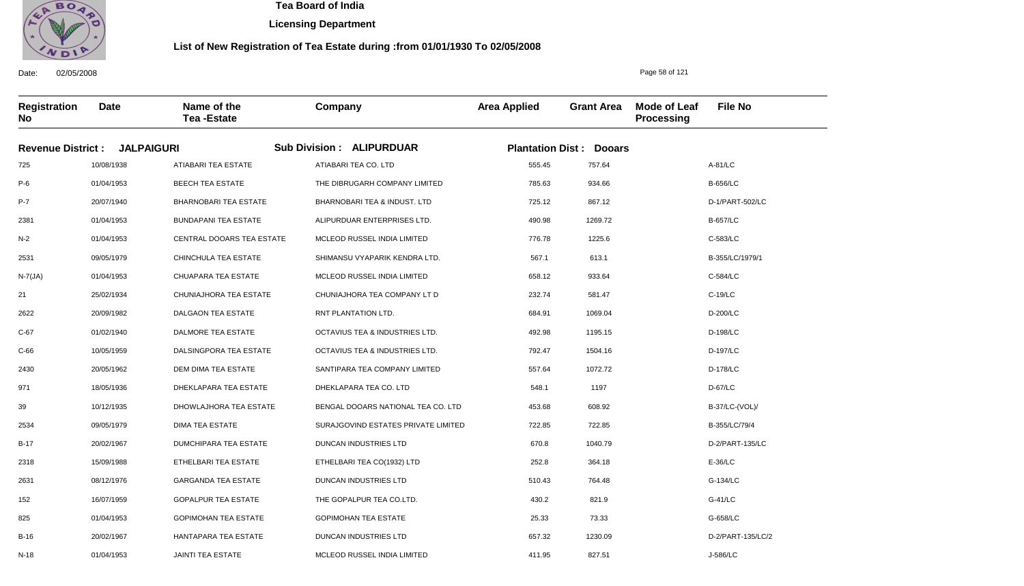

**Licensing Department**

#### **List of New Registration of Tea Estate during :from 01/01/1930 To 02/05/2008**

**Registration No Date Name of the Tea -Estate Company Area Applied Grant Area Mode of Leaf Processing File No Revenue District : JALPAIGURI Sub Division : ALIPURDUAR Plantation Dist : Dooars** 725 P-6 P-7 2381 N-2 2531 N-7(JA) 21 2622 C-67 C-66 2430 971 39 2534 B-17 2318 2631 152 825 B-16 10/08/1938 01/04/1953 20/07/1940 01/04/1953 01/04/1953 09/05/1979 01/04/1953 25/02/1934 20/09/1982 01/02/1940 10/05/1959 20/05/1962 18/05/1936 10/12/1935 09/05/1979 20/02/1967 15/09/1988 08/12/1976 16/07/1959 01/04/1953 20/02/1967 ATIABARI TEA ESTATE BEECH TEA ESTATE BHARNOBARI TEA ESTATE BUNDAPANI TEA ESTATE CENTRAL DOOARS TEA ESTATE CHINCHULA TEA ESTATE CHUAPARA TEA ESTATE CHUNIAJHORA TEA ESTATE DALGAON TEA ESTATE DALMORE TEA ESTATE DALSINGPORA TEA ESTATE DEM DIMA TEA ESTATE DHEKLAPARA TEA ESTATE DHOWLAJHORA TEA ESTATE DIMA TEA ESTATE DUMCHIPARA TEA ESTATE ETHELBARI TEA ESTATE GARGANDA TEA ESTATE GOPALPUR TEA ESTATE GOPIMOHAN TEA ESTATE HANTAPARA TEA ESTATE ATIABARI TEA CO. LTD THE DIBRUGARH COMPANY LIMITED BHARNOBARI TEA & INDUST. LTD ALIPURDUAR ENTERPRISES LTD. MCLEOD RUSSEL INDIA LIMITED SHIMANSU VYAPARIK KENDRA LTD. MCLEOD RUSSEL INDIA LIMITED CHUNIAJHORA TEA COMPANY LT D RNT PLANTATION LTD. OCTAVIUS TEA & INDUSTRIES LTD. OCTAVIUS TEA & INDUSTRIES LTD. SANTIPARA TEA COMPANY LIMITED DHEKLAPARA TEA CO. LTD BENGAL DOOARS NATIONAL TEA CO. LTD SURAJGOVIND ESTATES PRIVATE LIMITED DUNCAN INDUSTRIES LTD ETHELBARI TEA CO(1932) LTD DUNCAN INDUSTRIES LTD THE GOPALPUR TEA CO.LTD. GOPIMOHAN TEA ESTATE DUNCAN INDUSTRIES LTD 555.45 785.63 725.12 490.98 776.78 567.1 658.12 232.74 684.91 492.98 792.47 557.64 548.1 453.68 722.85 670.8 252.8 510.43 430.2 25.33 657.32 A-81/LC B-656/LC D-1/PART-502/LC B-657/LC C-583/LC B-355/LC/1979/1 C-584/LC C-19/LC D-200/LC D-198/LC D-197/LC D-178/LC D-67/LC B-37/LC-(VOL)/ B-355/LC/79/4 D-2/PART-135/LC E-36/LC G-134/LC G-41/LC G-658/LC D-2/PART-135/LC/2 757.64 934.66 867.12 1269.72 1225.6 613.1 933.64 581.47 1069.04 1195.15 1504.16 1072.72 1197 608.92 722.85 1040.79 364.18 764.48 821.9 73.33 1230.09

MCLEOD RUSSEL INDIA LIMITED

411.95

827.51

Date: 02/05/2008

N-18

01/04/1953

JAINTI TEA ESTATE

Page 58 of 121

J-586/LC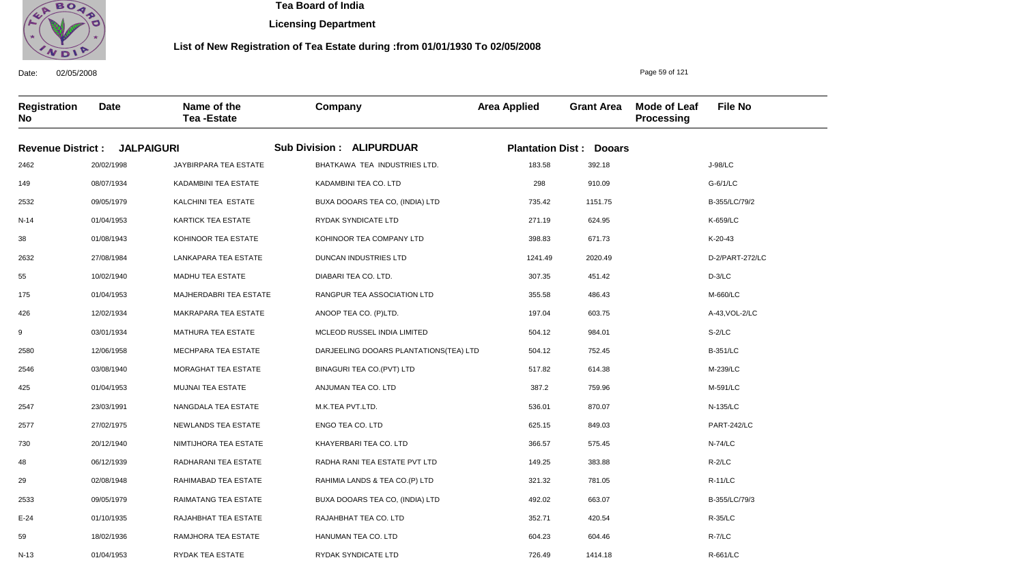

N-13

01/04/1953

RYDAK TEA ESTATE

 **Tea Board of India** 

**Licensing Department**

#### **List of New Registration of Tea Estate during :from 01/01/1930 To 02/05/2008**

Page 59 of 121

R-661/LC

Date: 02/05/2008 **Registration No Date Name of the Tea -Estate Company Area Applied Grant Area Mode of Leaf Processing File No Revenue District : JALPAIGURI Sub Division : ALIPURDUAR Plantation Dist : Dooars** 2462 149 2532 N-14 38 2632 55 175 426 9 2580 2546 425 2547 2577 730 48 29 2533 E-24 59 20/02/1998 08/07/1934 09/05/1979 01/04/1953 01/08/1943 27/08/1984 10/02/1940 01/04/1953 12/02/1934 03/01/1934 12/06/1958 03/08/1940 01/04/1953 23/03/1991 27/02/1975 20/12/1940 06/12/1939 02/08/1948 09/05/1979 01/10/1935 18/02/1936 JAYBIRPARA TEA ESTATE KADAMBINI TEA ESTATE KALCHINI TEA ESTATE KARTICK TEA ESTATE KOHINOOR TEA ESTATE LANKAPARA TEA ESTATE MADHU TEA ESTATE MAJHERDABRI TEA ESTATE MAKRAPARA TEA ESTATE MATHURA TEA ESTATE MECHPARA TEA ESTATE MORAGHAT TEA ESTATE MUJNAI TEA ESTATE NANGDALA TEA ESTATE NEWLANDS TEA ESTATE NIMTIJHORA TEA ESTATE RADHARANI TEA ESTATE RAHIMABAD TEA ESTATE RAIMATANG TEA ESTATE RAJAHBHAT TEA ESTATE RAMJHORA TEA ESTATE BHATKAWA TEA INDUSTRIES LTD. KADAMBINI TEA CO. LTD BUXA DOOARS TEA CO, (INDIA) LTD RYDAK SYNDICATE LTD KOHINOOR TEA COMPANY LTD DUNCAN INDUSTRIES LTD DIABARI TEA CO. LTD. RANGPUR TEA ASSOCIATION LTD ANOOP TEA CO. (P)LTD. MCLEOD RUSSEL INDIA LIMITED DARJEELING DOOARS PLANTATIONS(TEA) LTD BINAGURI TEA CO.(PVT) LTD ANJUMAN TEA CO. LTD M.K.TEA PVT.LTD. ENGO TEA CO. LTD KHAYERBARI TEA CO. LTD RADHA RANI TEA ESTATE PVT LTD RAHIMIA LANDS & TEA CO.(P) LTD BUXA DOOARS TEA CO, (INDIA) LTD RAJAHBHAT TEA CO. LTD HANUMAN TEA CO. LTD 183.58 298 735.42 271.19 398.83 1241.49 307.35 355.58 197.04 504.12 504.12 517.82 387.2 536.01 625.15 366.57 149.25 321.32 492.02 352.71 604.23 J-98/LC G-6/1/LC B-355/LC/79/2 K-659/LC K-20-43 D-2/PART-272/LC D-3/LC M-660/LC A-43,VOL-2/LC S-2/LC B-351/LC M-239/LC M-591/LC N-135/LC PART-242/LC N-74/LC R-2/LC R-11/LC B-355/LC/79/3 R-35/LC R-7/LC 392.18 910.09 1151.75 624.95 671.73 2020.49 451.42 486.43 603.75 984.01 752.45 614.38 759.96 870.07 849.03 575.45 383.88 781.05 663.07 420.54 604.46

726.49

1414.18

RYDAK SYNDICATE LTD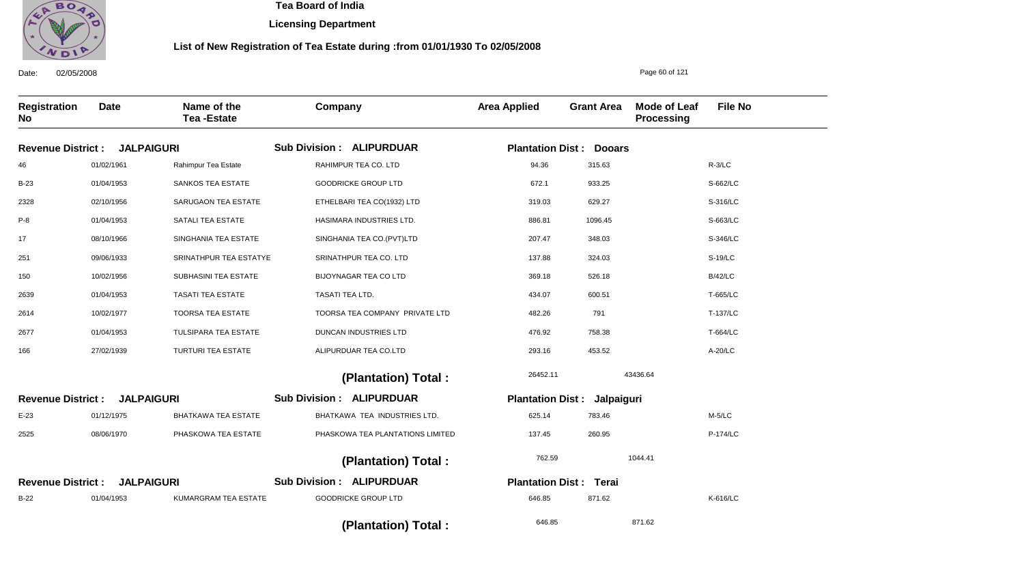

**Licensing Department**

#### **List of New Registration of Tea Estate during :from 01/01/1930 To 02/05/2008**

Date: 02/05/2008 **Registration No Date Name of the Tea -Estate Company Area Applied Grant Area Mode of Leaf Processing File No** Page 60 of 121 **JALPAIGURI Revenue District : JALPAIGURI Revenue District : JALPAIGURI Revenue District : ALIPURDUAR Sub Division : ALIPURDUAR Sub Division : ALIPURDUAR Sub Division : Plantation Dist : Dooars Plantation Dist : Jalpaiguri Plantation Dist : Terai** 46 B-23 2328 P-8 17 251 150 2639 2614 2677 166 E-23 2525 B-22 01/02/1961 01/04/1953 02/10/1956 01/04/1953 08/10/1966 09/06/1933 10/02/1956 01/04/1953 10/02/1977 01/04/1953 27/02/1939 01/12/1975 08/06/1970 01/04/1953 Rahimpur Tea Estate SANKOS TEA ESTATE SARUGAON TEA ESTATE SATALI TEA ESTATE SINGHANIA TEA ESTATE SRINATHPUR TEA ESTATYE SUBHASINI TEA ESTATE TASATI TEA ESTATE TOORSA TEA ESTATE TULSIPARA TEA ESTATE TURTURI TEA ESTATE BHATKAWA TEA ESTATE PHASKOWA TEA ESTATE KUMARGRAM TEA ESTATE RAHIMPUR TEA CO. LTD GOODRICKE GROUP LTD ETHELBARI TEA CO(1932) LTD HASIMARA INDUSTRIES LTD. SINGHANIA TEA CO.(PVT)LTD SRINATHPUR TEA CO. LTD BIJOYNAGAR TEA CO LTD TASATI TEA LTD. TOORSA TEA COMPANY PRIVATE LTD DUNCAN INDUSTRIES LTD ALIPURDUAR TEA CO.LTD BHATKAWA TEA INDUSTRIES LTD. PHASKOWA TEA PLANTATIONS LIMITED GOODRICKE GROUP LTD 94.36 672.1 319.03 886.81 207.47 137.88 369.18 434.07 482.26 476.92 293.16 625.14 137.45 646.85 R-3/LC S-662/LC S-316/LC S-663/LC S-346/LC S-19/LC B/42/LC T-665/LC T-137/LC T-664/LC A-20/LC M-5/LC P-174/LC K-616/LC 26452.11 762.59 646.85 43436.64 1044.41 871.62  **(Plantation) Total : (Plantation) Total : (Plantation) Total :**  315.63 933.25 629.27 1096.45 348.03 324.03 526.18 600.51 791 758.38 453.52 783.46 260.95 871.62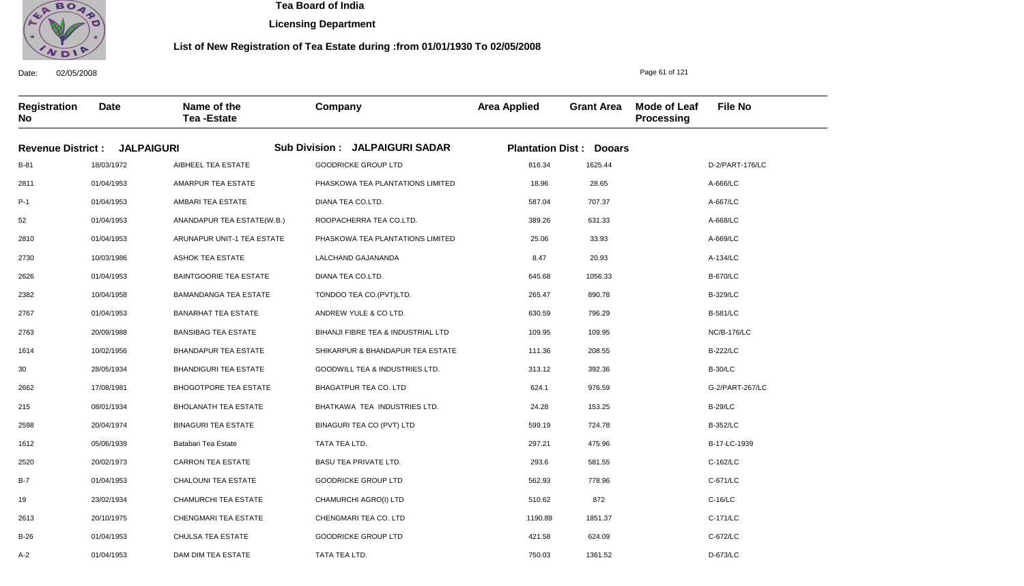

**Licensing Department**

#### **List of New Registration of Tea Estate during :from 01/01/1930 To 02/05/2008**

**Registration No Date Name of the Tea -Estate Company Area Applied Grant Area Mode of Leaf Processing File No Revenue District : JALPAIGURI Sub Division : JALPAIGURI SADAR Plantation Dist : Dooars** B-81 2811 P-1 52 2810 2730 2626 2382 2767 2763 1614 30 2662 215 2598 1612 2520 B-7 19 2613 B-26 18/03/1972 01/04/1953 01/04/1953 01/04/1953 01/04/1953 10/03/1986 01/04/1953 10/04/1958 01/04/1953 20/09/1988 10/02/1956 28/05/1934 17/08/1981 08/01/1934 20/04/1974 05/06/1939 20/02/1973 01/04/1953 23/02/1934 20/10/1975 01/04/1953 AIBHEEL TEA ESTATE AMARPUR TEA ESTATE AMBARI TEA ESTATE ANANDAPUR TEA ESTATE(W.B.) ARUNAPUR UNIT-1 TEA ESTATE ASHOK TEA ESTATE BAINTGOORIE TEA ESTATE BAMANDANGA TEA ESTATE BANARHAT TEA ESTATE BANSIBAG TEA ESTATE BHANDAPUR TEA ESTATE BHANDIGURI TEA ESTATE BHOGOTPORE TEA ESTATE BHOLANATH TEA ESTATE BINAGURI TEA ESTATE Batabari Tea Estate CARRON TEA ESTATE CHALOUNI TEA ESTATE CHAMURCHI TEA ESTATE CHENGMARI TEA ESTATE CHULSA TEA ESTATE GOODRICKE GROUP LTD PHASKOWA TEA PLANTATIONS LIMITED DIANA TEA CO.LTD. ROOPACHERRA TEA CO.LTD. PHASKOWA TEA PLANTATIONS LIMITED LALCHAND GAJANANDA DIANA TEA CO.LTD. TONDOO TEA CO.(PVT)LTD. ANDREW YULE & CO LTD. BIHANJI FIBRE TEA & INDUSTRIAL LTD SHIKARPUR & BHANDAPUR TEA ESTATE GOODWILL TEA & INDUSTRIES LTD. BHAGATPUR TEA CO. LTD BHATKAWA TEA INDUSTRIES LTD. BINAGURI TEA CO (PVT) LTD TATA TEA LTD. BASU TEA PRIVATE LTD. GOODRICKE GROUP LTD CHAMURCHI AGRO(I) LTD CHENGMARI TEA CO. LTD GOODRICKE GROUP LTD TATA TEA LTD. 816.34 18.96 587.04 389.26 25.06 8.47 645.68 265.47 630.59 109.95 111.36 313.12 624.1 24.28 599.19 297.21 293.6 562.93 510.62 1190.89 421.58 D-2/PART-176/LC A-666/LC A-667/LC A-668/LC A-669/LC A-134/LC B-670/LC B-329/LC B-581/LC NC/B-176/LC B-222/LC B-30/LC G-2/PART-267/LC B-29/LC B-352/LC B-17-LC-1939 C-162/LC C-671/LC C-16/LC C-171/LC C-672/LC D-673/LC 1625.44 28.65 707.37 631.33 33.93 20.93 1056.33 890.78 796.29 109.95 208.55 392.36 976.59 153.25 724.78 475.96 581.55 778.96 872 1851.37 624.09 1361.52

750.03

Date: 02/05/2008

A-2

01/04/1953

DAM DIM TEA ESTATE

Page 61 of 121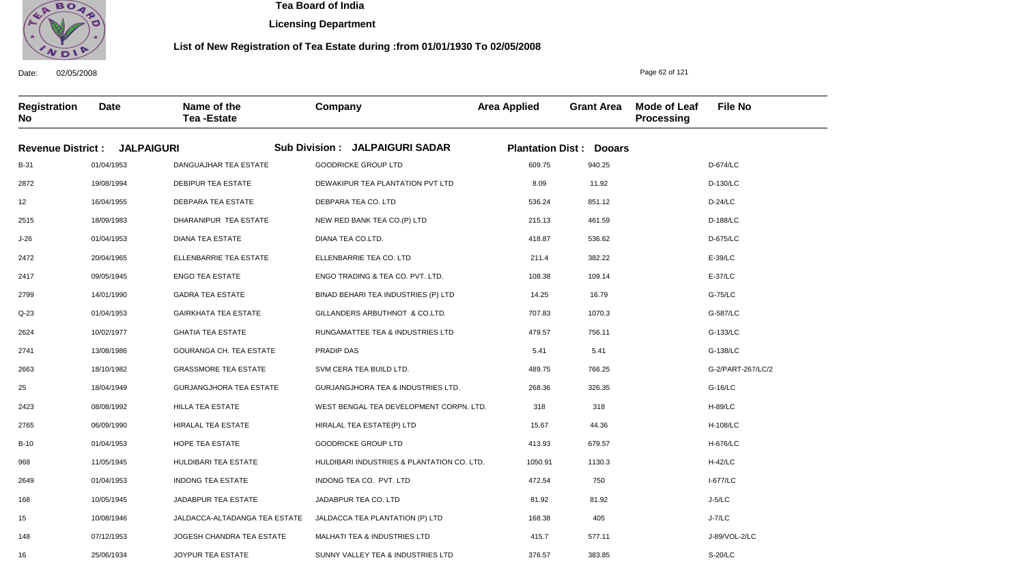

**Licensing Department**

#### **List of New Registration of Tea Estate during :from 01/01/1930 To 02/05/2008**

Date: 02/05/2008 **Registration No Date Name of the Tea -Estate Company Area Applied Grant Area Mode of Leaf Processing File No** Page 62 of 121 **Revenue District : JALPAIGURI Sub Division : JALPAIGURI SADAR Plantation Dist : Dooars** B-31 2872 12 2515 J-26 2472 2417 2799 Q-23 2624 2741 2663 25 2423 2765 B-10 968 2649 168 15 148 16 01/04/1953 19/08/1994 16/04/1955 18/09/1983 01/04/1953 20/04/1965 09/05/1945 14/01/1990 01/04/1953 10/02/1977 13/08/1986 18/10/1982 18/04/1949 08/08/1992 06/09/1990 01/04/1953 11/05/1945 01/04/1953 10/05/1945 10/08/1946 07/12/1953 25/06/1934 DANGUAJHAR TEA ESTATE DEBIPUR TEA ESTATE DEBPARA TEA ESTATE DHARANIPUR TEA ESTATE DIANA TEA ESTATE ELLENBARRIE TEA ESTATE ENGO TEA ESTATE GADRA TEA ESTATE GAIRKHATA TEA ESTATE GHATIA TEA ESTATE GOURANGA CH. TEA ESTATE GRASSMORE TEA ESTATE GURJANGJHORA TEA ESTATE HILLA TEA ESTATE HIRALAL TEA ESTATE HOPE TEA ESTATE HULDIBARI TEA ESTATE INDONG TEA ESTATE JADABPUR TEA ESTATE JALDACCA-ALTADANGA TEA ESTATE JOGESH CHANDRA TEA ESTATE JOYPUR TEA ESTATE GOODRICKE GROUP LTD DEWAKIPUR TEA PLANTATION PVT LTD DEBPARA TEA CO. LTD NEW RED BANK TEA CO.(P) LTD DIANA TEA CO.LTD. ELLENBARRIE TEA CO. LTD ENGO TRADING & TEA CO. PVT. LTD. BINAD BEHARI TEA INDUSTRIES (P) LTD GILLANDERS ARBUTHNOT & CO.LTD. RUNGAMATTEE TEA & INDUSTRIES LTD PRADIP DAS SVM CERA TEA BUILD LTD. GURJANGJHORA TEA & INDUSTRIES LTD. WEST BENGAL TEA DEVELOPMENT CORPN. LTD. HIRALAL TEA ESTATE(P) LTD GOODRICKE GROUP LTD HULDIBARI INDUSTRIES & PLANTATION CO. LTD. INDONG TEA CO. PVT. LTD JADABPUR TEA CO. LTD JALDACCA TEA PLANTATION (P) LTD MALHATI TEA & INDUSTRIES LTD SUNNY VALLEY TEA & INDUSTRIES LTD 609.75 8.09 536.24 215.13 418.87 211.4 108.38 14.25 707.83 479.57 5.41 489.75 268.36 318 15.67 413.93 1050.91 472.54 81.92 168.38 415.7 376.57 D-674/LC D-130/LC D-24/LC D-188/LC D-675/LC E-39/LC E-37/LC G-75/LC G-587/LC G-133/LC G-138/LC G-2/PART-267/LC/2 G-16/LC H-89/LC H-108/LC H-676/LC H-42/LC I-677/LC J-5/LC J-7/LC J-89/VOL-2/LC S-20/LC 940.25 11.92 851.12 461.59 536.62 382.22 109.14 16.79 1070.3 756.11 5.41 766.25 326.35 318 44.36 679.57 1130.3 750 81.92 405 577.11 383.85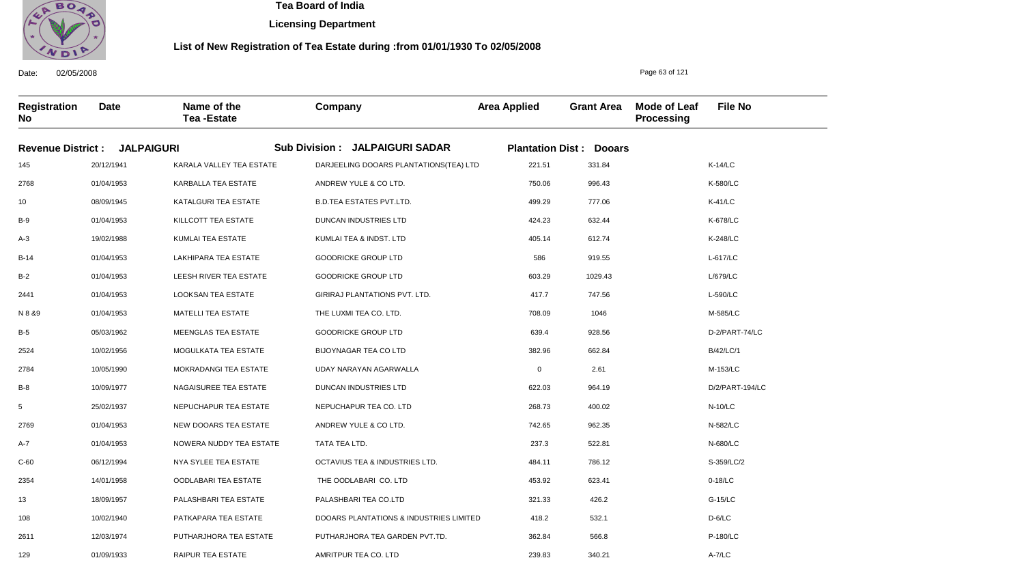

**Licensing Department**

#### **List of New Registration of Tea Estate during :from 01/01/1930 To 02/05/2008**

Date: 02/05/2008 **Registration No Date Name of the Tea -Estate Company Area Applied Grant Area Mode of Leaf Processing File No** Page 63 of 121 **Revenue District : JALPAIGURI Sub Division : JALPAIGURI SADAR Plantation Dist : Dooars** 145 2768 10 B-9 A-3 B-14 B-2 2441 N 8 &9 B-5 2524 2784 B-8 5 2769 A-7 C-60 2354 13 108 2611 129 20/12/1941 01/04/1953 08/09/1945 01/04/1953 19/02/1988 01/04/1953 01/04/1953 01/04/1953 01/04/1953 05/03/1962 10/02/1956 10/05/1990 10/09/1977 25/02/1937 01/04/1953 01/04/1953 06/12/1994 14/01/1958 18/09/1957 10/02/1940 12/03/1974 01/09/1933 KARALA VALLEY TEA ESTATE KARBALLA TEA ESTATE KATALGURI TEA ESTATE KILLCOTT TEA ESTATE KUMLAI TEA ESTATE LAKHIPARA TEA ESTATE LEESH RIVER TEA ESTATE LOOKSAN TEA ESTATE MATELLI TEA ESTATE MEENGLAS TEA ESTATE MOGULKATA TEA ESTATE MOKRADANGI TEA ESTATE NAGAISUREE TEA ESTATE NEPUCHAPUR TEA ESTATE NEW DOOARS TEA ESTATE NOWERA NUDDY TEA ESTATE NYA SYLEE TEA ESTATE OODLABARI TEA ESTATE PALASHBARI TEA ESTATE PATKAPARA TEA ESTATE PUTHARJHORA TEA ESTATE RAIPUR TEA ESTATE DARJEELING DOOARS PLANTATIONS(TEA) LTD ANDREW YULE & CO LTD. B.D.TEA ESTATES PVT.LTD. DUNCAN INDUSTRIES LTD KUMLAI TEA & INDST. LTD GOODRICKE GROUP LTD GOODRICKE GROUP LTD GIRIRAJ PLANTATIONS PVT. LTD. THE LUXMI TEA CO. LTD. GOODRICKE GROUP LTD BIJOYNAGAR TEA CO LTD UDAY NARAYAN AGARWALLA DUNCAN INDUSTRIES LTD NEPUCHAPUR TEA CO. LTD ANDREW YULE & CO LTD. TATA TEA LTD. OCTAVIUS TEA & INDUSTRIES LTD. THE OODLABARI CO. LTD PALASHBARI TEA CO.LTD DOOARS PLANTATIONS & INDUSTRIES LIMITED PUTHARJHORA TEA GARDEN PVT.TD. AMRITPUR TEA CO. LTD 221.51 750.06 499.29 424.23 405.14 586 603.29 417.7 708.09 639.4 382.96 0 622.03 268.73 742.65 237.3 484.11 453.92 321.33 418.2 362.84 239.83 K-14/LC K-580/LC K-41/LC K-678/LC K-248/LC L-617/LC L/679/LC L-590/LC M-585/LC D-2/PART-74/LC B/42/LC/1 M-153/LC D/2/PART-194/LC N-10/LC N-582/LC N-680/LC S-359/LC/2 0-18/LC G-15/LC D-6/LC P-180/LC A-7/LC 331.84 996.43 777.06 632.44 612.74 919.55 1029.43 747.56 1046 928.56 662.84 2.61 964.19 400.02 962.35 522.81 786.12 623.41 426.2 532.1 566.8 340.21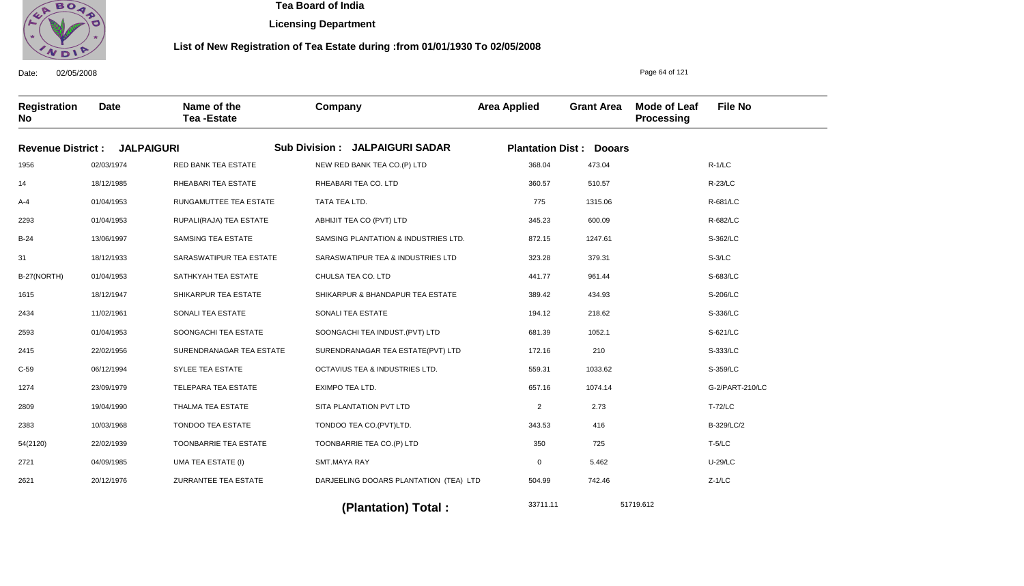

**Licensing Department**

#### **List of New Registration of Tea Estate during :from 01/01/1930 To 02/05/2008**

Date: 02/05/2008 **Registration No Date Name of the Tea -Estate Company Area Applied Grant Area Mode of Leaf Processing File No** Page 64 of 121 **Revenue District : JALPAIGURI Sub Division : JALPAIGURI SADAR Plantation Dist : Dooars** 1956 14 A-4 2293 B-24 31 B-27(NORTH) 1615 2434 2593 2415 C-59 1274 2809 2383 54(2120) 2721 2621 02/03/1974 18/12/1985 01/04/1953 01/04/1953 13/06/1997 18/12/1933 01/04/1953 18/12/1947 11/02/1961 01/04/1953 22/02/1956 06/12/1994 23/09/1979 19/04/1990 10/03/1968 22/02/1939 04/09/1985 20/12/1976 RED BANK TEA ESTATE RHEABARI TEA ESTATE RUNGAMUTTEE TEA ESTATE RUPALI(RAJA) TEA ESTATE SAMSING TEA ESTATE SARASWATIPUR TEA ESTATE SATHKYAH TEA ESTATE SHIKARPUR TEA ESTATE SONALI TEA ESTATE SOONGACHI TEA ESTATE SURENDRANAGAR TEA ESTATE SYLEE TEA ESTATE TELEPARA TEA ESTATE THALMA TEA ESTATE TONDOO TEA ESTATE TOONBARRIE TEA ESTATE UMA TEA ESTATE (I) ZURRANTEE TEA ESTATE NEW RED BANK TEA CO.(P) LTD RHEABARI TEA CO. LTD TATA TEA LTD. ABHIJIT TEA CO (PVT) LTD SAMSING PLANTATION & INDUSTRIES LTD. SARASWATIPUR TEA & INDUSTRIES LTD CHULSA TEA CO. LTD SHIKARPUR & BHANDAPUR TEA ESTATE SONALI TEA ESTATE SOONGACHI TEA INDUST.(PVT) LTD SURENDRANAGAR TEA ESTATE(PVT) LTD OCTAVIUS TEA & INDUSTRIES LTD. EXIMPO TEA LTD. SITA PLANTATION PVT LTD TONDOO TEA CO.(PVT)LTD. TOONBARRIE TEA CO.(P) LTD SMT.MAYA RAY DARJEELING DOOARS PLANTATION (TEA) LTD 368.04 360.57 775 345.23 872.15 323.28 441.77 389.42 194.12 681.39 172.16 559.31 657.16 2 343.53 350 0 504.99 R-1/LC R-23/LC R-681/LC R-682/LC S-362/LC S-3/LC S-683/LC S-206/LC S-336/LC S-621/LC S-333/LC S-359/LC G-2/PART-210/LC T-72/LC B-329/LC/2 T-5/LC U-29/LC Z-1/LC 473.04 510.57 1315.06 600.09 1247.61 379.31 961.44 434.93 218.62 1052.1 210 1033.62 1074.14 2.73 416 725 5.462 742.46

33711.11 51719.612 **(Plantation) Total :**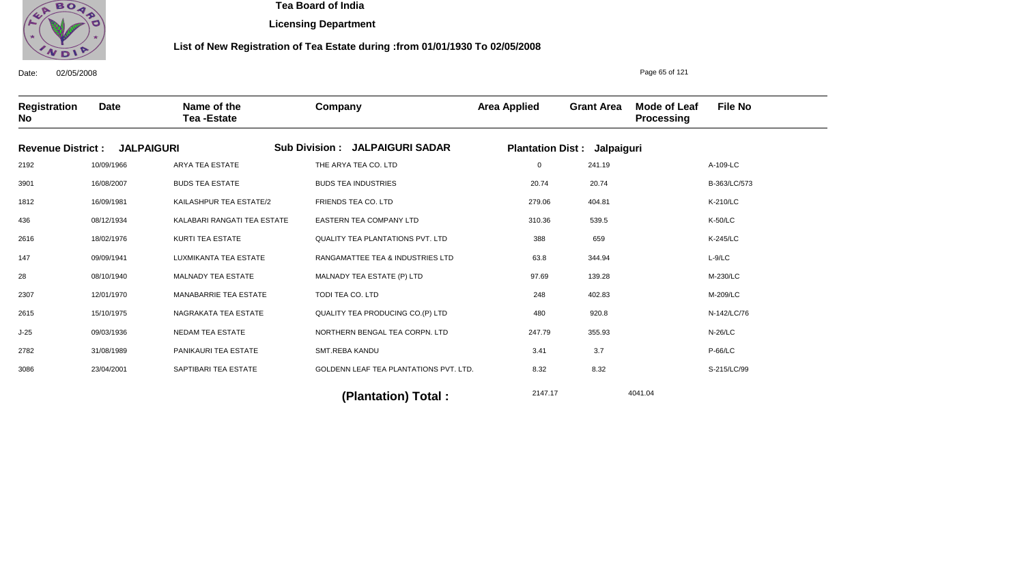

**Licensing Department**

#### **List of New Registration of Tea Estate during :from 01/01/1930 To 02/05/2008**

**Registration No Date Name of the Tea -Estate Company Area Applied Grant Area Mode of Leaf Processing File No** Page 65 of 121 **Revenue District : JALPAIGURI Sub Division : JALPAIGURI SADAR Plantation Dist : Jalpaiguri** 2192 3901 1812 436 2616 147 28 2307 2615 J-25 2782 3086 10/09/1966 16/08/2007 16/09/1981 08/12/1934 18/02/1976 09/09/1941 08/10/1940 12/01/1970 15/10/1975 09/03/1936 31/08/1989 23/04/2001 ARYA TEA ESTATE BUDS TEA ESTATE KAILASHPUR TEA ESTATE/2 KALABARI RANGATI TEA ESTATE KURTI TEA ESTATE LUXMIKANTA TEA ESTATE MALNADY TEA ESTATE MANABARRIE TEA ESTATE NAGRAKATA TEA ESTATE NEDAM TEA ESTATE PANIKAURI TEA ESTATE SAPTIBARI TEA ESTATE THE ARYA TEA CO. LTD BUDS TEA INDUSTRIES FRIENDS TEA CO. LTD EASTERN TEA COMPANY LTD QUALITY TEA PLANTATIONS PVT. LTD RANGAMATTEE TEA & INDUSTRIES LTD MALNADY TEA ESTATE (P) LTD TODI TEA CO. LTD QUALITY TEA PRODUCING CO.(P) LTD NORTHERN BENGAL TEA CORPN. LTD SMT.REBA KANDU GOLDENN LEAF TEA PLANTATIONS PVT. LTD. 0 20.74 279.06 310.36 388 63.8 97.69 248 480 247.79 3.41 8.32 A-109-LC B-363/LC/573 K-210/LC K-50/LC K-245/LC L-9/LC M-230/LC M-209/LC N-142/LC/76 N-26/LC P-66/LC S-215/LC/99 2147.17 4041.04 **(Plantation) Total :**  241.19 20.74 404.81 539.5 659 344.94 139.28 402.83 920.8 355.93 3.7 8.32

Date: 02/05/2008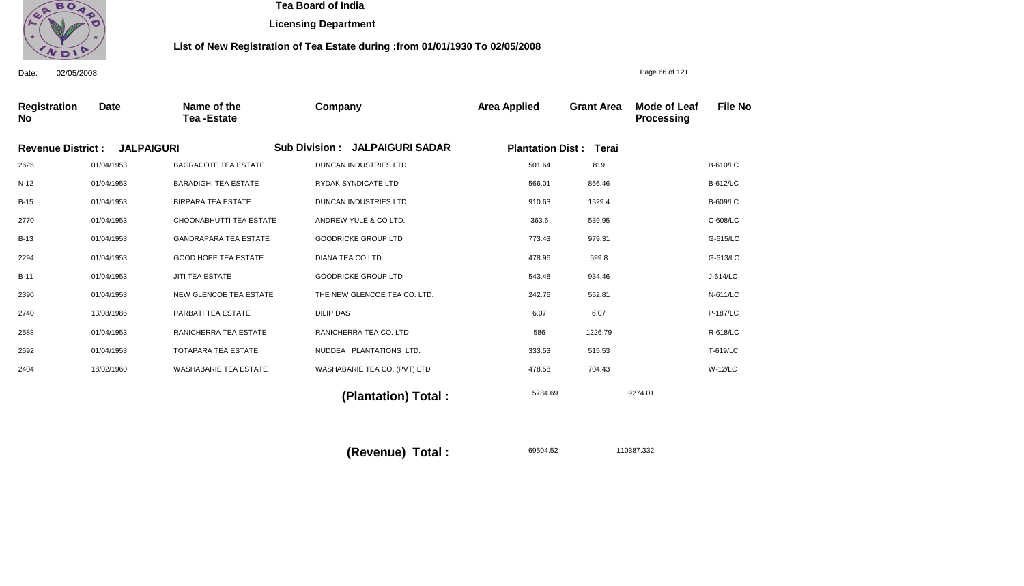

**Licensing Department**

#### **List of New Registration of Tea Estate during :from 01/01/1930 To 02/05/2008**

Date: 02/05/2008 **Registration No Date Name of the Tea -Estate Company Area Applied Grant Area Mode of Leaf Processing File No** Page 66 of 121 **Revenue District : JALPAIGURI Sub Division : JALPAIGURI SADAR Plantation Dist : Terai** 2625 N-12 B-15 2770 B-13 2294 B-11 2390 2740 2588 2592 2404 01/04/1953 01/04/1953 01/04/1953 01/04/1953 01/04/1953 01/04/1953 01/04/1953 01/04/1953 13/08/1986 01/04/1953 01/04/1953 18/02/1960 BAGRACOTE TEA ESTATE BARADIGHI TEA ESTATE BIRPARA TEA ESTATE CHOONABHUTTI TEA ESTATE GANDRAPARA TEA ESTATE GOOD HOPE TEA ESTATE JITI TEA ESTATE NEW GLENCOE TEA ESTATE PARBATI TEA ESTATE RANICHERRA TEA ESTATE TOTAPARA TEA ESTATE WASHABARIE TEA ESTATE DUNCAN INDUSTRIES LTD RYDAK SYNDICATE LTD DUNCAN INDUSTRIES LTD ANDREW YULE & CO LTD. GOODRICKE GROUP LTD DIANA TEA CO.LTD. GOODRICKE GROUP LTD THE NEW GLENCOE TEA CO. LTD. DILIP DAS RANICHERRA TEA CO. LTD NUDDEA PLANTATIONS LTD. WASHABARIE TEA CO. (PVT) LTD 501.64 566.01 910.63 363.6 773.43 478.96 543.48 242.76 6.07 586 333.53 478.58 B-610/LC B-612/LC B-609/LC C-608/LC G-615/LC G-613/LC J-614/LC N-611/LC P-187/LC R-618/LC T-619/LC W-12/LC 5784.69 9274.01  **(Plantation) Total :**  819 866.46 1529.4 539.95 979.31 599.8 934.46 552.81 6.07 1226.79 515.53 704.43

**(Revenue) Total :** 

69504.52 110387.332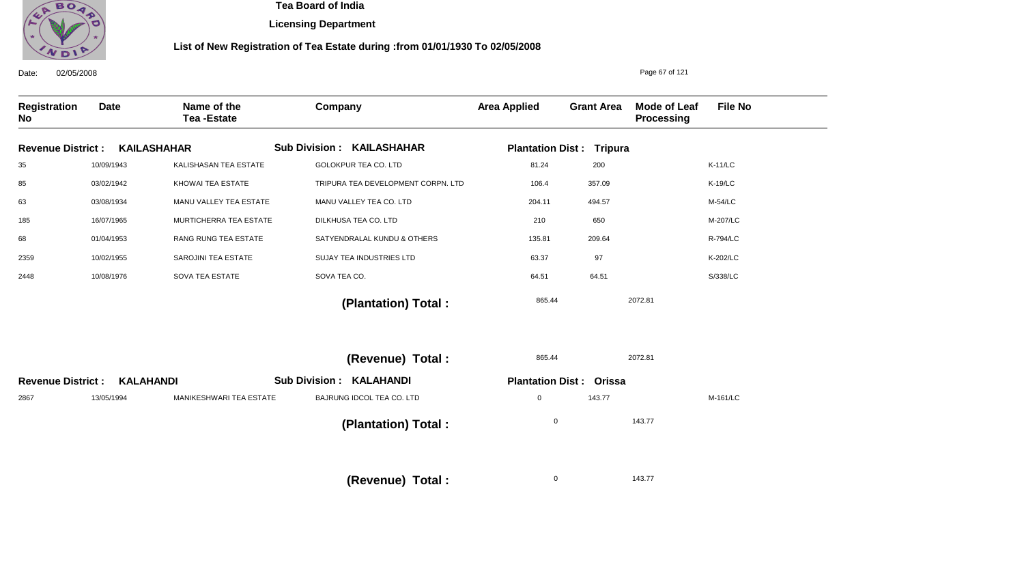

**Licensing Department**

## **List of New Registration of Tea Estate during :from 01/01/1930 To 02/05/2008**

| 02/05/2008<br>Date:       |                  |                                  |                                    | Page 67 of 121      |                                 |                                   |                |
|---------------------------|------------------|----------------------------------|------------------------------------|---------------------|---------------------------------|-----------------------------------|----------------|
| <b>Registration</b><br>No | <b>Date</b>      | Name of the<br><b>Tea-Estate</b> | Company                            | <b>Area Applied</b> | <b>Grant Area</b>               | <b>Mode of Leaf</b><br>Processing | <b>File No</b> |
| <b>Revenue District:</b>  |                  | <b>KAILASHAHAR</b>               | <b>Sub Division: KAILASHAHAR</b>   |                     | <b>Plantation Dist: Tripura</b> |                                   |                |
| 35                        | 10/09/1943       | KALISHASAN TEA ESTATE            | <b>GOLOKPUR TEA CO. LTD</b>        | 81.24               | 200                             |                                   | $K-11/LC$      |
| 85                        | 03/02/1942       | KHOWAI TEA ESTATE                | TRIPURA TEA DEVELOPMENT CORPN. LTD | 106.4               | 357.09                          |                                   | K-19/LC        |
| 63                        | 03/08/1934       | MANU VALLEY TEA ESTATE           | MANU VALLEY TEA CO. LTD            | 204.11              | 494.57                          |                                   | M-54/LC        |
| 185                       | 16/07/1965       | MURTICHERRA TEA ESTATE           | DILKHUSA TEA CO. LTD               | 210                 | 650                             |                                   | M-207/LC       |
| 68                        | 01/04/1953       | RANG RUNG TEA ESTATE             | SATYENDRALAL KUNDU & OTHERS        | 135.81              | 209.64                          |                                   | R-794/LC       |
| 2359                      | 10/02/1955       | SAROJINI TEA ESTATE              | SUJAY TEA INDUSTRIES LTD           | 63.37               | 97                              |                                   | K-202/LC       |
| 2448                      | 10/08/1976       | SOVA TEA ESTATE                  | SOVA TEA CO.                       | 64.51               | 64.51                           |                                   | S/338/LC       |
|                           |                  |                                  | (Plantation) Total:                | 865.44              |                                 | 2072.81                           |                |
|                           |                  |                                  | (Revenue) Total :                  | 865.44              |                                 | 2072.81                           |                |
| <b>Revenue District:</b>  | <b>KALAHANDI</b> |                                  | <b>Sub Division: KALAHANDI</b>     |                     | <b>Plantation Dist: Orissa</b>  |                                   |                |
| 2867                      | 13/05/1994       | <b>MANIKESHWARI TEA ESTATE</b>   | BAJRUNG IDCOL TEA CO. LTD          | 0                   | 143.77                          |                                   | M-161/LC       |
|                           |                  |                                  | (Plantation) Total:                | $\mathbf 0$         |                                 | 143.77                            |                |
|                           |                  |                                  | (Revenue) Total:                   | $\mathbf 0$         |                                 | 143.77                            |                |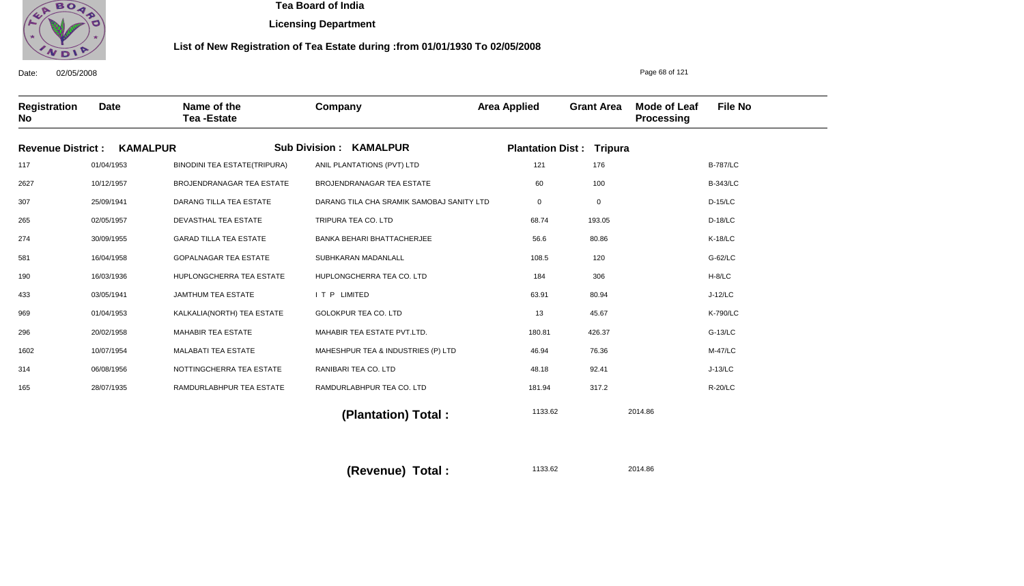

**Licensing Department**

#### **List of New Registration of Tea Estate during :from 01/01/1930 To 02/05/2008**

Date: 02/05/2008 **Registration No Date Name of the Tea -Estate Company Area Applied Grant Area Mode of Leaf Processing File No** Page 68 of 121 **Revenue District : KAMALPUR Sub Division : KAMALPUR Plantation Dist : Tripura** 117 2627 307 265 274 581 190 433 969 296 1602 314 165 01/04/1953 10/12/1957 25/09/1941 02/05/1957 30/09/1955 16/04/1958 16/03/1936 03/05/1941 01/04/1953 20/02/1958 10/07/1954 06/08/1956 28/07/1935 BINODINI TEA ESTATE(TRIPURA) BROJENDRANAGAR TEA ESTATE DARANG TILLA TEA ESTATE DEVASTHAL TEA ESTATE GARAD TILLA TEA ESTATE GOPALNAGAR TEA ESTATE HUPLONGCHERRA TEA ESTATE JAMTHUM TEA ESTATE KALKALIA(NORTH) TEA ESTATE MAHABIR TEA ESTATE MALABATI TEA ESTATE NOTTINGCHERRA TEA ESTATE RAMDURLABHPUR TEA ESTATE ANIL PLANTATIONS (PVT) LTD BROJENDRANAGAR TEA ESTATE DARANG TILA CHA SRAMIK SAMOBAJ SANITY LTD TRIPURA TEA CO. LTD BANKA BEHARI BHATTACHERJEE SUBHKARAN MADANLALL HUPLONGCHERRA TEA CO. LTD I T P LIMITED GOLOKPUR TEA CO. LTD MAHABIR TEA ESTATE PVT.LTD. MAHESHPUR TEA & INDUSTRIES (P) LTD RANIBARI TEA CO. LTD RAMDURLABHPUR TEA CO. LTD 121 60 0 68.74 56.6 108.5 184 63.91 13 180.81 46.94 48.18 181.94 B-787/LC B-343/LC D-15/LC D-18/LC K-18/LC G-62/LC H-8/LC J-12/LC K-790/LC G-13/LC M-47/LC J-13/LC R-20/LC 1133.62 2014.86  **(Plantation) Total :**  176 100 0 193.05 80.86 120 306 80.94 45.67 426.37 76.36 92.41 317.2

> 1133.62 2014.86 **(Revenue) Total :**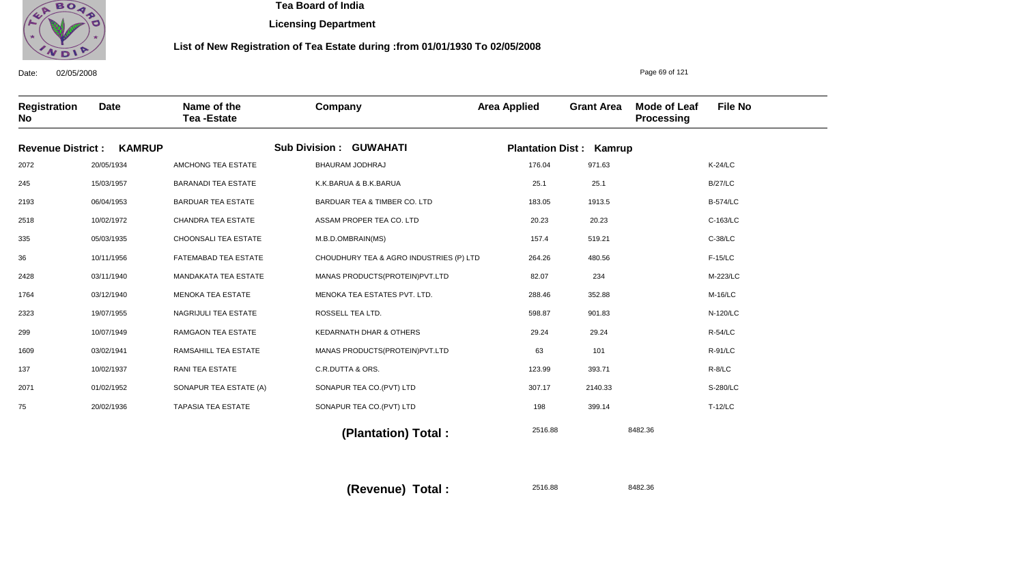

**Licensing Department**

#### **List of New Registration of Tea Estate during :from 01/01/1930 To 02/05/2008**

Date: 02/05/2008 **Registration No Date Name of the Tea -Estate Company Area Applied Grant Area Mode of Leaf Processing File No** Page 69 of 121 **Revenue District : KAMRUP Sub Division : GUWAHATI Plantation Dist : Kamrup** 2072 245 2193 2518 335 36 2428 1764 2323 299 1609 137 2071 75 20/05/1934 15/03/1957 06/04/1953 10/02/1972 05/03/1935 10/11/1956 03/11/1940 03/12/1940 19/07/1955 10/07/1949 03/02/1941 10/02/1937 01/02/1952 20/02/1936 AMCHONG TEA ESTATE BARANADI TEA ESTATE BARDUAR TEA ESTATE CHANDRA TEA ESTATE CHOONSALI TEA ESTATE FATEMABAD TEA ESTATE MANDAKATA TEA ESTATE MENOKA TEA ESTATE NAGRIJULI TEA ESTATE RAMGAON TEA ESTATE RAMSAHILL TEA ESTATE RANI TEA ESTATE SONAPUR TEA ESTATE (A) TAPASIA TEA ESTATE BHAURAM JODHRAJ K.K.BARUA & B.K.BARUA BARDUAR TEA & TIMBER CO. LTD ASSAM PROPER TEA CO. LTD M.B.D.OMBRAIN(MS) CHOUDHURY TEA & AGRO INDUSTRIES (P) LTD MANAS PRODUCTS(PROTEIN)PVT.LTD MENOKA TEA ESTATES PVT. LTD. ROSSELL TEA LTD. KEDARNATH DHAR & OTHERS MANAS PRODUCTS(PROTEIN)PVT.LTD C.R.DUTTA & ORS. SONAPUR TEA CO.(PVT) LTD SONAPUR TEA CO.(PVT) LTD 176.04 25.1 183.05 20.23 157.4 264.26 82.07 288.46 598.87 29.24 63 123.99 307.17 198 K-24/LC B/27/LC B-574/LC C-163/LC C-38/LC F-15/LC M-223/LC M-16/LC N-120/LC R-54/LC R-91/LC R-8/LC S-280/LC T-12/LC 2516.88 8482.36  **(Plantation) Total :**  971.63 25.1 1913.5 20.23 519.21 480.56 234 352.88 901.83 29.24 101 393.71 2140.33 399.14

> 2516.88 8482.36 **(Revenue) Total :**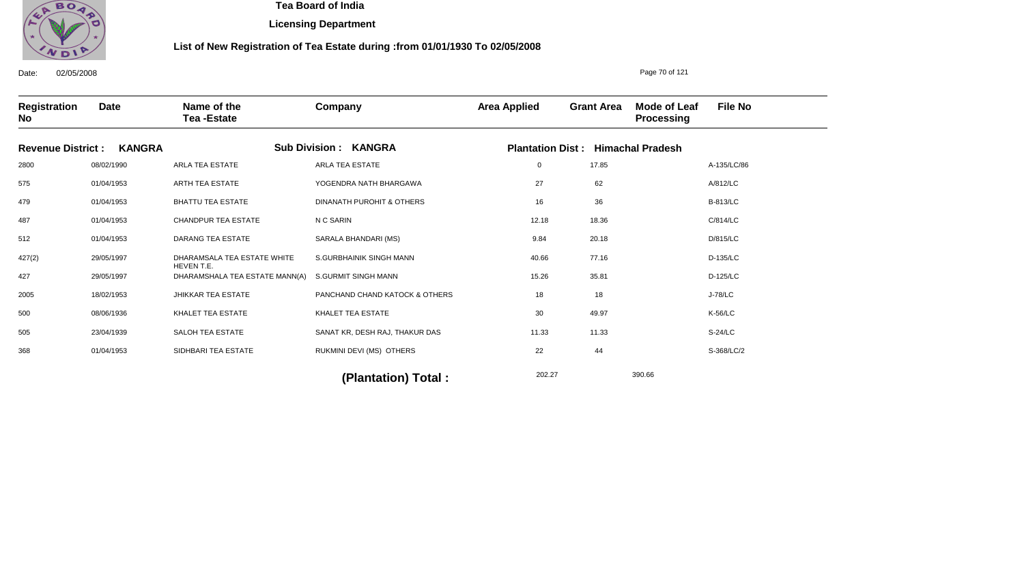

**Licensing Department**

#### **List of New Registration of Tea Estate during :from 01/01/1930 To 02/05/2008**

Date: 02/05/2008 **Registration No Date Name of the Tea -Estate Company Area Applied Grant Area Mode of Leaf Processing File No Revenue District : KANGRA Sub Division : KANGRA Plantation Dist : Himachal Pradesh** 2800 575 479 487 512 427(2) 427 2005 500 505 368 08/02/1990 01/04/1953 01/04/1953 01/04/1953 01/04/1953 29/05/1997 29/05/1997 18/02/1953 08/06/1936 23/04/1939 01/04/1953 ARLA TEA ESTATE ARTH TEA ESTATE BHATTU TEA ESTATE CHANDPUR TEA ESTATE DARANG TEA ESTATE DHARAMSALA TEA ESTATE WHITE HEVEN T.E. DHARAMSHALA TEA ESTATE MANN(A) JHIKKAR TEA ESTATE KHALET TEA ESTATE SALOH TEA ESTATE SIDHBARI TEA ESTATE ARLA TEA ESTATE YOGENDRA NATH BHARGAWA DINANATH PUROHIT & OTHERS N C SARIN SARALA BHANDARI (MS) S.GURBHAINIK SINGH MANN S.GURMIT SINGH MANN PANCHAND CHAND KATOCK & OTHERS KHALET TEA ESTATE SANAT KR, DESH RAJ, THAKUR DAS RUKMINI DEVI (MS) OTHERS 0 27 16 12.18 9.84 40.66 15.26 18 30 11.33 22 A-135/LC/86 A/812/LC B-813/LC C/814/LC D/815/LC D-135/LC D-125/LC J-78/LC K-56/LC S-24/LC S-368/LC/2 17.85 62 36 18.36 20.18 77.16 35.81 18 49.97 11.33 44

202.27 390.66 **(Plantation) Total :** 

Page 70 of 121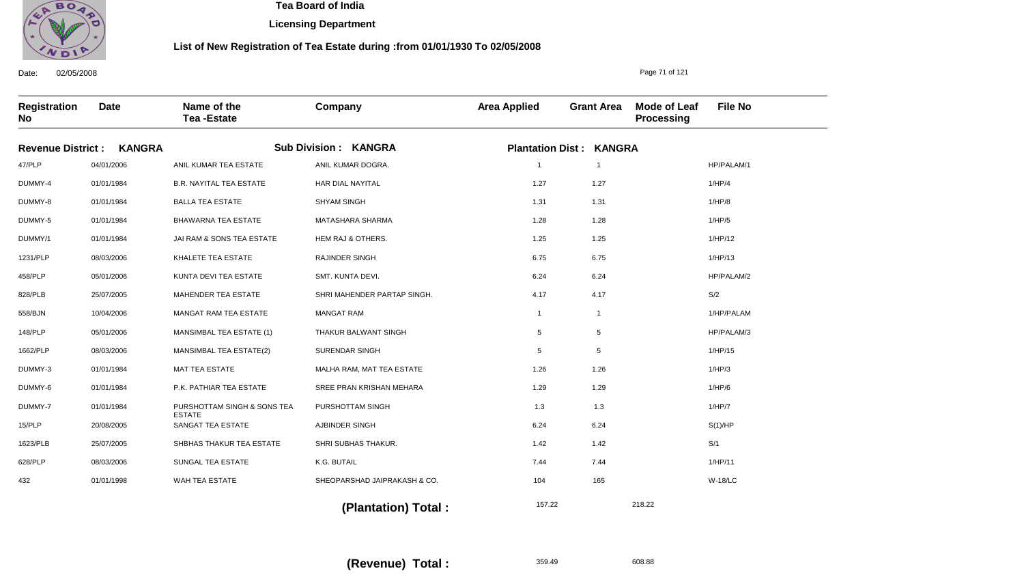

**Licensing Department**

#### **List of New Registration of Tea Estate during :from 01/01/1930 To 02/05/2008**

**Registration No Date Name of the Tea -Estate Company Area Applied Grant Area Mode of Leaf Processing File No Revenue District : KANGRA Sub Division : KANGRA Plantation Dist : KANGRA** 47/PLP DUMMY-4 DUMMY-8 DUMMY-5 DUMMY/1 1231/PLP 458/PLP 828/PLB 558/BJN 148/PLP 1662/PLP DUMMY-3 DUMMY-6 DUMMY-7 15/PLP 1623/PLB 628/PLP 432 04/01/2006 01/01/1984 01/01/1984 01/01/1984 01/01/1984 08/03/2006 05/01/2006 25/07/2005 10/04/2006 05/01/2006 08/03/2006 01/01/1984 01/01/1984 01/01/1984 20/08/2005 25/07/2005 08/03/2006 01/01/1998 ANIL KUMAR TEA ESTATE B.R. NAYITAL TEA ESTATE BALLA TEA ESTATE BHAWARNA TEA ESTATE JAI RAM & SONS TEA ESTATE KHALETE TEA ESTATE KUNTA DEVI TEA ESTATE MAHENDER TEA ESTATE MANGAT RAM TEA ESTATE MANSIMBAL TEA ESTATE (1) MANSIMBAL TEA ESTATE(2) MAT TEA ESTATE P.K. PATHIAR TEA ESTATE PURSHOTTAM SINGH & SONS TEA ESTATE SANGAT TEA ESTATE SHBHAS THAKUR TEA ESTATE SUNGAL TEA ESTATE WAH TEA ESTATE ANIL KUMAR DOGRA. HAR DIAL NAYITAL SHYAM SINGH MATASHARA SHARMA HEM RAJ & OTHERS. RAJINDER SINGH SMT. KUNTA DEVI. SHRI MAHENDER PARTAP SINGH. MANGAT RAM THAKUR BALWANT SINGH SURENDAR SINGH MALHA RAM, MAT TEA ESTATE SREE PRAN KRISHAN MEHARA PURSHOTTAM SINGH AJBINDER SINGH SHRI SUBHAS THAKUR. K.G. BUTAIL SHEOPARSHAD JAIPRAKASH & CO. 1 1.27 1.31 1.28 1.25 6.75 6.24 4.17 1 5 5 1.26 1.29 1.3 6.24 1.42 7.44 104 HP/PALAM/1 1/HP/4 1/HP/8 1/HP/5 1/HP/12 1/HP/13 HP/PALAM/2 S/2 1/HP/PALAM HP/PALAM/3 1/HP/15 1/HP/3 1/HP/6 1/HP/7 S(1)/HP S/1 1/HP/11 W-18/LC 157.22 218.22 1 1.27 1.31 1.28 1.25 6.75 6.24 4.17 1 5 5 1.26 1.29 1.3 6.24 1.42 7.44 165

 **(Plantation) Total :** 

359.49 608.88 **(Revenue) Total :** 

Date: 02/05/2008

Page 71 of 121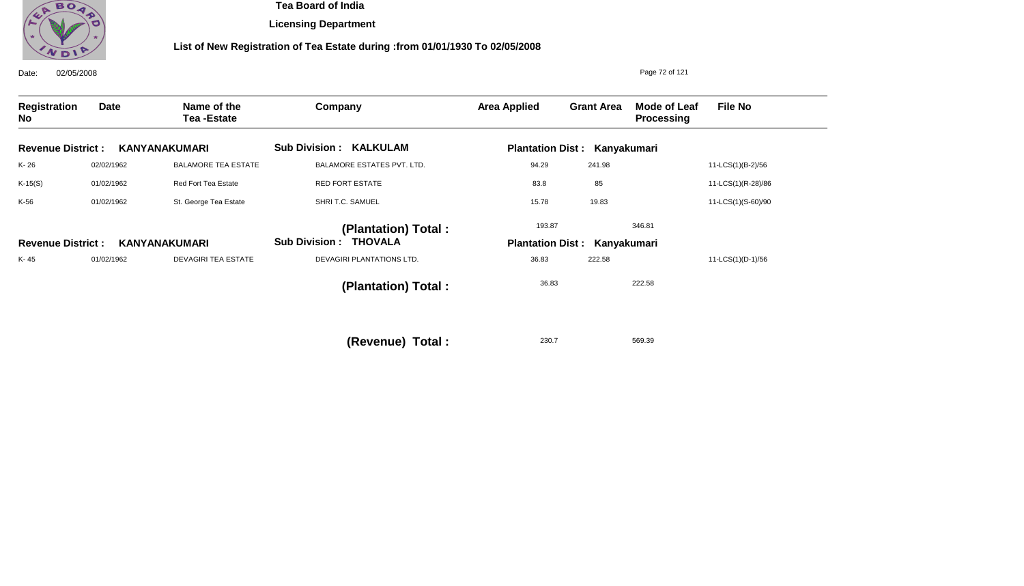

**Licensing Department**

## **List of New Registration of Tea Estate during :from 01/01/1930 To 02/05/2008**

| 02/05/2008<br>Date:       |             |                                  |                                | Page 72 of 121          |                                     |                                          |                    |  |
|---------------------------|-------------|----------------------------------|--------------------------------|-------------------------|-------------------------------------|------------------------------------------|--------------------|--|
| <b>Registration</b><br>No | <b>Date</b> | Name of the<br><b>Tea-Estate</b> | Company                        | <b>Area Applied</b>     | <b>Grant Area</b>                   | <b>Mode of Leaf</b><br><b>Processing</b> | <b>File No</b>     |  |
| <b>Revenue District:</b>  |             | <b>KANYANAKUMARI</b>             | <b>Sub Division : KALKULAM</b> |                         | <b>Plantation Dist: Kanyakumari</b> |                                          |                    |  |
| K-26                      | 02/02/1962  | <b>BALAMORE TEA ESTATE</b>       | BALAMORE ESTATES PVT. LTD.     | 94.29                   | 241.98                              |                                          | 11-LCS(1)(B-2)/56  |  |
| $K-15(S)$                 | 01/02/1962  | Red Fort Tea Estate              | <b>RED FORT ESTATE</b>         | 83.8                    | 85                                  |                                          | 11-LCS(1)(R-28)/86 |  |
| K-56                      | 01/02/1962  | St. George Tea Estate            | SHRI T.C. SAMUEL               | 15.78                   | 19.83                               |                                          | 11-LCS(1)(S-60)/90 |  |
|                           |             |                                  | (Plantation) Total:            | 193.87                  |                                     | 346.81                                   |                    |  |
| <b>Revenue District:</b>  |             | <b>KANYANAKUMARI</b>             | <b>Sub Division : THOVALA</b>  | <b>Plantation Dist:</b> | Kanyakumari                         |                                          |                    |  |
| K-45                      | 01/02/1962  | <b>DEVAGIRI TEA ESTATE</b>       | DEVAGIRI PLANTATIONS LTD.      | 36.83                   | 222.58                              |                                          | 11-LCS(1)(D-1)/56  |  |
|                           |             |                                  | (Plantation) Total:            | 36.83                   |                                     | 222.58                                   |                    |  |
|                           |             |                                  | (Revenue) Total :              | 230.7                   |                                     | 569.39                                   |                    |  |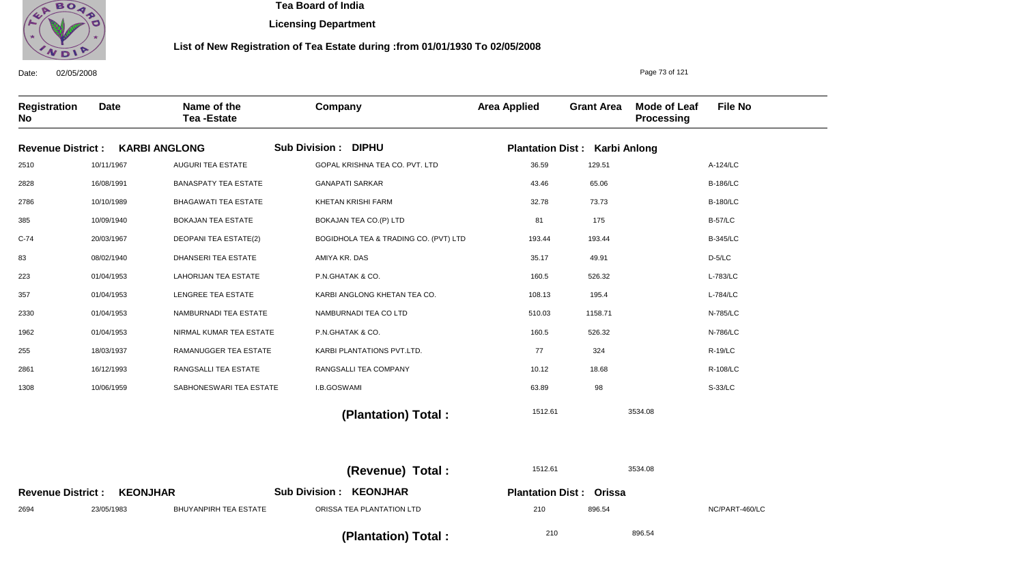

**Licensing Department**

### **List of New Registration of Tea Estate during :from 01/01/1930 To 02/05/2008**

| Registration<br><b>No</b> | <b>Date</b>     | Name of the<br><b>Tea-Estate</b> | Company                                 | <b>Area Applied</b>                  | <b>Grant Area</b> | <b>Mode of Leaf</b><br>Processing | <b>File No</b>  |
|---------------------------|-----------------|----------------------------------|-----------------------------------------|--------------------------------------|-------------------|-----------------------------------|-----------------|
| <b>Revenue District:</b>  |                 | <b>KARBI ANGLONG</b>             | <b>Sub Division: DIPHU</b>              | <b>Plantation Dist: Karbi Anlong</b> |                   |                                   |                 |
| 2510                      | 10/11/1967      | <b>AUGURI TEA ESTATE</b>         | GOPAL KRISHNA TEA CO. PVT. LTD          | 36.59                                | 129.51            |                                   | A-124/LC        |
| 2828                      | 16/08/1991      | <b>BANASPATY TEA ESTATE</b>      | <b>GANAPATI SARKAR</b>                  | 43.46                                | 65.06             |                                   | <b>B-186/LC</b> |
| 2786                      | 10/10/1989      | <b>BHAGAWATI TEA ESTATE</b>      | <b>KHETAN KRISHI FARM</b>               | 32.78                                | 73.73             |                                   | <b>B-180/LC</b> |
| 385                       | 10/09/1940      | <b>BOKAJAN TEA ESTATE</b>        | BOKAJAN TEA CO.(P) LTD                  | 81                                   | 175               |                                   | <b>B-57/LC</b>  |
| $C-74$                    | 20/03/1967      | <b>DEOPANI TEA ESTATE(2)</b>     | BOGIDHOLA TEA & TRADING CO. (PVT) LTD   | 193.44                               | 193.44            |                                   | <b>B-345/LC</b> |
| 83                        | 08/02/1940      | DHANSERI TEA ESTATE              | AMIYA KR. DAS                           | 35.17                                | 49.91             |                                   | $D-5/LC$        |
| 223                       | 01/04/1953      | <b>LAHORIJAN TEA ESTATE</b>      | P.N.GHATAK & CO.                        | 160.5                                | 526.32            |                                   | L-783/LC        |
| 357                       | 01/04/1953      | LENGREE TEA ESTATE               | KARBI ANGLONG KHETAN TEA CO.            | 108.13                               | 195.4             |                                   | L-784/LC        |
| 2330                      | 01/04/1953      | NAMBURNADI TEA ESTATE            | NAMBURNADI TEA CO LTD                   | 510.03                               | 1158.71           |                                   | N-785/LC        |
| 1962                      | 01/04/1953      | NIRMAL KUMAR TEA ESTATE          | P.N.GHATAK & CO.                        | 160.5                                | 526.32            |                                   | N-786/LC        |
| 255                       | 18/03/1937      | RAMANUGGER TEA ESTATE            | KARBI PLANTATIONS PVT.LTD.              | 77                                   | 324               |                                   | <b>R-19/LC</b>  |
| 2861                      | 16/12/1993      | RANGSALLI TEA ESTATE             | RANGSALLI TEA COMPANY                   | 10.12                                | 18.68             |                                   | R-108/LC        |
| 1308                      | 10/06/1959      | SABHONESWARI TEA ESTATE          | I.B.GOSWAMI                             | 63.89                                | 98                |                                   | S-33/LC         |
|                           |                 |                                  | (Plantation) Total:                     | 1512.61                              |                   | 3534.08                           |                 |
|                           |                 |                                  |                                         |                                      |                   |                                   |                 |
|                           |                 |                                  | (Revenue) Total:                        | 1512.61                              |                   | 3534.08                           |                 |
| <b>Revenue District:</b>  | <b>KEONJHAR</b> |                                  | <b>KEONJHAR</b><br><b>Sub Division:</b> | <b>Plantation Dist: Orissa</b>       |                   |                                   |                 |
| 2694                      | 23/05/1983      | <b>BHUYANPIRH TEA ESTATE</b>     | ORISSA TEA PLANTATION LTD               | 210                                  | 896.54            |                                   | NC/PART-460/LC  |

 **(Plantation) Total :** 

210 896.54

Date: 02/05/2008

Page 73 of 121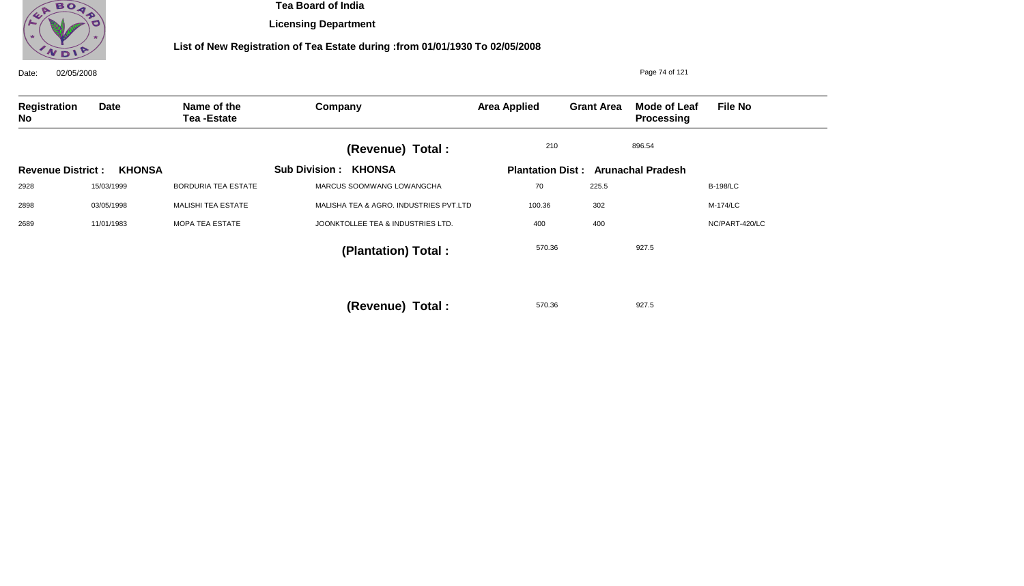

**Licensing Department**

| 02/05/2008<br>Date:      |               |                                  |                                        |                     |                   | Page 74 of 121                            |                 |
|--------------------------|---------------|----------------------------------|----------------------------------------|---------------------|-------------------|-------------------------------------------|-----------------|
| Registration<br>No       | <b>Date</b>   | Name of the<br><b>Tea-Estate</b> | Company                                | <b>Area Applied</b> | <b>Grant Area</b> | Mode of Leaf<br><b>Processing</b>         | <b>File No</b>  |
|                          |               |                                  | (Revenue) Total :                      | 210                 |                   | 896.54                                    |                 |
| <b>Revenue District:</b> | <b>KHONSA</b> |                                  | <b>Sub Division:</b><br><b>KHONSA</b>  |                     |                   | <b>Plantation Dist: Arunachal Pradesh</b> |                 |
| 2928                     | 15/03/1999    | <b>BORDURIA TEA ESTATE</b>       | MARCUS SOOMWANG LOWANGCHA              | 70                  | 225.5             |                                           | <b>B-198/LC</b> |
| 2898                     | 03/05/1998    | MALISHI TEA ESTATE               | MALISHA TEA & AGRO. INDUSTRIES PVT.LTD | 100.36              | 302               |                                           | M-174/LC        |
| 2689                     | 11/01/1983    | MOPA TEA ESTATE                  | JOONKTOLLEE TEA & INDUSTRIES LTD.      | 400                 | 400               |                                           | NC/PART-420/LC  |
|                          |               |                                  | (Plantation) Total:                    | 570.36              |                   | 927.5                                     |                 |
|                          |               |                                  | (Revenue) Total:                       | 570.36              |                   | 927.5                                     |                 |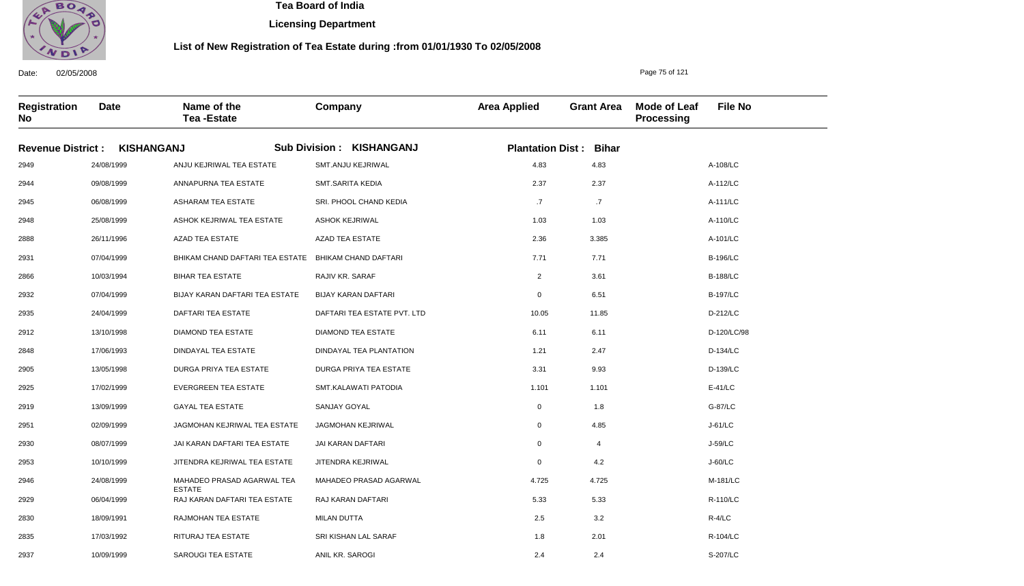

2937

10/09/1999

SAROUGI TEA ESTATE

 **Tea Board of India** 

**Licensing Department**

### **List of New Registration of Tea Estate during :from 01/01/1930 To 02/05/2008**

Page 75 of 121

S-207/LC

**Registration No Date Name of the Tea -Estate Company Area Applied Grant Area Mode of Leaf Processing File No Revenue District : KISHANGANJ Sub Division : KISHANGANJ Plantation Dist : Bihar** 2949 2944 2945 2948 2888 2931 2866 2932 2935 2912 2848 2905 2925 2919 2951 2930 2953 2946 2929 2830 2835 24/08/1999 09/08/1999 06/08/1999 25/08/1999 26/11/1996 07/04/1999 10/03/1994 07/04/1999 24/04/1999 13/10/1998 17/06/1993 13/05/1998 17/02/1999 13/09/1999 02/09/1999 08/07/1999 10/10/1999 24/08/1999 06/04/1999 18/09/1991 17/03/1992 ANJU KEJRIWAL TEA ESTATE ANNAPURNA TEA ESTATE ASHARAM TEA ESTATE ASHOK KEJRIWAL TEA ESTATE AZAD TEA ESTATE BHIKAM CHAND DAFTARI TEA ESTATE BHIKAM CHAND DAFTARI BIHAR TEA ESTATE BIJAY KARAN DAFTARI TEA ESTATE DAFTARI TEA ESTATE DIAMOND TEA ESTATE DINDAYAL TEA ESTATE DURGA PRIYA TEA ESTATE EVERGREEN TEA ESTATE GAYAL TEA ESTATE JAGMOHAN KEJRIWAL TEA ESTATE JAI KARAN DAFTARI TEA ESTATE JITENDRA KEJRIWAL TEA ESTATE MAHADEO PRASAD AGARWAL TEA ESTATE RAJ KARAN DAFTARI TEA ESTATE RAJMOHAN TEA ESTATE RITURAJ TEA ESTATE SMT.ANJU KEJRIWAL SMT.SARITA KEDIA SRI. PHOOL CHAND KEDIA ASHOK KEJRIWAL AZAD TEA ESTATE RAJIV KR. SARAF BIJAY KARAN DAFTARI DAFTARI TEA ESTATE PVT. LTD DIAMOND TEA ESTATE DINDAYAL TEA PLANTATION DURGA PRIYA TEA ESTATE SMT.KALAWATI PATODIA SANJAY GOYAL JAGMOHAN KEJRIWAL JAI KARAN DAFTARI JITENDRA KEJRIWAL MAHADEO PRASAD AGARWAL RAJ KARAN DAFTARI MILAN DUTTA SRI KISHAN LAL SARAF 4.83 2.37 .7 1.03 2.36 7.71 2 0 10.05 6.11 1.21 3.31 1.101 0 0 0 0 4.725 5.33 2.5 1.8 A-108/LC A-112/LC A-111/LC A-110/LC A-101/LC B-196/LC B-188/LC B-197/LC D-212/LC D-120/LC/98 D-134/LC D-139/LC E-41/LC G-87/LC J-61/LC J-59/LC J-60/LC M-181/LC R-110/LC R-4/LC R-104/LC 4.83 2.37 .7 1.03 3.385 7.71 3.61 6.51 11.85 6.11 2.47 9.93 1.101 1.8 4.85 4 4.2 4.725 5.33 3.2 2.01

2.4

2.4

ANIL KR. SAROGI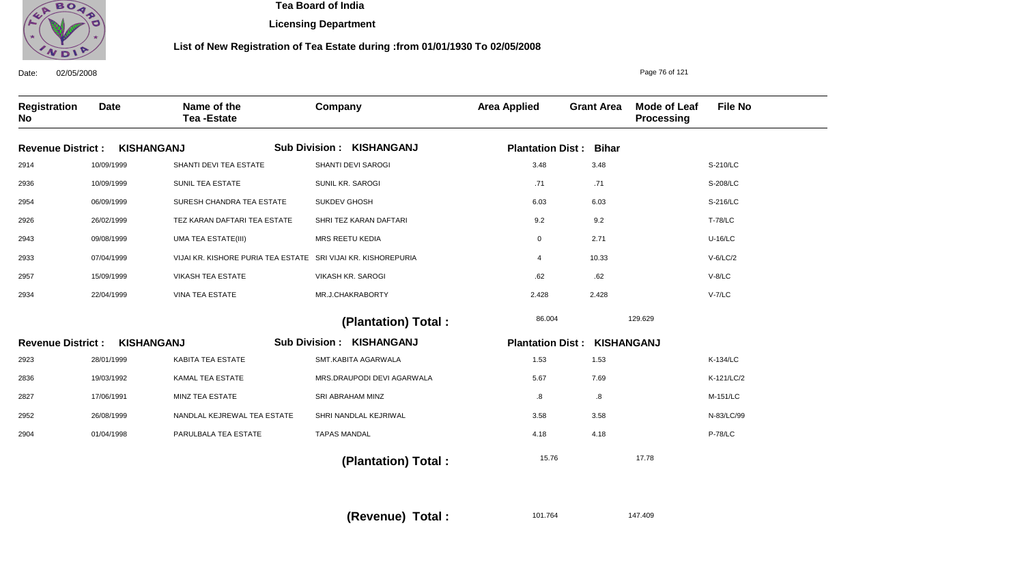

**Licensing Department**

### **List of New Registration of Tea Estate during :from 01/01/1930 To 02/05/2008**

Date: 02/05/2008 **Registration No Date Name of the Tea -Estate Company Area Applied Grant Area Mode of Leaf Processing File No** Page 76 of 121 **KISHANGANJ KISHANGANJ Revenue District : Revenue District : KISHANGANJ Sub Division : KISHANGANJ Sub Division : Plantation Dist : Bihar Plantation Dist : KISHANGANJ** 2914 2936 2954 2926 2943 2933 2957 2934 2923 2836 2827 2952 2904 10/09/1999 10/09/1999 06/09/1999 26/02/1999 09/08/1999 07/04/1999 15/09/1999 22/04/1999 28/01/1999 19/03/1992 17/06/1991 26/08/1999 01/04/1998 SHANTI DEVI TEA ESTATE SUNIL TEA ESTATE SURESH CHANDRA TEA ESTATE TEZ KARAN DAFTARI TEA ESTATE UMA TEA ESTATE(III) VIJAI KR. KISHORE PURIA TEA ESTATE SRI VIJAI KR. KISHOREPURIA VIKASH TEA ESTATE VINA TEA ESTATE KABITA TEA ESTATE KAMAL TEA ESTATE MINZ TEA ESTATE NANDLAL KEJREWAL TEA ESTATE PARULBALA TEA ESTATE SHANTI DEVI SAROGI SUNIL KR. SAROGI SUKDEV GHOSH SHRI TEZ KARAN DAFTARI MRS REETU KEDIA VIKASH KR. SAROGI MR.J.CHAKRABORTY SMT.KABITA AGARWALA MRS.DRAUPODI DEVI AGARWALA SRI ABRAHAM MINZ SHRI NANDLAL KEJRIWAL TAPAS MANDAL 3.48 .71 6.03 9.2 0 4 .62 2.428 1.53 5.67 .8 3.58 4.18 S-210/LC S-208/LC S-216/LC T-78/LC U-16/LC V-6/LC/2 V-8/LC V-7/LC K-134/LC K-121/LC/2 M-151/LC N-83/LC/99 P-78/LC 86.004 15.76 129.629 17.78  **(Plantation) Total : (Plantation) Total :**  3.48 .71 6.03 9.2 2.71 10.33 .62 2.428 1.53 7.69 .8 3.58 4.18

**(Revenue) Total :** 

101.764 147.409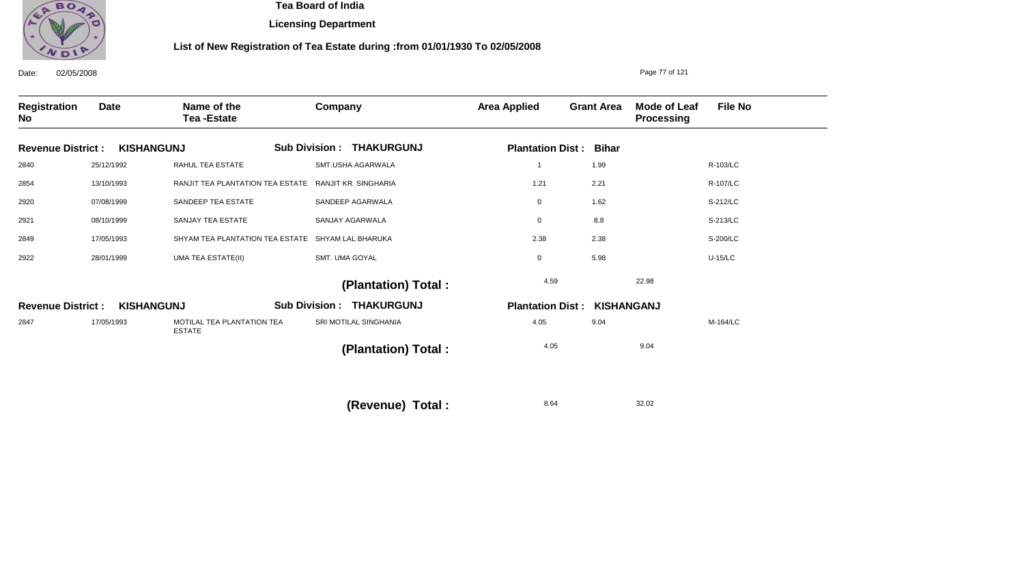

**Licensing Department**

| 02/05/2008<br>Date:              |             |                                             |                                           |                                    |                   | Page 77 of 121                    |                |
|----------------------------------|-------------|---------------------------------------------|-------------------------------------------|------------------------------------|-------------------|-----------------------------------|----------------|
| <b>Registration</b><br><b>No</b> | <b>Date</b> | Name of the<br><b>Tea-Estate</b>            | Company                                   | <b>Area Applied</b>                | <b>Grant Area</b> | Mode of Leaf<br><b>Processing</b> | <b>File No</b> |
| <b>Revenue District:</b>         |             | <b>KISHANGUNJ</b>                           | <b>Sub Division : THAKURGUNJ</b>          | <b>Plantation Dist:</b>            | <b>Bihar</b>      |                                   |                |
| 2840                             | 25/12/1992  | RAHUL TEA ESTATE                            | SMT.USHA AGARWALA                         |                                    | 1.99              |                                   | R-103/LC       |
| 2854                             | 13/10/1993  | RANJIT TEA PLANTATION TEA ESTATE            | RANJIT KR. SINGHARIA                      | 1.21                               | 2.21              |                                   | R-107/LC       |
| 2920                             | 07/08/1999  | SANDEEP TEA ESTATE                          | SANDEEP AGARWALA                          | 0                                  | 1.62              |                                   | S-212/LC       |
| 2921                             | 08/10/1999  | SANJAY TEA ESTATE                           | SANJAY AGARWALA                           | 0                                  | 8.8               |                                   | S-213/LC       |
| 2849                             | 17/05/1993  | SHYAM TEA PLANTATION TEA ESTATE             | SHYAM LAL BHARUKA                         | 2.38                               | 2.38              |                                   | S-200/LC       |
| 2922                             | 28/01/1999  | <b>UMA TEA ESTATE(II)</b>                   | SMT. UMA GOYAL                            | 0                                  | 5.98              |                                   | $U-15/LC$      |
|                                  |             |                                             | (Plantation) Total:                       | 4.59                               |                   | 22.98                             |                |
| <b>Revenue District:</b>         |             | <b>KISHANGUNJ</b>                           | <b>THAKURGUNJ</b><br><b>Sub Division:</b> | <b>Plantation Dist: KISHANGANJ</b> |                   |                                   |                |
| 2847                             | 17/05/1993  | MOTILAL TEA PLANTATION TEA<br><b>ESTATE</b> | SRI MOTILAL SINGHANIA                     | 4.05                               | 9.04              |                                   | M-164/LC       |
|                                  |             |                                             | (Plantation) Total:                       | 4.05                               |                   | 9.04                              |                |
|                                  |             |                                             | (Revenue) Total:                          | 8.64                               |                   | 32.02                             |                |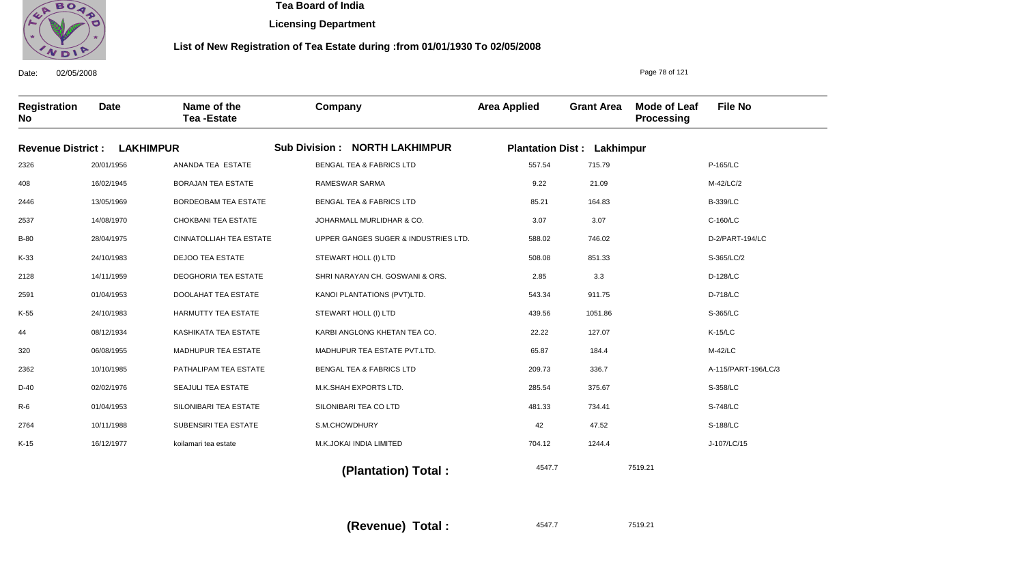

**Licensing Department**

### **List of New Registration of Tea Estate during :from 01/01/1930 To 02/05/2008**

Date: 02/05/2008 **Registration No Date Name of the Tea -Estate Company Area Applied Grant Area Mode of Leaf Processing File No** Page 78 of 121 **Revenue District : LAKHIMPUR Sub Division : NORTH LAKHIMPUR Plantation Dist : Lakhimpur** 2326 408 2446 2537 B-80 K-33 2128 2591 K-55 44 320 2362 D-40 R-6 2764 K-15 20/01/1956 16/02/1945 13/05/1969 14/08/1970 28/04/1975 24/10/1983 14/11/1959 01/04/1953 24/10/1983 08/12/1934 06/08/1955 10/10/1985 02/02/1976 01/04/1953 10/11/1988 16/12/1977 ANANDA TEA ESTATE BORAJAN TEA ESTATE BORDEOBAM TEA ESTATE CHOKBANI TEA ESTATE CINNATOLLIAH TEA ESTATE DEJOO TEA ESTATE DEOGHORIA TEA ESTATE DOOLAHAT TEA ESTATE HARMUTTY TEA ESTATE KASHIKATA TEA ESTATE MADHUPUR TEA ESTATE PATHALIPAM TEA ESTATE SEAJULI TEA ESTATE SILONIBARI TEA ESTATE SUBENSIRI TEA ESTATE koilamari tea estate BENGAL TEA & FABRICS LTD RAMESWAR SARMA BENGAL TEA & FABRICS LTD JOHARMALL MURLIDHAR & CO. UPPER GANGES SUGER & INDUSTRIES LTD. STEWART HOLL (I) LTD SHRI NARAYAN CH. GOSWANI & ORS. KANOI PLANTATIONS (PVT)LTD. STEWART HOLL (I) LTD KARBI ANGLONG KHETAN TEA CO. MADHUPUR TEA ESTATE PVT.LTD. BENGAL TEA & FABRICS LTD M.K.SHAH EXPORTS LTD. SILONIBARI TEA CO LTD S.M.CHOWDHURY M.K.JOKAI INDIA LIMITED 557.54 9.22 85.21 3.07 588.02 508.08 2.85 543.34 439.56 22.22 65.87 209.73 285.54 481.33 42 704.12 P-165/LC M-42/LC/2 B-339/LC C-160/LC D-2/PART-194/LC S-365/LC/2 D-128/LC D-718/LC S-365/LC K-15/LC M-42/LC A-115/PART-196/LC/3 S-358/LC S-748/LC S-188/LC J-107/LC/15 4547.7 7519.21 715.79 21.09 164.83 3.07 746.02 851.33 3.3 911.75 1051.86 127.07 184.4 336.7 375.67 734.41 47.52 1244.4

 **(Plantation) Total :** 

**(Revenue) Total :** 

4547.7 7519.21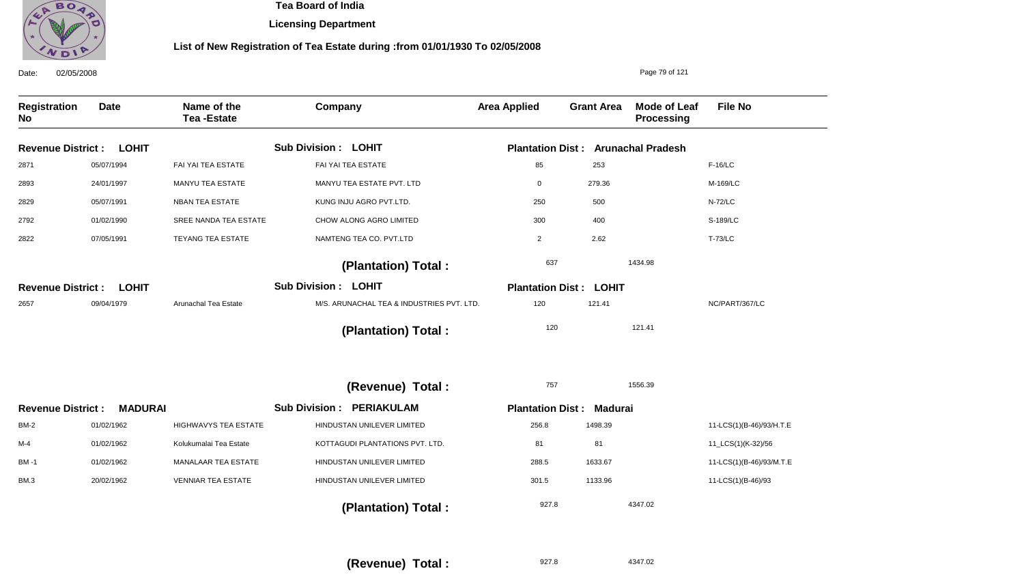

**Licensing Department**

| Date:                     | 02/05/2008     |                                  |                                           |                                           |                   | Page 79 of 121                           |                          |
|---------------------------|----------------|----------------------------------|-------------------------------------------|-------------------------------------------|-------------------|------------------------------------------|--------------------------|
| <b>Registration</b><br>No | <b>Date</b>    | Name of the<br><b>Tea-Estate</b> | Company                                   | <b>Area Applied</b>                       | <b>Grant Area</b> | <b>Mode of Leaf</b><br><b>Processing</b> | <b>File No</b>           |
| <b>Revenue District:</b>  | <b>LOHIT</b>   |                                  | <b>Sub Division: LOHIT</b>                | <b>Plantation Dist: Arunachal Pradesh</b> |                   |                                          |                          |
| 2871                      | 05/07/1994     | FAI YAI TEA ESTATE               | FAI YAI TEA ESTATE                        | 85                                        | 253               |                                          | $F-16/LC$                |
| 2893                      | 24/01/1997     | MANYU TEA ESTATE                 | MANYU TEA ESTATE PVT. LTD                 | $\mathbf 0$                               | 279.36            |                                          | M-169/LC                 |
| 2829                      | 05/07/1991     | <b>NBAN TEA ESTATE</b>           | KUNG INJU AGRO PVT.LTD.                   | 250                                       | 500               |                                          | <b>N-72/LC</b>           |
| 2792                      | 01/02/1990     | SREE NANDA TEA ESTATE            | CHOW ALONG AGRO LIMITED                   | 300                                       | 400               |                                          | S-189/LC                 |
| 2822                      | 07/05/1991     | TEYANG TEA ESTATE                | NAMTENG TEA CO. PVT.LTD                   | $\overline{2}$                            | 2.62              |                                          | <b>T-73/LC</b>           |
|                           |                |                                  | (Plantation) Total:                       | 637                                       |                   | 1434.98                                  |                          |
| <b>Revenue District:</b>  | <b>LOHIT</b>   |                                  | <b>Sub Division: LOHIT</b>                | <b>Plantation Dist: LOHIT</b>             |                   |                                          |                          |
| 2657                      | 09/04/1979     | Arunachal Tea Estate             | M/S. ARUNACHAL TEA & INDUSTRIES PVT. LTD. | 120                                       | 121.41            |                                          | NC/PART/367/LC           |
|                           |                |                                  | (Plantation) Total:                       | 120                                       |                   | 121.41                                   |                          |
|                           |                |                                  | (Revenue) Total :                         | 757                                       |                   | 1556.39                                  |                          |
| <b>Revenue District:</b>  | <b>MADURAI</b> |                                  | <b>PERIAKULAM</b><br><b>Sub Division:</b> | <b>Plantation Dist: Madurai</b>           |                   |                                          |                          |
| <b>BM-2</b>               | 01/02/1962     | <b>HIGHWAVYS TEA ESTATE</b>      | HINDUSTAN UNILEVER LIMITED                | 256.8                                     | 1498.39           |                                          | 11-LCS(1)(B-46)/93/H.T.E |
| M-4                       | 01/02/1962     | Kolukumalai Tea Estate           | KOTTAGUDI PLANTATIONS PVT. LTD.           | 81                                        | 81                |                                          | 11_LCS(1)(K-32)/56       |
| BM-1                      | 01/02/1962     | MANALAAR TEA ESTATE              | HINDUSTAN UNILEVER LIMITED                | 288.5                                     | 1633.67           |                                          | 11-LCS(1)(B-46)/93/M.T.E |
| BM.3                      | 20/02/1962     | <b>VENNIAR TEA ESTATE</b>        | HINDUSTAN UNILEVER LIMITED                | 301.5                                     | 1133.96           |                                          | 11-LCS(1)(B-46)/93       |
|                           |                |                                  | (Plantation) Total:                       | 927.8                                     |                   | 4347.02                                  |                          |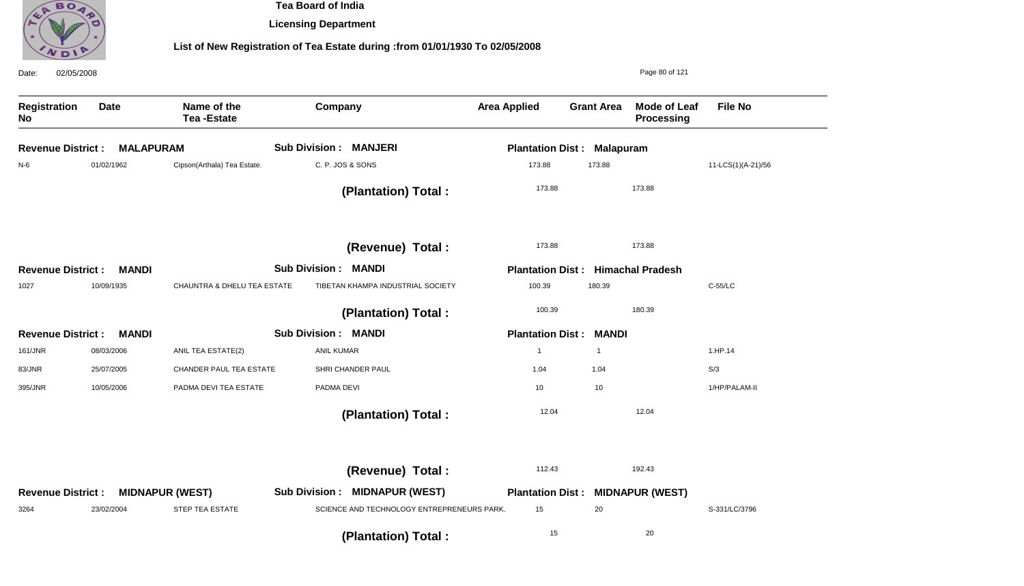

**Licensing Department**

| 02/05/2008<br>Date:       |                  |                                  |                                            |                                          |                   | Page 80 of 121                           |                    |
|---------------------------|------------------|----------------------------------|--------------------------------------------|------------------------------------------|-------------------|------------------------------------------|--------------------|
| <b>Registration</b><br>No | <b>Date</b>      | Name of the<br><b>Tea-Estate</b> | Company                                    | <b>Area Applied</b>                      | <b>Grant Area</b> | <b>Mode of Leaf</b><br><b>Processing</b> | <b>File No</b>     |
| <b>Revenue District:</b>  | <b>MALAPURAM</b> |                                  | <b>Sub Division: MANJERI</b>               | <b>Plantation Dist: Malapuram</b>        |                   |                                          |                    |
| N-6                       | 01/02/1962       | Cipson(Arthala) Tea Estate.      | C. P. JOS & SONS                           | 173.88                                   | 173.88            |                                          | 11-LCS(1)(A-21)/56 |
|                           |                  |                                  | (Plantation) Total:                        | 173.88                                   |                   | 173.88                                   |                    |
|                           |                  |                                  | (Revenue) Total :                          | 173.88                                   |                   | 173.88                                   |                    |
| <b>Revenue District:</b>  | <b>MANDI</b>     |                                  | <b>Sub Division: MANDI</b>                 | <b>Plantation Dist: Himachal Pradesh</b> |                   |                                          |                    |
| 1027                      | 10/09/1935       | CHAUNTRA & DHELU TEA ESTATE      | TIBETAN KHAMPA INDUSTRIAL SOCIETY          | 100.39                                   | 180.39            |                                          | C-55/LC            |
|                           |                  |                                  | (Plantation) Total:                        | 100.39                                   |                   | 180.39                                   |                    |
| <b>Revenue District:</b>  | <b>MANDI</b>     |                                  | <b>Sub Division: MANDI</b>                 | <b>Plantation Dist: MANDI</b>            |                   |                                          |                    |
| 161/JNR                   | 08/03/2006       | ANIL TEA ESTATE(2)               | <b>ANIL KUMAR</b>                          | $\mathbf{1}$                             | $\overline{1}$    |                                          | 1.HP.14            |
| 83/JNR                    | 25/07/2005       | CHANDER PAUL TEA ESTATE          | SHRI CHANDER PAUL                          | 1.04                                     | 1.04              |                                          | S/3                |
| 395/JNR                   | 10/05/2006       | PADMA DEVI TEA ESTATE            | PADMA DEVI                                 | 10                                       | 10                |                                          | 1/HP/PALAM-II      |
|                           |                  |                                  | (Plantation) Total:                        | 12.04                                    |                   | 12.04                                    |                    |
|                           |                  |                                  | (Revenue) Total :                          | 112.43                                   |                   | 192.43                                   |                    |
| <b>Revenue District:</b>  |                  | <b>MIDNAPUR (WEST)</b>           | <b>Sub Division : MIDNAPUR (WEST)</b>      | <b>Plantation Dist : MIDNAPUR (WEST)</b> |                   |                                          |                    |
| 3264                      | 23/02/2004       | <b>STEP TEA ESTATE</b>           | SCIENCE AND TECHNOLOGY ENTREPRENEURS PARK. | 15                                       | 20                |                                          | S-331/LC/3796      |
|                           |                  |                                  | (Plantation) Total:                        | 15                                       |                   | 20                                       |                    |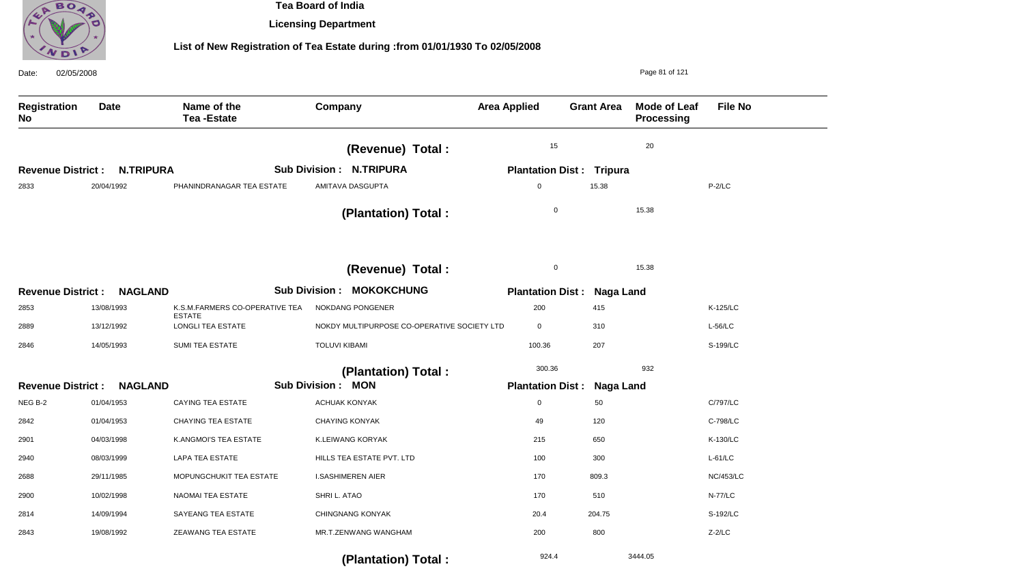

**Licensing Department**

| 02/05/2008<br>Date:              |                  |                                                 |                                             |                                   |                   | Page 81 of 121                           |                  |
|----------------------------------|------------------|-------------------------------------------------|---------------------------------------------|-----------------------------------|-------------------|------------------------------------------|------------------|
| <b>Registration</b><br><b>No</b> | <b>Date</b>      | Name of the<br><b>Tea-Estate</b>                | Company                                     | <b>Area Applied</b>               | <b>Grant Area</b> | <b>Mode of Leaf</b><br><b>Processing</b> | <b>File No</b>   |
|                                  |                  |                                                 | (Revenue) Total :                           | 15                                |                   | 20                                       |                  |
| <b>Revenue District:</b>         | <b>N.TRIPURA</b> |                                                 | <b>Sub Division: N.TRIPURA</b>              | <b>Plantation Dist: Tripura</b>   |                   |                                          |                  |
| 2833                             | 20/04/1992       | PHANINDRANAGAR TEA ESTATE                       | AMITAVA DASGUPTA                            | $\boldsymbol{0}$                  | 15.38             |                                          | $P-2/LC$         |
|                                  |                  |                                                 | (Plantation) Total:                         | $\mathbf 0$                       |                   | 15.38                                    |                  |
|                                  |                  |                                                 | (Revenue) Total :                           | $\mathbf 0$                       |                   | 15.38                                    |                  |
| <b>Revenue District:</b>         | <b>NAGLAND</b>   |                                                 | <b>Sub Division : MOKOKCHUNG</b>            | <b>Plantation Dist: Naga Land</b> |                   |                                          |                  |
| 2853                             | 13/08/1993       | K.S.M.FARMERS CO-OPERATIVE TEA<br><b>ESTATE</b> | NOKDANG PONGENER                            | 200                               | 415               |                                          | K-125/LC         |
| 2889                             | 13/12/1992       | <b>LONGLI TEA ESTATE</b>                        | NOKDY MULTIPURPOSE CO-OPERATIVE SOCIETY LTD | $\mathbf 0$                       | 310               |                                          | $L-56/LC$        |
| 2846                             | 14/05/1993       | SUMI TEA ESTATE                                 | <b>TOLUVI KIBAMI</b>                        | 100.36                            | 207               |                                          | S-199/LC         |
|                                  |                  |                                                 | (Plantation) Total:                         | 300.36                            |                   | 932                                      |                  |
| <b>Revenue District:</b>         | <b>NAGLAND</b>   |                                                 | <b>Sub Division: MON</b>                    | <b>Plantation Dist:</b>           | <b>Naga Land</b>  |                                          |                  |
| NEG B-2                          | 01/04/1953       | <b>CAYING TEA ESTATE</b>                        | <b>ACHUAK KONYAK</b>                        | $\mathbf 0$                       | 50                |                                          | C/797/LC         |
| 2842                             | 01/04/1953       | <b>CHAYING TEA ESTATE</b>                       | <b>CHAYING KONYAK</b>                       | 49                                | 120               |                                          | C-798/LC         |
| 2901                             | 04/03/1998       | K.ANGMOI'S TEA ESTATE                           | K.LEIWANG KORYAK                            | 215                               | 650               |                                          | K-130/LC         |
| 2940                             | 08/03/1999       | <b>LAPA TEA ESTATE</b>                          | HILLS TEA ESTATE PVT. LTD                   | 100                               | 300               |                                          | $L-61/LC$        |
| 2688                             | 29/11/1985       | MOPUNGCHUKIT TEA ESTATE                         | <b>I.SASHIMEREN AIER</b>                    | 170                               | 809.3             |                                          | <b>NC/453/LC</b> |
| 2900                             | 10/02/1998       | NAOMAI TEA ESTATE                               | SHRI L. ATAO                                | 170                               | 510               |                                          | <b>N-77/LC</b>   |
| 2814                             | 14/09/1994       | <b>SAYEANG TEA ESTATE</b>                       | CHINGNANG KONYAK                            | 20.4                              | 204.75            |                                          | S-192/LC         |
| 2843                             | 19/08/1992       | <b>ZEAWANG TEA ESTATE</b>                       | MR.T.ZENWANG WANGHAM                        | 200                               | 800               |                                          | $Z-2/LC$         |
|                                  |                  |                                                 | (Plantation) Total:                         | 924.4                             |                   | 3444.05                                  |                  |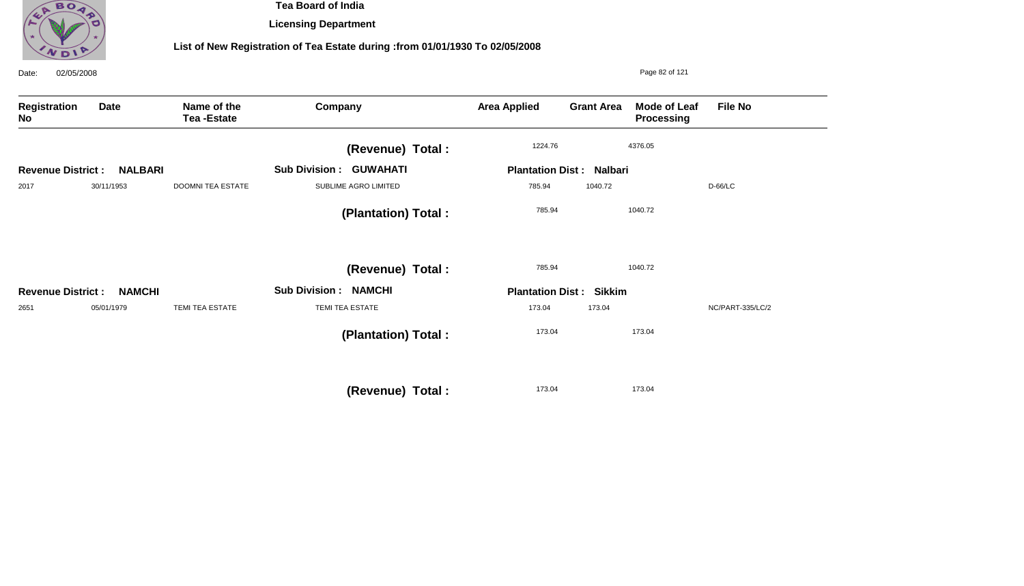

**Licensing Department**

| 02/05/2008<br>Date:      |                |                                  |                                |                         |                                 | Page 82 of 121                    |                  |
|--------------------------|----------------|----------------------------------|--------------------------------|-------------------------|---------------------------------|-----------------------------------|------------------|
| Registration<br>No       | <b>Date</b>    | Name of the<br><b>Tea-Estate</b> | Company                        | <b>Area Applied</b>     | <b>Grant Area</b>               | <b>Mode of Leaf</b><br>Processing | <b>File No</b>   |
|                          |                |                                  | (Revenue) Total :              | 1224.76                 |                                 | 4376.05                           |                  |
| <b>Revenue District:</b> | <b>NALBARI</b> |                                  | <b>Sub Division : GUWAHATI</b> |                         | <b>Plantation Dist: Nalbari</b> |                                   |                  |
| 2017                     | 30/11/1953     | <b>DOOMNI TEA ESTATE</b>         | SUBLIME AGRO LIMITED           | 785.94                  | 1040.72                         |                                   | D-66/LC          |
|                          |                |                                  | (Plantation) Total :           | 785.94                  |                                 | 1040.72                           |                  |
|                          |                |                                  | (Revenue) Total :              | 785.94                  |                                 | 1040.72                           |                  |
| <b>Revenue District:</b> | <b>NAMCHI</b>  |                                  | <b>Sub Division : NAMCHI</b>   | <b>Plantation Dist:</b> | <b>Sikkim</b>                   |                                   |                  |
| 2651                     | 05/01/1979     | <b>TEMI TEA ESTATE</b>           | TEMI TEA ESTATE                | 173.04                  | 173.04                          |                                   | NC/PART-335/LC/2 |
|                          |                |                                  | (Plantation) Total:            | 173.04                  |                                 | 173.04                            |                  |
|                          |                |                                  | (Revenue) Total :              | 173.04                  |                                 | 173.04                            |                  |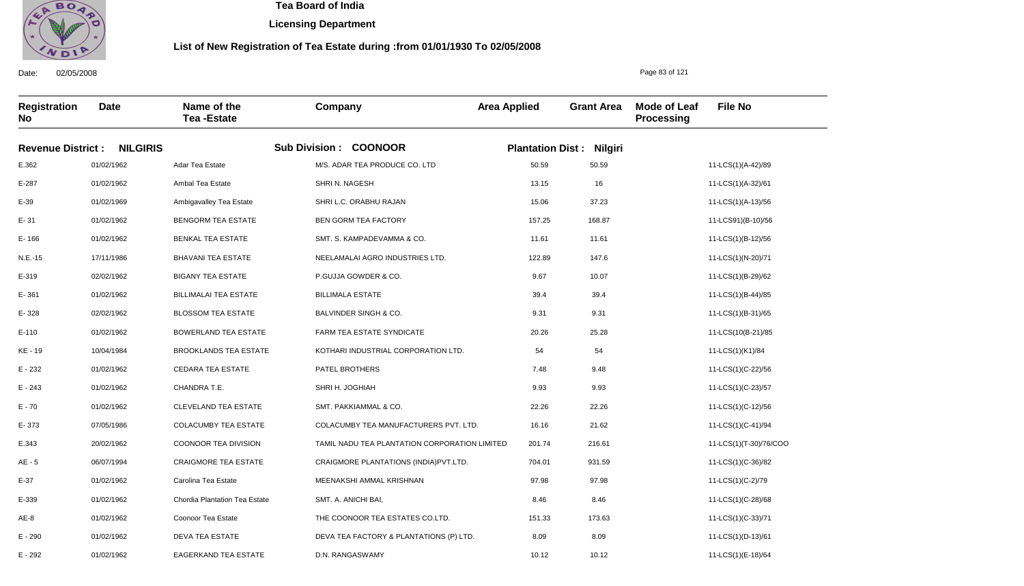

**Licensing Department**

### **List of New Registration of Tea Estate during :from 01/01/1930 To 02/05/2008**

**Registration No Date Name of the Tea -Estate Company Area Applied Grant Area Mode of Leaf Processing File No Revenue District : NILGIRIS Sub Division : COONOOR Plantation Dist : Nilgiri** E.362 E-287 E-39 E- 31 E- 166 N.E.-15 E-319 E- 361 E- 328 E-110 KE - 19 E - 232 E - 243 E - 70 E- 373 E.343 AE - 5 E-37 E-339 AE-8 E - 290 01/02/1962 01/02/1962 01/02/1969 01/02/1962 01/02/1962 17/11/1986 02/02/1962 01/02/1962 02/02/1962 01/02/1962 10/04/1984 01/02/1962 01/02/1962 01/02/1962 07/05/1986 20/02/1962 06/07/1994 01/02/1962 01/02/1962 01/02/1962 01/02/1962 Adar Tea Estate Ambal Tea Estate Ambigavalley Tea Estate BENGORM TEA ESTATE BENKAL TEA ESTATE BHAVANI TEA ESTATE BIGANY TEA ESTATE BILLIMALAI TEA ESTATE BLOSSOM TEA ESTATE BOWERLAND TEA ESTATE BROOKLANDS TEA ESTATE CEDARA TEA ESTATE CHANDRA T.E. CLEVELAND TEA ESTATE COLACUMBY TEA ESTATE COONOOR TEA DIVISION CRAIGMORE TEA ESTATE Carolina Tea Estate Chordia Plantation Tea Estate Coonoor Tea Estate DEVA TEA ESTATE M/S. ADAR TEA PRODUCE CO. LTD SHRI N. NAGESH SHRI L.C. ORABHU RAJAN BEN GORM TEA FACTORY SMT. S. KAMPADEVAMMA & CO. NEELAMALAI AGRO INDUSTRIES LTD. P.GUJJA GOWDER & CO. BILLIMALA ESTATE BALVINDER SINGH & CO. FARM TEA ESTATE SYNDICATE KOTHARI INDUSTRIAL CORPORATION LTD. PATEL BROTHERS SHRI H. JOGHIAH SMT. PAKKIAMMAL & CO. COLACUMBY TEA MANUFACTURERS PVT. LTD. TAMIL NADU TEA PLANTATION CORPORATION LIMITED CRAIGMORE PLANTATIONS (INDIA)PVT.LTD. MEENAKSHI AMMAL KRISHNAN SMT. A. ANICHI BAI, THE COONOOR TEA ESTATES CO.LTD. DEVA TEA FACTORY & PLANTATIONS (P) LTD. 50.59 13.15 15.06 157.25 11.61 122.89 9.67 39.4 9.31 20.26 54 7.48 9.93 22.26 16.16 201.74 704.01 97.98 8.46 151.33 8.09 11-LCS(1)(A-42)/89 11-LCS(1)(A-32)/61 11-LCS(1)(A-13)/56 11-LCS91)(B-10)/56 11-LCS(1)(B-12)/56 11-LCS(1)(N-20)/71 11-LCS(1)(B-29)/62 11-LCS(1)(B-44)/85 11-LCS(1)(B-31)/65 11-LCS(10(B-21)/85 11-LCS(1)(K1)/84 11-LCS(1)(C-22)/56 11-LCS(1)(C-23)/57 11-LCS(1)(C-12)/56 11-LCS(1)(C-41)/94 11-LCS(1)(T-30)/76/COO 11-LCS(1)(C-36)/82 11-LCS(1)(C-2)/79 11-LCS(1)(C-28)/68 11-LCS(1)(C-33)/71 11-LCS(1)(D-13)/61 50.59 16 37.23 168.87 11.61 147.6 10.07 39.4 9.31 25.28 54 9.48 9.93 22.26 21.62 216.61 931.59 97.98 8.46 173.63 8.09

10.12

10.12

D.N. RANGASWAMY

Date: 02/05/2008

E - 292

01/02/1962

EAGERKAND TEA ESTATE

Page 83 of 121

11-LCS(1)(E-18)/64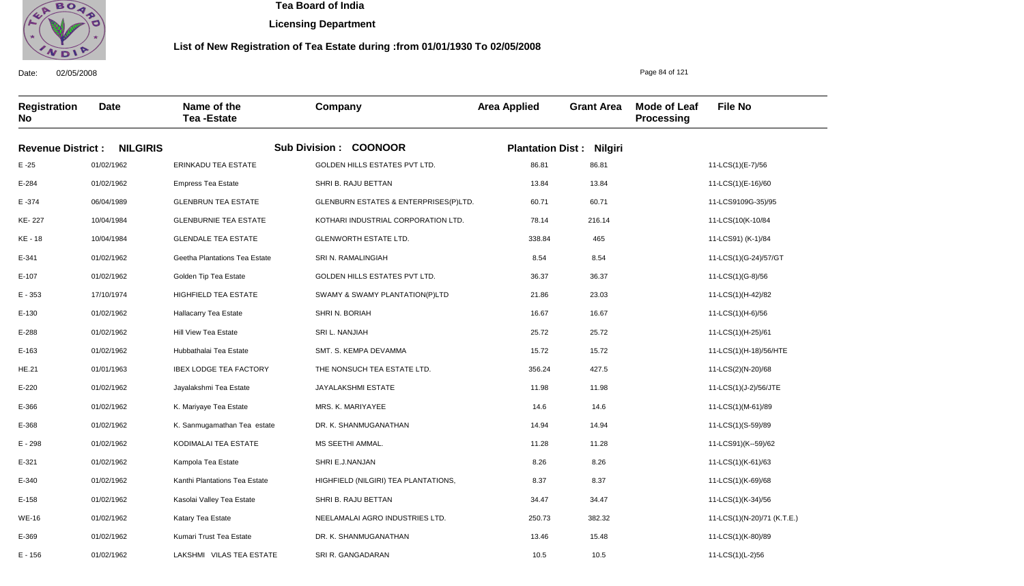

**Licensing Department**

### **List of New Registration of Tea Estate during :from 01/01/1930 To 02/05/2008**

**Registration No Date Name of the Tea -Estate Company Area Applied Grant Area Mode of Leaf Processing File No Revenue District : NILGIRIS Sub Division : COONOOR Plantation Dist : Nilgiri** E -25 E-284 E -374 KE- 227 KE - 18 E-341 E-107 E - 353 E-130 E-288 E-163 HE.21 E-220 E-366 E-368 E - 298 E-321 E-340 E-158 WE-16 E-369 01/02/1962 01/02/1962 06/04/1989 10/04/1984 10/04/1984 01/02/1962 01/02/1962 17/10/1974 01/02/1962 01/02/1962 01/02/1962 01/01/1963 01/02/1962 01/02/1962 01/02/1962 01/02/1962 01/02/1962 01/02/1962 01/02/1962 01/02/1962 01/02/1962 ERINKADU TEA ESTATE Empress Tea Estate GLENBRUN TEA ESTATE GLENBURNIE TEA ESTATE GLENDALE TEA ESTATE Geetha Plantations Tea Estate Golden Tip Tea Estate HIGHFIELD TEA ESTATE Hallacarry Tea Estate Hill View Tea Estate Hubbathalai Tea Estate IBEX LODGE TEA FACTORY Jayalakshmi Tea Estate K. Mariyaye Tea Estate K. Sanmugamathan Tea estate KODIMALAI TEA ESTATE Kampola Tea Estate Kanthi Plantations Tea Estate Kasolai Valley Tea Estate Katary Tea Estate Kumari Trust Tea Estate GOLDEN HILLS ESTATES PVT LTD. SHRI B. RAJU BETTAN GLENBURN ESTATES & ENTERPRISES(P)LTD. KOTHARI INDUSTRIAL CORPORATION LTD. GLENWORTH ESTATE LTD. SRI N. RAMALINGIAH GOLDEN HILLS ESTATES PVT LTD. SWAMY & SWAMY PLANTATION(P)LTD SHRI N. BORIAH SRI L. NANJIAH SMT. S. KEMPA DEVAMMA THE NONSUCH TEA ESTATE LTD. JAYALAKSHMI ESTATE MRS. K. MARIYAYEE DR. K. SHANMUGANATHAN MS SEETHI AMMAL. SHRI E.J.NANJAN HIGHFIELD (NILGIRI) TEA PLANTATIONS, SHRI B. RAJU BETTAN NEELAMALAI AGRO INDUSTRIES LTD. DR. K. SHANMUGANATHAN 86.81 13.84 60.71 78.14 338.84 8.54 36.37 21.86 16.67 25.72 15.72 356.24 11.98 14.6 14.94 11.28 8.26 8.37 34.47 250.73 13.46 11-LCS(1)(E-7)/56 11-LCS(1)(E-16)/60 11-LCS9109G-35)/95 11-LCS(10(K-10/84 11-LCS91) (K-1)/84 11-LCS(1)(G-24)/57/GT 11-LCS(1)(G-8)/56 11-LCS(1)(H-42)/82 11-LCS(1)(H-6)/56 11-LCS(1)(H-25)/61 11-LCS(1)(H-18)/56/HTE 11-LCS(2)(N-20)/68 11-LCS(1)(J-2)/56/JTE 11-LCS(1)(M-61)/89 11-LCS(1)(S-59)/89 11-LCS91)(K--59)/62 11-LCS(1)(K-61)/63 11-LCS(1)(K-69)/68 11-LCS(1)(K-34)/56 11-LCS(1)(N-20)/71 (K.T.E.) 11-LCS(1)(K-80)/89 86.81 13.84 60.71 216.14 465 8.54 36.37 23.03 16.67 25.72 15.72 427.5 11.98 14.6 14.94 11.28 8.26 8.37 34.47 382.32 15.48

10.5

10.5

SRI R. GANGADARAN

Date: 02/05/2008

E - 156

01/02/1962

LAKSHMI VILAS TEA ESTATE

Page 84 of 121

11-LCS(1)(L-2)56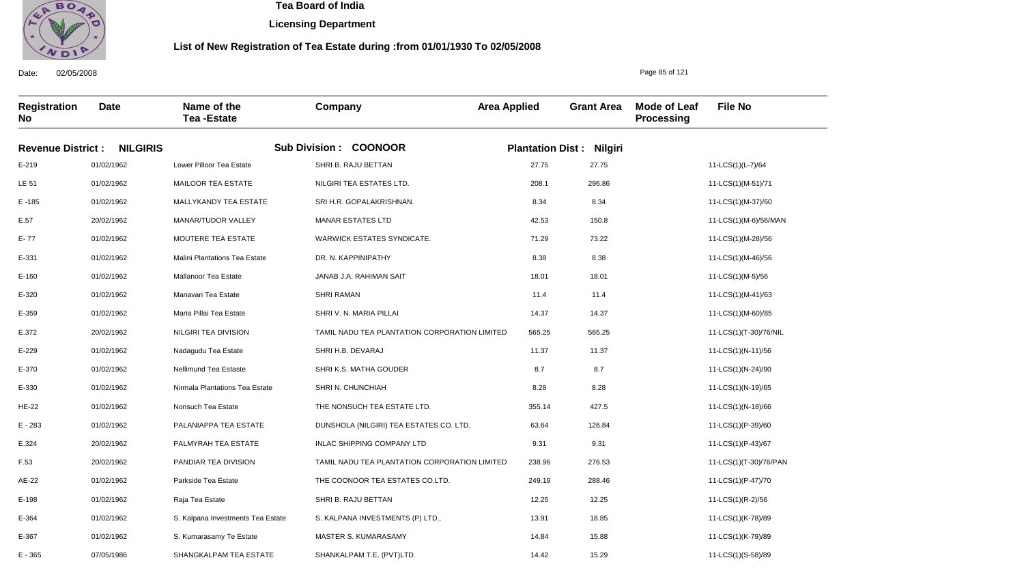

**Licensing Department**

### **List of New Registration of Tea Estate during :from 01/01/1930 To 02/05/2008**

**Registration No Date Name of the Tea -Estate Company Area Applied Grant Area Mode of Leaf Processing File No Revenue District : NILGIRIS Sub Division : COONOOR Plantation Dist : Nilgiri** E-219 LE 51 E -185 E.57 E- 77 E-331 E-160 E-320 E-359 E.372 E-229 E-370 E-330 HE-22 E - 283 E.324 F.53 AE-22 E-198 E-364 E-367 01/02/1962 01/02/1962 01/02/1962 20/02/1962 01/02/1962 01/02/1962 01/02/1962 01/02/1962 01/02/1962 20/02/1962 01/02/1962 01/02/1962 01/02/1962 01/02/1962 01/02/1962 20/02/1962 20/02/1962 01/02/1962 01/02/1962 01/02/1962 01/02/1962 Lower Pilloor Tea Estate MAILOOR TEA ESTATE MALLYKANDY TEA ESTATE MANAR/TUDOR VALLEY MOUTERE TEA ESTATE Malini Plantations Tea Estate Mallanoor Tea Estate Manavari Tea Estate Maria Pillai Tea Estate NILGIRI TEA DIVISION Nadagudu Tea Estate Nellimund Tea Estaste Nirmala Plantations Tea Estate Nonsuch Tea Estate PALANIAPPA TEA ESTATE PALMYRAH TEA ESTATE PANDIAR TEA DIVISION Parkside Tea Estate Raja Tea Estate S. Kalpana Investments Tea Estate S. Kumarasamy Te Estate SHRI B. RAJU BETTAN NILGIRI TEA ESTATES LTD. SRI H.R. GOPALAKRISHNAN. MANAR ESTATES LTD WARWICK ESTATES SYNDICATE. DR. N. KAPPINIPATHY JANAB J.A. RAHIMAN SAIT SHRI RAMAN SHRI V. N. MARIA PILLAI TAMIL NADU TEA PLANTATION CORPORATION LIMITED SHRI H.B. DEVARAJ SHRI K.S. MATHA GOUDER SHRI N. CHUNCHIAH THE NONSUCH TEA ESTATE LTD. DUNSHOLA (NILGIRI) TEA ESTATES CO. LTD. INLAC SHIPPING COMPANY LTD TAMIL NADU TEA PLANTATION CORPORATION LIMITED THE COONOOR TEA ESTATES CO.LTD. SHRI B. RAJU BETTAN S. KALPANA INVESTMENTS (P) LTD., MASTER S. KUMARASAMY 27.75 208.1 8.34 42.53 71.29 8.38 18.01 11.4 14.37 565.25 11.37 8.7 8.28 355.14 63.64 9.31 238.96 249.19 12.25 13.91 14.84 11-LCS(1)(L-7)/64 11-LCS(1)(M-51)/71 11-LCS(1)(M-37)/60 11-LCS(1)(M-6)/56/MAN 11-LCS(1)(M-28)/56 11-LCS(1)(M-46)/56 11-LCS(1)(M-5)/56 11-LCS(1)(M-41)/63 11-LCS(1)(M-60)/85 11-LCS(1)(T-30)/76/NIL 11-LCS(1)(N-11)/56 11-LCS(1)(N-24)/90 11-LCS(1)(N-19)/65 11-LCS(1)(N-18)/66 11-LCS(1)(P-39)/60 11-LCS(1)(P-43)/67 11-LCS(1)(T-30)/76/PAN 11-LCS(1)(P-47)/70 11-LCS(1)(R-2)/56 11-LCS(1)(K-78)/89 11-LCS(1)(K-79)/89 27.75 296.86 8.34 150.8 73.22 8.38 18.01 11.4 14.37 565.25 11.37 8.7 8.28 427.5 126.84 9.31 276.53 288.46 12.25 18.85 15.88

SHANKALPAM T.E. (PVT)LTD.

14.42

15.29

Date: 02/05/2008

E - 365

07/05/1986

SHANGKALPAM TEA ESTATE

Page 85 of 121

11-LCS(1)(S-58)/89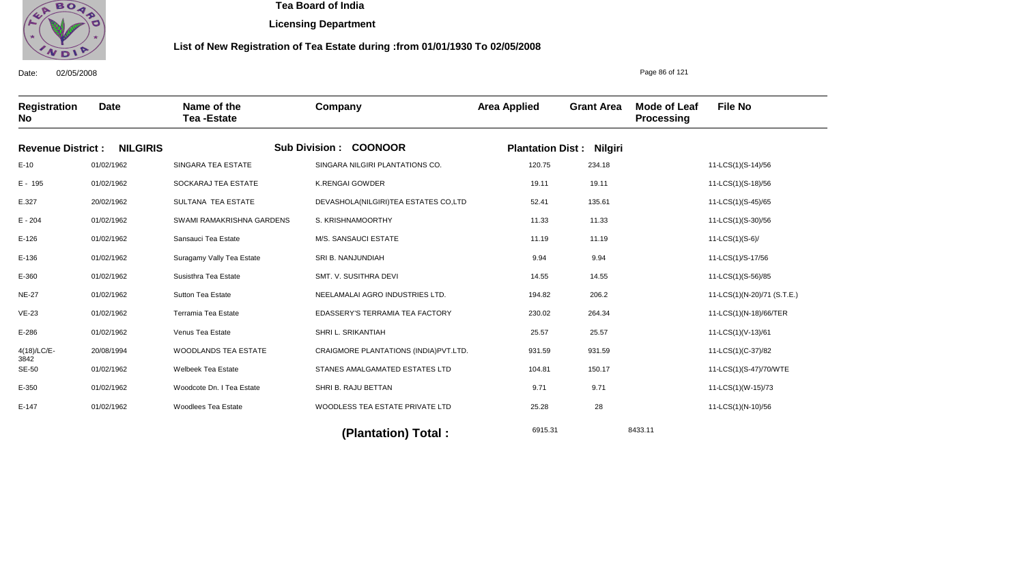

**Licensing Department**

### **List of New Registration of Tea Estate during :from 01/01/1930 To 02/05/2008**

Date: 02/05/2008 **Registration No Date Name of the Tea -Estate Company Area Applied Grant Area Mode of Leaf Processing File No Revenue District : NILGIRIS Sub Division : COONOOR Plantation Dist : Nilgiri** E-10 E - 195 E.327 E - 204 E-126 E-136 E-360 NE-27 VE-23 E-286 4(18)/LC/E-3842 SE-50 E-350 E-147 01/02/1962 01/02/1962 20/02/1962 01/02/1962 01/02/1962 01/02/1962 01/02/1962 01/02/1962 01/02/1962 01/02/1962 20/08/1994 01/02/1962 01/02/1962 01/02/1962 SINGARA TEA ESTATE SOCKARAJ TEA ESTATE SULTANA TEA ESTATE SWAMI RAMAKRISHNA GARDENS Sansauci Tea Estate Suragamy Vally Tea Estate Susisthra Tea Estate Sutton Tea Estate Terramia Tea Estate Venus Tea Estate WOODLANDS TEA ESTATE Welbeek Tea Estate Woodcote Dn. I Tea Estate Woodlees Tea Estate SINGARA NILGIRI PLANTATIONS CO. K.RENGAI GOWDER DEVASHOLA(NILGIRI)TEA ESTATES CO,LTD S. KRISHNAMOORTHY M/S. SANSAUCI ESTATE SRI B. NANJUNDIAH SMT. V. SUSITHRA DEVI NEELAMALAI AGRO INDUSTRIES LTD. EDASSERY'S TERRAMIA TEA FACTORY SHRI L. SRIKANTIAH CRAIGMORE PLANTATIONS (INDIA)PVT.LTD. STANES AMALGAMATED ESTATES LTD SHRI B. RAJU BETTAN WOODLESS TEA ESTATE PRIVATE LTD 120.75 19.11 52.41 11.33 11.19 9.94 14.55 194.82 230.02 25.57 931.59 104.81 9.71 25.28 11-LCS(1)(S-14)/56 11-LCS(1)(S-18)/56 11-LCS(1)(S-45)/65 11-LCS(1)(S-30)/56 11-LCS(1)(S-6)/ 11-LCS(1)/S-17/56 11-LCS(1)(S-56)/85 11-LCS(1)(N-20)/71 (S.T.E.) 11-LCS(1)(N-18)/66/TER 11-LCS(1)(V-13)/61 11-LCS(1)(C-37)/82 11-LCS(1)(S-47)/70/WTE 11-LCS(1)(W-15)/73 11-LCS(1)(N-10)/56 234.18 19.11 135.61 11.33 11.19 9.94 14.55 206.2 264.34 25.57 931.59 150.17 9.71 28

6915.31 8433.11 **(Plantation) Total :** 

Page 86 of 121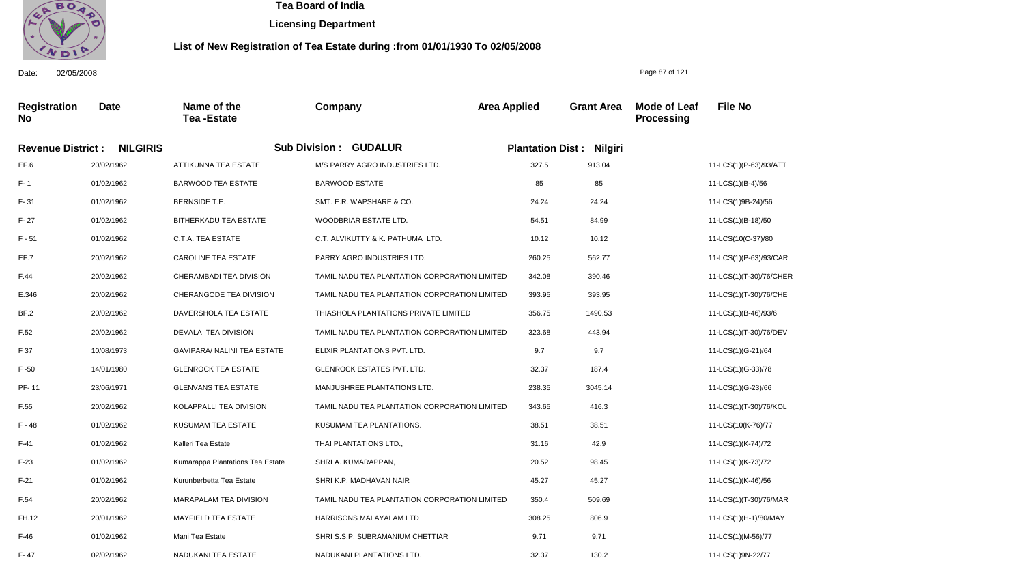

F- 47

02/02/1962

NADUKANI TEA ESTATE

 **Tea Board of India** 

**Licensing Department**

### **List of New Registration of Tea Estate during :from 01/01/1930 To 02/05/2008**

Page 87 of 121

11-LCS(1)9N-22/77

**Registration No Date Name of the Tea -Estate Company Area Applied Grant Area Mode of Leaf Processing File No Revenue District : NILGIRIS Sub Division : GUDALUR Plantation Dist : Nilgiri** EF.6 F- 1 F- 31 F- 27 F - 51 EF.7 F.44 E.346 BF.2 F.52 F 37 F -50 PF- 11 F.55 F - 48 F-41 F-23 F-21 F.54 FH.12 F-46 20/02/1962 01/02/1962 01/02/1962 01/02/1962 01/02/1962 20/02/1962 20/02/1962 20/02/1962 20/02/1962 20/02/1962 10/08/1973 14/01/1980 23/06/1971 20/02/1962 01/02/1962 01/02/1962 01/02/1962 01/02/1962 20/02/1962 20/01/1962 01/02/1962 ATTIKUNNA TEA ESTATE BARWOOD TEA ESTATE BERNSIDE T.E. BITHERKADU TEA ESTATE C.T.A. TEA ESTATE CAROLINE TEA ESTATE CHERAMBADI TEA DIVISION CHERANGODE TEA DIVISION DAVERSHOLA TEA ESTATE DEVALA TEA DIVISION GAVIPARA/ NALINI TEA ESTATE GLENROCK TEA ESTATE GLENVANS TEA ESTATE KOLAPPALLI TEA DIVISION KUSUMAM TEA ESTATE Kalleri Tea Estate Kumarappa Plantations Tea Estate Kurunberbetta Tea Estate MARAPALAM TEA DIVISION MAYFIELD TEA ESTATE Mani Tea Estate M/S PARRY AGRO INDUSTRIES LTD. BARWOOD ESTATE SMT. E.R. WAPSHARE & CO. WOODBRIAR ESTATE LTD. C.T. ALVIKUTTY & K. PATHUMA LTD. PARRY AGRO INDUSTRIES LTD. TAMIL NADU TEA PLANTATION CORPORATION LIMITED TAMIL NADU TEA PLANTATION CORPORATION LIMITED THIASHOLA PLANTATIONS PRIVATE LIMITED TAMIL NADU TEA PLANTATION CORPORATION LIMITED ELIXIR PLANTATIONS PVT. LTD. GLENROCK ESTATES PVT. LTD. MANJUSHREE PLANTATIONS LTD. TAMIL NADU TEA PLANTATION CORPORATION LIMITED KUSUMAM TEA PLANTATIONS. THAI PLANTATIONS LTD., SHRI A. KUMARAPPAN, SHRI K.P. MADHAVAN NAIR TAMIL NADU TEA PLANTATION CORPORATION LIMITED HARRISONS MALAYALAM LTD SHRI S.S.P. SUBRAMANIUM CHETTIAR 327.5 85 24.24 54.51 10.12 260.25 342.08 393.95 356.75 323.68 9.7 32.37 238.35 343.65 38.51 31.16 20.52 45.27 350.4 308.25 9.71 11-LCS(1)(P-63)/93/ATT 11-LCS(1)(B-4)/56 11-LCS(1)9B-24)/56 11-LCS(1)(B-18)/50 11-LCS(10(C-37)/80 11-LCS(1)(P-63)/93/CAR 11-LCS(1)(T-30)/76/CHER 11-LCS(1)(T-30)/76/CHE 11-LCS(1)(B-46)/93/6 11-LCS(1)(T-30)/76/DEV 11-LCS(1)(G-21)/64 11-LCS(1)(G-33)/78 11-LCS(1)(G-23)/66 11-LCS(1)(T-30)/76/KOL 11-LCS(10(K-76)/77 11-LCS(1)(K-74)/72 11-LCS(1)(K-73)/72 11-LCS(1)(K-46)/56 11-LCS(1)(T-30)/76/MAR 11-LCS(1)(H-1)/80/MAY 11-LCS(1)(M-56)/77 913.04 85 24.24 84.99 10.12 562.77 390.46 393.95 1490.53 443.94 9.7 187.4 3045.14 416.3 38.51 42.9 98.45 45.27 509.69 806.9 9.71

NADUKANI PLANTATIONS LTD.

32.37

130.2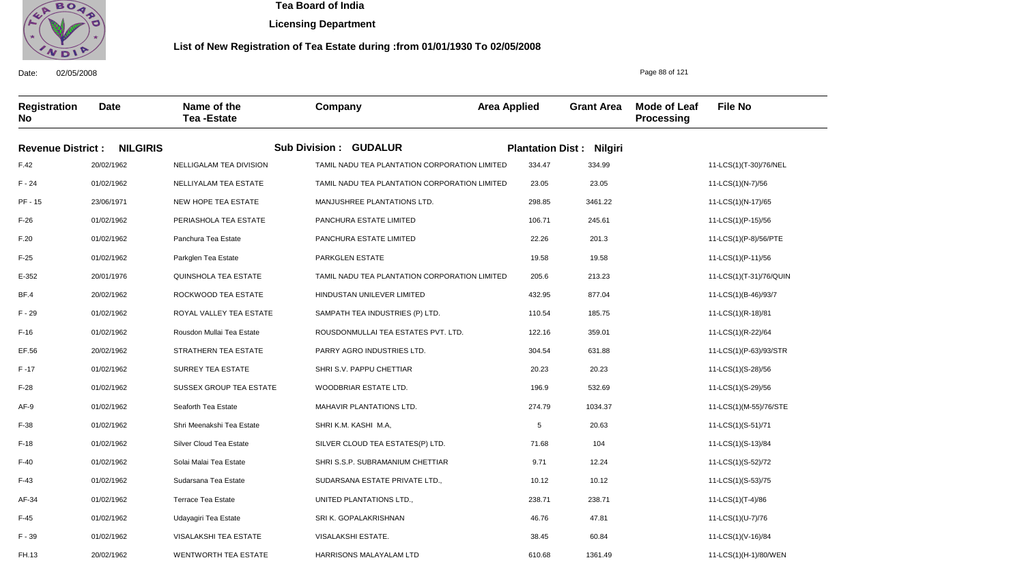

**Licensing Department**

### **List of New Registration of Tea Estate during :from 01/01/1930 To 02/05/2008**

Date: 02/05/2008 **Registration No Date Name of the Tea -Estate Company Area Applied Grant Area Mode of Leaf Processing File No** Page 88 of 121 **Revenue District : NILGIRIS Sub Division : GUDALUR Plantation Dist : Nilgiri** F.42 F - 24 PF - 15 F-26 F.20 F-25 E-352 BF.4 F - 29 F-16 EF.56 F -17 F-28 AF-9 F-38 F-18 F-40 F-43 AF-34 F-45 F - 39 FH.13 20/02/1962 01/02/1962 23/06/1971 01/02/1962 01/02/1962 01/02/1962 20/01/1976 20/02/1962 01/02/1962 01/02/1962 20/02/1962 01/02/1962 01/02/1962 01/02/1962 01/02/1962 01/02/1962 01/02/1962 01/02/1962 01/02/1962 01/02/1962 01/02/1962 20/02/1962 NELLIGALAM TEA DIVISION NELLIYALAM TEA ESTATE NEW HOPE TEA ESTATE PERIASHOLA TEA ESTATE Panchura Tea Estate Parkglen Tea Estate QUINSHOLA TEA ESTATE ROCKWOOD TEA ESTATE ROYAL VALLEY TEA ESTATE Rousdon Mullai Tea Estate STRATHERN TEA ESTATE SURREY TEA ESTATE SUSSEX GROUP TEA ESTATE Seaforth Tea Estate Shri Meenakshi Tea Estate Silver Cloud Tea Estate Solai Malai Tea Estate Sudarsana Tea Estate Terrace Tea Estate Udayagiri Tea Estate VISALAKSHI TEA ESTATE WENTWORTH TEA ESTATE TAMIL NADU TEA PLANTATION CORPORATION LIMITED TAMIL NADU TEA PLANTATION CORPORATION LIMITED MANJUSHREE PLANTATIONS LTD. PANCHURA ESTATE LIMITED PANCHURA ESTATE LIMITED PARKGLEN ESTATE TAMIL NADU TEA PLANTATION CORPORATION LIMITED HINDUSTAN UNILEVER LIMITED SAMPATH TEA INDUSTRIES (P) LTD. ROUSDONMULLAI TEA ESTATES PVT. LTD. PARRY AGRO INDUSTRIES LTD. SHRI S.V. PAPPU CHETTIAR WOODBRIAR ESTATE LTD. MAHAVIR PLANTATIONS LTD. SHRI K.M. KASHI M.A, SILVER CLOUD TEA ESTATES(P) LTD. SHRI S.S.P. SUBRAMANIUM CHETTIAR SUDARSANA ESTATE PRIVATE LTD., UNITED PLANTATIONS LTD., SRI K. GOPALAKRISHNAN VISALAKSHI ESTATE. HARRISONS MALAYALAM LTD 334.47 23.05 298.85 106.71 22.26 19.58 205.6 432.95 110.54 122.16 304.54 20.23 196.9 274.79 5 71.68 9.71 10.12 238.71 46.76 38.45 610.68 11-LCS(1)(T-30)/76/NEL 11-LCS(1)(N-7)/56 11-LCS(1)(N-17)/65 11-LCS(1)(P-15)/56 11-LCS(1)(P-8)/56/PTE 11-LCS(1)(P-11)/56 11-LCS(1)(T-31)/76/QUIN 11-LCS(1)(B-46)/93/7 11-LCS(1)(R-18)/81 11-LCS(1)(R-22)/64 11-LCS(1)(P-63)/93/STR 11-LCS(1)(S-28)/56 11-LCS(1)(S-29)/56 11-LCS(1)(M-55)/76/STE 11-LCS(1)(S-51)/71 11-LCS(1)(S-13)/84 11-LCS(1)(S-52)/72 11-LCS(1)(S-53)/75 11-LCS(1)(T-4)/86 11-LCS(1)(U-7)/76 11-LCS(1)(V-16)/84 11-LCS(1)(H-1)/80/WEN 334.99 23.05 3461.22 245.61 201.3 19.58 213.23 877.04 185.75 359.01 631.88 20.23 532.69 1034.37 20.63 104 12.24 10.12 238.71 47.81 60.84 1361.49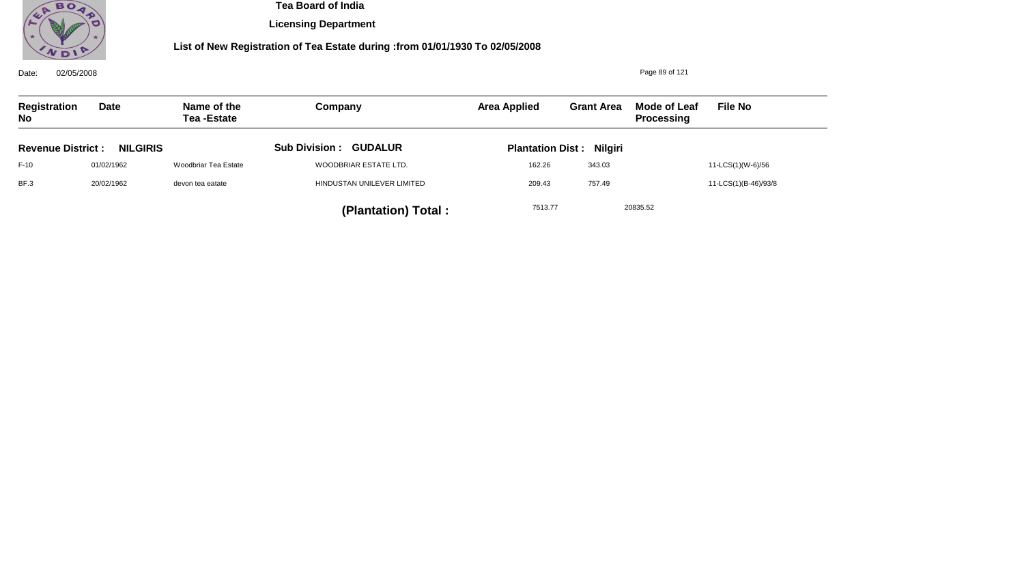

**Licensing Department**

| Date:<br>02/05/2008                         |             |                            |                              | Page 89 of 121          |                   |                                   |                      |  |  |
|---------------------------------------------|-------------|----------------------------|------------------------------|-------------------------|-------------------|-----------------------------------|----------------------|--|--|
| Registration<br><b>No</b>                   | <b>Date</b> | Name of the<br>Tea -Estate | Company                      | <b>Area Applied</b>     | <b>Grant Area</b> | Mode of Leaf<br><b>Processing</b> | <b>File No</b>       |  |  |
| <b>NILGIRIS</b><br><b>Revenue District:</b> |             |                            | <b>Sub Division: GUDALUR</b> | <b>Plantation Dist:</b> | <b>Nilgiri</b>    |                                   |                      |  |  |
| $F-10$                                      | 01/02/1962  | Woodbriar Tea Estate       | WOODBRIAR ESTATE LTD.        | 162.26                  | 343.03            |                                   | 11-LCS(1)(W-6)/56    |  |  |
| BF.3                                        | 20/02/1962  | devon tea eatate           | HINDUSTAN UNILEVER LIMITED   | 209.43                  | 757.49            |                                   | 11-LCS(1)(B-46)/93/8 |  |  |
|                                             |             |                            | (Plantation) Total:          | 7513.77                 |                   | 20835.52                          |                      |  |  |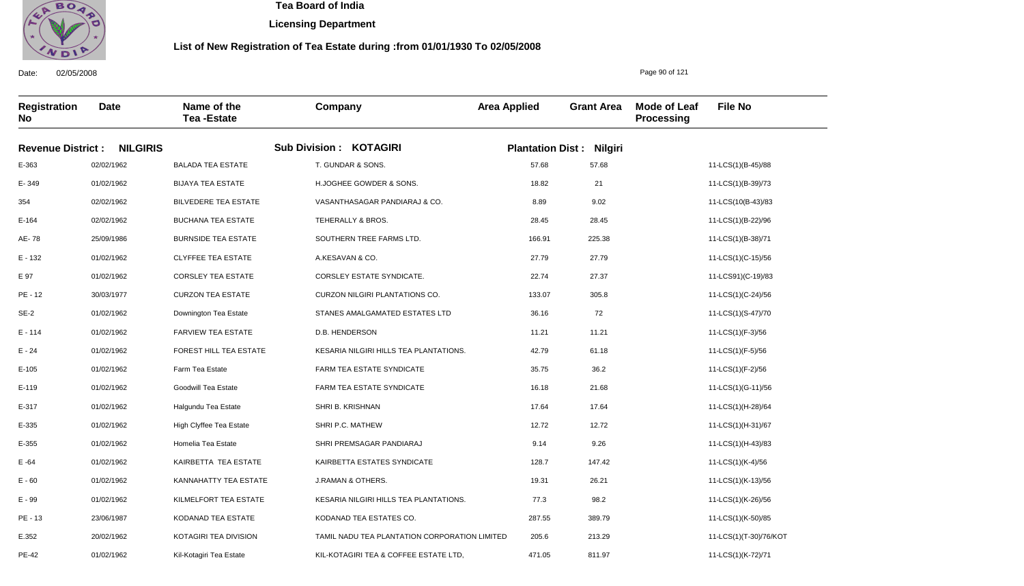

**Licensing Department**

### **List of New Registration of Tea Estate during :from 01/01/1930 To 02/05/2008**

**Registration No Date Name of the Tea -Estate Company Area Applied Grant Area Mode of Leaf Processing File No Revenue District : NILGIRIS Sub Division : KOTAGIRI Plantation Dist : Nilgiri** E-363 E- 349 354 E-164 AE- 78 E - 132 E 97 PE - 12 SE-2 E - 114 E - 24 E-105 E-119 E-317 E-335 E-355 E -64 E - 60 E - 99 PE - 13 E.352 02/02/1962 01/02/1962 02/02/1962 02/02/1962 25/09/1986 01/02/1962 01/02/1962 30/03/1977 01/02/1962 01/02/1962 01/02/1962 01/02/1962 01/02/1962 01/02/1962 01/02/1962 01/02/1962 01/02/1962 01/02/1962 01/02/1962 23/06/1987 20/02/1962 BALADA TEA ESTATE BIJAYA TEA ESTATE BILVEDERE TEA ESTATE BUCHANA TEA ESTATE BURNSIDE TEA ESTATE CLYFFEE TEA ESTATE CORSLEY TEA ESTATE CURZON TEA ESTATE Downington Tea Estate FARVIEW TEA ESTATE FOREST HILL TEA ESTATE Farm Tea Estate Goodwill Tea Estate Halgundu Tea Estate High Clyffee Tea Estate Homelia Tea Estate KAIRBETTA TEA ESTATE KANNAHATTY TEA ESTATE KILMELFORT TEA ESTATE KODANAD TEA ESTATE KOTAGIRI TEA DIVISION T. GUNDAR & SONS. H.JOGHEE GOWDER & SONS. VASANTHASAGAR PANDIARAJ & CO. TEHERALLY & BROS. SOUTHERN TREE FARMS LTD. A.KESAVAN & CO. CORSLEY ESTATE SYNDICATE. CURZON NILGIRI PLANTATIONS CO. STANES AMALGAMATED ESTATES LTD D.B. HENDERSON KESARIA NILGIRI HILLS TEA PLANTATIONS. FARM TEA ESTATE SYNDICATE FARM TEA ESTATE SYNDICATE SHRI B. KRISHNAN SHRI P.C. MATHEW SHRI PREMSAGAR PANDIARAJ KAIRBETTA ESTATES SYNDICATE J.RAMAN & OTHERS. KESARIA NILGIRI HILLS TEA PLANTATIONS. KODANAD TEA ESTATES CO. TAMIL NADU TEA PLANTATION CORPORATION LIMITED 57.68 18.82 8.89 28.45 166.91 27.79 22.74 133.07 36.16 11.21 42.79 35.75 16.18 17.64 12.72 9.14 128.7 19.31 77.3 287.55 205.6 11-LCS(1)(B-45)/88 11-LCS(1)(B-39)/73 11-LCS(10(B-43)/83 11-LCS(1)(B-22)/96 11-LCS(1)(B-38)/71 11-LCS(1)(C-15)/56 11-LCS91)(C-19)/83 11-LCS(1)(C-24)/56 11-LCS(1)(S-47)/70 11-LCS(1)(F-3)/56 11-LCS(1)(F-5)/56 11-LCS(1)(F-2)/56 11-LCS(1)(G-11)/56 11-LCS(1)(H-28)/64 11-LCS(1)(H-31)/67 11-LCS(1)(H-43)/83 11-LCS(1)(K-4)/56 11-LCS(1)(K-13)/56 11-LCS(1)(K-26)/56 11-LCS(1)(K-50)/85 11-LCS(1)(T-30)/76/KOT 57.68 21 9.02 28.45 225.38 27.79 27.37 305.8 72 11.21 61.18 36.2 21.68 17.64 12.72 9.26 147.42 26.21 98.2 389.79 213.29

KIL-KOTAGIRI TEA & COFFEE ESTATE LTD,

471.05

811.97

Date: 02/05/2008

PE-42

01/02/1962

Kil-Kotagiri Tea Estate

Page 90 of 121

11-LCS(1)(K-72)/71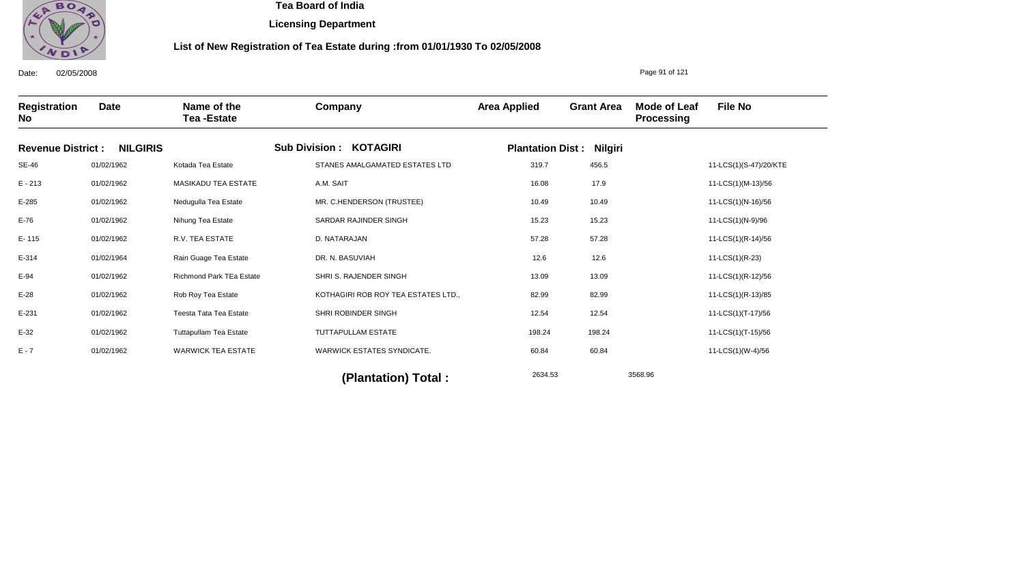

**Licensing Department**

### **List of New Registration of Tea Estate during :from 01/01/1930 To 02/05/2008**

Date: 02/05/2008 **Registration No Date Name of the Tea -Estate Company Area Applied Grant Area Mode of Leaf Processing File No** Page 91 of 121 **Revenue District : NILGIRIS Sub Division : KOTAGIRI Plantation Dist : Nilgiri** SE-46 E - 213 E-285 E-76 E- 115 E-314 E-94 E-28 E-231 E-32 E - 7 01/02/1962 01/02/1962 01/02/1962 01/02/1962 01/02/1962 01/02/1964 01/02/1962 01/02/1962 01/02/1962 01/02/1962 01/02/1962 Kotada Tea Estate MASIKADU TEA ESTATE Nedugulla Tea Estate Nihung Tea Estate R.V. TEA ESTATE Rain Guage Tea Estate Richmond Park TEa Estate Rob Roy Tea Estate Teesta Tata Tea Estate Tuttapullam Tea Estate WARWICK TEA ESTATE STANES AMALGAMATED ESTATES LTD A.M. SAIT MR. C.HENDERSON (TRUSTEE) SARDAR RAJINDER SINGH D. NATARAJAN DR. N. BASUVIAH SHRI S. RAJENDER SINGH KOTHAGIRI ROB ROY TEA ESTATES LTD., SHRI ROBINDER SINGH TUTTAPULLAM ESTATE WARWICK ESTATES SYNDICATE. 319.7 16.08 10.49 15.23 57.28 12.6 13.09 82.99 12.54 198.24 60.84 11-LCS(1)(S-47)/20/KTE 11-LCS(1)(M-13)/56 11-LCS(1)(N-16)/56 11-LCS(1)(N-9)/96 11-LCS(1)(R-14)/56 11-LCS(1)(R-23) 11-LCS(1)(R-12)/56 11-LCS(1)(R-13)/85 11-LCS(1)(T-17)/56 11-LCS(1)(T-15)/56 11-LCS(1)(W-4)/56 2634.53 3568.96 **(Plantation) Total :**  456.5 17.9 10.49 15.23 57.28 12.6 13.09 82.99 12.54 198.24 60.84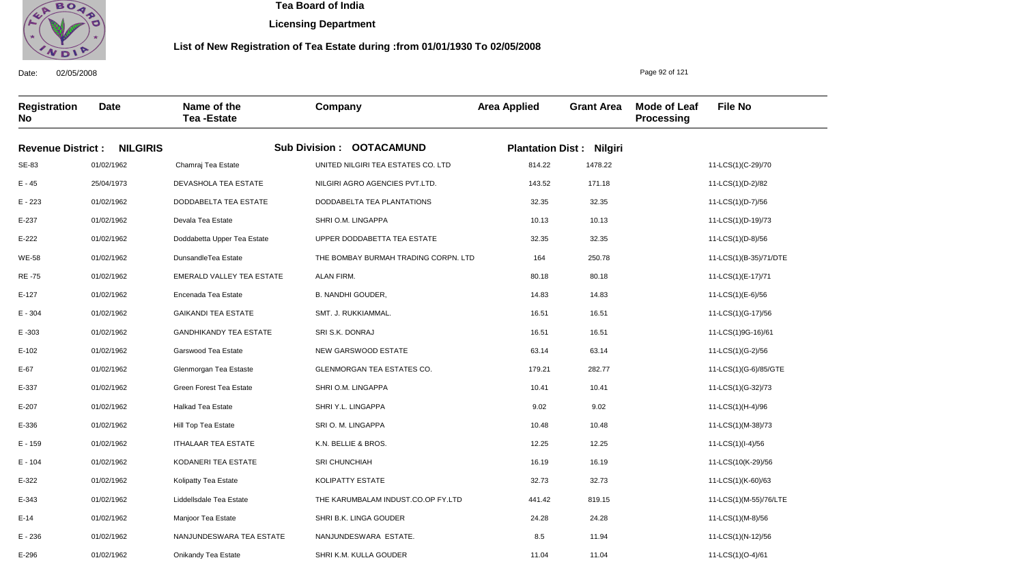

**Licensing Department**

### **List of New Registration of Tea Estate during :from 01/01/1930 To 02/05/2008**

**Registration No Date Name of the Tea -Estate Company Area Applied Grant Area Mode of Leaf Processing File No Revenue District : NILGIRIS Sub Division : OOTACAMUND Plantation Dist : Nilgiri** SE-83 E - 45 E - 223 E-237 E-222 WE-58 RE -75 E-127 E - 304 E -303 E-102 E-67 E-337 E-207 E-336 E - 159 E - 104 E-322 E-343 E-14 E - 236 01/02/1962 25/04/1973 01/02/1962 01/02/1962 01/02/1962 01/02/1962 01/02/1962 01/02/1962 01/02/1962 01/02/1962 01/02/1962 01/02/1962 01/02/1962 01/02/1962 01/02/1962 01/02/1962 01/02/1962 01/02/1962 01/02/1962 01/02/1962 01/02/1962 Chamraj Tea Estate DEVASHOLA TEA ESTATE DODDABELTA TEA ESTATE Devala Tea Estate Doddabetta Upper Tea Estate DunsandleTea Estate EMERALD VALLEY TEA ESTATE Encenada Tea Estate GAIKANDI TEA ESTATE GANDHIKANDY TEA ESTATE Garswood Tea Estate Glenmorgan Tea Estaste Green Forest Tea Estate Halkad Tea Estate Hill Top Tea Estate ITHALAAR TEA ESTATE KODANERI TEA ESTATE Kolipatty Tea Estate Liddellsdale Tea Estate Manjoor Tea Estate NANJUNDESWARA TEA ESTATE UNITED NILGIRI TEA ESTATES CO. LTD NILGIRI AGRO AGENCIES PVT.LTD. DODDABELTA TEA PLANTATIONS SHRI O.M. LINGAPPA UPPER DODDABETTA TEA ESTATE THE BOMBAY BURMAH TRADING CORPN. LTD ALAN FIRM. B. NANDHI GOUDER, SMT. J. RUKKIAMMAL. SRI S.K. DONRAJ NEW GARSWOOD ESTATE GLENMORGAN TEA ESTATES CO. SHRI O.M. LINGAPPA SHRI Y.L. LINGAPPA SRI O. M. LINGAPPA K.N. BELLIE & BROS. SRI CHUNCHIAH KOLIPATTY ESTATE THE KARUMBALAM INDUST.CO.OP FY.LTD SHRI B.K. LINGA GOUDER NANJUNDESWARA ESTATE. 814.22 143.52 32.35 10.13 32.35 164 80.18 14.83 16.51 16.51 63.14 179.21 10.41 9.02 10.48 12.25 16.19 32.73 441.42 24.28 8.5 11-LCS(1)(C-29)/70 11-LCS(1)(D-2)/82 11-LCS(1)(D-7)/56 11-LCS(1)(D-19)/73 11-LCS(1)(D-8)/56 11-LCS(1)(B-35)/71/DTE 11-LCS(1)(E-17)/71 11-LCS(1)(E-6)/56 11-LCS(1)(G-17)/56 11-LCS(1)9G-16)/61 11-LCS(1)(G-2)/56 11-LCS(1)(G-6)/85/GTE 11-LCS(1)(G-32)/73 11-LCS(1)(H-4)/96 11-LCS(1)(M-38)/73 11-LCS(1)(I-4)/56 11-LCS(10(K-29)/56 11-LCS(1)(K-60)/63 11-LCS(1)(M-55)/76/LTE 11-LCS(1)(M-8)/56 11-LCS(1)(N-12)/56 1478.22 171.18 32.35 10.13 32.35 250.78 80.18 14.83 16.51 16.51 63.14 282.77 10.41 9.02 10.48 12.25 16.19 32.73 819.15 24.28 11.94

SHRI K.M. KULLA GOUDER

11.04

11.04

Date: 02/05/2008

E-296

01/02/1962

Onikandy Tea Estate

Page 92 of 121

11-LCS(1)(O-4)/61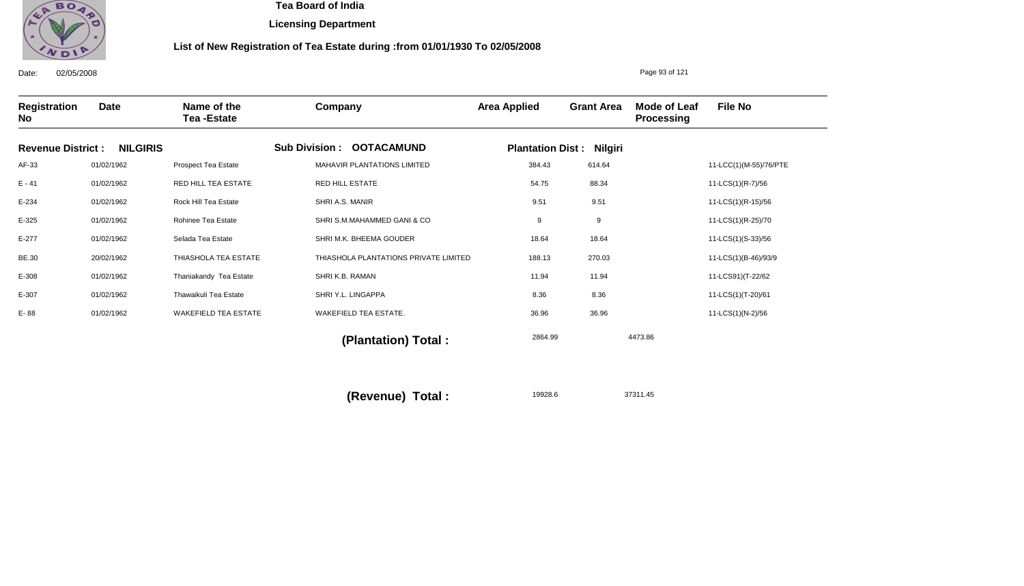

**Licensing Department**

### **List of New Registration of Tea Estate during :from 01/01/1930 To 02/05/2008**

Date: 02/05/2008 **Registration No Date Name of the Tea -Estate Company Area Applied Grant Area Mode of Leaf Processing File No** Page 93 of 121 **Revenue District : NILGIRIS Sub Division : OOTACAMUND Plantation Dist : Nilgiri** AF-33 E - 41 E-234 E-325 E-277 BE.30 E-308 E-307 E- 88 01/02/1962 01/02/1962 01/02/1962 01/02/1962 01/02/1962 20/02/1962 01/02/1962 01/02/1962 01/02/1962 Prospect Tea Estate RED HILL TEA ESTATE Rock Hill Tea Estate Rohinee Tea Estate Selada Tea Estate THIASHOLA TEA ESTATE Thaniakandy Tea Estate Thawaikuli Tea Estate WAKEFIELD TEA ESTATE MAHAVIR PLANTATIONS LIMITED RED HILL ESTATE SHRI A.S. MANIR SHRI S.M.MAHAMMED GANI & CO SHRI M.K. BHEEMA GOUDER THIASHOLA PLANTATIONS PRIVATE LIMITED SHRI K.B. RAMAN SHRI Y.L. LINGAPPA WAKEFIELD TEA ESTATE. 384.43 54.75 9.51 9 18.64 188.13 11.94 8.36 36.96 11-LCC(1)(M-55)/76/PTE 11-LCS(1)(R-7)/56 11-LCS(1)(R-15)/56 11-LCS(1)(R-25)/70 11-LCS(1)(S-33)/56 11-LCS(1)(B-46)/93/9 11-LCS91)(T-22/62 11-LCS(1)(T-20)/61 11-LCS(1)(N-2)/56 2864.99 4473.86 19928.6 37311.45  **(Plantation) Total : (Revenue) Total :**  614.64 88.34 9.51 9 18.64 270.03 11.94 8.36 36.96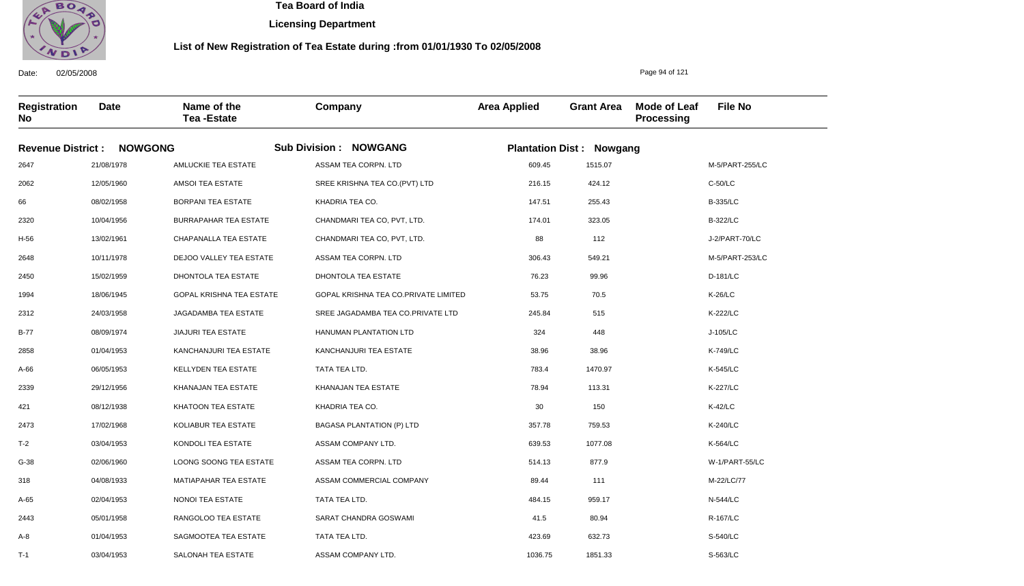

**Licensing Department**

### **List of New Registration of Tea Estate during :from 01/01/1930 To 02/05/2008**

**Registration No Date Name of the Tea -Estate Company Area Applied Grant Area Mode of Leaf Processing File No Revenue District : NOWGONG Sub Division : NOWGANG Plantation Dist : Nowgang** 2647 2062 66 2320 H-56 2648 2450 1994 2312 B-77 2858 A-66 2339 421 2473 T-2 G-38 318 A-65 2443 A-8 21/08/1978 12/05/1960 08/02/1958 10/04/1956 13/02/1961 10/11/1978 15/02/1959 18/06/1945 24/03/1958 08/09/1974 01/04/1953 06/05/1953 29/12/1956 08/12/1938 17/02/1968 03/04/1953 02/06/1960 04/08/1933 02/04/1953 05/01/1958 01/04/1953 AMLUCKIE TEA ESTATE AMSOI TEA ESTATE BORPANI TEA ESTATE BURRAPAHAR TEA ESTATE CHAPANALLA TEA ESTATE DEJOO VALLEY TEA ESTATE DHONTOLA TEA ESTATE GOPAL KRISHNA TEA ESTATE JAGADAMBA TEA ESTATE JIAJURI TEA ESTATE KANCHANJURI TEA ESTATE KELLYDEN TEA ESTATE KHANAJAN TEA ESTATE KHATOON TEA ESTATE KOLIABUR TEA ESTATE KONDOLI TEA ESTATE LOONG SOONG TEA ESTATE MATIAPAHAR TEA ESTATE NONOI TEA ESTATE RANGOLOO TEA ESTATE SAGMOOTEA TEA ESTATE ASSAM TEA CORPN. LTD SREE KRISHNA TEA CO.(PVT) LTD KHADRIA TEA CO. CHANDMARI TEA CO, PVT, LTD. CHANDMARI TEA CO, PVT, LTD. ASSAM TEA CORPN. LTD DHONTOLA TEA ESTATE GOPAL KRISHNA TEA CO.PRIVATE LIMITED SREE JAGADAMBA TEA CO.PRIVATE LTD HANUMAN PLANTATION LTD KANCHANJURI TEA ESTATE TATA TEA LTD. KHANAJAN TEA ESTATE KHADRIA TEA CO. BAGASA PLANTATION (P) LTD ASSAM COMPANY LTD. ASSAM TEA CORPN. LTD ASSAM COMMERCIAL COMPANY TATA TEA LTD. SARAT CHANDRA GOSWAMI TATA TEA LTD. 609.45 216.15 147.51 174.01 88 306.43 76.23 53.75 245.84 324 38.96 783.4 78.94 30 357.78 639.53 514.13 89.44 484.15 41.5 423.69 M-5/PART-255/LC C-50/LC B-335/LC B-322/LC J-2/PART-70/LC M-5/PART-253/LC D-181/LC K-26/LC K-222/LC J-105/LC K-749/LC K-545/LC K-227/LC K-42/LC K-240/LC K-564/LC W-1/PART-55/LC M-22/LC/77 N-544/LC R-167/LC S-540/LC 1515.07 424.12 255.43 323.05 112 549.21 99.96 70.5 515 448 38.96 1470.97 113.31 150 759.53 1077.08 877.9 111 959.17 80.94 632.73

1036.75

1851.33

ASSAM COMPANY LTD.

Date: 02/05/2008

T-1

03/04/1953

SALONAH TEA ESTATE

Page 94 of 121

S-563/LC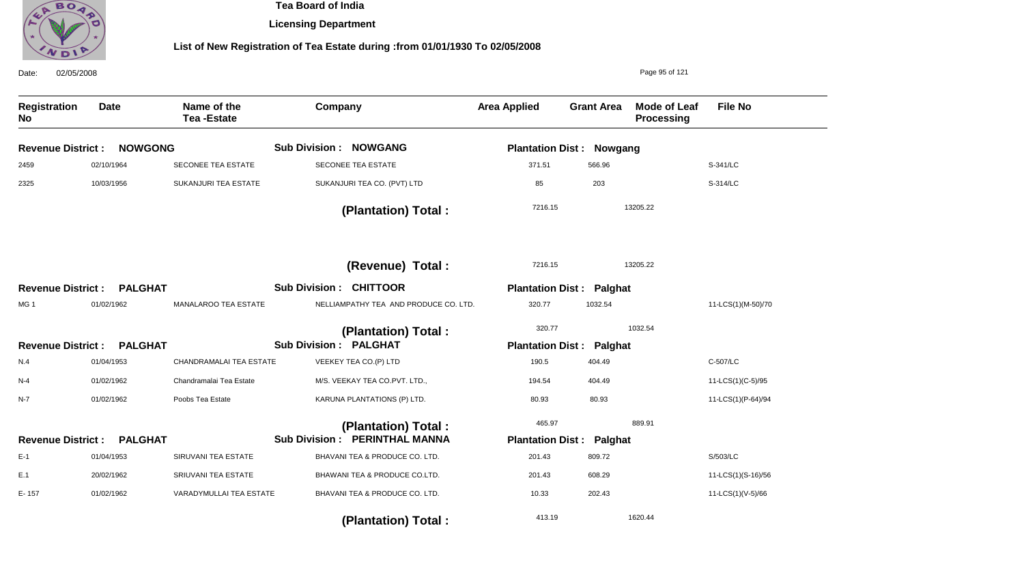

**Licensing Department**

| 02/05/2008<br>Date:       |                |                                  |                                       | Page 95 of 121                  |                   |                                   |                    |
|---------------------------|----------------|----------------------------------|---------------------------------------|---------------------------------|-------------------|-----------------------------------|--------------------|
| <b>Registration</b><br>No | <b>Date</b>    | Name of the<br><b>Tea-Estate</b> | Company                               | <b>Area Applied</b>             | <b>Grant Area</b> | <b>Mode of Leaf</b><br>Processing | <b>File No</b>     |
| <b>Revenue District:</b>  | <b>NOWGONG</b> |                                  | <b>Sub Division : NOWGANG</b>         | <b>Plantation Dist: Nowgang</b> |                   |                                   |                    |
| 2459                      | 02/10/1964     | SECONEE TEA ESTATE               | SECONEE TEA ESTATE                    | 371.51                          | 566.96            |                                   | S-341/LC           |
| 2325                      | 10/03/1956     | SUKANJURI TEA ESTATE             | SUKANJURI TEA CO. (PVT) LTD           | 85                              | 203               |                                   | S-314/LC           |
|                           |                |                                  | (Plantation) Total:                   | 7216.15                         |                   | 13205.22                          |                    |
|                           |                |                                  | (Revenue) Total:                      | 7216.15                         |                   | 13205.22                          |                    |
| <b>Revenue District:</b>  | <b>PALGHAT</b> |                                  | <b>Sub Division: CHITTOOR</b>         | <b>Plantation Dist:</b>         | Palghat           |                                   |                    |
| MG <sub>1</sub>           | 01/02/1962     | MANALAROO TEA ESTATE             | NELLIAMPATHY TEA AND PRODUCE CO. LTD. | 320.77                          | 1032.54           |                                   | 11-LCS(1)(M-50)/70 |
|                           |                |                                  | (Plantation) Total:                   | 320.77                          |                   | 1032.54                           |                    |
| <b>Revenue District:</b>  | <b>PALGHAT</b> |                                  | <b>Sub Division : PALGHAT</b>         | <b>Plantation Dist:</b>         | Palghat           |                                   |                    |
| N.4                       | 01/04/1953     | CHANDRAMALAI TEA ESTATE          | VEEKEY TEA CO.(P) LTD                 | 190.5                           | 404.49            |                                   | C-507/LC           |
| $N-4$                     | 01/02/1962     | Chandramalai Tea Estate          | M/S. VEEKAY TEA CO.PVT. LTD.,         | 194.54                          | 404.49            |                                   | 11-LCS(1)(C-5)/95  |
| N-7                       | 01/02/1962     | Poobs Tea Estate                 | KARUNA PLANTATIONS (P) LTD.           | 80.93                           | 80.93             |                                   | 11-LCS(1)(P-64)/94 |
|                           |                |                                  | (Plantation) Total:                   | 465.97                          |                   | 889.91                            |                    |
| <b>Revenue District:</b>  | <b>PALGHAT</b> |                                  | <b>Sub Division: PERINTHAL MANNA</b>  | <b>Plantation Dist:</b>         | Palghat           |                                   |                    |
| $E-1$                     | 01/04/1953     | SIRUVANI TEA ESTATE              | BHAVANI TEA & PRODUCE CO. LTD.        | 201.43                          | 809.72            |                                   | S/503/LC           |
| E.1                       | 20/02/1962     | SRIUVANI TEA ESTATE              | BHAWANI TEA & PRODUCE CO.LTD.         | 201.43                          | 608.29            |                                   | 11-LCS(1)(S-16)/56 |
| E-157                     | 01/02/1962     | VARADYMULLAI TEA ESTATE          | BHAVANI TEA & PRODUCE CO. LTD.        | 10.33                           | 202.43            |                                   | 11-LCS(1)(V-5)/66  |
|                           |                |                                  | (Plantation) Total:                   | 413.19                          |                   | 1620.44                           |                    |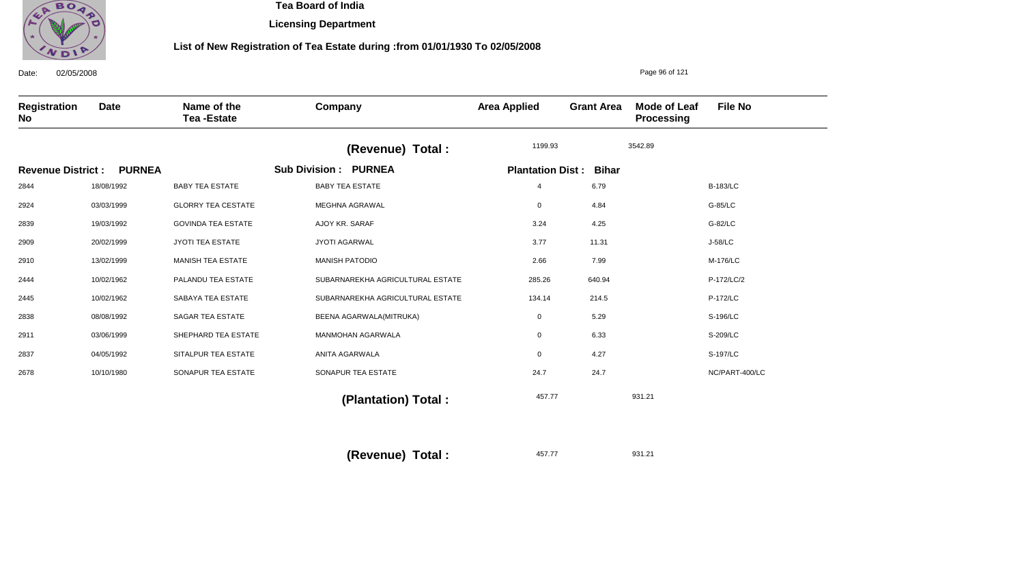

**Licensing Department**

## **List of New Registration of Tea Estate during :from 01/01/1930 To 02/05/2008**

| 02/05/2008<br>Date:      |               |                                  |                                  |                         |                   | Page 96 of 121             |                 |
|--------------------------|---------------|----------------------------------|----------------------------------|-------------------------|-------------------|----------------------------|-----------------|
| Registration<br>No       | Date          | Name of the<br><b>Tea-Estate</b> | Company                          | <b>Area Applied</b>     | <b>Grant Area</b> | Mode of Leaf<br>Processing | <b>File No</b>  |
|                          |               |                                  | (Revenue) Total :                | 1199.93                 |                   | 3542.89                    |                 |
| <b>Revenue District:</b> | <b>PURNEA</b> |                                  | <b>Sub Division: PURNEA</b>      | <b>Plantation Dist:</b> | <b>Bihar</b>      |                            |                 |
| 2844                     | 18/08/1992    | <b>BABY TEA ESTATE</b>           | <b>BABY TEA ESTATE</b>           | $\overline{4}$          | 6.79              |                            | <b>B-183/LC</b> |
| 2924                     | 03/03/1999    | <b>GLORRY TEA CESTATE</b>        | MEGHNA AGRAWAL                   | 0                       | 4.84              |                            | G-85/LC         |
| 2839                     | 19/03/1992    | <b>GOVINDA TEA ESTATE</b>        | AJOY KR. SARAF                   | 3.24                    | 4.25              |                            | G-82/LC         |
| 2909                     | 20/02/1999    | <b>JYOTI TEA ESTATE</b>          | <b>JYOTI AGARWAL</b>             | 3.77                    | 11.31             |                            | J-58/LC         |
| 2910                     | 13/02/1999    | <b>MANISH TEA ESTATE</b>         | <b>MANISH PATODIO</b>            | 2.66                    | 7.99              |                            | M-176/LC        |
| 2444                     | 10/02/1962    | PALANDU TEA ESTATE               | SUBARNAREKHA AGRICULTURAL ESTATE | 285.26                  | 640.94            |                            | P-172/LC/2      |
| 2445                     | 10/02/1962    | SABAYA TEA ESTATE                | SUBARNAREKHA AGRICULTURAL ESTATE | 134.14                  | 214.5             |                            | P-172/LC        |
| 2838                     | 08/08/1992    | <b>SAGAR TEA ESTATE</b>          | BEENA AGARWALA(MITRUKA)          | 0                       | 5.29              |                            | S-196/LC        |
| 2911                     | 03/06/1999    | SHEPHARD TEA ESTATE              | <b>MANMOHAN AGARWALA</b>         | 0                       | 6.33              |                            | S-209/LC        |
| 2837                     | 04/05/1992    | SITALPUR TEA ESTATE              | ANITA AGARWALA                   | 0                       | 4.27              |                            | S-197/LC        |
| 2678                     | 10/10/1980    | SONAPUR TEA ESTATE               | SONAPUR TEA ESTATE               | 24.7                    | 24.7              |                            | NC/PART-400/LC  |
|                          |               |                                  | (Plantation) Total:              | 457.77                  |                   | 931.21                     |                 |

457.77 931.21 **(Revenue) Total :**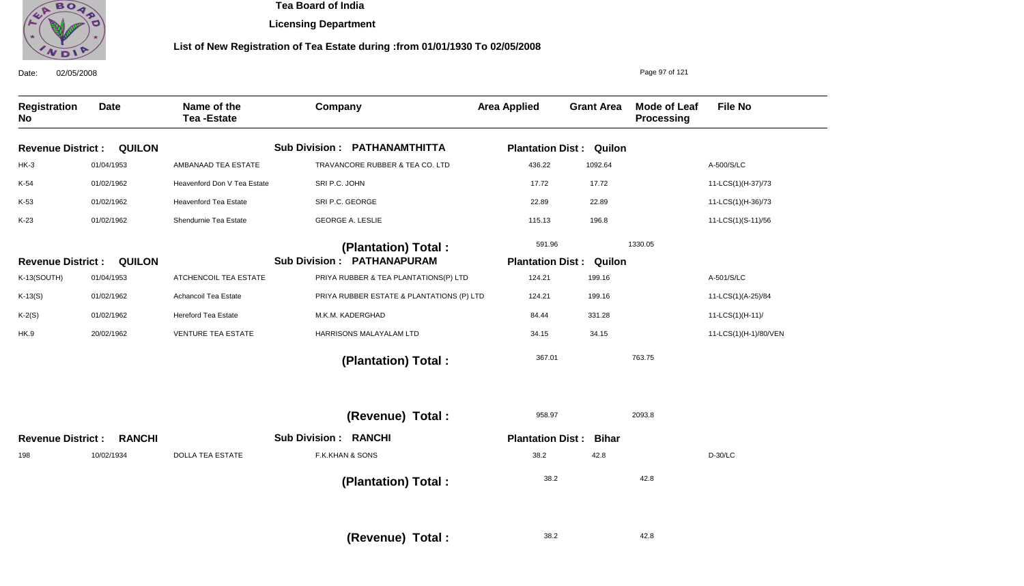

**Licensing Department**

## **List of New Registration of Tea Estate during :from 01/01/1930 To 02/05/2008**

| 02/05/2008<br>Date:       |               |                                  |                                           |                                |                   | Page 97 of 121                    |                       |
|---------------------------|---------------|----------------------------------|-------------------------------------------|--------------------------------|-------------------|-----------------------------------|-----------------------|
| <b>Registration</b><br>No | <b>Date</b>   | Name of the<br><b>Tea-Estate</b> | Company                                   | <b>Area Applied</b>            | <b>Grant Area</b> | <b>Mode of Leaf</b><br>Processing | <b>File No</b>        |
| <b>Revenue District:</b>  | <b>QUILON</b> |                                  | <b>Sub Division: PATHANAMTHITTA</b>       | <b>Plantation Dist: Quilon</b> |                   |                                   |                       |
| $HK-3$                    | 01/04/1953    | AMBANAAD TEA ESTATE              | TRAVANCORE RUBBER & TEA CO. LTD           | 436.22                         | 1092.64           |                                   | A-500/S/LC            |
| K-54                      | 01/02/1962    | Heavenford Don V Tea Estate      | SRI P.C. JOHN                             | 17.72                          | 17.72             |                                   | 11-LCS(1)(H-37)/73    |
| K-53                      | 01/02/1962    | <b>Heavenford Tea Estate</b>     | SRI P.C. GEORGE                           | 22.89                          | 22.89             |                                   | 11-LCS(1)(H-36)/73    |
| $K-23$                    | 01/02/1962    | Shendurnie Tea Estate            | <b>GEORGE A. LESLIE</b>                   | 115.13                         | 196.8             |                                   | 11-LCS(1)(S-11)/56    |
|                           |               |                                  | (Plantation) Total:                       | 591.96                         |                   | 1330.05                           |                       |
| <b>Revenue District:</b>  | <b>QUILON</b> |                                  | <b>Sub Division : PATHANAPURAM</b>        | <b>Plantation Dist:</b>        | Quilon            |                                   |                       |
| K-13(SOUTH)               | 01/04/1953    | ATCHENCOIL TEA ESTATE            | PRIYA RUBBER & TEA PLANTATIONS(P) LTD     | 124.21                         | 199.16            |                                   | A-501/S/LC            |
| $K-13(S)$                 | 01/02/1962    | Achancoil Tea Estate             | PRIYA RUBBER ESTATE & PLANTATIONS (P) LTD | 124.21                         | 199.16            |                                   | 11-LCS(1)(A-25)/84    |
| $K-2(S)$                  | 01/02/1962    | <b>Hereford Tea Estate</b>       | M.K.M. KADERGHAD                          | 84.44                          | 331.28            |                                   | 11-LCS(1)(H-11)/      |
| HK.9                      | 20/02/1962    | <b>VENTURE TEA ESTATE</b>        | HARRISONS MALAYALAM LTD                   | 34.15                          | 34.15             |                                   | 11-LCS(1)(H-1)/80/VEN |
|                           |               |                                  | (Plantation) Total:                       | 367.01                         |                   | 763.75                            |                       |
|                           |               |                                  | (Revenue) Total :                         | 958.97                         |                   | 2093.8                            |                       |
| <b>Revenue District:</b>  | <b>RANCHI</b> |                                  | <b>Sub Division: RANCHI</b>               | <b>Plantation Dist:</b>        | <b>Bihar</b>      |                                   |                       |
| 198                       | 10/02/1934    | <b>DOLLA TEA ESTATE</b>          | F.K.KHAN & SONS                           | 38.2                           | 42.8              |                                   | $D-30/LC$             |
|                           |               |                                  | (Plantation) Total:                       | 38.2                           |                   | 42.8                              |                       |
|                           |               |                                  | (Revenue) Total:                          | 38.2                           |                   | 42.8                              |                       |

38.2 **(Revenue) Total :**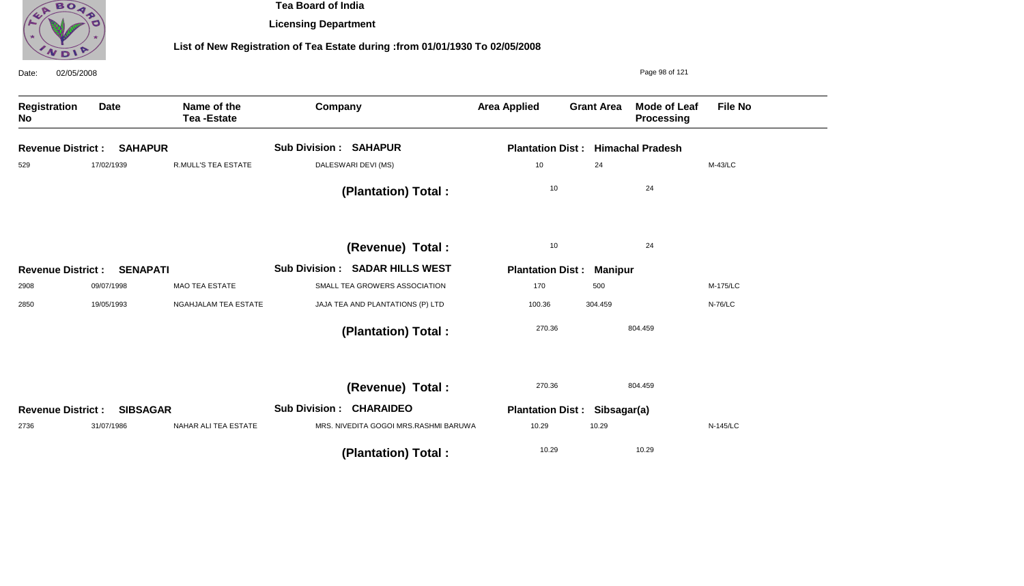

**Licensing Department**

| 02/05/2008<br>Date:      |                 |                                  |                                                 |                                          |                   | Page 98 of 121                    |                |
|--------------------------|-----------------|----------------------------------|-------------------------------------------------|------------------------------------------|-------------------|-----------------------------------|----------------|
| Registration<br>No       | <b>Date</b>     | Name of the<br><b>Tea-Estate</b> | Company                                         | <b>Area Applied</b>                      | <b>Grant Area</b> | <b>Mode of Leaf</b><br>Processing | <b>File No</b> |
| <b>Revenue District:</b> | <b>SAHAPUR</b>  |                                  | <b>Sub Division : SAHAPUR</b>                   | <b>Plantation Dist: Himachal Pradesh</b> |                   |                                   |                |
| 529                      | 17/02/1939      | <b>R.MULL'S TEA ESTATE</b>       | DALESWARI DEVI (MS)                             | 10                                       | 24                |                                   | M-43/LC        |
|                          |                 |                                  | (Plantation) Total:                             | 10                                       |                   | 24                                |                |
|                          |                 |                                  | (Revenue) Total :                               | 10                                       |                   | 24                                |                |
| <b>Revenue District:</b> | <b>SENAPATI</b> |                                  | <b>Sub Division:</b><br><b>SADAR HILLS WEST</b> | <b>Plantation Dist:</b>                  | <b>Manipur</b>    |                                   |                |
| 2908                     | 09/07/1998      | <b>MAO TEA ESTATE</b>            | SMALL TEA GROWERS ASSOCIATION                   | 170                                      | 500               |                                   | M-175/LC       |
| 2850                     | 19/05/1993      | NGAHJALAM TEA ESTATE             | JAJA TEA AND PLANTATIONS (P) LTD                | 100.36                                   | 304.459           |                                   | <b>N-76/LC</b> |
|                          |                 |                                  | (Plantation) Total:                             | 270.36                                   |                   | 804.459                           |                |
|                          |                 |                                  | (Revenue) Total :                               | 270.36                                   |                   | 804.459                           |                |
| <b>Revenue District:</b> | <b>SIBSAGAR</b> |                                  | <b>Sub Division: CHARAIDEO</b>                  | <b>Plantation Dist:</b>                  | Sibsagar(a)       |                                   |                |
| 2736                     | 31/07/1986      | NAHAR ALI TEA ESTATE             | MRS. NIVEDITA GOGOI MRS.RASHMI BARUWA           | 10.29                                    | 10.29             |                                   | N-145/LC       |
|                          |                 |                                  | (Plantation) Total:                             | 10.29                                    |                   | 10.29                             |                |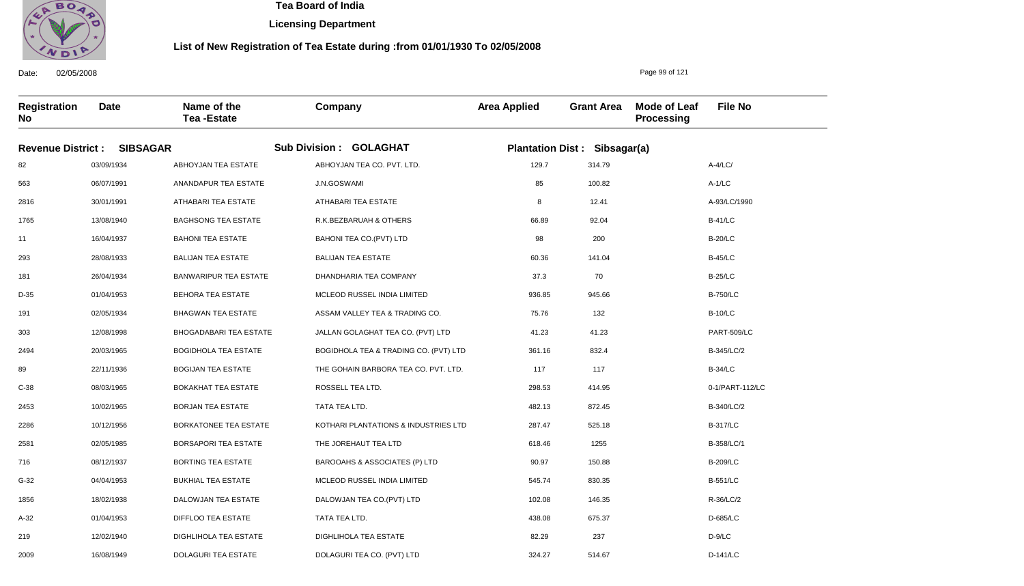

2009

16/08/1949

DOLAGURI TEA ESTATE

 **Tea Board of India** 

**Licensing Department**

### **List of New Registration of Tea Estate during :from 01/01/1930 To 02/05/2008**

Page 99 of 121

D-141/LC

**Registration No Date Name of the Tea -Estate Company Area Applied Grant Area Mode of Leaf Processing File No Revenue District : SIBSAGAR Sub Division : GOLAGHAT Plantation Dist : Sibsagar(a)** 82 563 2816 1765 11 293 181 D-35 191 303 2494 89 C-38 2453 2286 2581 716 G-32 1856 A-32 219 03/09/1934 06/07/1991 30/01/1991 13/08/1940 16/04/1937 28/08/1933 26/04/1934 01/04/1953 02/05/1934 12/08/1998 20/03/1965 22/11/1936 08/03/1965 10/02/1965 10/12/1956 02/05/1985 08/12/1937 04/04/1953 18/02/1938 01/04/1953 12/02/1940 ABHOYJAN TEA ESTATE ANANDAPUR TEA ESTATE ATHABARI TEA ESTATE BAGHSONG TEA ESTATE BAHONI TEA ESTATE BALIJAN TEA ESTATE BANWARIPUR TEA ESTATE BEHORA TEA ESTATE BHAGWAN TEA ESTATE BHOGADABARI TEA ESTATE BOGIDHOLA TEA ESTATE BOGIJAN TEA ESTATE BOKAKHAT TEA ESTATE BORJAN TEA ESTATE BORKATONEE TEA ESTATE BORSAPORI TEA ESTATE BORTING TEA ESTATE BUKHIAL TEA ESTATE DALOWJAN TEA ESTATE DIFFLOO TEA ESTATE DIGHLIHOLA TEA ESTATE ABHOYJAN TEA CO. PVT. LTD. J.N.GOSWAMI ATHABARI TEA ESTATE R.K.BEZBARUAH & OTHERS BAHONI TEA CO.(PVT) LTD BALIJAN TEA ESTATE DHANDHARIA TEA COMPANY MCLEOD RUSSEL INDIA LIMITED ASSAM VALLEY TEA & TRADING CO. JALLAN GOLAGHAT TEA CO. (PVT) LTD BOGIDHOLA TEA & TRADING CO. (PVT) LTD THE GOHAIN BARBORA TEA CO. PVT. LTD. ROSSELL TEA LTD. TATA TEA LTD. KOTHARI PLANTATIONS & INDUSTRIES LTD THE JOREHAUT TEA LTD BAROOAHS & ASSOCIATES (P) LTD MCLEOD RUSSEL INDIA LIMITED DALOWJAN TEA CO.(PVT) LTD TATA TEA LTD. DIGHLIHOLA TEA ESTATE 129.7 85 8 66.89 98 60.36 37.3 936.85 75.76 41.23 361.16 117 298.53 482.13 287.47 618.46 90.97 545.74 102.08 438.08 82.29 A-4/LC/ A-1/LC A-93/LC/1990 B-41/LC B-20/LC B-45/LC B-25/LC B-750/LC B-10/LC PART-509/LC B-345/LC/2 B-34/LC 0-1/PART-112/LC B-340/LC/2 B-317/LC B-358/LC/1 B-209/LC B-551/LC R-36/LC/2 D-685/LC D-9/LC 314.79 100.82 12.41 92.04 200 141.04 70 945.66 132 41.23 832.4 117 414.95 872.45 525.18 1255 150.88 830.35 146.35 675.37 237

DOLAGURI TEA CO. (PVT) LTD

324.27

514.67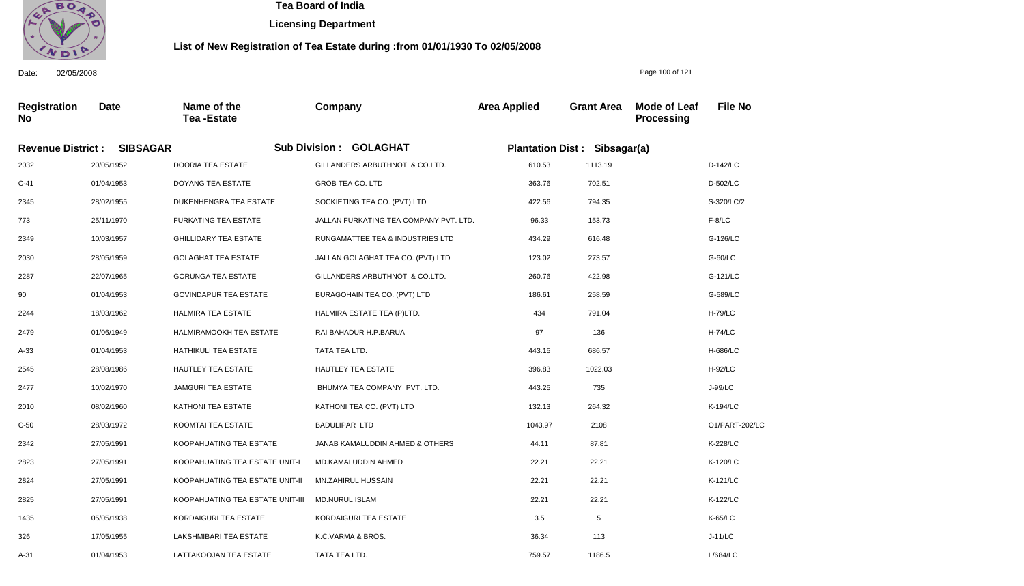

A-31

01/04/1953

LATTAKOOJAN TEA ESTATE

 **Tea Board of India** 

**Licensing Department**

### **List of New Registration of Tea Estate during :from 01/01/1930 To 02/05/2008**

**Registration No Date Name of the Tea -Estate Company Area Applied Grant Area Mode of Leaf Processing File No Revenue District : SIBSAGAR Sub Division : GOLAGHAT Plantation Dist : Sibsagar(a)** 2032 C-41 2345 773 2349 2030 2287 90 2244 2479 A-33 2545 2477 2010 C-50 2342 2823 2824 2825 1435 326 20/05/1952 01/04/1953 28/02/1955 25/11/1970 10/03/1957 28/05/1959 22/07/1965 01/04/1953 18/03/1962 01/06/1949 01/04/1953 28/08/1986 10/02/1970 08/02/1960 28/03/1972 27/05/1991 27/05/1991 27/05/1991 27/05/1991 05/05/1938 17/05/1955 DOORIA TEA ESTATE DOYANG TEA ESTATE DUKENHENGRA TEA ESTATE FURKATING TEA ESTATE GHILLIDARY TEA ESTATE GOLAGHAT TEA ESTATE GORUNGA TEA ESTATE GOVINDAPUR TEA ESTATE HALMIRA TEA ESTATE HALMIRAMOOKH TEA ESTATE HATHIKULI TEA ESTATE HAUTLEY TEA ESTATE JAMGURI TEA ESTATE KATHONI TEA ESTATE KOOMTAI TEA ESTATE KOOPAHUATING TEA ESTATE KOOPAHUATING TEA ESTATE UNIT-I KOOPAHUATING TEA ESTATE UNIT-II KOOPAHUATING TEA ESTATE UNIT-III KORDAIGURI TEA ESTATE LAKSHMIBARI TEA ESTATE GILLANDERS ARBUTHNOT & CO.LTD. GROB TEA CO. LTD SOCKIETING TEA CO. (PVT) LTD JALLAN FURKATING TEA COMPANY PVT. LTD. RUNGAMATTEE TEA & INDUSTRIES LTD JALLAN GOLAGHAT TEA CO. (PVT) LTD GILLANDERS ARBUTHNOT & CO.LTD. BURAGOHAIN TEA CO. (PVT) LTD HALMIRA ESTATE TEA (P)LTD. RAI BAHADUR H.P.BARUA TATA TEA LTD. HAUTLEY TEA ESTATE BHUMYA TEA COMPANY PVT. LTD. KATHONI TEA CO. (PVT) LTD BADULIPAR LTD JANAB KAMALUDDIN AHMED & OTHERS MD.KAMALUDDIN AHMED MN.ZAHIRUL HUSSAIN MD.NURUL ISLAM KORDAIGURI TEA ESTATE K.C.VARMA & BROS. TATA TEA LTD. 610.53 363.76 422.56 96.33 434.29 123.02 260.76 186.61 434 97 443.15 396.83 443.25 132.13 1043.97 44.11 22.21 22.21 22.21 3.5 36.34 D-142/LC D-502/LC S-320/LC/2 F-8/LC G-126/LC G-60/LC G-121/LC G-589/LC H-79/LC H-74/LC H-686/LC H-92/LC J-99/LC K-194/LC O1/PART-202/LC K-228/LC K-120/LC K-121/LC K-122/LC K-65/LC J-11/LC L/684/LC 1113.19 702.51 794.35 153.73 616.48 273.57 422.98 258.59 791.04 136 686.57 1022.03 735 264.32 2108 87.81 22.21 22.21 22.21 5 113 1186.5

759.57

Page 100 of 121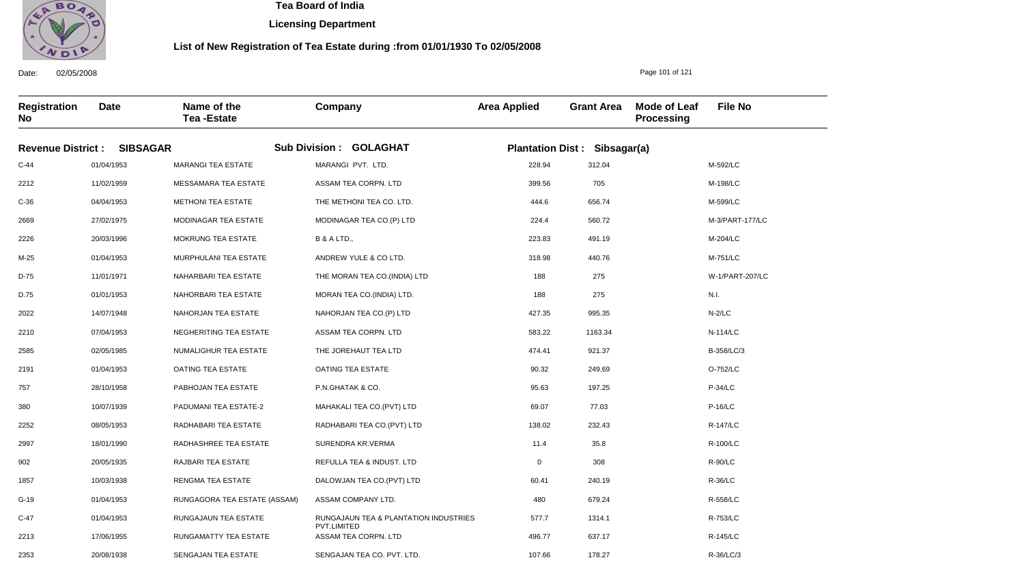

 **Tea Board of India** 

**Licensing Department**

### **List of New Registration of Tea Estate during :from 01/01/1930 To 02/05/2008**

Page 101 of 121

**Registration No Date Name of the Tea -Estate Company Area Applied Grant Area Mode of Leaf Processing File No Revenue District : SIBSAGAR Sub Division : GOLAGHAT Plantation Dist : Sibsagar(a)** C-44 2212 C-36 2669 2226 M-25 D-75 D.75 2022 2210 2585 2191 757 380 2252 2997 902 1857 G-19 C-47 2213 2353 01/04/1953 11/02/1959 04/04/1953 27/02/1975 20/03/1996 01/04/1953 11/01/1971 01/01/1953 14/07/1948 07/04/1953 02/05/1985 01/04/1953 28/10/1958 10/07/1939 08/05/1953 18/01/1990 20/05/1935 10/03/1938 01/04/1953 01/04/1953 17/06/1955 20/08/1938 MARANGI TEA ESTATE MESSAMARA TEA ESTATE METHONI TEA ESTATE MODINAGAR TEA ESTATE MOKRUNG TEA ESTATE MURPHULANI TEA ESTATE NAHARBARI TEA ESTATE NAHORBARI TEA ESTATE NAHORJAN TEA ESTATE NEGHERITING TEA ESTATE NUMALIGHUR TEA ESTATE OATING TEA ESTATE PABHOJAN TEA ESTATE PADUMANI TEA ESTATE-2 RADHABARI TEA ESTATE RADHASHREE TEA ESTATE RAJBARI TEA ESTATE RENGMA TEA ESTATE RUNGAGORA TEA ESTATE (ASSAM) RUNGAJAUN TEA ESTATE RUNGAMATTY TEA ESTATE SENGAJAN TEA ESTATE MARANGI PVT. LTD. ASSAM TEA CORPN. LTD THE METHONI TEA CO. LTD. MODINAGAR TEA CO.(P) LTD B & A LTD., ANDREW YULE & CO LTD. THE MORAN TEA CO.(INDIA) LTD MORAN TEA CO.(INDIA) LTD. NAHORJAN TEA CO.(P) LTD ASSAM TEA CORPN. LTD THE JOREHAUT TEA LTD OATING TEA ESTATE P.N.GHATAK & CO. MAHAKALI TEA CO.(PVT) LTD RADHABARI TEA CO.(PVT) LTD SURENDRA KR.VERMA REFULLA TEA & INDUST. LTD DALOWJAN TEA CO.(PVT) LTD ASSAM COMPANY LTD. RUNGAJAUN TEA & PLANTATION INDUSTRIES PVT.LIMITED ASSAM TEA CORPN. LTD SENGAJAN TEA CO. PVT. LTD. 228.94 399.56 444.6 224.4 223.83 318.98 188 188 427.35 583.22 474.41 90.32 95.63 69.07 138.02 11.4 0 60.41 480 577.7 496.77 107.66 M-592/LC M-198/LC M-599/LC M-3/PART-177/LC M-204/LC M-751/LC W-1/PART-207/LC N.I. N-2/LC N-114/LC B-358/LC/3 O-752/LC P-34/LC P-16/LC R-147/LC R-100/LC R-90/LC R-36/LC R-558/LC R-753/LC R-145/LC R-36/LC/3 312.04 705 656.74 560.72 491.19 440.76 275 275 995.35 1163.34 921.37 249.69 197.25 77.03 232.43 35.8 308 240.19 679.24 1314.1 637.17 178.27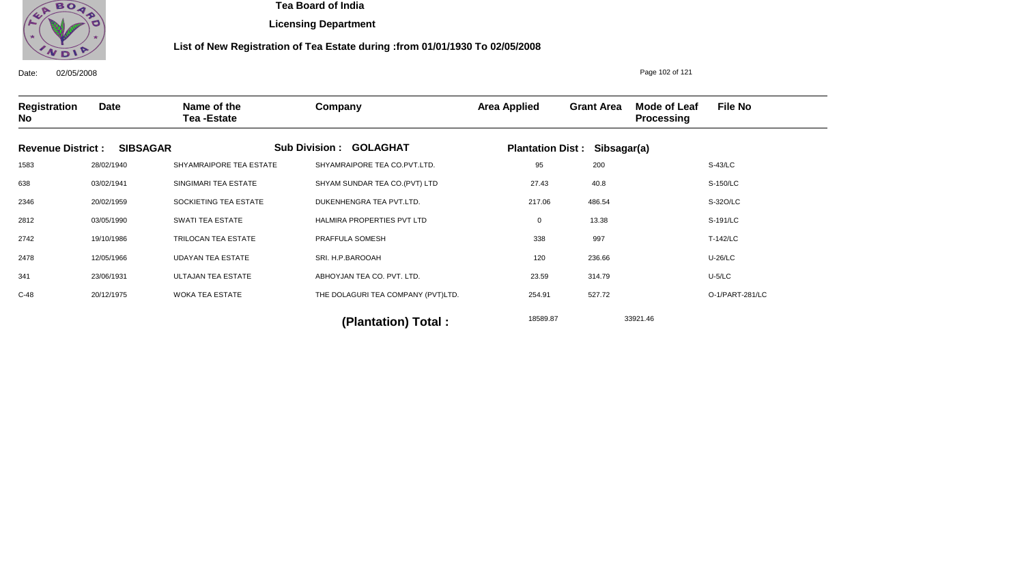

**Licensing Department**

### **List of New Registration of Tea Estate during :from 01/01/1930 To 02/05/2008**

Date: 02/05/2008 **Registration No Date Name of the Tea -Estate Company Area Applied Grant Area Mode of Leaf Processing File No** Page 102 of 121 **Revenue District : SIBSAGAR Sub Division : GOLAGHAT Plantation Dist : Sibsagar(a)** 1583 638 2346 2812 2742 2478 341 C-48 28/02/1940 03/02/1941 20/02/1959 03/05/1990 19/10/1986 12/05/1966 23/06/1931 20/12/1975 SHYAMRAIPORE TEA ESTATE SINGIMARI TEA ESTATE SOCKIETING TEA ESTATE SWATI TEA ESTATE TRILOCAN TEA ESTATE UDAYAN TEA ESTATE ULTAJAN TEA ESTATE WOKA TEA ESTATE SHYAMRAIPORE TEA CO.PVT.LTD. SHYAM SUNDAR TEA CO.(PVT) LTD DUKENHENGRA TEA PVT.LTD. HALMIRA PROPERTIES PVT LTD PRAFFULA SOMESH SRI. H.P.BAROOAH ABHOYJAN TEA CO. PVT. LTD. THE DOLAGURI TEA COMPANY (PVT)LTD. 95 27.43 217.06 0 338 120 23.59 254.91 S-43/LC S-150/LC S-32O/LC S-191/LC T-142/LC U-26/LC U-5/LC O-1/PART-281/LC 18589.87 33921.46 **(Plantation) Total :**  200 40.8 486.54 13.38 997 236.66 314.79 527.72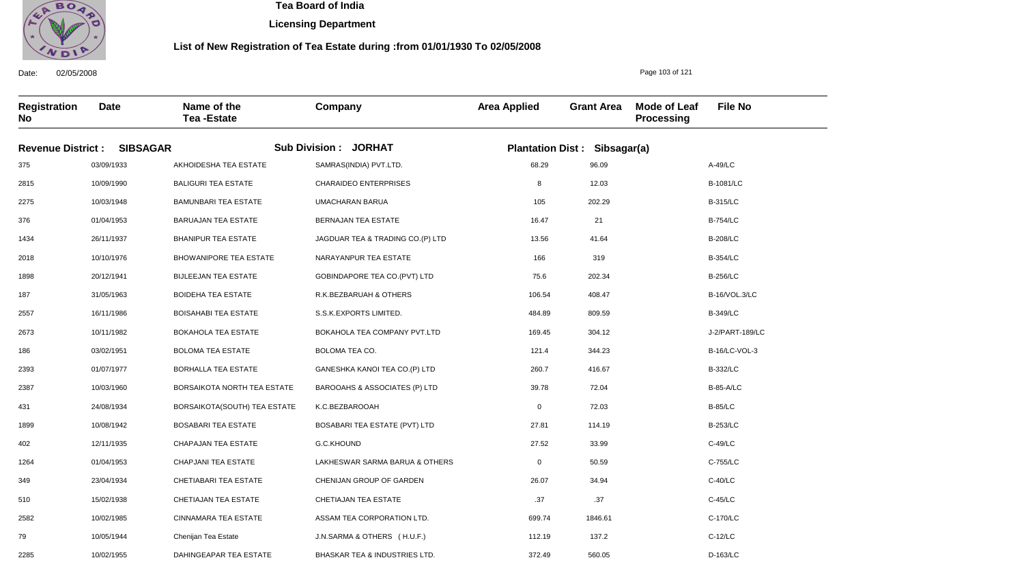

**Licensing Department**

### **List of New Registration of Tea Estate during :from 01/01/1930 To 02/05/2008**

**Registration No Date Name of the Tea -Estate Company Area Applied Grant Area Mode of Leaf Processing File No Revenue District : SIBSAGAR Sub Division : JORHAT Plantation Dist : Sibsagar(a)** 375 2815 2275 376 1434 2018 1898 187 2557 2673 186 2393 2387 431 1899 402 1264 349 510 2582 79 2285 03/09/1933 10/09/1990 10/03/1948 01/04/1953 26/11/1937 10/10/1976 20/12/1941 31/05/1963 16/11/1986 10/11/1982 03/02/1951 01/07/1977 10/03/1960 24/08/1934 10/08/1942 12/11/1935 01/04/1953 23/04/1934 15/02/1938 10/02/1985 10/05/1944 10/02/1955 AKHOIDESHA TEA ESTATE BALIGURI TEA ESTATE BAMUNBARI TEA ESTATE BARUAJAN TEA ESTATE BHANIPUR TEA ESTATE BHOWANIPORE TEA ESTATE BIJLEEJAN TEA ESTATE BOIDEHA TEA ESTATE BOISAHABI TEA ESTATE BOKAHOLA TEA ESTATE BOLOMA TEA ESTATE BORHALLA TEA ESTATE BORSAIKOTA NORTH TEA ESTATE BORSAIKOTA(SOUTH) TEA ESTATE BOSABARI TEA ESTATE CHAPAJAN TEA ESTATE CHAPJANI TEA ESTATE CHETIABARI TEA ESTATE CHETIAJAN TEA ESTATE CINNAMARA TEA ESTATE Chenijan Tea Estate DAHINGEAPAR TEA ESTATE SAMRAS(INDIA) PVT.LTD. CHARAIDEO ENTERPRISES UMACHARAN BARUA BERNAJAN TEA ESTATE JAGDUAR TEA & TRADING CO.(P) LTD NARAYANPUR TEA ESTATE GOBINDAPORE TEA CO.(PVT) LTD R.K.BEZBARUAH & OTHERS S.S.K.EXPORTS LIMITED. BOKAHOLA TEA COMPANY PVT.LTD BOLOMA TEA CO. GANESHKA KANOI TEA CO.(P) LTD BAROOAHS & ASSOCIATES (P) LTD K.C.BEZBAROOAH BOSABARI TEA ESTATE (PVT) LTD G.C.KHOUND LAKHESWAR SARMA BARUA & OTHERS CHENIJAN GROUP OF GARDEN CHETIAJAN TEA ESTATE ASSAM TEA CORPORATION LTD. J.N.SARMA & OTHERS ( H.U.F.) BHASKAR TEA & INDUSTRIES LTD. 68.29 8 105 16.47 13.56 166 75.6 106.54 484.89 169.45 121.4 260.7 39.78 0 27.81 27.52 0 26.07 .37 699.74 112.19 372.49 A-49/LC B-1081/LC B-315/LC B-754/LC B-208/LC B-354/LC B-256/LC B-16/VOL.3/LC B-349/LC J-2/PART-189/LC B-16/LC-VOL-3 B-332/LC B-85-A/LC B-85/LC B-253/LC C-49/LC C-755/LC C-40/LC C-45/LC C-170/LC C-12/LC D-163/LC 96.09 12.03 202.29 21 41.64 319 202.34 408.47 809.59 304.12 344.23 416.67 72.04 72.03 114.19 33.99 50.59 34.94 .37 1846.61 137.2 560.05

Date: 02/05/2008

Page 103 of 121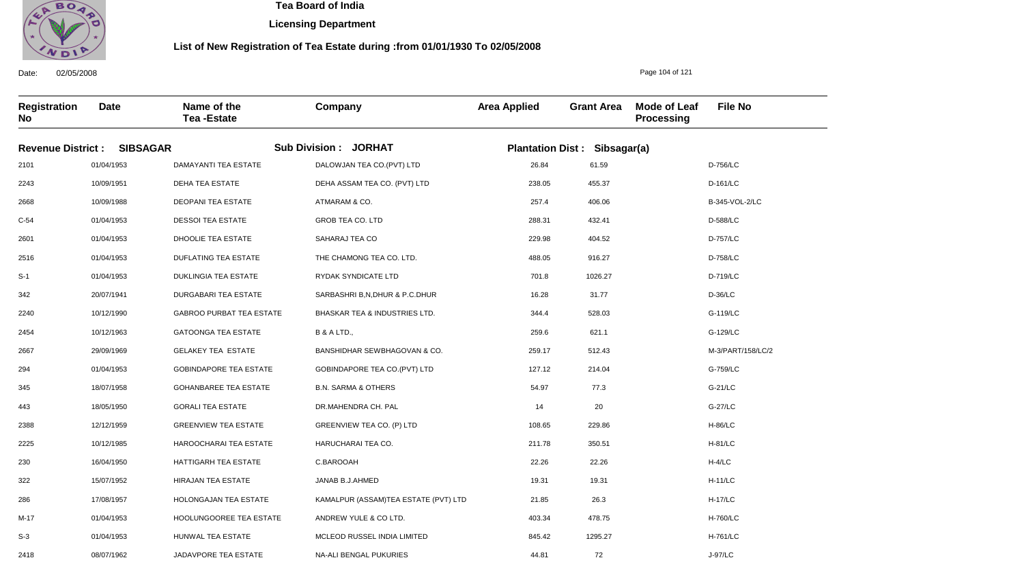

**Licensing Department**

### **List of New Registration of Tea Estate during :from 01/01/1930 To 02/05/2008**

**Registration No Date Name of the Tea -Estate Company Area Applied Grant Area Mode of Leaf Processing File No Revenue District : SIBSAGAR Sub Division : JORHAT Plantation Dist : Sibsagar(a)** 2101 2243 2668 C-54 2601 2516 S-1 342 2240 2454 2667 294 345 443 2388 2225 230 322 286 M-17 S-3 2418 01/04/1953 10/09/1951 10/09/1988 01/04/1953 01/04/1953 01/04/1953 01/04/1953 20/07/1941 10/12/1990 10/12/1963 29/09/1969 01/04/1953 18/07/1958 18/05/1950 12/12/1959 10/12/1985 16/04/1950 15/07/1952 17/08/1957 01/04/1953 01/04/1953 08/07/1962 DAMAYANTI TEA ESTATE DEHA TEA ESTATE DEOPANI TEA ESTATE DESSOI TEA ESTATE DHOOLIE TEA ESTATE DUFLATING TEA ESTATE DUKLINGIA TEA ESTATE DURGABARI TEA ESTATE GABROO PURBAT TEA ESTATE GATOONGA TEA ESTATE GELAKEY TEA ESTATE GOBINDAPORE TEA ESTATE GOHANBAREE TEA ESTATE GORALI TEA ESTATE GREENVIEW TEA ESTATE HAROOCHARAI TEA ESTATE HATTIGARH TEA ESTATE HIRAJAN TEA ESTATE HOLONGAJAN TEA ESTATE HOOLUNGOOREE TEA ESTATE HUNWAL TEA ESTATE JADAVPORE TEA ESTATE DALOWJAN TEA CO.(PVT) LTD DEHA ASSAM TEA CO. (PVT) LTD ATMARAM & CO. GROB TEA CO. LTD SAHARAJ TEA CO THE CHAMONG TEA CO. LTD. RYDAK SYNDICATE LTD SARBASHRI B,N,DHUR & P.C.DHUR BHASKAR TEA & INDUSTRIES LTD. B & A LTD., BANSHIDHAR SEWBHAGOVAN & CO. GOBINDAPORE TEA CO.(PVT) LTD B.N. SARMA & OTHERS DR.MAHENDRA CH. PAL GREENVIEW TEA CO. (P) LTD HARUCHARAI TEA CO. C.BAROOAH JANAB B.J.AHMED KAMALPUR (ASSAM)TEA ESTATE (PVT) LTD ANDREW YULE & CO LTD. MCLEOD RUSSEL INDIA LIMITED NA-ALI BENGAL PUKURIES 26.84 238.05 257.4 288.31 229.98 488.05 701.8 16.28 344.4 259.6 259.17 127.12 54.97 14 108.65 211.78 22.26 19.31 21.85 403.34 845.42 44.81 D-756/LC D-161/LC B-345-VOL-2/LC D-588/LC D-757/LC D-758/LC D-719/LC D-36/LC G-119/LC G-129/LC M-3/PART/158/LC/2 G-759/LC G-21/LC G-27/LC H-86/LC H-81/LC H-4/LC H-11/LC H-17/LC H-760/LC H-761/LC J-97/LC 61.59 455.37 406.06 432.41 404.52 916.27 1026.27 31.77 528.03 621.1 512.43 214.04 77.3 20 229.86 350.51 22.26 19.31 26.3 478.75 1295.27 72

Date: 02/05/2008

Page 104 of 121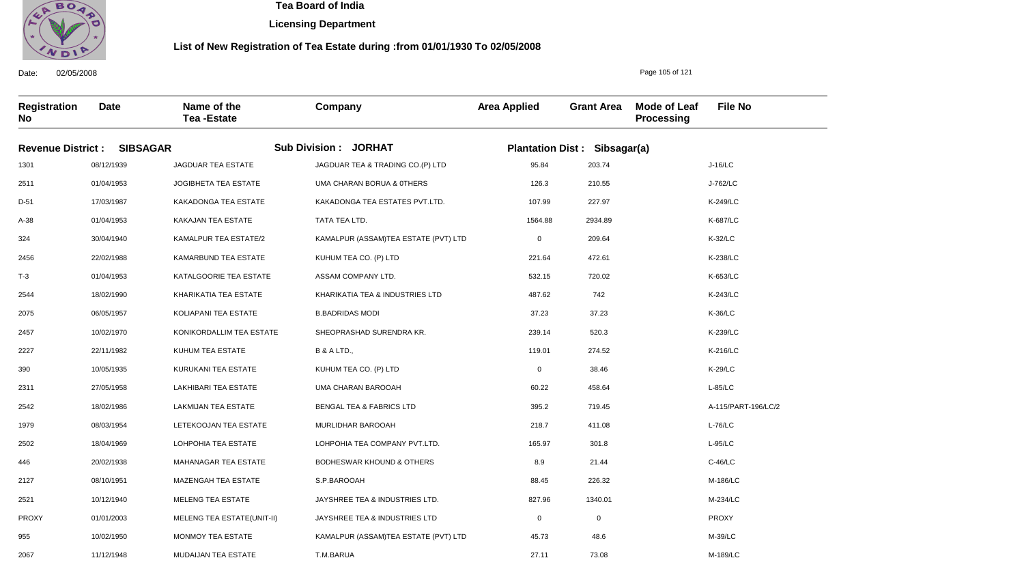

**Licensing Department**

### **List of New Registration of Tea Estate during :from 01/01/1930 To 02/05/2008**

**Registration No Date Name of the Tea -Estate Company Area Applied Grant Area Mode of Leaf Processing File No Revenue District : SIBSAGAR Sub Division : JORHAT Plantation Dist : Sibsagar(a)** 1301 2511 D-51 A-38 324 2456 T-3 2544 2075 2457 2227 390 2311 2542 1979 2502 446 2127 2521 PROXY 955 2067 08/12/1939 01/04/1953 17/03/1987 01/04/1953 30/04/1940 22/02/1988 01/04/1953 18/02/1990 06/05/1957 10/02/1970 22/11/1982 10/05/1935 27/05/1958 18/02/1986 08/03/1954 18/04/1969 20/02/1938 08/10/1951 10/12/1940 01/01/2003 10/02/1950 11/12/1948 JAGDUAR TEA ESTATE JOGIBHETA TEA ESTATE KAKADONGA TEA ESTATE KAKAJAN TEA ESTATE KAMALPUR TEA ESTATE/2 KAMARBUND TEA ESTATE KATALGOORIE TEA ESTATE KHARIKATIA TEA ESTATE KOLIAPANI TEA ESTATE KONIKORDALLIM TEA ESTATE KUHUM TEA ESTATE KURUKANI TEA ESTATE LAKHIBARI TEA ESTATE LAKMIJAN TEA ESTATE LETEKOOJAN TEA ESTATE LOHPOHIA TEA ESTATE MAHANAGAR TEA ESTATE MAZENGAH TEA ESTATE MELENG TEA ESTATE MELENG TEA ESTATE(UNIT-II) MONMOY TEA ESTATE MUDAIJAN TEA ESTATE JAGDUAR TEA & TRADING CO.(P) LTD UMA CHARAN BORUA & 0THERS KAKADONGA TEA ESTATES PVT.LTD. TATA TEA LTD. KAMALPUR (ASSAM)TEA ESTATE (PVT) LTD KUHUM TEA CO. (P) LTD ASSAM COMPANY LTD. KHARIKATIA TEA & INDUSTRIES LTD B.BADRIDAS MODI SHEOPRASHAD SURENDRA KR. B & A LTD., KUHUM TEA CO. (P) LTD UMA CHARAN BAROOAH BENGAL TEA & FABRICS LTD MURLIDHAR BAROOAH LOHPOHIA TEA COMPANY PVT.LTD. BODHESWAR KHOUND & OTHERS S.P.BAROOAH JAYSHREE TEA & INDUSTRIES LTD. JAYSHREE TEA & INDUSTRIES LTD KAMALPUR (ASSAM)TEA ESTATE (PVT) LTD T.M.BARUA 95.84 126.3 107.99 1564.88 0 221.64 532.15 487.62 37.23 239.14 119.01 0 60.22 395.2 218.7 165.97 8.9 88.45 827.96 0 45.73 27.11 J-16/LC J-762/LC K-249/LC K-687/LC K-32/LC K-238/LC K-653/LC K-243/LC K-36/LC K-239/LC K-216/LC K-29/LC L-85/LC A-115/PART-196/LC/2 L-76/LC L-95/LC C-46/LC M-186/LC M-234/LC PROXY M-39/LC M-189/LC 203.74 210.55 227.97 2934.89 209.64 472.61 720.02 742 37.23 520.3 274.52 38.46 458.64 719.45 411.08 301.8 21.44 226.32 1340.01 0 48.6 73.08

Date: 02/05/2008

Page 105 of 121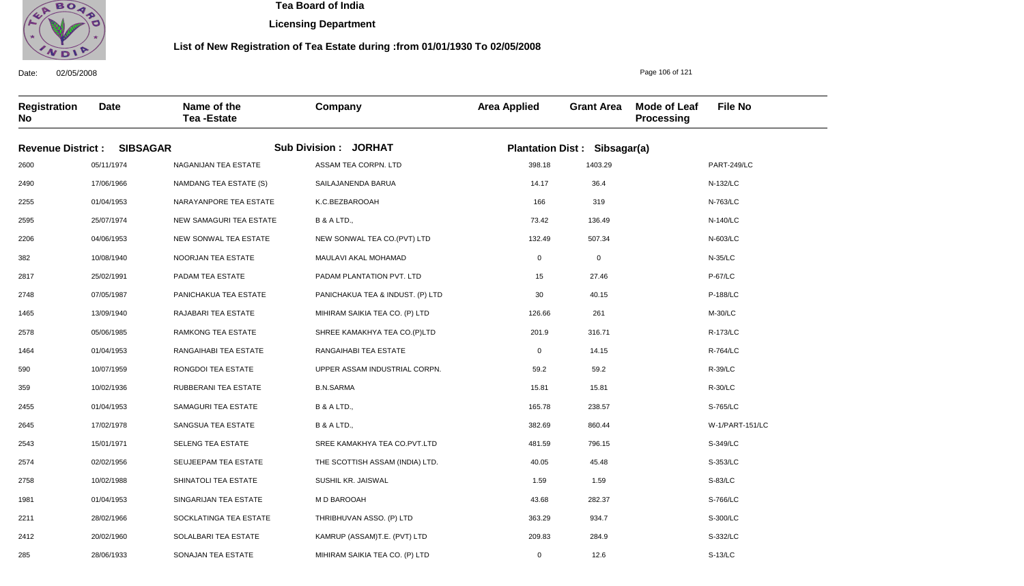

**Licensing Department**

### **List of New Registration of Tea Estate during :from 01/01/1930 To 02/05/2008**

**Registration No Date Name of the Tea -Estate Company Area Applied Grant Area Mode of Leaf Processing File No Revenue District : SIBSAGAR Sub Division : JORHAT Plantation Dist : Sibsagar(a)** 2600 2490 2255 2595 2206 382 2817 2748 1465 2578 1464 590 359 2455 2645 2543 2574 2758 1981 2211 2412 05/11/1974 17/06/1966 01/04/1953 25/07/1974 04/06/1953 10/08/1940 25/02/1991 07/05/1987 13/09/1940 05/06/1985 01/04/1953 10/07/1959 10/02/1936 01/04/1953 17/02/1978 15/01/1971 02/02/1956 10/02/1988 01/04/1953 28/02/1966 20/02/1960 NAGANIJAN TEA ESTATE NAMDANG TEA ESTATE (S) NARAYANPORE TEA ESTATE NEW SAMAGURI TEA ESTATE NEW SONWAL TEA ESTATE NOORJAN TEA ESTATE PADAM TEA ESTATE PANICHAKUA TEA ESTATE RAJABARI TEA ESTATE RAMKONG TEA ESTATE RANGAIHABI TEA ESTATE RONGDOI TEA ESTATE RUBBERANI TEA ESTATE SAMAGURI TEA ESTATE SANGSUA TEA ESTATE SELENG TEA ESTATE SEUJEEPAM TEA ESTATE SHINATOLI TEA ESTATE SINGARIJAN TEA ESTATE SOCKLATINGA TEA ESTATE SOLALBARI TEA ESTATE ASSAM TEA CORPN. LTD SAILAJANENDA BARUA K.C.BEZBAROOAH B & A LTD., NEW SONWAL TEA CO.(PVT) LTD MAULAVI AKAL MOHAMAD PADAM PLANTATION PVT. LTD PANICHAKUA TEA & INDUST. (P) LTD MIHIRAM SAIKIA TEA CO. (P) LTD SHREE KAMAKHYA TEA CO.(P)LTD RANGAIHABI TEA ESTATE UPPER ASSAM INDUSTRIAL CORPN. B.N.SARMA B & A LTD., B & A LTD., SREE KAMAKHYA TEA CO.PVT.LTD THE SCOTTISH ASSAM (INDIA) LTD. SUSHIL KR. JAISWAL M D BAROOAH THRIBHUVAN ASSO. (P) LTD KAMRUP (ASSAM)T.E. (PVT) LTD 398.18 14.17 166 73.42 132.49 0 15 30 126.66 201.9 0 59.2 15.81 165.78 382.69 481.59 40.05 1.59 43.68 363.29 209.83 PART-249/LC N-132/LC N-763/LC N-140/LC N-603/LC N-35/LC P-67/LC P-188/LC M-30/LC R-173/LC R-764/LC R-39/LC R-30/LC S-765/LC W-1/PART-151/LC S-349/LC S-353/LC S-83/LC S-766/LC S-300/LC S-332/LC 1403.29 36.4 319 136.49 507.34 0 27.46 40.15 261 316.71 14.15 59.2 15.81 238.57 860.44 796.15 45.48 1.59 282.37 934.7 284.9

MIHIRAM SAIKIA TEA CO. (P) LTD

0

12.6

Date: 02/05/2008

285

28/06/1933

SONAJAN TEA ESTATE

Page 106 of 121

S-13/LC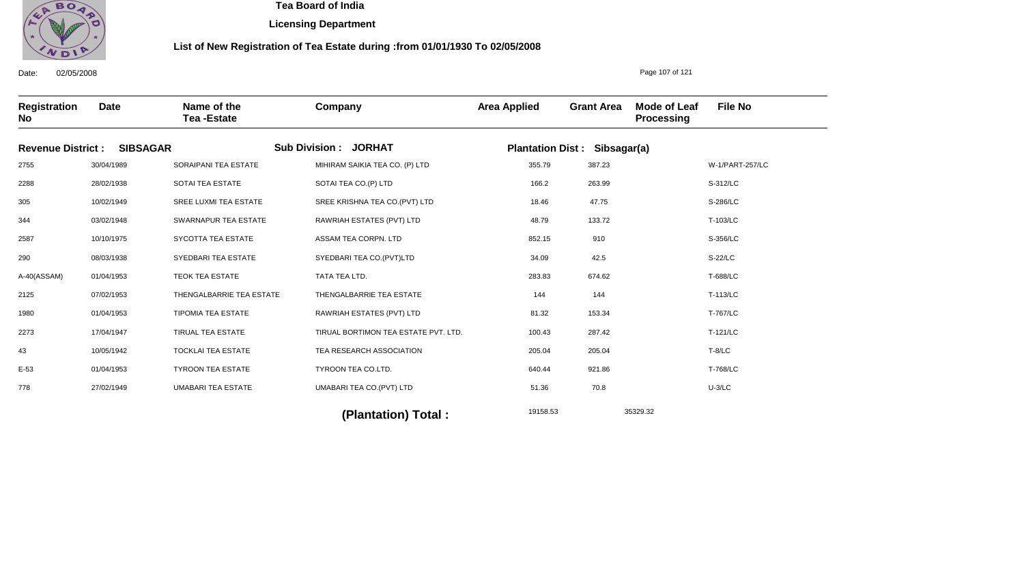

**Licensing Department**

### **List of New Registration of Tea Estate during :from 01/01/1930 To 02/05/2008**

**Registration No Date Name of the Tea -Estate Company Area Applied Grant Area Mode of Leaf Processing File No Revenue District : SIBSAGAR Sub Division : JORHAT Plantation Dist : Sibsagar(a)** 2755 2288 305 344 2587 290 A-40(ASSAM) 2125 1980 2273 43 E-53 778 30/04/1989 28/02/1938 10/02/1949 03/02/1948 10/10/1975 08/03/1938 01/04/1953 07/02/1953 01/04/1953 17/04/1947 10/05/1942 01/04/1953 27/02/1949 SORAIPANI TEA ESTATE SOTAI TEA ESTATE SREE LUXMI TEA ESTATE SWARNAPUR TEA ESTATE SYCOTTA TEA ESTATE SYEDBARI TEA ESTATE TEOK TEA ESTATE THENGALBARRIE TEA ESTATE TIPOMIA TEA ESTATE TIRUAL TEA ESTATE TOCKLAI TEA ESTATE TYROON TEA ESTATE UMABARI TEA ESTATE MIHIRAM SAIKIA TEA CO. (P) LTD SOTAI TEA CO.(P) LTD SREE KRISHNA TEA CO.(PVT) LTD RAWRIAH ESTATES (PVT) LTD ASSAM TEA CORPN. LTD SYEDBARI TEA CO.(PVT)LTD TATA TEA LTD. THENGALBARRIE TEA ESTATE RAWRIAH ESTATES (PVT) LTD TIRUAL BORTIMON TEA ESTATE PVT. LTD. TEA RESEARCH ASSOCIATION TYROON TEA CO.LTD. UMABARI TEA CO.(PVT) LTD 355.79 166.2 18.46 48.79 852.15 34.09 283.83 144 81.32 100.43 205.04 640.44 51.36 W-1/PART-257/LC S-312/LC S-286/LC T-103/LC S-356/LC S-22/LC T-688/LC T-113/LC T-767/LC T-121/LC T-8/LC T-768/LC U-3/LC 387.23 263.99 47.75 133.72 910 42.5 674.62 144 153.34 287.42 205.04 921.86 70.8

19158.53 35329.32 **(Plantation) Total :** 

Date: 02/05/2008

Page 107 of 121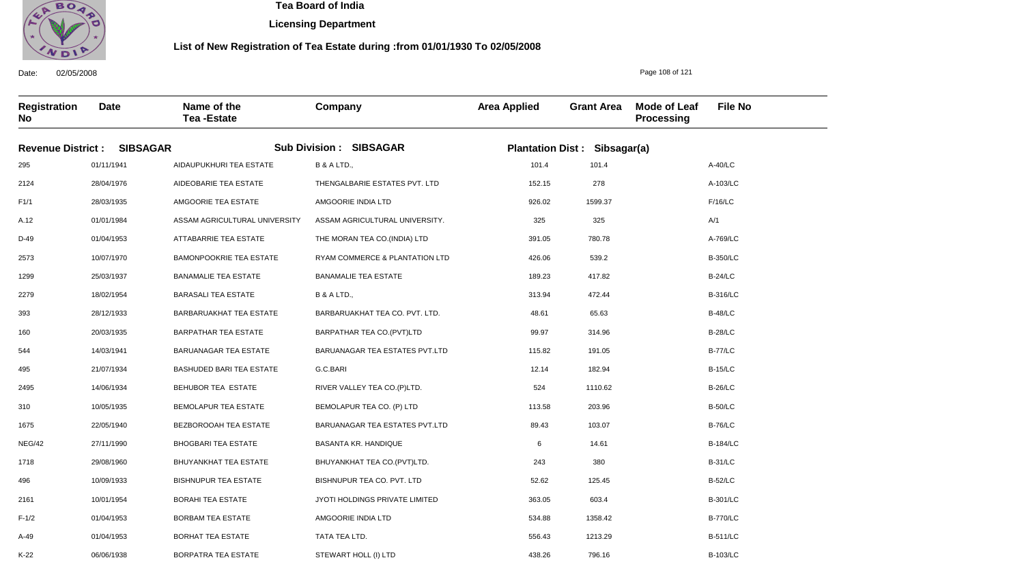

06/06/1938

BORPATRA TEA ESTATE

 **Tea Board of India** 

**Licensing Department**

### **List of New Registration of Tea Estate during :from 01/01/1930 To 02/05/2008**

Page 108 of 121

796.16

Date: 02/05/2008 **Registration No Date Name of the Tea -Estate Company Area Applied Grant Area Mode of Leaf Processing File No Revenue District : SIBSAGAR Sub Division : SIBSAGAR Plantation Dist : Sibsagar(a)** 295 2124 F1/1 A.12 D-49 2573 1299 2279 393 160 544 495 2495 310 1675 NEG/42 1718 496 2161 F-1/2 A-49 K-22 01/11/1941 28/04/1976 28/03/1935 01/01/1984 01/04/1953 10/07/1970 25/03/1937 18/02/1954 28/12/1933 20/03/1935 14/03/1941 21/07/1934 14/06/1934 10/05/1935 22/05/1940 27/11/1990 29/08/1960 10/09/1933 10/01/1954 01/04/1953 01/04/1953 AIDAUPUKHURI TEA ESTATE AIDEOBARIE TEA ESTATE AMGOORIE TEA ESTATE ASSAM AGRICULTURAL UNIVERSITY ATTABARRIE TEA ESTATE BAMONPOOKRIE TEA ESTATE BANAMALIE TEA ESTATE BARASALI TEA ESTATE BARBARUAKHAT TEA ESTATE BARPATHAR TEA ESTATE BARUANAGAR TEA ESTATE BASHUDED BARI TEA ESTATE BEHUBOR TEA ESTATE BEMOLAPUR TEA ESTATE BEZBOROOAH TEA ESTATE BHOGBARI TEA ESTATE BHUYANKHAT TEA ESTATE BISHNUPUR TEA ESTATE BORAHI TEA ESTATE BORBAM TEA ESTATE BORHAT TEA ESTATE B & A LTD., THENGALBARIE ESTATES PVT. LTD AMGOORIE INDIA LTD ASSAM AGRICULTURAL UNIVERSITY. THE MORAN TEA CO.(INDIA) LTD RYAM COMMERCE & PLANTATION LTD BANAMALIE TEA ESTATE B & A LTD., BARBARUAKHAT TEA CO. PVT. LTD. BARPATHAR TEA CO.(PVT)LTD BARUANAGAR TEA ESTATES PVT.LTD G.C.BARI RIVER VALLEY TEA CO.(P)LTD. BEMOLAPUR TEA CO. (P) LTD BARUANAGAR TEA ESTATES PVT.LTD BASANTA KR. HANDIQUE BHUYANKHAT TEA CO.(PVT)LTD. BISHNUPUR TEA CO. PVT. LTD JYOTI HOLDINGS PRIVATE LIMITED AMGOORIE INDIA LTD TATA TEA LTD. STEWART HOLL (I) LTD 101.4 152.15 926.02 325 391.05 426.06 189.23 313.94 48.61 99.97 115.82 12.14 524 113.58 89.43 6 243 52.62 363.05 534.88 556.43 438.26 A-40/LC A-103/LC F/16/LC A/1 A-769/LC B-350/LC B-24/LC B-316/LC B-48/LC B-28/LC B-77/LC B-15/LC B-26/LC B-50/LC B-76/LC B-184/LC B-31/LC B-52/LC B-301/LC B-770/LC B-511/LC B-103/LC 101.4 278 1599.37 325 780.78 539.2 417.82 472.44 65.63 314.96 191.05 182.94 1110.62 203.96 103.07 14.61 380 125.45 603.4 1358.42 1213.29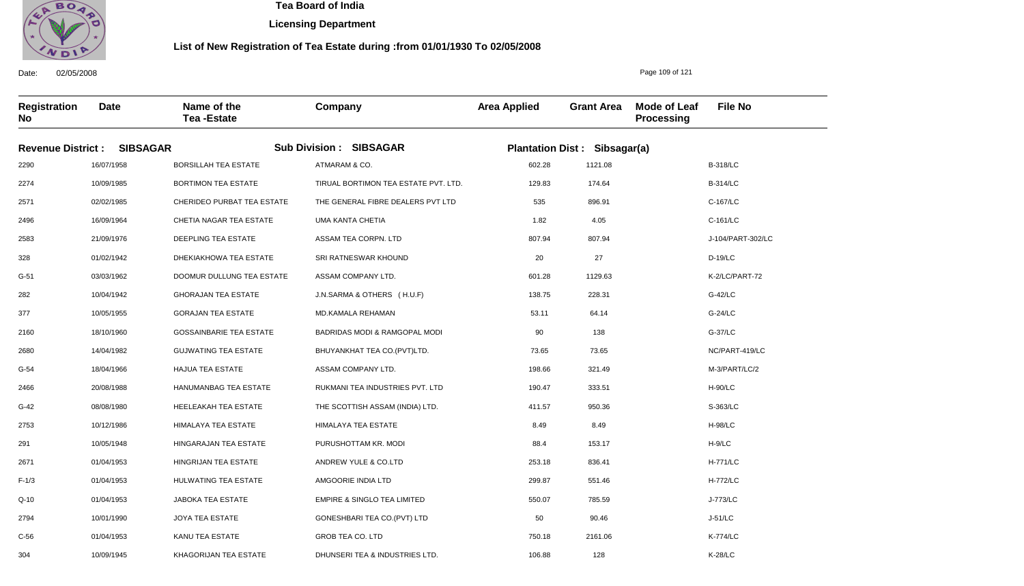

304

10/09/1945

KHAGORIJAN TEA ESTATE

 **Tea Board of India** 

**Licensing Department**

#### **List of New Registration of Tea Estate during :from 01/01/1930 To 02/05/2008**

Date: 02/05/2008 **Registration No Date Name of the Tea -Estate Company Area Applied Grant Area Mode of Leaf Processing File No** Page 109 of 121 **Revenue District : SIBSAGAR Sub Division : SIBSAGAR Plantation Dist : Sibsagar(a)** 2290 2274 2571 2496 2583 328 G-51 282 377 2160 2680 G-54 2466 G-42 2753 291 2671 F-1/3 Q-10 2794 C-56 16/07/1958 10/09/1985 02/02/1985 16/09/1964 21/09/1976 01/02/1942 03/03/1962 10/04/1942 10/05/1955 18/10/1960 14/04/1982 18/04/1966 20/08/1988 08/08/1980 10/12/1986 10/05/1948 01/04/1953 01/04/1953 01/04/1953 10/01/1990 01/04/1953 BORSILLAH TEA ESTATE BORTIMON TEA ESTATE CHERIDEO PURBAT TEA ESTATE CHETIA NAGAR TEA ESTATE DEEPLING TEA ESTATE DHEKIAKHOWA TEA ESTATE DOOMUR DULLUNG TEA ESTATE GHORAJAN TEA ESTATE GORAJAN TEA ESTATE GOSSAINBARIE TEA ESTATE GUJWATING TEA ESTATE HAJUA TEA ESTATE HANUMANBAG TEA ESTATE HEELEAKAH TEA ESTATE HIMALAYA TEA ESTATE HINGARAJAN TEA ESTATE HINGRIJAN TEA ESTATE HULWATING TEA ESTATE JABOKA TEA ESTATE JOYA TEA ESTATE KANU TEA ESTATE ATMARAM & CO. TIRUAL BORTIMON TEA ESTATE PVT. LTD. THE GENERAL FIBRE DEALERS PVT LTD UMA KANTA CHETIA ASSAM TEA CORPN. LTD SRI RATNESWAR KHOUND ASSAM COMPANY LTD. J.N.SARMA & OTHERS ( H.U.F) MD.KAMALA REHAMAN BADRIDAS MODI & RAMGOPAL MODI BHUYANKHAT TEA CO.(PVT)LTD. ASSAM COMPANY LTD. RUKMANI TEA INDUSTRIES PVT. LTD THE SCOTTISH ASSAM (INDIA) LTD. HIMALAYA TEA ESTATE PURUSHOTTAM KR. MODI ANDREW YULE & CO.LTD AMGOORIE INDIA LTD EMPIRE & SINGLO TEA LIMITED GONESHBARI TEA CO.(PVT) LTD GROB TEA CO. LTD 602.28 129.83 535 1.82 807.94 20 601.28 138.75 53.11 90 73.65 198.66 190.47 411.57 8.49 88.4 253.18 299.87 550.07 50 750.18 B-318/LC B-314/LC C-167/LC C-161/LC J-104/PART-302/LC D-19/LC K-2/LC/PART-72 G-42/LC G-24/LC G-37/LC NC/PART-419/LC M-3/PART/LC/2 H-90/LC S-363/LC H-98/LC H-9/LC H-771/LC H-772/LC J-773/LC J-51/LC K-774/LC 1121.08 174.64 896.91 4.05 807.94 27 1129.63 228.31 64.14 138 73.65 321.49 333.51 950.36 8.49 153.17 836.41 551.46 785.59 90.46 2161.06

DHUNSERI TEA & INDUSTRIES LTD.

106.88

128

K-28/LC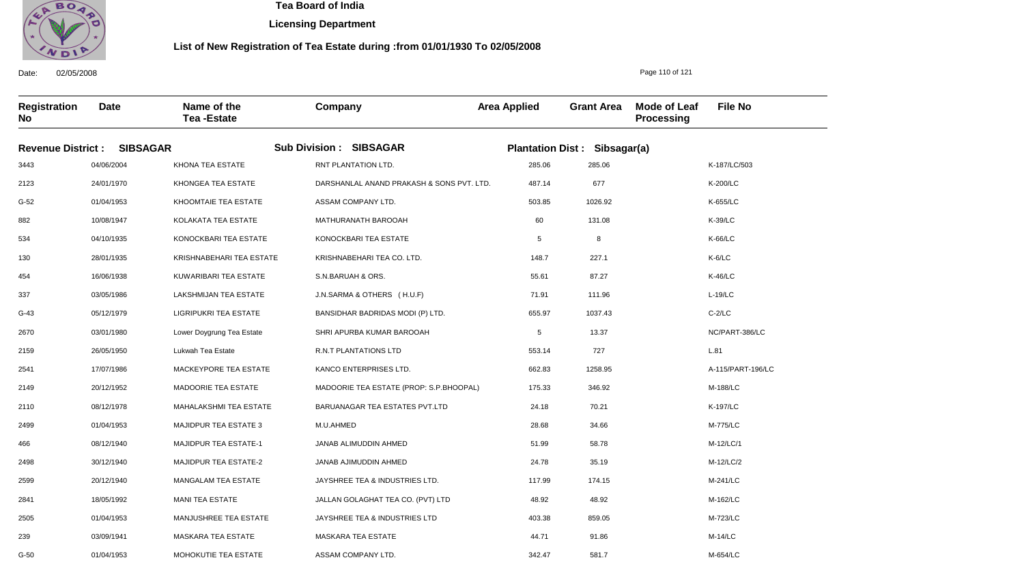

01/04/1953

MOHOKUTIE TEA ESTATE

 **Tea Board of India** 

**Licensing Department**

#### **List of New Registration of Tea Estate during :from 01/01/1930 To 02/05/2008**

Date: 02/05/2008 **Registration No Date Name of the Tea -Estate Company Area Applied Grant Area Mode of Leaf Processing File No Revenue District : SIBSAGAR Sub Division : SIBSAGAR Plantation Dist : Sibsagar(a)** 3443 2123 G-52 882 534 130 454 337 G-43 2670 2159 2541 2149 2110 2499 466 2498 2599 2841 2505 239 G-50 04/06/2004 24/01/1970 01/04/1953 10/08/1947 04/10/1935 28/01/1935 16/06/1938 03/05/1986 05/12/1979 03/01/1980 26/05/1950 17/07/1986 20/12/1952 08/12/1978 01/04/1953 08/12/1940 30/12/1940 20/12/1940 18/05/1992 01/04/1953 03/09/1941 KHONA TEA ESTATE KHONGEA TEA ESTATE KHOOMTAIE TEA ESTATE KOLAKATA TEA ESTATE KONOCKBARI TEA ESTATE KRISHNABEHARI TEA ESTATE KUWARIBARI TEA ESTATE LAKSHMIJAN TEA ESTATE LIGRIPUKRI TEA ESTATE Lower Doygrung Tea Estate Lukwah Tea Estate MACKEYPORE TEA ESTATE MADOORIE TEA ESTATE MAHALAKSHMI TEA ESTATE MAJIDPUR TEA ESTATE 3 MAJIDPUR TEA ESTATE-1 MAJIDPUR TEA ESTATE-2 MANGALAM TEA ESTATE MANI TEA ESTATE MANJUSHREE TEA ESTATE MASKARA TEA ESTATE RNT PLANTATION LTD. DARSHANLAL ANAND PRAKASH & SONS PVT. LTD. ASSAM COMPANY LTD. MATHURANATH BAROOAH KONOCKBARI TEA ESTATE KRISHNABEHARI TEA CO. LTD. S.N.BARUAH & ORS. J.N.SARMA & OTHERS ( H.U.F) BANSIDHAR BADRIDAS MODI (P) LTD. SHRI APURBA KUMAR BAROOAH R.N.T PLANTATIONS LTD KANCO ENTERPRISES LTD. MADOORIE TEA ESTATE (PROP: S.P.BHOOPAL) BARUANAGAR TEA ESTATES PVT.LTD M.U.AHMED JANAB ALIMUDDIN AHMED JANAB AJIMUDDIN AHMED JAYSHREE TEA & INDUSTRIES LTD. JALLAN GOLAGHAT TEA CO. (PVT) LTD JAYSHREE TEA & INDUSTRIES LTD MASKARA TEA ESTATE ASSAM COMPANY LTD. 285.06 487.14 503.85 60 5 148.7 55.61 71.91 655.97 5 553.14 662.83 175.33 24.18 28.68 51.99 24.78 117.99 48.92 403.38 44.71 342.47 K-187/LC/503 K-200/LC K-655/LC K-39/LC K-66/LC K-6/LC K-46/LC L-19/LC C-2/LC NC/PART-386/LC L.81 A-115/PART-196/LC M-188/LC K-197/LC M-775/LC M-12/LC/1 M-12/LC/2 M-241/LC M-162/LC M-723/LC M-14/LC M-654/LC 285.06 677 1026.92 131.08 8 227.1 87.27 111.96 1037.43 13.37 727 1258.95 346.92 70.21 34.66 58.78 35.19 174.15 48.92 859.05 91.86

Page 110 of 121

581.7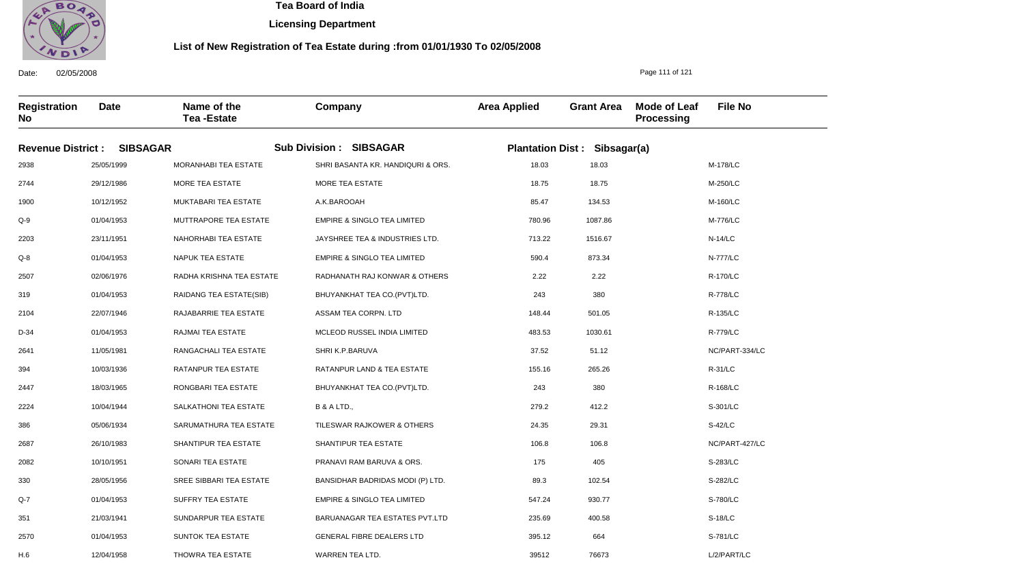

12/04/1958

THOWRA TEA ESTATE

 **Tea Board of India** 

**Licensing Department**

#### **List of New Registration of Tea Estate during :from 01/01/1930 To 02/05/2008**

Page 111 of 121

76673

Date: 02/05/2008 **Registration No Date Name of the Tea -Estate Company Area Applied Grant Area Mode of Leaf Processing File No Revenue District : SIBSAGAR Sub Division : SIBSAGAR Plantation Dist : Sibsagar(a)** 2938 2744 1900 Q-9 2203 Q-8 2507 319 2104 D-34 2641 394 2447 2224 386 2687 2082 330 Q-7 351 2570 H.6 25/05/1999 29/12/1986 10/12/1952 01/04/1953 23/11/1951 01/04/1953 02/06/1976 01/04/1953 22/07/1946 01/04/1953 11/05/1981 10/03/1936 18/03/1965 10/04/1944 05/06/1934 26/10/1983 10/10/1951 28/05/1956 01/04/1953 21/03/1941 01/04/1953 MORANHABI TEA ESTATE MORE TEA ESTATE MUKTABARI TEA ESTATE MUTTRAPORE TEA ESTATE NAHORHABI TEA ESTATE NAPUK TEA ESTATE RADHA KRISHNA TEA ESTATE RAIDANG TEA ESTATE(SIB) RAJABARRIE TEA ESTATE RAJMAI TEA ESTATE RANGACHALI TEA ESTATE RATANPUR TEA ESTATE RONGBARI TEA ESTATE SALKATHONI TEA ESTATE SARUMATHURA TEA ESTATE SHANTIPUR TEA ESTATE SONARI TEA ESTATE SREE SIBBARI TEA ESTATE SUFFRY TEA ESTATE SUNDARPUR TEA ESTATE SUNTOK TEA ESTATE SHRI BASANTA KR. HANDIQURI & ORS. MORE TEA ESTATE A.K.BAROOAH EMPIRE & SINGLO TEA LIMITED JAYSHREE TEA & INDUSTRIES LTD. EMPIRE & SINGLO TEA LIMITED RADHANATH RAJ KONWAR & OTHERS BHUYANKHAT TEA CO.(PVT)LTD. ASSAM TEA CORPN. LTD MCLEOD RUSSEL INDIA LIMITED SHRI K.P.BARUVA RATANPUR LAND & TEA ESTATE BHUYANKHAT TEA CO.(PVT)LTD. B & A LTD., TILESWAR RAJKOWER & OTHERS SHANTIPUR TEA ESTATE PRANAVI RAM BARUVA & ORS. BANSIDHAR BADRIDAS MODI (P) LTD. EMPIRE & SINGLO TEA LIMITED BARUANAGAR TEA ESTATES PVT.LTD GENERAL FIBRE DEALERS LTD WARREN TEA LTD. 18.03 18.75 85.47 780.96 713.22 590.4 2.22 243 148.44 483.53 37.52 155.16 243 279.2 24.35 106.8 175 89.3 547.24 235.69 395.12 39512 M-178/LC M-250/LC M-160/LC M-776/LC N-14/LC N-777/LC R-170/LC R-778/LC R-135/LC R-779/LC NC/PART-334/LC R-31/LC R-168/LC S-301/LC S-42/LC NC/PART-427/LC S-283/LC S-282/LC S-780/LC S-18/LC S-781/LC L/2/PART/LC 18.03 18.75 134.53 1087.86 1516.67 873.34 2.22 380 501.05 1030.61 51.12 265.26 380 412.2 29.31 106.8 405 102.54 930.77 400.58 664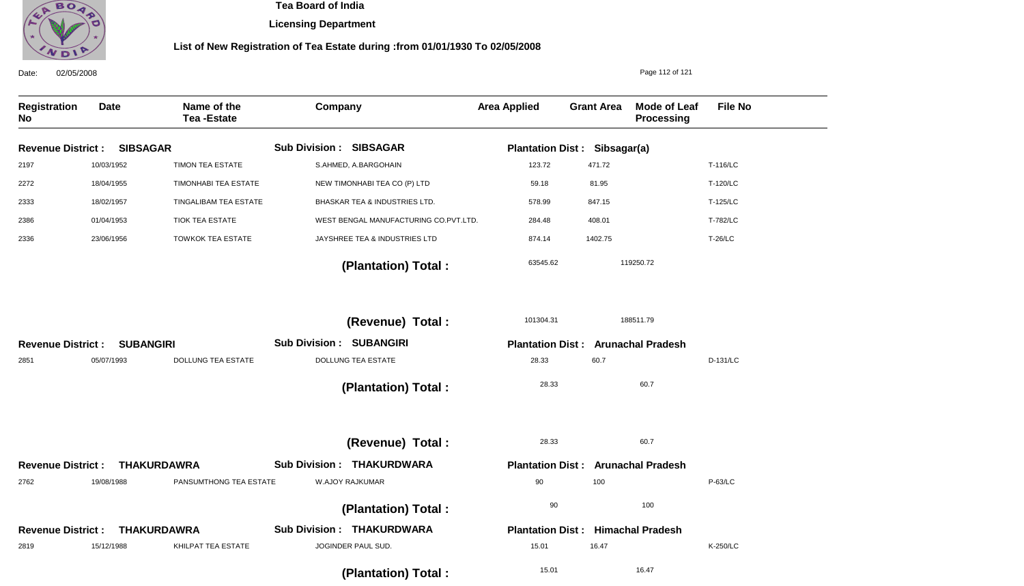

**Licensing Department**

| 02/05/2008<br>Date:        |                  |                                  |                                       |                         |                                           | Page 112 of 121                          |                |
|----------------------------|------------------|----------------------------------|---------------------------------------|-------------------------|-------------------------------------------|------------------------------------------|----------------|
| <b>Registration</b><br>No. | <b>Date</b>      | Name of the<br><b>Tea-Estate</b> | Company                               | <b>Area Applied</b>     | <b>Grant Area</b>                         | <b>Mode of Leaf</b><br><b>Processing</b> | <b>File No</b> |
| <b>Revenue District:</b>   | <b>SIBSAGAR</b>  |                                  | <b>Sub Division: SIBSAGAR</b>         |                         | <b>Plantation Dist: Sibsagar(a)</b>       |                                          |                |
| 2197                       | 10/03/1952       | <b>TIMON TEA ESTATE</b>          | S.AHMED, A.BARGOHAIN                  | 123.72                  | 471.72                                    |                                          | T-116/LC       |
| 2272                       | 18/04/1955       | TIMONHABI TEA ESTATE             | NEW TIMONHABI TEA CO (P) LTD          | 59.18                   | 81.95                                     |                                          | T-120/LC       |
| 2333                       | 18/02/1957       | TINGALIBAM TEA ESTATE            | BHASKAR TEA & INDUSTRIES LTD.         | 578.99                  | 847.15                                    |                                          | T-125/LC       |
| 2386                       | 01/04/1953       | <b>TIOK TEA ESTATE</b>           | WEST BENGAL MANUFACTURING CO.PVT.LTD. | 284.48                  | 408.01                                    |                                          | T-782/LC       |
| 2336                       | 23/06/1956       | <b>TOWKOK TEA ESTATE</b>         | JAYSHREE TEA & INDUSTRIES LTD         | 874.14                  | 1402.75                                   |                                          | <b>T-26/LC</b> |
|                            |                  |                                  | (Plantation) Total:                   | 63545.62                |                                           | 119250.72                                |                |
|                            |                  |                                  | (Revenue) Total:                      | 101304.31               |                                           | 188511.79                                |                |
| <b>Revenue District:</b>   | <b>SUBANGIRI</b> |                                  | <b>Sub Division : SUBANGIRI</b>       |                         | <b>Plantation Dist: Arunachal Pradesh</b> |                                          |                |
| 2851                       | 05/07/1993       | <b>DOLLUNG TEA ESTATE</b>        | <b>DOLLUNG TEA ESTATE</b>             | 28.33                   | 60.7                                      |                                          | D-131/LC       |
|                            |                  |                                  | (Plantation) Total:                   | 28.33                   |                                           | 60.7                                     |                |
|                            |                  |                                  | (Revenue) Total :                     | 28.33                   |                                           | 60.7                                     |                |
| <b>Revenue District:</b>   |                  | <b>THAKURDAWRA</b>               | <b>Sub Division: THAKURDWARA</b>      |                         | <b>Plantation Dist: Arunachal Pradesh</b> |                                          |                |
| 2762                       | 19/08/1988       | PANSUMTHONG TEA ESTATE           | W.AJOY RAJKUMAR                       | 90                      | 100                                       |                                          | P-63/LC        |
|                            |                  |                                  | (Plantation) Total:                   | 90                      |                                           | 100                                      |                |
| <b>Revenue District:</b>   |                  | <b>THAKURDAWRA</b>               | <b>Sub Division: THAKURDWARA</b>      | <b>Plantation Dist:</b> |                                           | <b>Himachal Pradesh</b>                  |                |
| 2819                       | 15/12/1988       | KHILPAT TEA ESTATE               | JOGINDER PAUL SUD.                    | 15.01                   | 16.47                                     |                                          | K-250/LC       |
|                            |                  |                                  | (Plantation) Total:                   | 15.01                   |                                           | 16.47                                    |                |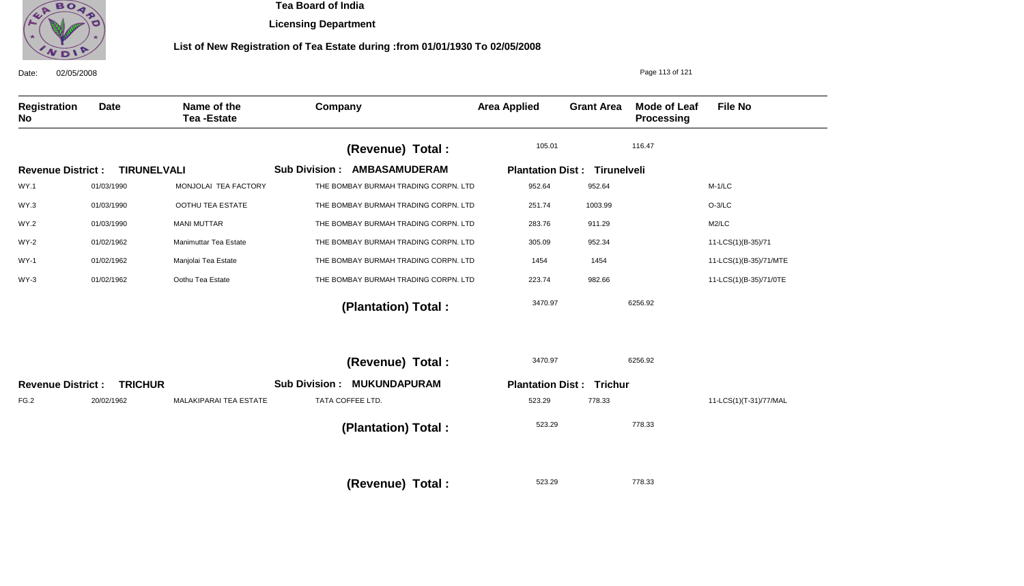

**Licensing Department**

| 02/05/2008<br>Date:      |                    | Page 113 of 121                  |                                              |                                     |                   |                                   |                        |
|--------------------------|--------------------|----------------------------------|----------------------------------------------|-------------------------------------|-------------------|-----------------------------------|------------------------|
| Registration<br>No       | <b>Date</b>        | Name of the<br><b>Tea-Estate</b> | Company                                      | <b>Area Applied</b>                 | <b>Grant Area</b> | <b>Mode of Leaf</b><br>Processing | <b>File No</b>         |
|                          |                    |                                  | (Revenue) Total :                            | 105.01                              |                   | 116.47                            |                        |
| <b>Revenue District:</b> | <b>TIRUNELVALI</b> |                                  | <b>Sub Division:</b><br><b>AMBASAMUDERAM</b> | <b>Plantation Dist: Tirunelveli</b> |                   |                                   |                        |
| <b>WY.1</b>              | 01/03/1990         | MONJOLAI TEA FACTORY             | THE BOMBAY BURMAH TRADING CORPN. LTD         | 952.64                              | 952.64            |                                   | $M-1/LC$               |
| WY.3                     | 01/03/1990         | OOTHU TEA ESTATE                 | THE BOMBAY BURMAH TRADING CORPN. LTD         | 251.74                              | 1003.99           |                                   | $O-3/LC$               |
| <b>WY.2</b>              | 01/03/1990         | <b>MANI MUTTAR</b>               | THE BOMBAY BURMAH TRADING CORPN. LTD         | 283.76                              | 911.29            |                                   | M2/LC                  |
| WY-2                     | 01/02/1962         | Manimuttar Tea Estate            | THE BOMBAY BURMAH TRADING CORPN. LTD         | 305.09                              | 952.34            |                                   | 11-LCS(1)(B-35)/71     |
| <b>WY-1</b>              | 01/02/1962         | Manjolai Tea Estate              | THE BOMBAY BURMAH TRADING CORPN. LTD         | 1454                                | 1454              |                                   | 11-LCS(1)(B-35)/71/MTE |
| $WY-3$                   | 01/02/1962         | Oothu Tea Estate                 | THE BOMBAY BURMAH TRADING CORPN. LTD         | 223.74                              | 982.66            |                                   | 11-LCS(1)(B-35)/71/0TE |
|                          |                    |                                  | (Plantation) Total:                          | 3470.97                             |                   | 6256.92                           |                        |
|                          |                    |                                  | (Revenue) Total :                            | 3470.97                             |                   | 6256.92                           |                        |
| <b>Revenue District:</b> | <b>TRICHUR</b>     |                                  | <b>Sub Division:</b><br><b>MUKUNDAPURAM</b>  | <b>Plantation Dist: Trichur</b>     |                   |                                   |                        |
| FG.2                     | 20/02/1962         | MALAKIPARAI TEA ESTATE           | TATA COFFEE LTD.                             | 523.29                              | 778.33            |                                   | 11-LCS(1)(T-31)/77/MAL |
|                          |                    |                                  | (Plantation) Total:                          | 523.29                              |                   | 778.33                            |                        |
|                          |                    |                                  | (Revenue) Total:                             | 523.29                              |                   | 778.33                            |                        |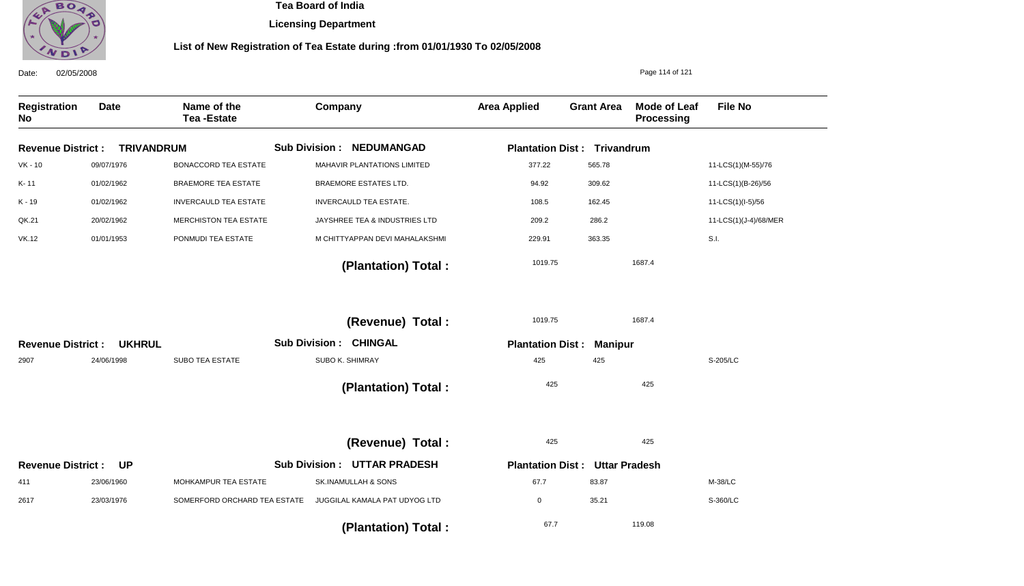

**Licensing Department**

| 02/05/2008<br>Date:       |                   |                                  |                              |                                  |                         |                                    | Page 114 of 121            |                       |
|---------------------------|-------------------|----------------------------------|------------------------------|----------------------------------|-------------------------|------------------------------------|----------------------------|-----------------------|
| Registration<br><b>No</b> | <b>Date</b>       | Name of the<br><b>Tea-Estate</b> | Company                      |                                  | <b>Area Applied</b>     | <b>Grant Area</b>                  | Mode of Leaf<br>Processing | <b>File No</b>        |
| <b>Revenue District:</b>  | <b>TRIVANDRUM</b> |                                  |                              | <b>Sub Division : NEDUMANGAD</b> |                         | <b>Plantation Dist: Trivandrum</b> |                            |                       |
| $VK - 10$                 | 09/07/1976        | <b>BONACCORD TEA ESTATE</b>      |                              | MAHAVIR PLANTATIONS LIMITED      | 377.22                  | 565.78                             |                            | 11-LCS(1)(M-55)/76    |
| K-11                      | 01/02/1962        | <b>BRAEMORE TEA ESTATE</b>       |                              | <b>BRAEMORE ESTATES LTD.</b>     | 94.92                   | 309.62                             |                            | 11-LCS(1)(B-26)/56    |
| K - 19                    | 01/02/1962        | <b>INVERCAULD TEA ESTATE</b>     |                              | <b>INVERCAULD TEA ESTATE.</b>    | 108.5                   | 162.45                             |                            | 11-LCS(1)(I-5)/56     |
| QK.21                     | 20/02/1962        | MERCHISTON TEA ESTATE            |                              | JAYSHREE TEA & INDUSTRIES LTD    | 209.2                   | 286.2                              |                            | 11-LCS(1)(J-4)/68/MER |
| <b>VK.12</b>              | 01/01/1953        | PONMUDI TEA ESTATE               |                              | M CHITTYAPPAN DEVI MAHALAKSHMI   | 229.91                  | 363.35                             |                            | S.I.                  |
|                           |                   |                                  |                              | (Plantation) Total:              | 1019.75                 |                                    | 1687.4                     |                       |
|                           |                   |                                  |                              | (Revenue) Total:                 | 1019.75                 |                                    | 1687.4                     |                       |
| <b>Revenue District:</b>  | <b>UKHRUL</b>     |                                  | <b>Sub Division: CHINGAL</b> |                                  | <b>Plantation Dist:</b> | <b>Manipur</b>                     |                            |                       |
| 2907                      | 24/06/1998        | <b>SUBO TEA ESTATE</b>           |                              | SUBO K. SHIMRAY                  | 425                     | 425                                |                            | S-205/LC              |
|                           |                   |                                  |                              | (Plantation) Total:              | 425                     |                                    | 425                        |                       |
|                           |                   |                                  |                              | (Revenue) Total:                 | 425                     |                                    | 425                        |                       |
| <b>Revenue District:</b>  | <b>UP</b>         |                                  | <b>Sub Division:</b>         | <b>UTTAR PRADESH</b>             | <b>Plantation Dist:</b> | <b>Uttar Pradesh</b>               |                            |                       |
| 411                       | 23/06/1960        | MOHKAMPUR TEA ESTATE             |                              | SK.INAMULLAH & SONS              | 67.7                    | 83.87                              |                            | M-38/LC               |
| 2617                      | 23/03/1976        | SOMERFORD ORCHARD TEA ESTATE     |                              | JUGGILAL KAMALA PAT UDYOG LTD    | $\mathbf 0$             | 35.21                              |                            | S-360/LC              |
|                           |                   |                                  |                              | (Plantation) Total:              | 67.7                    |                                    | 119.08                     |                       |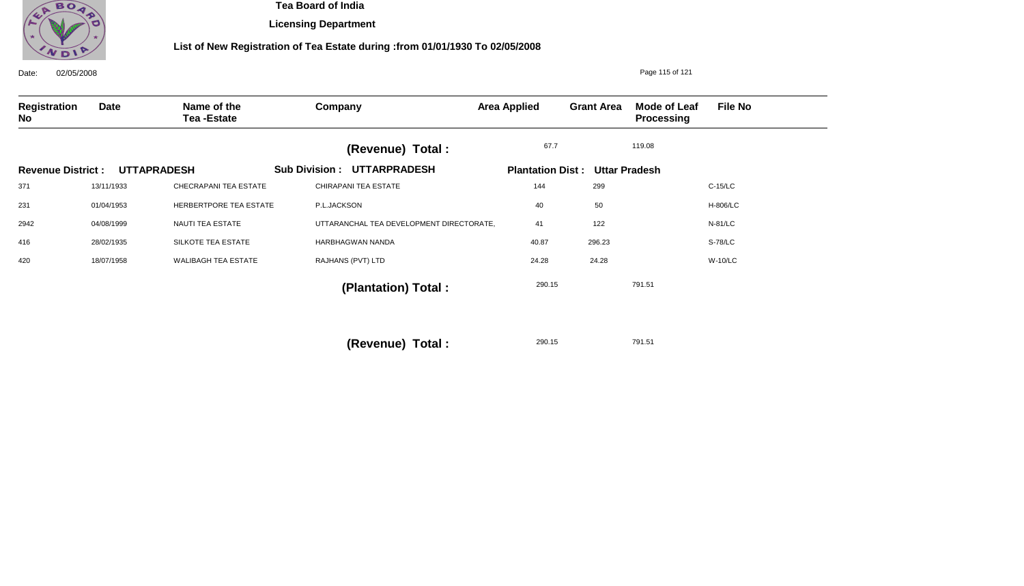

**Licensing Department**

### **List of New Registration of Tea Estate during :from 01/01/1930 To 02/05/2008**

| 02/05/2008<br>Date:      |            |                                  |                                          |                         |                   | Page 115 of 121            |                |
|--------------------------|------------|----------------------------------|------------------------------------------|-------------------------|-------------------|----------------------------|----------------|
| Registration<br>No       | Date       | Name of the<br><b>Tea-Estate</b> | Company                                  | <b>Area Applied</b>     | <b>Grant Area</b> | Mode of Leaf<br>Processing | <b>File No</b> |
|                          |            |                                  | (Revenue) Total :                        | 67.7                    |                   | 119.08                     |                |
| <b>Revenue District:</b> |            | <b>UTTAPRADESH</b>               | <b>Sub Division: UTTARPRADESH</b>        | <b>Plantation Dist:</b> |                   | <b>Uttar Pradesh</b>       |                |
| 371                      | 13/11/1933 | CHECRAPANI TEA ESTATE            | <b>CHIRAPANI TEA ESTATE</b>              | 144                     | 299               |                            | $C-15/LC$      |
| 231                      | 01/04/1953 | HERBERTPORE TEA ESTATE           | P.L.JACKSON                              | 40                      | 50                |                            | H-806/LC       |
| 2942                     | 04/08/1999 | NAUTI TEA ESTATE                 | UTTARANCHAL TEA DEVELOPMENT DIRECTORATE, | 41                      | 122               |                            | N-81/LC        |
| 416                      | 28/02/1935 | SILKOTE TEA ESTATE               | HARBHAGWAN NANDA                         | 40.87                   | 296.23            |                            | S-78/LC        |
| 420                      | 18/07/1958 | <b>WALIBAGH TEA ESTATE</b>       | RAJHANS (PVT) LTD                        | 24.28                   | 24.28             |                            | <b>W-10/LC</b> |
|                          |            |                                  | (Plantation) Total :                     | 290.15                  |                   | 791.51                     |                |
|                          |            |                                  |                                          |                         |                   |                            |                |
|                          |            |                                  |                                          |                         |                   |                            |                |

290.15 791.51 **(Revenue) Total :**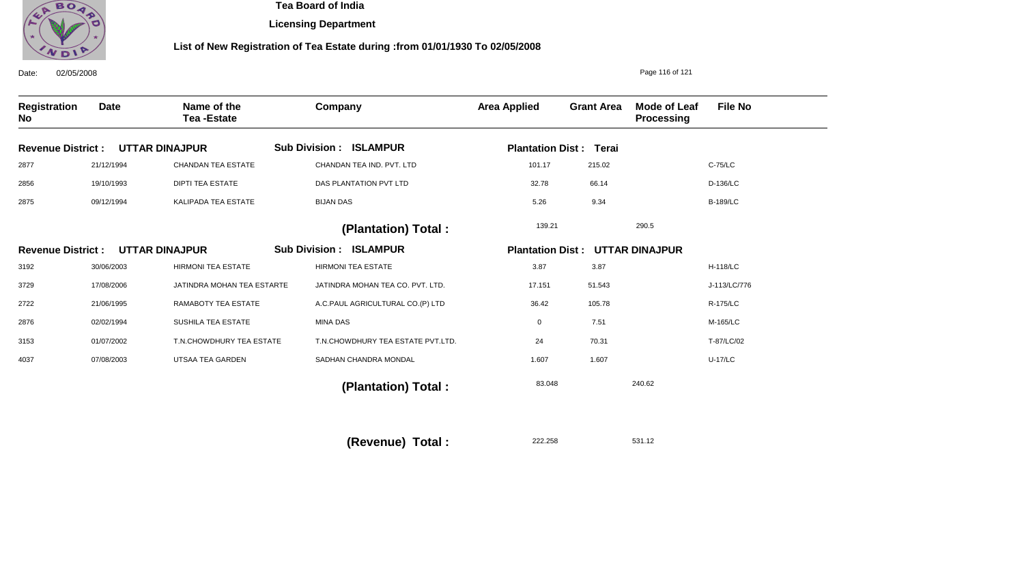

**Licensing Department**

### **List of New Registration of Tea Estate during :from 01/01/1930 To 02/05/2008**

| 02/05/2008<br>Date:      |             |                                  | Page 116 of 121                   |                         |                               |                                   |                 |
|--------------------------|-------------|----------------------------------|-----------------------------------|-------------------------|-------------------------------|-----------------------------------|-----------------|
| Registration<br>No       | <b>Date</b> | Name of the<br><b>Tea-Estate</b> | Company                           | <b>Area Applied</b>     | <b>Grant Area</b>             | Mode of Leaf<br><b>Processing</b> | <b>File No</b>  |
| <b>Revenue District:</b> |             | <b>UTTAR DINAJPUR</b>            | <b>Sub Division : ISLAMPUR</b>    |                         | <b>Plantation Dist: Terai</b> |                                   |                 |
| 2877                     | 21/12/1994  | <b>CHANDAN TEA ESTATE</b>        | CHANDAN TEA IND. PVT. LTD         | 101.17                  | 215.02                        |                                   | C-75/LC         |
| 2856                     | 19/10/1993  | <b>DIPTI TEA ESTATE</b>          | DAS PLANTATION PVT LTD            | 32.78                   | 66.14                         |                                   | D-136/LC        |
| 2875                     | 09/12/1994  | KALIPADA TEA ESTATE              | <b>BIJAN DAS</b>                  | 5.26                    | 9.34                          |                                   | <b>B-189/LC</b> |
|                          |             |                                  | (Plantation) Total:               | 139.21                  |                               | 290.5                             |                 |
| <b>Revenue District:</b> |             | <b>UTTAR DINAJPUR</b>            | <b>Sub Division: ISLAMPUR</b>     | <b>Plantation Dist:</b> |                               | <b>UTTAR DINAJPUR</b>             |                 |
| 3192                     | 30/06/2003  | <b>HIRMONI TEA ESTATE</b>        | <b>HIRMONI TEA ESTATE</b>         | 3.87                    | 3.87                          |                                   | <b>H-118/LC</b> |
| 3729                     | 17/08/2006  | JATINDRA MOHAN TEA ESTARTE       | JATINDRA MOHAN TEA CO. PVT. LTD.  | 17.151                  | 51.543                        |                                   | J-113/LC/776    |
| 2722                     | 21/06/1995  | RAMABOTY TEA ESTATE              | A.C.PAUL AGRICULTURAL CO.(P) LTD  | 36.42                   | 105.78                        |                                   | R-175/LC        |
| 2876                     | 02/02/1994  | SUSHILA TEA ESTATE               | <b>MINA DAS</b>                   | 0                       | 7.51                          |                                   | M-165/LC        |
| 3153                     | 01/07/2002  | T.N.CHOWDHURY TEA ESTATE         | T.N.CHOWDHURY TEA ESTATE PVT.LTD. | 24                      | 70.31                         |                                   | T-87/LC/02      |
| 4037                     | 07/08/2003  | UTSAA TEA GARDEN                 | SADHAN CHANDRA MONDAL             | 1.607                   | 1.607                         |                                   | <b>U-17/LC</b>  |
|                          |             |                                  | (Plantation) Total:               | 83.048                  |                               | 240.62                            |                 |

222.258 531.12 **(Revenue) Total :**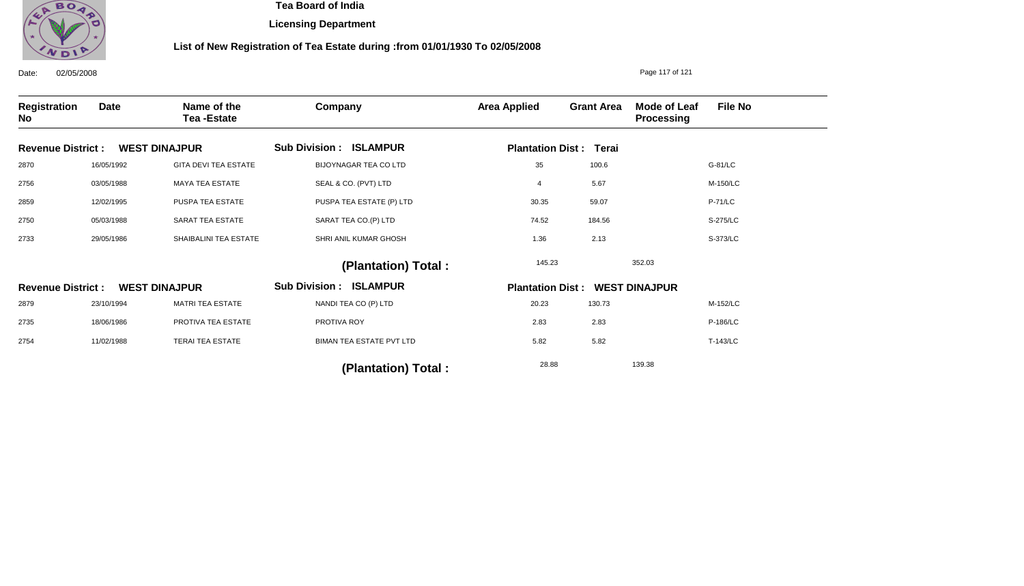

**Licensing Department**

| 02/05/2008<br>Date:       |             |                                  | Page 117 of 121                 |                     |                                       |                                   |                |
|---------------------------|-------------|----------------------------------|---------------------------------|---------------------|---------------------------------------|-----------------------------------|----------------|
| Registration<br><b>No</b> | <b>Date</b> | Name of the<br><b>Tea-Estate</b> | Company                         | <b>Area Applied</b> | <b>Grant Area</b>                     | Mode of Leaf<br><b>Processing</b> | <b>File No</b> |
| <b>Revenue District:</b>  |             | <b>WEST DINAJPUR</b>             | <b>Sub Division : ISLAMPUR</b>  |                     | <b>Plantation Dist: Terai</b>         |                                   |                |
| 2870                      | 16/05/1992  | <b>GITA DEVI TEA ESTATE</b>      | <b>BIJOYNAGAR TEA CO LTD</b>    | 35                  | 100.6                                 |                                   | G-81/LC        |
| 2756                      | 03/05/1988  | <b>MAYA TEA ESTATE</b>           | SEAL & CO. (PVT) LTD            | 4                   | 5.67                                  |                                   | M-150/LC       |
| 2859                      | 12/02/1995  | PUSPA TEA ESTATE                 | PUSPA TEA ESTATE (P) LTD        | 30.35               | 59.07                                 |                                   | <b>P-71/LC</b> |
| 2750                      | 05/03/1988  | SARAT TEA ESTATE                 | SARAT TEA CO.(P) LTD            | 74.52               | 184.56                                |                                   | S-275/LC       |
| 2733                      | 29/05/1986  | SHAIBALINI TEA ESTATE            | SHRI ANIL KUMAR GHOSH           | 1.36                | 2.13                                  |                                   | S-373/LC       |
|                           |             |                                  | (Plantation) Total:             | 145.23              |                                       | 352.03                            |                |
| <b>Revenue District:</b>  |             | <b>WEST DINAJPUR</b>             | <b>Sub Division : ISLAMPUR</b>  |                     | <b>Plantation Dist: WEST DINAJPUR</b> |                                   |                |
| 2879                      | 23/10/1994  | <b>MATRI TEA ESTATE</b>          | NANDI TEA CO (P) LTD            | 20.23               | 130.73                                |                                   | M-152/LC       |
| 2735                      | 18/06/1986  | PROTIVA TEA ESTATE               | PROTIVA ROY                     | 2.83                | 2.83                                  |                                   | P-186/LC       |
| 2754                      | 11/02/1988  | <b>TERAI TEA ESTATE</b>          | <b>BIMAN TEA ESTATE PVT LTD</b> | 5.82                | 5.82                                  |                                   | T-143/LC       |
|                           |             |                                  | (Plantation) Total:             | 28.88               |                                       | 139.38                            |                |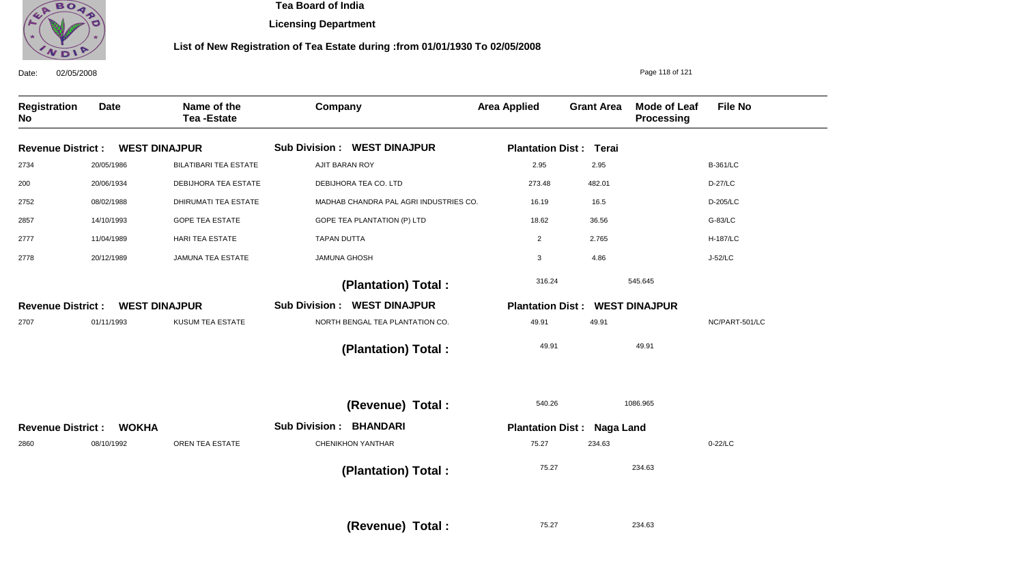

**Licensing Department**

### **List of New Registration of Tea Estate during :from 01/01/1930 To 02/05/2008**

| Date:                     | 02/05/2008   |                                  |                                         |                         |                                       | Page 118 of 121                          |                 |
|---------------------------|--------------|----------------------------------|-----------------------------------------|-------------------------|---------------------------------------|------------------------------------------|-----------------|
| <b>Registration</b><br>No | <b>Date</b>  | Name of the<br><b>Tea-Estate</b> | Company                                 | <b>Area Applied</b>     | <b>Grant Area</b>                     | <b>Mode of Leaf</b><br><b>Processing</b> | <b>File No</b>  |
| <b>Revenue District:</b>  |              | <b>WEST DINAJPUR</b>             | <b>Sub Division : WEST DINAJPUR</b>     | <b>Plantation Dist:</b> | Terai                                 |                                          |                 |
| 2734                      | 20/05/1986   | <b>BILATIBARI TEA ESTATE</b>     | <b>AJIT BARAN ROY</b>                   | 2.95                    | 2.95                                  |                                          | <b>B-361/LC</b> |
| 200                       | 20/06/1934   | DEBIJHORA TEA ESTATE             | DEBIJHORA TEA CO. LTD                   | 273.48                  | 482.01                                |                                          | D-27/LC         |
| 2752                      | 08/02/1988   | DHIRUMATI TEA ESTATE             | MADHAB CHANDRA PAL AGRI INDUSTRIES CO.  | 16.19                   | 16.5                                  |                                          | D-205/LC        |
| 2857                      | 14/10/1993   | <b>GOPE TEA ESTATE</b>           | GOPE TEA PLANTATION (P) LTD             | 18.62                   | 36.56                                 |                                          | G-83/LC         |
| 2777                      | 11/04/1989   | <b>HARI TEA ESTATE</b>           | <b>TAPAN DUTTA</b>                      | 2                       | 2.765                                 |                                          | <b>H-187/LC</b> |
| 2778                      | 20/12/1989   | <b>JAMUNA TEA ESTATE</b>         | <b>JAMUNA GHOSH</b>                     | 3                       | 4.86                                  |                                          | J-52/LC         |
|                           |              |                                  | (Plantation) Total:                     | 316.24                  |                                       | 545.645                                  |                 |
| <b>Revenue District:</b>  |              | <b>WEST DINAJPUR</b>             | <b>Sub Division : WEST DINAJPUR</b>     |                         | <b>Plantation Dist: WEST DINAJPUR</b> |                                          |                 |
| 2707                      | 01/11/1993   | KUSUM TEA ESTATE                 | NORTH BENGAL TEA PLANTATION CO.         | 49.91                   | 49.91                                 |                                          | NC/PART-501/LC  |
|                           |              |                                  | (Plantation) Total:                     | 49.91                   |                                       | 49.91                                    |                 |
|                           |              |                                  | (Revenue) Total :                       | 540.26                  |                                       | 1086.965                                 |                 |
| <b>Revenue District:</b>  | <b>WOKHA</b> |                                  | <b>BHANDARI</b><br><b>Sub Division:</b> |                         | <b>Plantation Dist: Naga Land</b>     |                                          |                 |
| 2860                      | 08/10/1992   | OREN TEA ESTATE                  | CHENIKHON YANTHAR                       | 75.27                   | 234.63                                |                                          | 0-22/LC         |
|                           |              |                                  | (Plantation) Total:                     | 75.27                   |                                       | 234.63                                   |                 |
|                           |              |                                  |                                         |                         |                                       |                                          |                 |

75.27 **(Revenue) Total :** 

234.63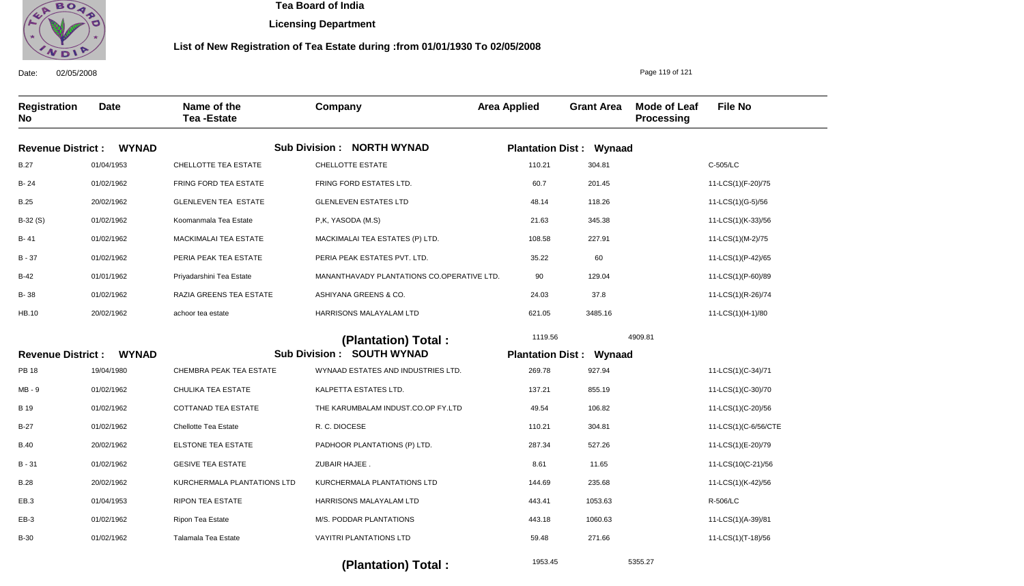

**Licensing Department**

#### **List of New Registration of Tea Estate during :from 01/01/1930 To 02/05/2008**

Date: 02/05/2008 **Registration No Date Name of the Tea -Estate Company Area Applied Grant Area Mode of Leaf Processing File No** Page 119 of 121 **WYNAD WYNAD Revenue District : Revenue District : Sub Division : NORTH WYNAD Sub Division : SOUTH WYNAD Plantation Dist : Wynaad Plantation Dist : Wynaad** B.27 B- 24 B.25 B-32 (S) B- 41 B - 37 B-42 B- 38 HB.10 PB 18 MB - 9 B 19 B-27 B.40 B - 31 B.28 EB.3 EB-3 B-30 01/04/1953 01/02/1962 20/02/1962 01/02/1962 01/02/1962 01/02/1962 01/01/1962 01/02/1962 20/02/1962 19/04/1980 01/02/1962 01/02/1962 01/02/1962 20/02/1962 01/02/1962 20/02/1962 01/04/1953 01/02/1962 01/02/1962 CHELLOTTE TEA ESTATE FRING FORD TEA ESTATE GLENLEVEN TEA ESTATE Koomanmala Tea Estate MACKIMALAI TEA ESTATE PERIA PEAK TEA ESTATE Priyadarshini Tea Estate RAZIA GREENS TEA ESTATE achoor tea estate CHEMBRA PEAK TEA ESTATE CHULIKA TEA ESTATE COTTANAD TEA ESTATE Chellotte Tea Estate ELSTONE TEA ESTATE GESIVE TEA ESTATE KURCHERMALA PLANTATIONS LTD RIPON TEA ESTATE Ripon Tea Estate Talamala Tea Estate CHELLOTTE ESTATE FRING FORD ESTATES LTD. GLENLEVEN ESTATES LTD P,K, YASODA (M.S) MACKIMALAI TEA ESTATES (P) LTD. PERIA PEAK ESTATES PVT. LTD. MANANTHAVADY PLANTATIONS CO.OPERATIVE LTD. ASHIYANA GREENS & CO. HARRISONS MALAYALAM LTD WYNAAD ESTATES AND INDUSTRIES LTD. KALPETTA ESTATES LTD. THE KARUMBALAM INDUST.CO.OP FY.LTD R. C. DIOCESE PADHOOR PLANTATIONS (P) LTD. ZUBAIR HAJEE . KURCHERMALA PLANTATIONS LTD HARRISONS MALAYALAM LTD M/S. PODDAR PLANTATIONS VAYITRI PLANTATIONS LTD 110.21 60.7 48.14 21.63 108.58 35.22 90 24.03 621.05 269.78 137.21 49.54 110.21 287.34 8.61 144.69 443.41 443.18 59.48 C-505/LC 11-LCS(1)(F-20)/75 11-LCS(1)(G-5)/56 11-LCS(1)(K-33)/56 11-LCS(1)(M-2)/75 11-LCS(1)(P-42)/65 11-LCS(1)(P-60)/89 11-LCS(1)(R-26)/74 11-LCS(1)(H-1)/80 11-LCS(1)(C-34)/71 11-LCS(1)(C-30)/70 11-LCS(1)(C-20)/56 11-LCS(1)(C-6/56/CTE 11-LCS(1)(E-20)/79 11-LCS(10(C-21)/56 11-LCS(1)(K-42)/56 R-506/LC 11-LCS(1)(A-39)/81 11-LCS(1)(T-18)/56 1119.56 4909.81  **(Plantation) Total :**  304.81 201.45 118.26 345.38 227.91 60 129.04 37.8 3485.16 927.94 855.19 106.82 304.81 527.26 11.65 235.68 1053.63 1060.63 271.66

 **(Plantation) Total :** 

5355.27

1953.45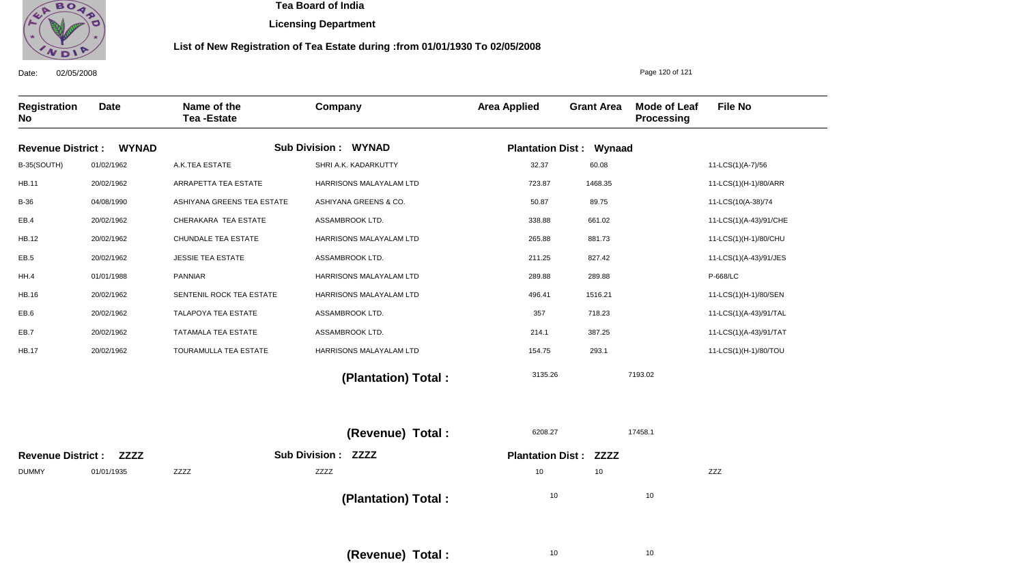

Date: 02/05/2008

 **Tea Board of India** 

**Licensing Department**

#### **List of New Registration of Tea Estate during :from 01/01/1930 To 02/05/2008**

**Registration No Date Name of the Tea -Estate Company Area Applied Grant Area Mode of Leaf Processing File No WYNAD ZZZZ Revenue District : Revenue District : WYNAD Sub Division : ZZZZ Sub Division : Plantation Dist : Wynaad ZZZZ Plantation Dist :** B-35(SOUTH) HB.11 B-36 EB.4 HB.12 EB.5 HH.4 HB.16 EB.6 EB.7 HB.17 DUMMY 01/02/1962 20/02/1962 04/08/1990 20/02/1962 20/02/1962 20/02/1962 01/01/1988 20/02/1962 20/02/1962 20/02/1962 20/02/1962 01/01/1935 A.K.TEA ESTATE ARRAPETTA TEA ESTATE ASHIYANA GREENS TEA ESTATE CHERAKARA TEA ESTATE CHUNDALE TEA ESTATE JESSIE TEA ESTATE PANNIAR SENTENIL ROCK TEA ESTATE TALAPOYA TEA ESTATE TATAMALA TEA ESTATE TOURAMULLA TEA ESTATE ZZZZ SHRI A.K. KADARKUTTY HARRISONS MALAYALAM LTD ASHIYANA GREENS & CO. ASSAMBROOK LTD. HARRISONS MALAYALAM LTD ASSAMBROOK LTD. HARRISONS MALAYALAM LTD HARRISONS MALAYALAM LTD ASSAMBROOK LTD. ASSAMBROOK LTD. HARRISONS MALAYALAM LTD ZZZZ 32.37 723.87 50.87 338.88 265.88 211.25 289.88 496.41 357 214.1 154.75 10 11-LCS(1)(A-7)/56 11-LCS(1)(H-1)/80/ARR 11-LCS(10(A-38)/74 11-LCS(1)(A-43)/91/CHE 11-LCS(1)(H-1)/80/CHU 11-LCS(1)(A-43)/91/JES P-668/LC 11-LCS(1)(H-1)/80/SEN 11-LCS(1)(A-43)/91/TAL 11-LCS(1)(A-43)/91/TAT 11-LCS(1)(H-1)/80/TOU ZZZ 3135.26 10 7193.02 10 6208.27 17458.1  **(Plantation) Total : (Plantation) Total : (Revenue) Total :**  60.08 1468.35 89.75 661.02 881.73 827.42 289.88 1516.21 718.23 387.25 293.1 10

> 10 **(Revenue) Total :**

Page 120 of 121

10